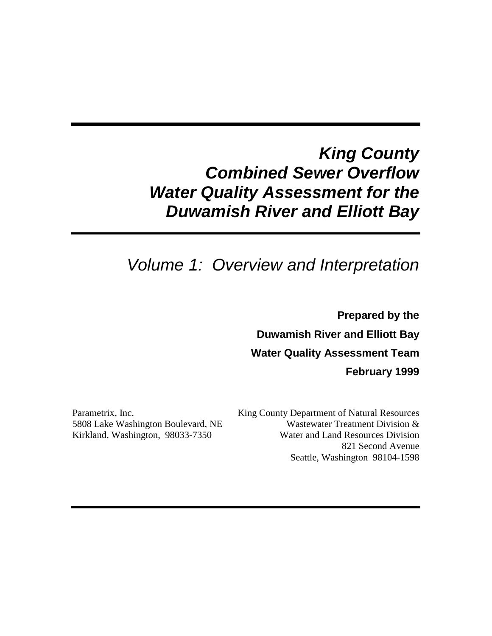# *King County Combined Sewer Overflow Water Quality Assessment for the Duwamish River and Elliott Bay*

# *Volume 1: Overview and Interpretation*

**Prepared by the Duwamish River and Elliott Bay Water Quality Assessment Team February 1999**

Parametrix, Inc. 5808 Lake Washington Boulevard, NE Kirkland, Washington, 98033-7350

King County Department of Natural Resources Wastewater Treatment Division & Water and Land Resources Division 821 Second Avenue Seattle, Washington 98104-1598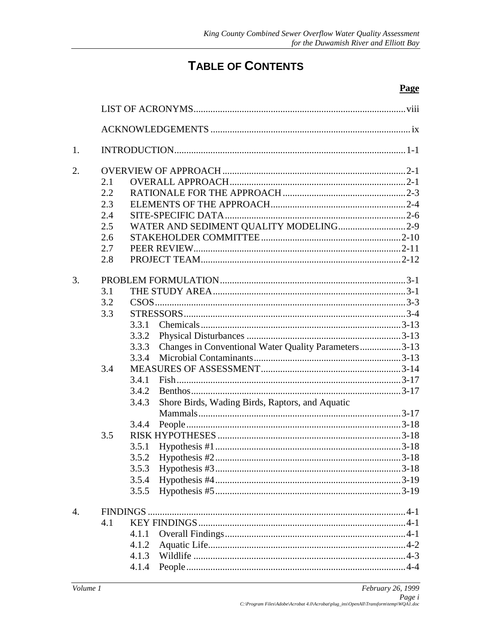## **TABLE OF CONTENTS**

| 1.               |     |       |                                                      |  |
|------------------|-----|-------|------------------------------------------------------|--|
| 2.               |     |       |                                                      |  |
|                  | 2.1 |       |                                                      |  |
|                  | 2.2 |       |                                                      |  |
|                  | 2.3 |       |                                                      |  |
|                  | 2.4 |       |                                                      |  |
|                  | 2.5 |       | WATER AND SEDIMENT QUALITY MODELING2-9               |  |
|                  | 2.6 |       |                                                      |  |
|                  | 2.7 |       |                                                      |  |
|                  | 2.8 |       |                                                      |  |
| 3.               |     |       |                                                      |  |
|                  | 3.1 |       |                                                      |  |
|                  | 3.2 |       |                                                      |  |
|                  | 3.3 |       |                                                      |  |
|                  |     | 3.3.1 |                                                      |  |
|                  |     | 3.3.2 |                                                      |  |
|                  |     | 3.3.3 | Changes in Conventional Water Quality Parameters3-13 |  |
|                  |     | 3.3.4 |                                                      |  |
|                  | 3.4 |       |                                                      |  |
|                  |     | 3.4.1 |                                                      |  |
|                  |     | 3.4.2 |                                                      |  |
|                  |     | 3.4.3 | Shore Birds, Wading Birds, Raptors, and Aquatic      |  |
|                  |     |       |                                                      |  |
|                  |     | 3.4.4 |                                                      |  |
|                  | 3.5 |       |                                                      |  |
|                  |     | 3.5.1 |                                                      |  |
|                  |     |       |                                                      |  |
|                  |     |       |                                                      |  |
|                  |     | 3.5.4 |                                                      |  |
|                  |     | 3.5.5 |                                                      |  |
| $\overline{4}$ . |     |       |                                                      |  |
|                  | 4.1 |       |                                                      |  |
|                  |     | 4.1.1 |                                                      |  |
|                  |     | 4.1.2 |                                                      |  |
|                  |     |       |                                                      |  |
|                  |     | 4.1.4 |                                                      |  |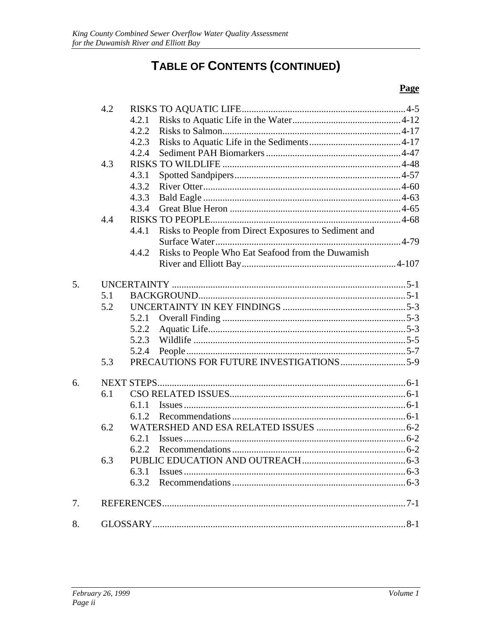# TABLE OF CONTENTS (CONTINUED)

|    | 4.2 |       |                                                       |  |
|----|-----|-------|-------------------------------------------------------|--|
|    |     | 4.2.1 |                                                       |  |
|    |     | 4.2.2 |                                                       |  |
|    |     | 4.2.3 |                                                       |  |
|    |     | 4.2.4 |                                                       |  |
|    | 4.3 |       |                                                       |  |
|    |     | 4.3.1 |                                                       |  |
|    |     | 4.3.2 |                                                       |  |
|    |     | 4.3.3 |                                                       |  |
|    |     | 4.3.4 |                                                       |  |
|    | 4.4 |       |                                                       |  |
|    |     | 4.4.1 | Risks to People from Direct Exposures to Sediment and |  |
|    |     |       |                                                       |  |
|    |     | 4.4.2 | Risks to People Who Eat Seafood from the Duwamish     |  |
|    |     |       |                                                       |  |
|    |     |       |                                                       |  |
| 5. |     |       |                                                       |  |
|    | 5.1 |       |                                                       |  |
|    | 5.2 |       |                                                       |  |
|    |     |       |                                                       |  |
|    |     | 5.2.2 |                                                       |  |
|    |     | 5.2.3 |                                                       |  |
|    |     | 5.2.4 |                                                       |  |
|    | 5.3 |       |                                                       |  |
| 6. |     |       |                                                       |  |
|    | 6.1 |       |                                                       |  |
|    |     |       |                                                       |  |
|    |     | 6.1.1 |                                                       |  |
|    | 6.2 | 6.1.2 |                                                       |  |
|    |     |       |                                                       |  |
|    |     | 6.2.1 |                                                       |  |
|    |     |       |                                                       |  |
|    | 6.3 |       |                                                       |  |
|    |     |       |                                                       |  |
|    |     |       |                                                       |  |
| 7. |     |       |                                                       |  |
| 8. |     |       |                                                       |  |
|    |     |       |                                                       |  |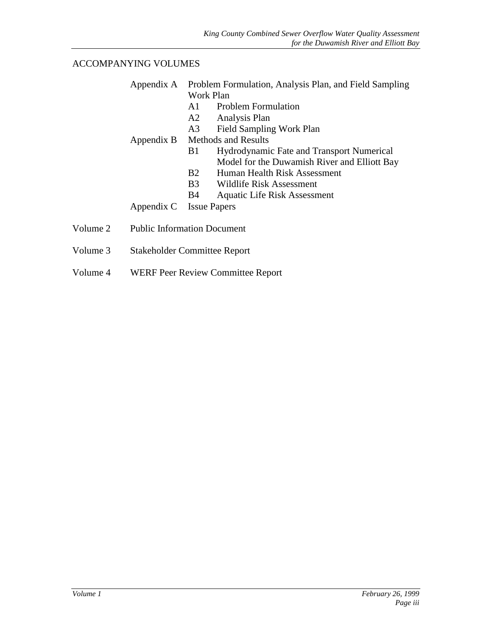#### ACCOMPANYING VOLUMES

|          |            | Appendix A Problem Formulation, Analysis Plan, and Field Sampling |
|----------|------------|-------------------------------------------------------------------|
|          |            | Work Plan                                                         |
|          |            | <b>Problem Formulation</b><br>A1                                  |
|          |            | A2<br>Analysis Plan                                               |
|          |            | <b>Field Sampling Work Plan</b><br>A3                             |
|          |            | Appendix B Methods and Results                                    |
|          |            | Hydrodynamic Fate and Transport Numerical<br>B1                   |
|          |            | Model for the Duwamish River and Elliott Bay                      |
|          |            | B2<br>Human Health Risk Assessment                                |
|          |            | <b>B</b> 3<br>Wildlife Risk Assessment                            |
|          |            | <b>Aquatic Life Risk Assessment</b><br>B4                         |
|          | Appendix C | <b>Issue Papers</b>                                               |
| Volume 2 |            | <b>Public Information Document</b>                                |
| Volume 3 |            | <b>Stakeholder Committee Report</b>                               |

Volume 4 WERF Peer Review Committee Report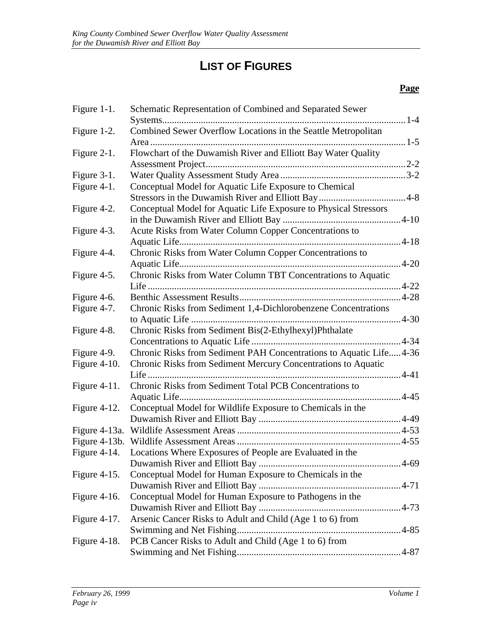## **LIST OF FIGURES**

| Figure 1-1.     | Schematic Representation of Combined and Separated Sewer            |          |
|-----------------|---------------------------------------------------------------------|----------|
|                 | . 1-4                                                               |          |
| Figure 1-2.     | Combined Sewer Overflow Locations in the Seattle Metropolitan       |          |
|                 |                                                                     |          |
| Figure 2-1.     | Flowchart of the Duwamish River and Elliott Bay Water Quality       |          |
|                 |                                                                     |          |
| Figure 3-1.     |                                                                     |          |
| Figure 4-1.     | Conceptual Model for Aquatic Life Exposure to Chemical              |          |
|                 |                                                                     |          |
| Figure 4-2.     | Conceptual Model for Aquatic Life Exposure to Physical Stressors    |          |
|                 |                                                                     |          |
| Figure 4-3.     | Acute Risks from Water Column Copper Concentrations to              |          |
|                 |                                                                     |          |
| Figure 4-4.     | Chronic Risks from Water Column Copper Concentrations to            |          |
|                 |                                                                     | $4 - 20$ |
| Figure 4-5.     | Chronic Risks from Water Column TBT Concentrations to Aquatic       |          |
|                 |                                                                     |          |
| Figure 4-6.     |                                                                     |          |
| Figure 4-7.     | Chronic Risks from Sediment 1,4-Dichlorobenzene Concentrations      |          |
|                 |                                                                     |          |
| Figure 4-8.     | Chronic Risks from Sediment Bis(2-Ethylhexyl)Phthalate              |          |
|                 |                                                                     |          |
| Figure 4-9.     | Chronic Risks from Sediment PAH Concentrations to Aquatic Life 4-36 |          |
| Figure $4-10$ . | Chronic Risks from Sediment Mercury Concentrations to Aquatic       |          |
|                 |                                                                     |          |
| Figure $4-11$ . | Chronic Risks from Sediment Total PCB Concentrations to             |          |
|                 | . 4-45                                                              |          |
| Figure 4-12.    | Conceptual Model for Wildlife Exposure to Chemicals in the          |          |
|                 |                                                                     |          |
|                 |                                                                     |          |
| Figure 4-13b.   |                                                                     |          |
| Figure $4-14$ . | Locations Where Exposures of People are Evaluated in the            |          |
|                 | 4-69                                                                |          |
| Figure $4-15$ . | Conceptual Model for Human Exposure to Chemicals in the             |          |
|                 |                                                                     |          |
| Figure $4-16$ . | Conceptual Model for Human Exposure to Pathogens in the             |          |
|                 |                                                                     |          |
| Figure 4-17.    | Arsenic Cancer Risks to Adult and Child (Age 1 to 6) from           |          |
|                 |                                                                     |          |
| Figure $4-18$ . | PCB Cancer Risks to Adult and Child (Age 1 to 6) from               |          |
|                 |                                                                     |          |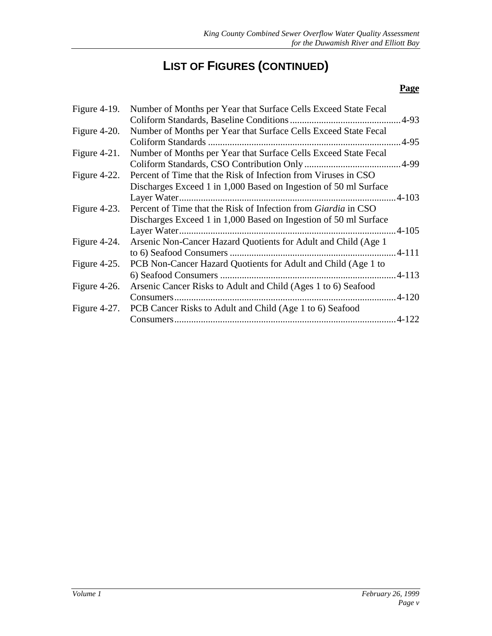# **LIST OF FIGURES (CONTINUED)**

| Figure $4-19$ . | Number of Months per Year that Surface Cells Exceed State Fecal       |  |
|-----------------|-----------------------------------------------------------------------|--|
|                 |                                                                       |  |
| Figure $4-20$ . | Number of Months per Year that Surface Cells Exceed State Fecal       |  |
|                 | Coliform Standards                                                    |  |
| Figure $4-21$ . | Number of Months per Year that Surface Cells Exceed State Fecal       |  |
|                 |                                                                       |  |
| Figure $4-22$ . | Percent of Time that the Risk of Infection from Viruses in CSO        |  |
|                 | Discharges Exceed 1 in 1,000 Based on Ingestion of 50 ml Surface      |  |
|                 |                                                                       |  |
| Figure $4-23$ . | Percent of Time that the Risk of Infection from <i>Giardia</i> in CSO |  |
|                 | Discharges Exceed 1 in 1,000 Based on Ingestion of 50 ml Surface      |  |
|                 |                                                                       |  |
| Figure 4-24.    | Arsenic Non-Cancer Hazard Quotients for Adult and Child (Age 1)       |  |
|                 |                                                                       |  |
| Figure 4-25.    | PCB Non-Cancer Hazard Quotients for Adult and Child (Age 1 to         |  |
|                 |                                                                       |  |
| Figure 4-26.    | Arsenic Cancer Risks to Adult and Child (Ages 1 to 6) Seafood         |  |
|                 |                                                                       |  |
| Figure 4-27.    | PCB Cancer Risks to Adult and Child (Age 1 to 6) Seafood              |  |
|                 |                                                                       |  |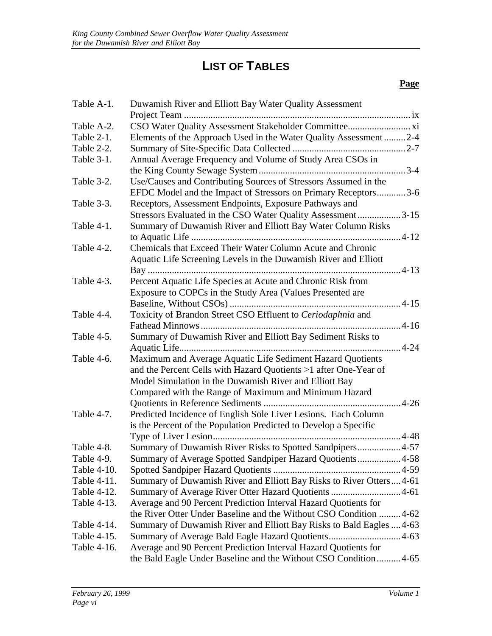# **LIST OF TABLES**

| Table A-1.  | Duwamish River and Elliott Bay Water Quality Assessment              |
|-------------|----------------------------------------------------------------------|
|             |                                                                      |
| Table A-2.  |                                                                      |
| Table 2-1.  | Elements of the Approach Used in the Water Quality Assessment2-4     |
| Table 2-2.  |                                                                      |
| Table 3-1.  | Annual Average Frequency and Volume of Study Area CSOs in            |
|             |                                                                      |
| Table 3-2.  | Use/Causes and Contributing Sources of Stressors Assumed in the      |
|             | EFDC Model and the Impact of Stressors on Primary Receptors3-6       |
| Table 3-3.  | Receptors, Assessment Endpoints, Exposure Pathways and               |
|             | Stressors Evaluated in the CSO Water Quality Assessment3-15          |
| Table 4-1.  | Summary of Duwamish River and Elliott Bay Water Column Risks         |
|             |                                                                      |
| Table 4-2.  | Chemicals that Exceed Their Water Column Acute and Chronic           |
|             | Aquatic Life Screening Levels in the Duwamish River and Elliott      |
|             |                                                                      |
| Table 4-3.  | Percent Aquatic Life Species at Acute and Chronic Risk from          |
|             | Exposure to COPCs in the Study Area (Values Presented are            |
|             |                                                                      |
| Table 4-4.  | Toxicity of Brandon Street CSO Effluent to Ceriodaphnia and          |
|             |                                                                      |
| Table 4-5.  | Summary of Duwamish River and Elliott Bay Sediment Risks to          |
|             |                                                                      |
| Table 4-6.  | Maximum and Average Aquatic Life Sediment Hazard Quotients           |
|             | and the Percent Cells with Hazard Quotients >1 after One-Year of     |
|             | Model Simulation in the Duwamish River and Elliott Bay               |
|             | Compared with the Range of Maximum and Minimum Hazard                |
|             |                                                                      |
| Table 4-7.  | Predicted Incidence of English Sole Liver Lesions. Each Column       |
|             | is the Percent of the Population Predicted to Develop a Specific     |
|             |                                                                      |
| Table 4-8.  | Summary of Duwamish River Risks to Spotted Sandpipers4-57            |
| Table 4-9.  | Summary of Average Spotted Sandpiper Hazard Quotients4-58            |
| Table 4-10. |                                                                      |
| Table 4-11. | Summary of Duwamish River and Elliott Bay Risks to River Otters 4-61 |
| Table 4-12. | Summary of Average River Otter Hazard Quotients  4-61                |
| Table 4-13. | Average and 90 Percent Prediction Interval Hazard Quotients for      |
|             | the River Otter Under Baseline and the Without CSO Condition  4-62   |
| Table 4-14. | Summary of Duwamish River and Elliott Bay Risks to Bald Eagles  4-63 |
| Table 4-15. |                                                                      |
| Table 4-16. | Average and 90 Percent Prediction Interval Hazard Quotients for      |
|             | the Bald Eagle Under Baseline and the Without CSO Condition 4-65     |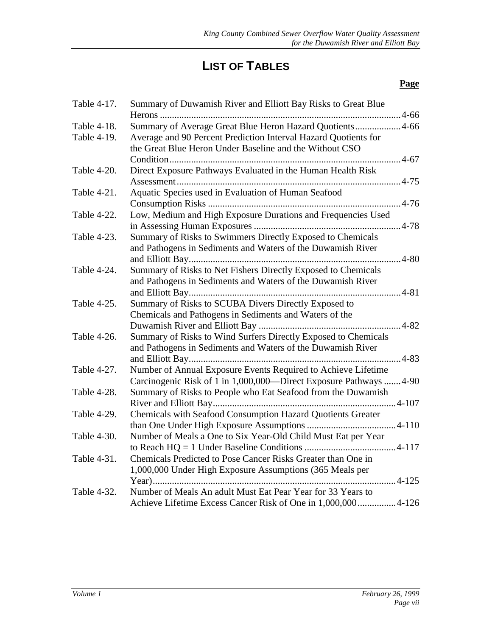# **LIST OF TABLES**

| Summary of Duwamish River and Elliott Bay Risks to Great Blue                                                                                                                                                                                            |
|----------------------------------------------------------------------------------------------------------------------------------------------------------------------------------------------------------------------------------------------------------|
| Summary of Average Great Blue Heron Hazard Quotients 4-66                                                                                                                                                                                                |
| Average and 90 Percent Prediction Interval Hazard Quotients for                                                                                                                                                                                          |
|                                                                                                                                                                                                                                                          |
|                                                                                                                                                                                                                                                          |
|                                                                                                                                                                                                                                                          |
|                                                                                                                                                                                                                                                          |
| Low, Medium and High Exposure Durations and Frequencies Used                                                                                                                                                                                             |
|                                                                                                                                                                                                                                                          |
| Summary of Risks to Swimmers Directly Exposed to Chemicals                                                                                                                                                                                               |
|                                                                                                                                                                                                                                                          |
|                                                                                                                                                                                                                                                          |
| Summary of Risks to Net Fishers Directly Exposed to Chemicals                                                                                                                                                                                            |
|                                                                                                                                                                                                                                                          |
|                                                                                                                                                                                                                                                          |
|                                                                                                                                                                                                                                                          |
|                                                                                                                                                                                                                                                          |
|                                                                                                                                                                                                                                                          |
| Summary of Risks to Wind Surfers Directly Exposed to Chemicals                                                                                                                                                                                           |
|                                                                                                                                                                                                                                                          |
|                                                                                                                                                                                                                                                          |
| Number of Annual Exposure Events Required to Achieve Lifetime                                                                                                                                                                                            |
| Carcinogenic Risk of 1 in 1,000,000—Direct Exposure Pathways  4-90                                                                                                                                                                                       |
| Summary of Risks to People who Eat Seafood from the Duwamish                                                                                                                                                                                             |
|                                                                                                                                                                                                                                                          |
| Chemicals with Seafood Consumption Hazard Quotients Greater                                                                                                                                                                                              |
| Number of Meals a One to Six Year-Old Child Must Eat per Year                                                                                                                                                                                            |
|                                                                                                                                                                                                                                                          |
|                                                                                                                                                                                                                                                          |
|                                                                                                                                                                                                                                                          |
|                                                                                                                                                                                                                                                          |
|                                                                                                                                                                                                                                                          |
| Achieve Lifetime Excess Cancer Risk of One in 1,000,000 4-126                                                                                                                                                                                            |
| Direct Exposure Pathways Evaluated in the Human Health Risk<br>and Pathogens in Sediments and Waters of the Duwamish River<br>and Pathogens in Sediments and Waters of the Duwamish River<br>and Pathogens in Sediments and Waters of the Duwamish River |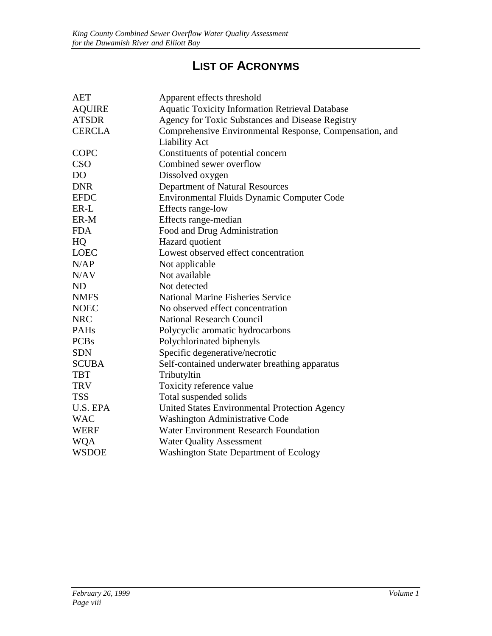## **LIST OF ACRONYMS**

| AET            | Apparent effects threshold                              |
|----------------|---------------------------------------------------------|
| <b>AQUIRE</b>  | <b>Aquatic Toxicity Information Retrieval Database</b>  |
| <b>ATSDR</b>   | Agency for Toxic Substances and Disease Registry        |
| <b>CERCLA</b>  | Comprehensive Environmental Response, Compensation, and |
|                | <b>Liability Act</b>                                    |
| <b>COPC</b>    | Constituents of potential concern                       |
| CSO            | Combined sewer overflow                                 |
| D <sub>O</sub> | Dissolved oxygen                                        |
| <b>DNR</b>     | Department of Natural Resources                         |
| <b>EFDC</b>    | Environmental Fluids Dynamic Computer Code              |
| ER-L           | Effects range-low                                       |
| ER-M           | Effects range-median                                    |
| <b>FDA</b>     | Food and Drug Administration                            |
| HQ             | Hazard quotient                                         |
| <b>LOEC</b>    | Lowest observed effect concentration                    |
| N/AP           | Not applicable                                          |
| N/AV           | Not available                                           |
| <b>ND</b>      | Not detected                                            |
| <b>NMFS</b>    | <b>National Marine Fisheries Service</b>                |
| <b>NOEC</b>    | No observed effect concentration                        |
| <b>NRC</b>     | <b>National Research Council</b>                        |
| PAHs           | Polycyclic aromatic hydrocarbons                        |
| <b>PCBs</b>    | Polychlorinated biphenyls                               |
| <b>SDN</b>     | Specific degenerative/necrotic                          |
| <b>SCUBA</b>   | Self-contained underwater breathing apparatus           |
| <b>TBT</b>     | Tributyltin                                             |
| <b>TRV</b>     | Toxicity reference value                                |
| <b>TSS</b>     | Total suspended solids                                  |
| U.S. EPA       | United States Environmental Protection Agency           |
| <b>WAC</b>     | <b>Washington Administrative Code</b>                   |
| <b>WERF</b>    | <b>Water Environment Research Foundation</b>            |
| <b>WQA</b>     | <b>Water Quality Assessment</b>                         |
| <b>WSDOE</b>   | <b>Washington State Department of Ecology</b>           |
|                |                                                         |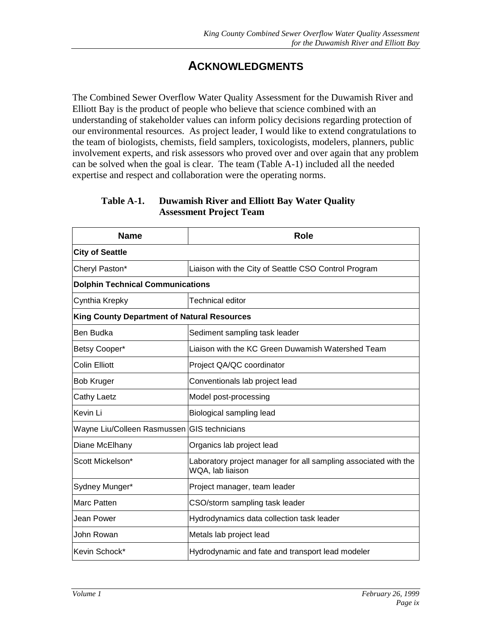### **ACKNOWLEDGMENTS**

<span id="page-9-0"></span>The Combined Sewer Overflow Water Quality Assessment for the Duwamish River and Elliott Bay is the product of people who believe that science combined with an understanding of stakeholder values can inform policy decisions regarding protection of our environmental resources. As project leader, I would like to extend congratulations to the team of biologists, chemists, field samplers, toxicologists, modelers, planners, public involvement experts, and risk assessors who proved over and over again that any problem can be solved when the goal is clear. The team (Table A-1) included all the needed expertise and respect and collaboration were the operating norms.

#### **Table A-1. Duwamish River and Elliott Bay Water Quality Assessment Project Team**

| <b>Name</b>                                        | Role                                                                                |  |
|----------------------------------------------------|-------------------------------------------------------------------------------------|--|
| <b>City of Seattle</b>                             |                                                                                     |  |
| Cheryl Paston*                                     | Liaison with the City of Seattle CSO Control Program                                |  |
| <b>Dolphin Technical Communications</b>            |                                                                                     |  |
| Cynthia Krepky                                     | <b>Technical editor</b>                                                             |  |
| <b>King County Department of Natural Resources</b> |                                                                                     |  |
| <b>Ben Budka</b>                                   | Sediment sampling task leader                                                       |  |
| Betsy Cooper*                                      | Liaison with the KC Green Duwamish Watershed Team                                   |  |
| <b>Colin Elliott</b>                               | Project QA/QC coordinator                                                           |  |
| <b>Bob Kruger</b>                                  | Conventionals lab project lead                                                      |  |
| <b>Cathy Laetz</b>                                 | Model post-processing                                                               |  |
| Kevin Li                                           | Biological sampling lead                                                            |  |
| Wayne Liu/Colleen Rasmussen GIS technicians        |                                                                                     |  |
| Diane McElhany                                     | Organics lab project lead                                                           |  |
| Scott Mickelson*                                   | Laboratory project manager for all sampling associated with the<br>WQA, lab liaison |  |
| Sydney Munger*                                     | Project manager, team leader                                                        |  |
| <b>Marc Patten</b>                                 | CSO/storm sampling task leader                                                      |  |
| Jean Power                                         | Hydrodynamics data collection task leader                                           |  |
| John Rowan                                         | Metals lab project lead                                                             |  |
| Kevin Schock*                                      | Hydrodynamic and fate and transport lead modeler                                    |  |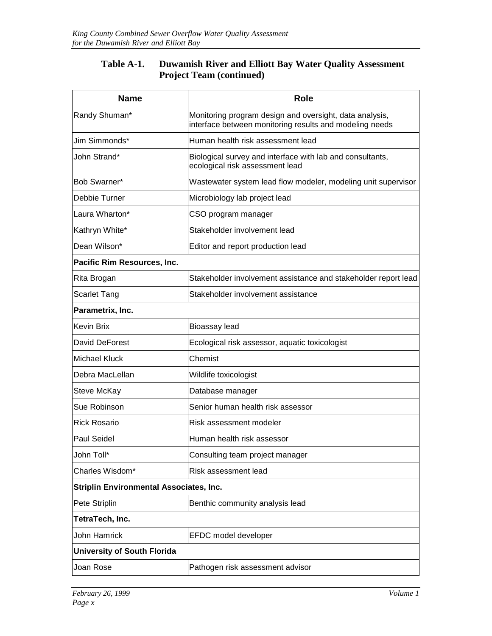#### **Table A-1. Duwamish River and Elliott Bay Water Quality Assessment Project Team (continued)**

| <b>Name</b>                                    | <b>Role</b>                                                                                                        |  |
|------------------------------------------------|--------------------------------------------------------------------------------------------------------------------|--|
| Randy Shuman*                                  | Monitoring program design and oversight, data analysis,<br>interface between monitoring results and modeling needs |  |
| Jim Simmonds*                                  | Human health risk assessment lead                                                                                  |  |
| John Strand*                                   | Biological survey and interface with lab and consultants,<br>ecological risk assessment lead                       |  |
| Bob Swarner*                                   | Wastewater system lead flow modeler, modeling unit supervisor                                                      |  |
| Debbie Turner                                  | Microbiology lab project lead                                                                                      |  |
| Laura Wharton*                                 | CSO program manager                                                                                                |  |
| Kathryn White*                                 | Stakeholder involvement lead                                                                                       |  |
| Dean Wilson*                                   | Editor and report production lead                                                                                  |  |
| Pacific Rim Resources, Inc.                    |                                                                                                                    |  |
| Rita Brogan                                    | Stakeholder involvement assistance and stakeholder report lead                                                     |  |
| <b>Scarlet Tang</b>                            | Stakeholder involvement assistance                                                                                 |  |
| Parametrix, Inc.                               |                                                                                                                    |  |
| <b>Kevin Brix</b>                              | Bioassay lead                                                                                                      |  |
| David DeForest                                 | Ecological risk assessor, aquatic toxicologist                                                                     |  |
| <b>Michael Kluck</b>                           | Chemist                                                                                                            |  |
| Debra MacLellan                                | Wildlife toxicologist                                                                                              |  |
| Steve McKay                                    | Database manager                                                                                                   |  |
| Sue Robinson                                   | Senior human health risk assessor                                                                                  |  |
| <b>Rick Rosario</b>                            | Risk assessment modeler                                                                                            |  |
| <b>Paul Seidel</b>                             | Human health risk assessor                                                                                         |  |
| John Toll*                                     | Consulting team project manager                                                                                    |  |
| Charles Wisdom*                                | Risk assessment lead                                                                                               |  |
| <b>Striplin Environmental Associates, Inc.</b> |                                                                                                                    |  |
| Pete Striplin                                  | Benthic community analysis lead                                                                                    |  |
| TetraTech, Inc.                                |                                                                                                                    |  |
| John Hamrick                                   | EFDC model developer                                                                                               |  |
| <b>University of South Florida</b>             |                                                                                                                    |  |
| Joan Rose                                      | Pathogen risk assessment advisor                                                                                   |  |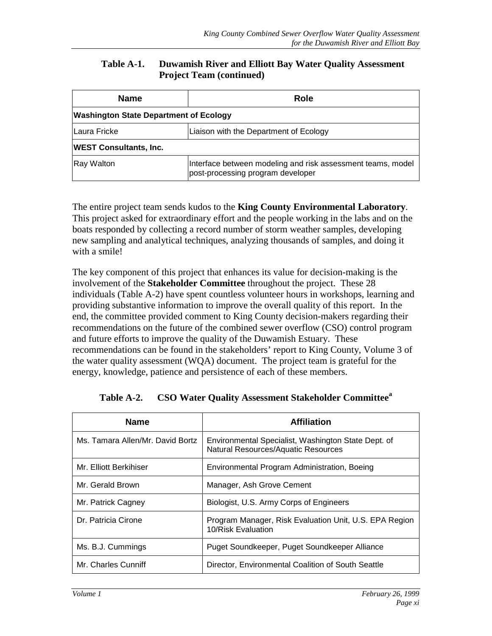#### **Table A-1. Duwamish River and Elliott Bay Water Quality Assessment Project Team (continued)**

<span id="page-11-0"></span>

| <b>Name</b>                                   | <b>Role</b>                                                                                      |  |  |
|-----------------------------------------------|--------------------------------------------------------------------------------------------------|--|--|
| <b>Washington State Department of Ecology</b> |                                                                                                  |  |  |
| ILaura Fricke                                 | Liaison with the Department of Ecology                                                           |  |  |
| <b>WEST Consultants, Inc.</b>                 |                                                                                                  |  |  |
| <b>Ray Walton</b>                             | Interface between modeling and risk assessment teams, model<br>post-processing program developer |  |  |

The entire project team sends kudos to the **King County Environmental Laboratory**. This project asked for extraordinary effort and the people working in the labs and on the boats responded by collecting a record number of storm weather samples, developing new sampling and analytical techniques, analyzing thousands of samples, and doing it with a smile!

The key component of this project that enhances its value for decision-making is the involvement of the **Stakeholder Committee** throughout the project. These 28 individuals (Table A-2) have spent countless volunteer hours in workshops, learning and providing substantive information to improve the overall quality of this report. In the end, the committee provided comment to King County decision-makers regarding their recommendations on the future of the combined sewer overflow (CSO) control program and future efforts to improve the quality of the Duwamish Estuary. These recommendations can be found in the stakeholders' report to King County, Volume 3 of the water quality assessment (WQA) document. The project team is grateful for the energy, knowledge, patience and persistence of each of these members.

| <b>Name</b>                      | <b>Affiliation</b>                                                                         |
|----------------------------------|--------------------------------------------------------------------------------------------|
| Ms. Tamara Allen/Mr. David Bortz | Environmental Specialist, Washington State Dept. of<br>Natural Resources/Aquatic Resources |
| Mr. Elliott Berkihiser           | Environmental Program Administration, Boeing                                               |
| Mr. Gerald Brown                 | Manager, Ash Grove Cement                                                                  |
| Mr. Patrick Cagney               | Biologist, U.S. Army Corps of Engineers                                                    |
| Dr. Patricia Cirone              | Program Manager, Risk Evaluation Unit, U.S. EPA Region<br>10/Risk Evaluation               |
| Ms. B.J. Cummings                | Puget Soundkeeper, Puget Soundkeeper Alliance                                              |
| Mr. Charles Cunniff              | Director, Environmental Coalition of South Seattle                                         |

**Table A-2. CSO Water Quality Assessment Stakeholder Committee<sup>a</sup>**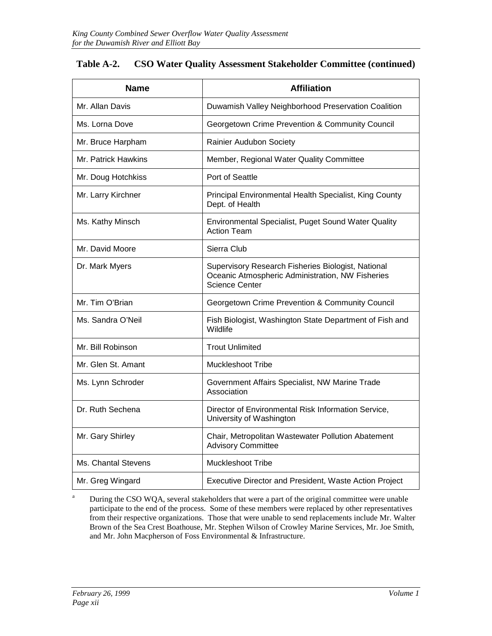| <b>Name</b>         | <b>Affiliation</b>                                                                                                              |  |
|---------------------|---------------------------------------------------------------------------------------------------------------------------------|--|
| Mr. Allan Davis     | Duwamish Valley Neighborhood Preservation Coalition                                                                             |  |
| Ms. Lorna Dove      | Georgetown Crime Prevention & Community Council                                                                                 |  |
| Mr. Bruce Harpham   | Rainier Audubon Society                                                                                                         |  |
| Mr. Patrick Hawkins | Member, Regional Water Quality Committee                                                                                        |  |
| Mr. Doug Hotchkiss  | Port of Seattle                                                                                                                 |  |
| Mr. Larry Kirchner  | Principal Environmental Health Specialist, King County<br>Dept. of Health                                                       |  |
| Ms. Kathy Minsch    | Environmental Specialist, Puget Sound Water Quality<br><b>Action Team</b>                                                       |  |
| Mr. David Moore     | Sierra Club                                                                                                                     |  |
| Dr. Mark Myers      | Supervisory Research Fisheries Biologist, National<br>Oceanic Atmospheric Administration, NW Fisheries<br><b>Science Center</b> |  |
| Mr. Tim O'Brian     | Georgetown Crime Prevention & Community Council                                                                                 |  |
| Ms. Sandra O'Neil   | Fish Biologist, Washington State Department of Fish and<br>Wildlife                                                             |  |
| Mr. Bill Robinson   | <b>Trout Unlimited</b>                                                                                                          |  |
| Mr. Glen St. Amant  | <b>Muckleshoot Tribe</b>                                                                                                        |  |
| Ms. Lynn Schroder   | Government Affairs Specialist, NW Marine Trade<br>Association                                                                   |  |
| Dr. Ruth Sechena    | Director of Environmental Risk Information Service,<br>University of Washington                                                 |  |
| Mr. Gary Shirley    | Chair, Metropolitan Wastewater Pollution Abatement<br><b>Advisory Committee</b>                                                 |  |
| Ms. Chantal Stevens | <b>Muckleshoot Tribe</b>                                                                                                        |  |
| Mr. Greg Wingard    | Executive Director and President, Waste Action Project                                                                          |  |

#### **Table A-2. CSO Water Quality Assessment Stakeholder Committee (continued)**

<sup>a</sup> During the CSO WQA, several stakeholders that were a part of the original committee were unable participate to the end of the process. Some of these members were replaced by other representatives from their respective organizations. Those that were unable to send replacements include Mr. Walter Brown of the Sea Crest Boathouse, Mr. Stephen Wilson of Crowley Marine Services, Mr. Joe Smith, and Mr. John Macpherson of Foss Environmental & Infrastructure.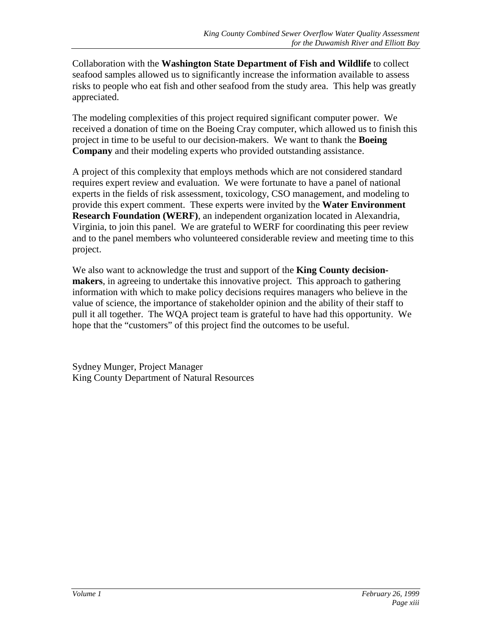Collaboration with the **Washington State Department of Fish and Wildlife** to collect seafood samples allowed us to significantly increase the information available to assess risks to people who eat fish and other seafood from the study area. This help was greatly appreciated.

The modeling complexities of this project required significant computer power. We received a donation of time on the Boeing Cray computer, which allowed us to finish this project in time to be useful to our decision-makers. We want to thank the **Boeing Company** and their modeling experts who provided outstanding assistance.

A project of this complexity that employs methods which are not considered standard requires expert review and evaluation. We were fortunate to have a panel of national experts in the fields of risk assessment, toxicology, CSO management, and modeling to provide this expert comment. These experts were invited by the **Water Environment Research Foundation (WERF)**, an independent organization located in Alexandria, Virginia, to join this panel. We are grateful to WERF for coordinating this peer review and to the panel members who volunteered considerable review and meeting time to this project.

We also want to acknowledge the trust and support of the **King County decisionmakers**, in agreeing to undertake this innovative project. This approach to gathering information with which to make policy decisions requires managers who believe in the value of science, the importance of stakeholder opinion and the ability of their staff to pull it all together. The WQA project team is grateful to have had this opportunity. We hope that the "customers" of this project find the outcomes to be useful.

Sydney Munger, Project Manager King County Department of Natural Resources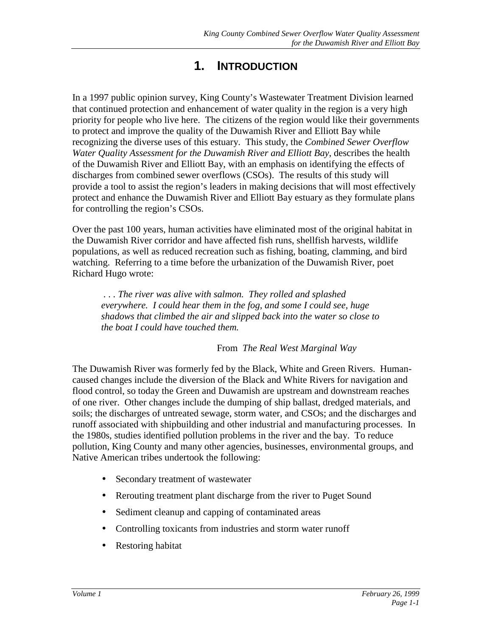### **1. INTRODUCTION**

<span id="page-14-0"></span>In a 1997 public opinion survey, King County's Wastewater Treatment Division learned that continued protection and enhancement of water quality in the region is a very high priority for people who live here. The citizens of the region would like their governments to protect and improve the quality of the Duwamish River and Elliott Bay while recognizing the diverse uses of this estuary. This study, the *Combined Sewer Overflow Water Quality Assessment for the Duwamish River and Elliott Bay*, describes the health of the Duwamish River and Elliott Bay, with an emphasis on identifying the effects of discharges from combined sewer overflows (CSOs). The results of this study will provide a tool to assist the region's leaders in making decisions that will most effectively protect and enhance the Duwamish River and Elliott Bay estuary as they formulate plans for controlling the region's CSOs.

Over the past 100 years, human activities have eliminated most of the original habitat in the Duwamish River corridor and have affected fish runs, shellfish harvests, wildlife populations, as well as reduced recreation such as fishing, boating, clamming, and bird watching. Referring to a time before the urbanization of the Duwamish River, poet Richard Hugo wrote:

 *. . . The river was alive with salmon. They rolled and splashed everywhere. I could hear them in the fog, and some I could see, huge shadows that climbed the air and slipped back into the water so close to the boat I could have touched them.*

From *The Real West Marginal Way*

The Duwamish River was formerly fed by the Black, White and Green Rivers. Humancaused changes include the diversion of the Black and White Rivers for navigation and flood control, so today the Green and Duwamish are upstream and downstream reaches of one river. Other changes include the dumping of ship ballast, dredged materials, and soils; the discharges of untreated sewage, storm water, and CSOs; and the discharges and runoff associated with shipbuilding and other industrial and manufacturing processes. In the 1980s, studies identified pollution problems in the river and the bay. To reduce pollution, King County and many other agencies, businesses, environmental groups, and Native American tribes undertook the following:

- Secondary treatment of wastewater
- Rerouting treatment plant discharge from the river to Puget Sound
- Sediment cleanup and capping of contaminated areas
- Controlling toxicants from industries and storm water runoff
- Restoring habitat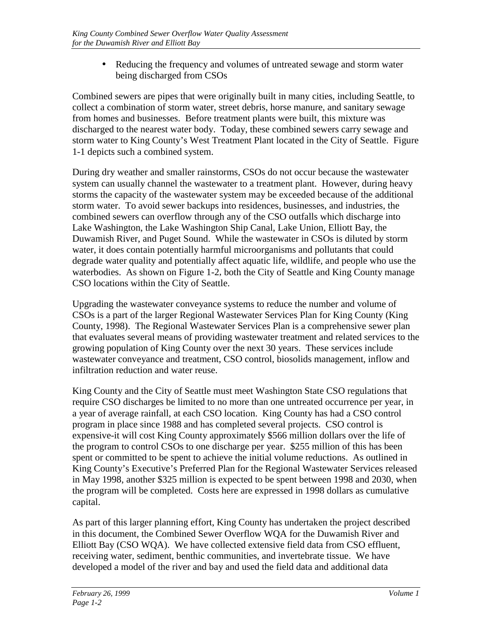• Reducing the frequency and volumes of untreated sewage and storm water being discharged from CSOs

Combined sewers are pipes that were originally built in many cities, including Seattle, to collect a combination of storm water, street debris, horse manure, and sanitary sewage from homes and businesses. Before treatment plants were built, this mixture was discharged to the nearest water body. Today, these combined sewers carry sewage and storm water to King County's West Treatment Plant located in the City of Seattle. Figure 1-1 depicts such a combined system.

During dry weather and smaller rainstorms, CSOs do not occur because the wastewater system can usually channel the wastewater to a treatment plant. However, during heavy storms the capacity of the wastewater system may be exceeded because of the additional storm water. To avoid sewer backups into residences, businesses, and industries, the combined sewers can overflow through any of the CSO outfalls which discharge into Lake Washington, the Lake Washington Ship Canal, Lake Union, Elliott Bay, the Duwamish River, and Puget Sound. While the wastewater in CSOs is diluted by storm water, it does contain potentially harmful microorganisms and pollutants that could degrade water quality and potentially affect aquatic life, wildlife, and people who use the waterbodies. As shown on Figure 1-2*,* both the City of Seattle and King County manage CSO locations within the City of Seattle.

Upgrading the wastewater conveyance systems to reduce the number and volume of CSOs is a part of the larger Regional Wastewater Services Plan for King County (King County, 1998). The Regional Wastewater Services Plan is a comprehensive sewer plan that evaluates several means of providing wastewater treatment and related services to the growing population of King County over the next 30 years. These services include wastewater conveyance and treatment, CSO control, biosolids management, inflow and infiltration reduction and water reuse.

King County and the City of Seattle must meet Washington State CSO regulations that require CSO discharges be limited to no more than one untreated occurrence per year, in a year of average rainfall, at each CSO location. King County has had a CSO control program in place since 1988 and has completed several projects. CSO control is expensive-it will cost King County approximately \$566 million dollars over the life of the program to control CSOs to one discharge per year. \$255 million of this has been spent or committed to be spent to achieve the initial volume reductions. As outlined in King County's Executive's Preferred Plan for the Regional Wastewater Services released in May 1998, another \$325 million is expected to be spent between 1998 and 2030, when the program will be completed. Costs here are expressed in 1998 dollars as cumulative capital.

As part of this larger planning effort, King County has undertaken the project described in this document, the Combined Sewer Overflow WQA for the Duwamish River and Elliott Bay (CSO WQA). We have collected extensive field data from CSO effluent, receiving water, sediment, benthic communities, and invertebrate tissue. We have developed a model of the river and bay and used the field data and additional data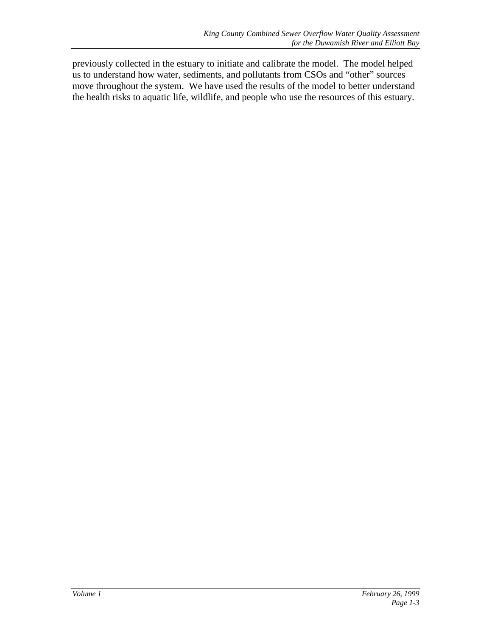previously collected in the estuary to initiate and calibrate the model. The model helped us to understand how water, sediments, and pollutants from CSOs and "other" sources move throughout the system. We have used the results of the model to better understand the health risks to aquatic life, wildlife, and people who use the resources of this estuary.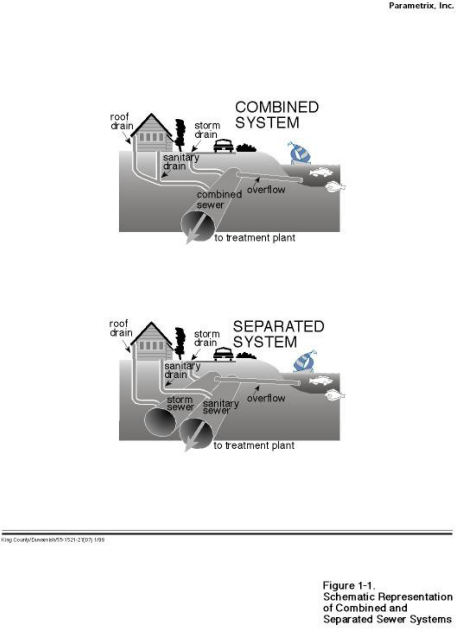



King County/Duwamish/55-1521-21(07) 1/99

Figure 1-1.<br>Schematic Representation of Combined and Separated Sewer Systems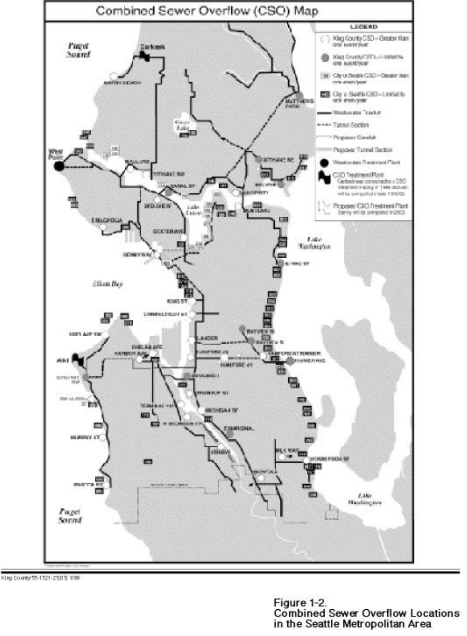

King County/55-1521-27(07) V99

Figure 1-2. **Combined Sewer Overflow Locations** in the Seattle Metropolitan Area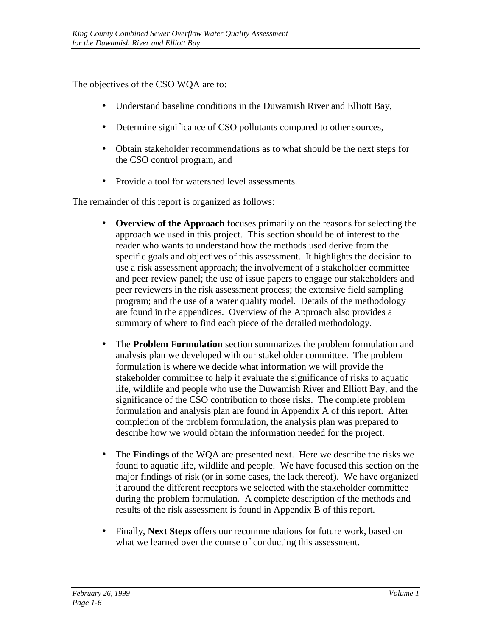The objectives of the CSO WQA are to:

- Understand baseline conditions in the Duwamish River and Elliott Bay,
- Determine significance of CSO pollutants compared to other sources,
- Obtain stakeholder recommendations as to what should be the next steps for the CSO control program, and
- Provide a tool for watershed level assessments.

The remainder of this report is organized as follows:

- **Overview of the Approach** focuses primarily on the reasons for selecting the approach we used in this project. This section should be of interest to the reader who wants to understand how the methods used derive from the specific goals and objectives of this assessment. It highlights the decision to use a risk assessment approach; the involvement of a stakeholder committee and peer review panel; the use of issue papers to engage our stakeholders and peer reviewers in the risk assessment process; the extensive field sampling program; and the use of a water quality model. Details of the methodology are found in the appendices. Overview of the Approach also provides a summary of where to find each piece of the detailed methodology.
- The **Problem Formulation** section summarizes the problem formulation and analysis plan we developed with our stakeholder committee. The problem formulation is where we decide what information we will provide the stakeholder committee to help it evaluate the significance of risks to aquatic life, wildlife and people who use the Duwamish River and Elliott Bay, and the significance of the CSO contribution to those risks. The complete problem formulation and analysis plan are found in Appendix A of this report. After completion of the problem formulation, the analysis plan was prepared to describe how we would obtain the information needed for the project.
- The **Findings** of the WQA are presented next. Here we describe the risks we found to aquatic life, wildlife and people. We have focused this section on the major findings of risk (or in some cases, the lack thereof). We have organized it around the different receptors we selected with the stakeholder committee during the problem formulation. A complete description of the methods and results of the risk assessment is found in Appendix B of this report.
- Finally, **Next Steps** offers our recommendations for future work, based on what we learned over the course of conducting this assessment.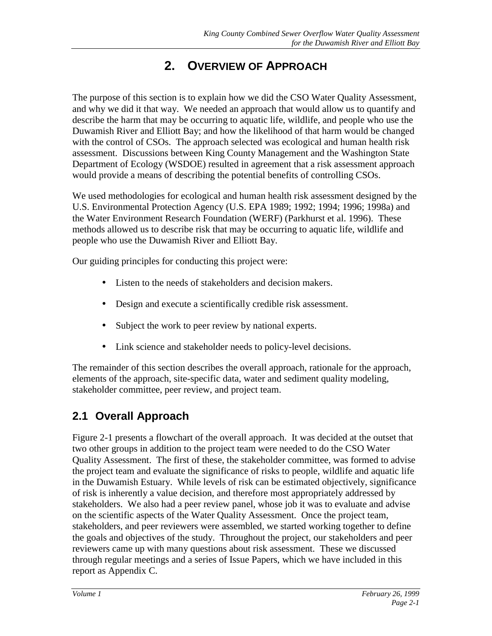# **2. OVERVIEW OF APPROACH**

<span id="page-20-0"></span>The purpose of this section is to explain how we did the CSO Water Quality Assessment, and why we did it that way. We needed an approach that would allow us to quantify and describe the harm that may be occurring to aquatic life, wildlife, and people who use the Duwamish River and Elliott Bay; and how the likelihood of that harm would be changed with the control of CSOs. The approach selected was ecological and human health risk assessment. Discussions between King County Management and the Washington State Department of Ecology (WSDOE) resulted in agreement that a risk assessment approach would provide a means of describing the potential benefits of controlling CSOs.

We used methodologies for ecological and human health risk assessment designed by the U.S. Environmental Protection Agency (U.S. EPA 1989; 1992; 1994; 1996; 1998a) and the Water Environment Research Foundation (WERF) (Parkhurst et al. 1996). These methods allowed us to describe risk that may be occurring to aquatic life, wildlife and people who use the Duwamish River and Elliott Bay.

Our guiding principles for conducting this project were:

- Listen to the needs of stakeholders and decision makers.
- Design and execute a scientifically credible risk assessment.
- Subject the work to peer review by national experts.
- Link science and stakeholder needs to policy-level decisions.

The remainder of this section describes the overall approach, rationale for the approach, elements of the approach, site-specific data, water and sediment quality modeling, stakeholder committee, peer review, and project team.

### **2.1 Overall Approach**

Figure 2-1 presents a flowchart of the overall approach. It was decided at the outset that two other groups in addition to the project team were needed to do the CSO Water Quality Assessment. The first of these, the stakeholder committee, was formed to advise the project team and evaluate the significance of risks to people, wildlife and aquatic life in the Duwamish Estuary. While levels of risk can be estimated objectively, significance of risk is inherently a value decision, and therefore most appropriately addressed by stakeholders. We also had a peer review panel, whose job it was to evaluate and advise on the scientific aspects of the Water Quality Assessment. Once the project team, stakeholders, and peer reviewers were assembled, we started working together to define the goals and objectives of the study. Throughout the project, our stakeholders and peer reviewers came up with many questions about risk assessment. These we discussed through regular meetings and a series of Issue Papers, which we have included in this report as Appendix C.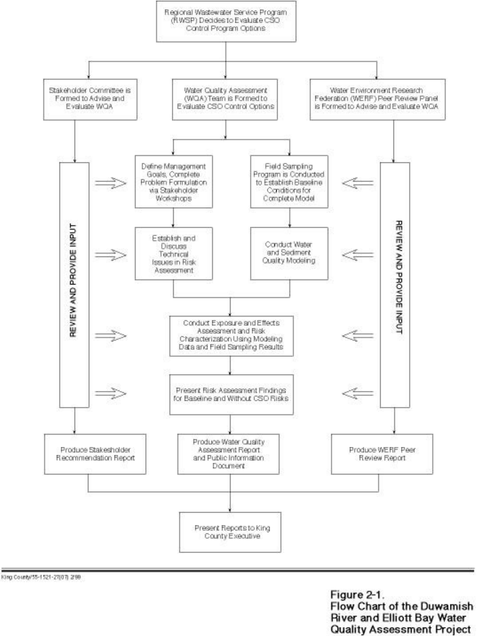

King County/55-1521-27(07) 2/99

Figure 2-1. Flow Chart of the Duwamish **River and Elliott Bay Water Quality Assessment Project**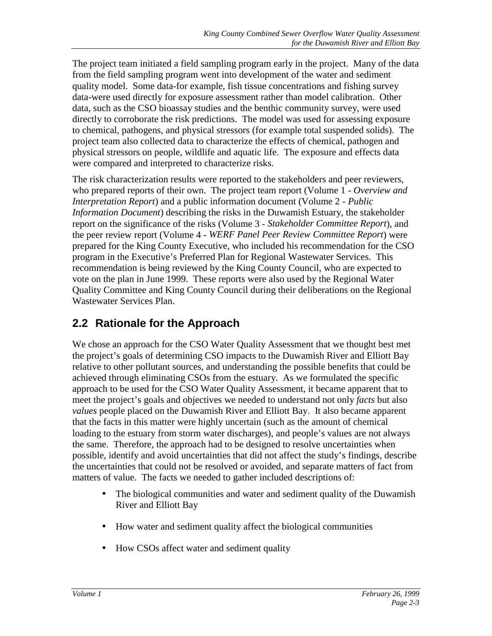<span id="page-22-0"></span>The project team initiated a field sampling program early in the project. Many of the data from the field sampling program went into development of the water and sediment quality model. Some data-for example, fish tissue concentrations and fishing survey data-were used directly for exposure assessment rather than model calibration. Other data, such as the CSO bioassay studies and the benthic community survey, were used directly to corroborate the risk predictions. The model was used for assessing exposure to chemical, pathogens, and physical stressors (for example total suspended solids). The project team also collected data to characterize the effects of chemical, pathogen and physical stressors on people, wildlife and aquatic life. The exposure and effects data were compared and interpreted to characterize risks.

The risk characterization results were reported to the stakeholders and peer reviewers, who prepared reports of their own. The project team report (Volume 1 - *Overview and Interpretation Report*) and a public information document (Volume 2 - *Public Information Document*) describing the risks in the Duwamish Estuary, the stakeholder report on the significance of the risks (Volume 3 - *Stakeholder Committee Report*), and the peer review report (Volume 4 - *WERF Panel Peer Review Committee Report*) were prepared for the King County Executive, who included his recommendation for the CSO program in the Executive's Preferred Plan for Regional Wastewater Services. This recommendation is being reviewed by the King County Council, who are expected to vote on the plan in June 1999. These reports were also used by the Regional Water Quality Committee and King County Council during their deliberations on the Regional Wastewater Services Plan.

### **2.2 Rationale for the Approach**

We chose an approach for the CSO Water Quality Assessment that we thought best met the project's goals of determining CSO impacts to the Duwamish River and Elliott Bay relative to other pollutant sources, and understanding the possible benefits that could be achieved through eliminating CSOs from the estuary. As we formulated the specific approach to be used for the CSO Water Quality Assessment, it became apparent that to meet the project's goals and objectives we needed to understand not only *facts* but also *values* people placed on the Duwamish River and Elliott Bay. It also became apparent that the facts in this matter were highly uncertain (such as the amount of chemical loading to the estuary from storm water discharges), and people's values are not always the same. Therefore, the approach had to be designed to resolve uncertainties when possible, identify and avoid uncertainties that did not affect the study's findings, describe the uncertainties that could not be resolved or avoided, and separate matters of fact from matters of value. The facts we needed to gather included descriptions of:

- The biological communities and water and sediment quality of the Duwamish River and Elliott Bay
- How water and sediment quality affect the biological communities
- How CSOs affect water and sediment quality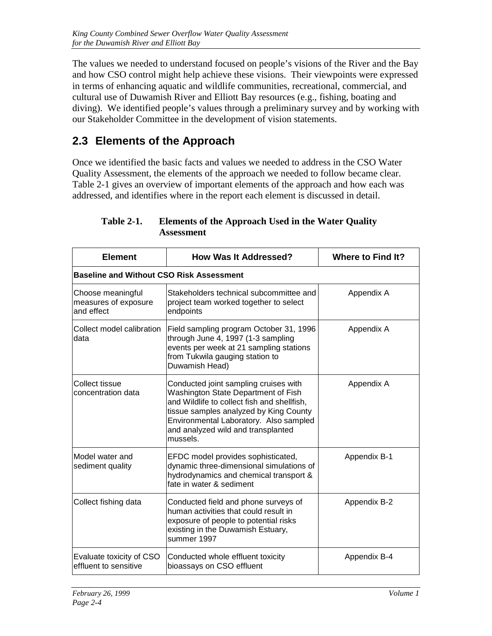<span id="page-23-0"></span>The values we needed to understand focused on people's visions of the River and the Bay and how CSO control might help achieve these visions. Their viewpoints were expressed in terms of enhancing aquatic and wildlife communities, recreational, commercial, and cultural use of Duwamish River and Elliott Bay resources (e.g., fishing, boating and diving). We identified people's values through a preliminary survey and by working with our Stakeholder Committee in the development of vision statements.

### **2.3 Elements of the Approach**

Once we identified the basic facts and values we needed to address in the CSO Water Quality Assessment, the elements of the approach we needed to follow became clear. Table 2-1 gives an overview of important elements of the approach and how each was addressed, and identifies where in the report each element is discussed in detail.

| <b>Element</b>                                          | <b>How Was It Addressed?</b>                                                                                                                                                                                                                                      | Where to Find It? |  |  |
|---------------------------------------------------------|-------------------------------------------------------------------------------------------------------------------------------------------------------------------------------------------------------------------------------------------------------------------|-------------------|--|--|
| <b>Baseline and Without CSO Risk Assessment</b>         |                                                                                                                                                                                                                                                                   |                   |  |  |
| Choose meaningful<br>measures of exposure<br>and effect | Stakeholders technical subcommittee and<br>project team worked together to select<br>endpoints                                                                                                                                                                    | Appendix A        |  |  |
| Collect model calibration<br>data                       | Field sampling program October 31, 1996<br>through June 4, 1997 (1-3 sampling<br>events per week at 21 sampling stations<br>from Tukwila gauging station to<br>Duwamish Head)                                                                                     | Appendix A        |  |  |
| Collect tissue<br>concentration data                    | Conducted joint sampling cruises with<br>Washington State Department of Fish<br>and Wildlife to collect fish and shellfish,<br>tissue samples analyzed by King County<br>Environmental Laboratory. Also sampled<br>and analyzed wild and transplanted<br>mussels. | Appendix A        |  |  |
| Model water and<br>sediment quality                     | EFDC model provides sophisticated,<br>dynamic three-dimensional simulations of<br>hydrodynamics and chemical transport &<br>fate in water & sediment                                                                                                              | Appendix B-1      |  |  |
| Collect fishing data                                    | Conducted field and phone surveys of<br>human activities that could result in<br>exposure of people to potential risks<br>existing in the Duwamish Estuary,<br>summer 1997                                                                                        | Appendix B-2      |  |  |
| Evaluate toxicity of CSO<br>effluent to sensitive       | Conducted whole effluent toxicity<br>bioassays on CSO effluent                                                                                                                                                                                                    | Appendix B-4      |  |  |

**Table 2-1. Elements of the Approach Used in the Water Quality Assessment**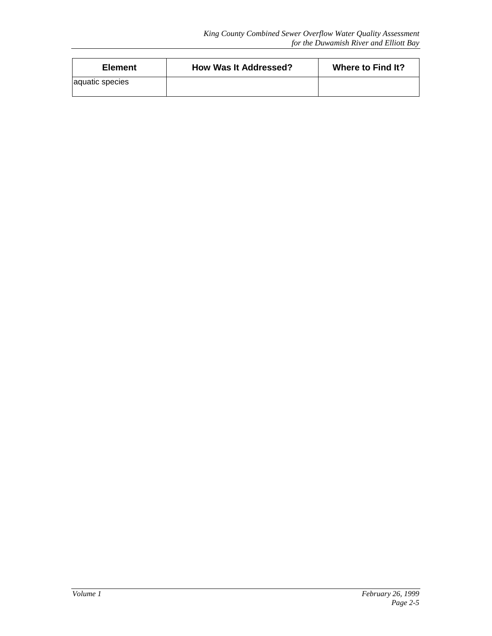| <b>Element</b>  | <b>How Was It Addressed?</b> | Where to Find It? |
|-----------------|------------------------------|-------------------|
| aquatic species |                              |                   |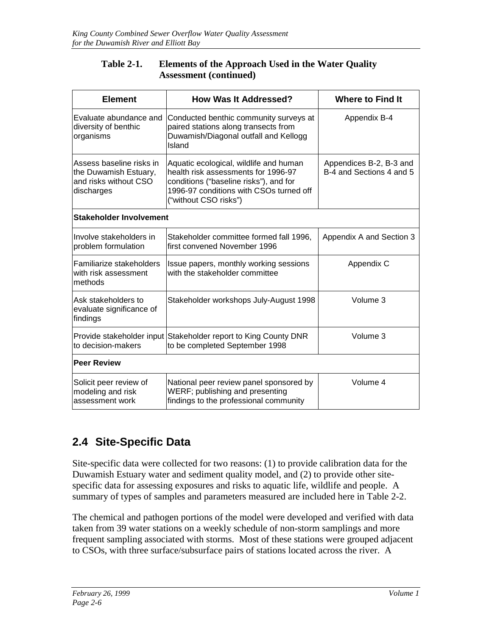| <b>Table 2-1.</b> | <b>Elements of the Approach Used in the Water Quality</b> |
|-------------------|-----------------------------------------------------------|
|                   | <b>Assessment</b> (continued)                             |

<span id="page-25-0"></span>

| <b>Element</b>                                                                           | <b>How Was It Addressed?</b>                                                                                                                                                                | <b>Where to Find It</b>                             |  |
|------------------------------------------------------------------------------------------|---------------------------------------------------------------------------------------------------------------------------------------------------------------------------------------------|-----------------------------------------------------|--|
| Evaluate abundance and<br>diversity of benthic<br>organisms                              | Conducted benthic community surveys at<br>paired stations along transects from<br>Duwamish/Diagonal outfall and Kellogg<br>Island                                                           | Appendix B-4                                        |  |
| Assess baseline risks in<br>the Duwamish Estuary,<br>and risks without CSO<br>discharges | Aquatic ecological, wildlife and human<br>health risk assessments for 1996-97<br>conditions ("baseline risks"), and for<br>1996-97 conditions with CSOs turned off<br>("without CSO risks") | Appendices B-2, B-3 and<br>B-4 and Sections 4 and 5 |  |
| Stakeholder Involvement                                                                  |                                                                                                                                                                                             |                                                     |  |
| Involve stakeholders in<br>problem formulation                                           | Stakeholder committee formed fall 1996,<br>first convened November 1996                                                                                                                     | Appendix A and Section 3                            |  |
| Familiarize stakeholders<br>with risk assessment<br>methods                              | Issue papers, monthly working sessions<br>with the stakeholder committee                                                                                                                    | Appendix C                                          |  |
| Ask stakeholders to<br>evaluate significance of<br>findings                              | Stakeholder workshops July-August 1998                                                                                                                                                      | Volume 3                                            |  |
| Provide stakeholder input<br>to decision-makers                                          | Stakeholder report to King County DNR<br>to be completed September 1998                                                                                                                     | Volume 3                                            |  |
| <b>Peer Review</b>                                                                       |                                                                                                                                                                                             |                                                     |  |
| Solicit peer review of<br>modeling and risk<br>assessment work                           | National peer review panel sponsored by<br>WERF; publishing and presenting<br>findings to the professional community                                                                        | Volume 4                                            |  |

### **2.4 Site-Specific Data**

Site-specific data were collected for two reasons: (1) to provide calibration data for the Duwamish Estuary water and sediment quality model, and (2) to provide other sitespecific data for assessing exposures and risks to aquatic life, wildlife and people. A summary of types of samples and parameters measured are included here in Table 2-2.

The chemical and pathogen portions of the model were developed and verified with data taken from 39 water stations on a weekly schedule of non-storm samplings and more frequent sampling associated with storms. Most of these stations were grouped adjacent to CSOs, with three surface/subsurface pairs of stations located across the river. A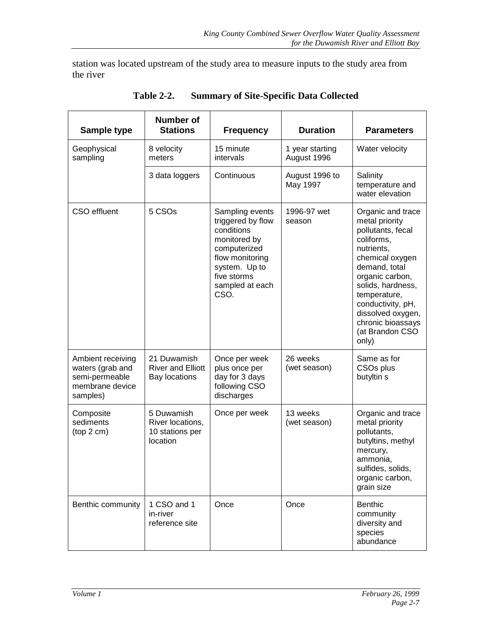<span id="page-26-0"></span>station was located upstream of the study area to measure inputs to the study area from the river

| Sample type                                                                            | <b>Number of</b><br><b>Stations</b>                             | <b>Frequency</b>                                                                                                                                                 | <b>Duration</b>                | <b>Parameters</b>                                                                                                                                                                                                                                                           |
|----------------------------------------------------------------------------------------|-----------------------------------------------------------------|------------------------------------------------------------------------------------------------------------------------------------------------------------------|--------------------------------|-----------------------------------------------------------------------------------------------------------------------------------------------------------------------------------------------------------------------------------------------------------------------------|
| Geophysical<br>sampling                                                                | 8 velocity<br>meters                                            | 15 minute<br>intervals                                                                                                                                           | 1 year starting<br>August 1996 | Water velocity                                                                                                                                                                                                                                                              |
|                                                                                        | 3 data loggers                                                  | Continuous                                                                                                                                                       | August 1996 to<br>May 1997     | Salinity<br>temperature and<br>water elevation                                                                                                                                                                                                                              |
| <b>CSO</b> effluent                                                                    | 5 CSOs                                                          | Sampling events<br>triggered by flow<br>conditions<br>monitored by<br>computerized<br>flow monitoring<br>system. Up to<br>five storms<br>sampled at each<br>CSO. | 1996-97 wet<br>season          | Organic and trace<br>metal priority<br>pollutants, fecal<br>coliforms,<br>nutrients,<br>chemical oxygen<br>demand, total<br>organic carbon,<br>solids, hardness,<br>temperature,<br>conductivity, pH,<br>dissolved oxygen,<br>chronic bioassays<br>(at Brandon CSO<br>only) |
| Ambient receiving<br>waters (grab and<br>semi-permeable<br>membrane device<br>samples) | 21 Duwamish<br><b>River and Elliott</b><br><b>Bay locations</b> | Once per week<br>plus once per<br>day for 3 days<br>following CSO<br>discharges                                                                                  | 26 weeks<br>(wet season)       | Same as for<br>CSO <sub>s</sub> plus<br>butyltin s                                                                                                                                                                                                                          |
| Composite<br>sediments<br>(top 2 cm)                                                   | 5 Duwamish<br>River locations,<br>10 stations per<br>location   | Once per week                                                                                                                                                    | 13 weeks<br>(wet season)       | Organic and trace<br>metal priority<br>pollutants,<br>butyltins, methyl<br>mercury,<br>ammonia,<br>sulfides, solids,<br>organic carbon,<br>grain size                                                                                                                       |
| Benthic community                                                                      | 1 CSO and 1<br>in-river<br>reference site                       | Once                                                                                                                                                             | Once                           | Benthic<br>community<br>diversity and<br>species<br>abundance                                                                                                                                                                                                               |

**Table 2-2. Summary of Site-Specific Data Collected**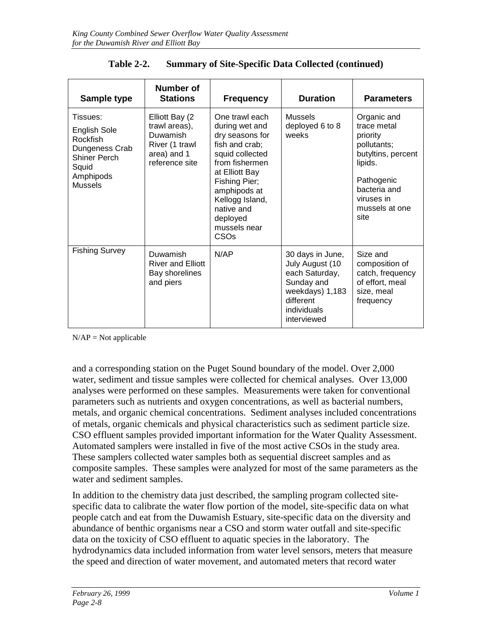| Sample type                                                                                                                  | <b>Number of</b><br><b>Stations</b>                                                            | <b>Frequency</b>                                                                                                                                                                                                                   | <b>Duration</b>                                                                                                                   | <b>Parameters</b>                                                                                                                                            |
|------------------------------------------------------------------------------------------------------------------------------|------------------------------------------------------------------------------------------------|------------------------------------------------------------------------------------------------------------------------------------------------------------------------------------------------------------------------------------|-----------------------------------------------------------------------------------------------------------------------------------|--------------------------------------------------------------------------------------------------------------------------------------------------------------|
| Tissues:<br><b>English Sole</b><br>Rockfish<br>Dungeness Crab<br><b>Shiner Perch</b><br>Squid<br>Amphipods<br><b>Mussels</b> | Elliott Bay (2<br>trawl areas),<br>Duwamish<br>River (1 trawl<br>area) and 1<br>reference site | One trawl each<br>during wet and<br>dry seasons for<br>fish and crab;<br>squid collected<br>from fishermen<br>at Elliott Bay<br>Fishing Pier;<br>amphipods at<br>Kellogg Island,<br>native and<br>deployed<br>mussels near<br>CSOs | <b>Mussels</b><br>deployed 6 to 8<br>weeks                                                                                        | Organic and<br>trace metal<br>priority<br>pollutants;<br>butyltins, percent<br>lipids.<br>Pathogenic<br>bacteria and<br>viruses in<br>mussels at one<br>site |
| <b>Fishing Survey</b>                                                                                                        | Duwamish<br><b>River and Elliott</b><br>Bay shorelines<br>and piers                            | N/AP                                                                                                                                                                                                                               | 30 days in June,<br>July August (10<br>each Saturday,<br>Sunday and<br>weekdays) 1,183<br>different<br>individuals<br>interviewed | Size and<br>composition of<br>catch, frequency<br>of effort, meal<br>size, meal<br>frequency                                                                 |

| <b>Table 2-2.</b> | <b>Summary of Site-Specific Data Collected (continued)</b> |
|-------------------|------------------------------------------------------------|
|                   |                                                            |

 $N/AP = Not applicable$ 

and a corresponding station on the Puget Sound boundary of the model. Over 2,000 water, sediment and tissue samples were collected for chemical analyses. Over 13,000 analyses were performed on these samples. Measurements were taken for conventional parameters such as nutrients and oxygen concentrations, as well as bacterial numbers, metals, and organic chemical concentrations. Sediment analyses included concentrations of metals, organic chemicals and physical characteristics such as sediment particle size. CSO effluent samples provided important information for the Water Quality Assessment. Automated samplers were installed in five of the most active CSOs in the study area. These samplers collected water samples both as sequential discreet samples and as composite samples. These samples were analyzed for most of the same parameters as the water and sediment samples.

In addition to the chemistry data just described, the sampling program collected sitespecific data to calibrate the water flow portion of the model, site-specific data on what people catch and eat from the Duwamish Estuary, site-specific data on the diversity and abundance of benthic organisms near a CSO and storm water outfall and site-specific data on the toxicity of CSO effluent to aquatic species in the laboratory. The hydrodynamics data included information from water level sensors, meters that measure the speed and direction of water movement, and automated meters that record water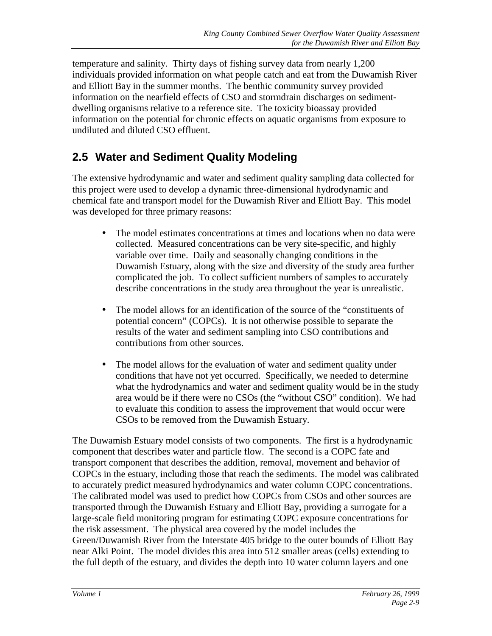<span id="page-28-0"></span>temperature and salinity. Thirty days of fishing survey data from nearly 1,200 individuals provided information on what people catch and eat from the Duwamish River and Elliott Bay in the summer months. The benthic community survey provided information on the nearfield effects of CSO and stormdrain discharges on sedimentdwelling organisms relative to a reference site. The toxicity bioassay provided information on the potential for chronic effects on aquatic organisms from exposure to undiluted and diluted CSO effluent.

### **2.5 Water and Sediment Quality Modeling**

The extensive hydrodynamic and water and sediment quality sampling data collected for this project were used to develop a dynamic three-dimensional hydrodynamic and chemical fate and transport model for the Duwamish River and Elliott Bay. This model was developed for three primary reasons:

- The model estimates concentrations at times and locations when no data were collected. Measured concentrations can be very site-specific, and highly variable over time. Daily and seasonally changing conditions in the Duwamish Estuary, along with the size and diversity of the study area further complicated the job. To collect sufficient numbers of samples to accurately describe concentrations in the study area throughout the year is unrealistic.
- The model allows for an identification of the source of the "constituents of potential concern" (COPCs). It is not otherwise possible to separate the results of the water and sediment sampling into CSO contributions and contributions from other sources.
- The model allows for the evaluation of water and sediment quality under conditions that have not yet occurred. Specifically, we needed to determine what the hydrodynamics and water and sediment quality would be in the study area would be if there were no CSOs (the "without CSO" condition). We had to evaluate this condition to assess the improvement that would occur were CSOs to be removed from the Duwamish Estuary.

The Duwamish Estuary model consists of two components. The first is a hydrodynamic component that describes water and particle flow. The second is a COPC fate and transport component that describes the addition, removal, movement and behavior of COPCs in the estuary, including those that reach the sediments. The model was calibrated to accurately predict measured hydrodynamics and water column COPC concentrations. The calibrated model was used to predict how COPCs from CSOs and other sources are transported through the Duwamish Estuary and Elliott Bay, providing a surrogate for a large-scale field monitoring program for estimating COPC exposure concentrations for the risk assessment. The physical area covered by the model includes the Green/Duwamish River from the Interstate 405 bridge to the outer bounds of Elliott Bay near Alki Point. The model divides this area into 512 smaller areas (cells) extending to the full depth of the estuary, and divides the depth into 10 water column layers and one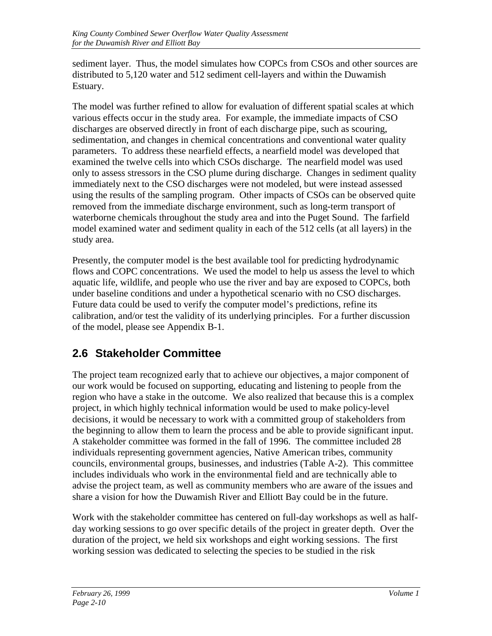<span id="page-29-0"></span>sediment layer. Thus, the model simulates how COPCs from CSOs and other sources are distributed to 5,120 water and 512 sediment cell-layers and within the Duwamish Estuary.

The model was further refined to allow for evaluation of different spatial scales at which various effects occur in the study area. For example, the immediate impacts of CSO discharges are observed directly in front of each discharge pipe, such as scouring, sedimentation, and changes in chemical concentrations and conventional water quality parameters. To address these nearfield effects, a nearfield model was developed that examined the twelve cells into which CSOs discharge. The nearfield model was used only to assess stressors in the CSO plume during discharge. Changes in sediment quality immediately next to the CSO discharges were not modeled, but were instead assessed using the results of the sampling program. Other impacts of CSOs can be observed quite removed from the immediate discharge environment, such as long-term transport of waterborne chemicals throughout the study area and into the Puget Sound. The farfield model examined water and sediment quality in each of the 512 cells (at all layers) in the study area.

Presently, the computer model is the best available tool for predicting hydrodynamic flows and COPC concentrations. We used the model to help us assess the level to which aquatic life, wildlife, and people who use the river and bay are exposed to COPCs, both under baseline conditions and under a hypothetical scenario with no CSO discharges. Future data could be used to verify the computer model's predictions, refine its calibration, and/or test the validity of its underlying principles. For a further discussion of the model, please see Appendix B-1.

### **2.6 Stakeholder Committee**

The project team recognized early that to achieve our objectives, a major component of our work would be focused on supporting, educating and listening to people from the region who have a stake in the outcome. We also realized that because this is a complex project, in which highly technical information would be used to make policy-level decisions, it would be necessary to work with a committed group of stakeholders from the beginning to allow them to learn the process and be able to provide significant input. A stakeholder committee was formed in the fall of 1996. The committee included 28 individuals representing government agencies, Native American tribes, community councils, environmental groups, businesses, and industries (Table A-2). This committee includes individuals who work in the environmental field and are technically able to advise the project team, as well as community members who are aware of the issues and share a vision for how the Duwamish River and Elliott Bay could be in the future.

Work with the stakeholder committee has centered on full-day workshops as well as halfday working sessions to go over specific details of the project in greater depth. Over the duration of the project, we held six workshops and eight working sessions. The first working session was dedicated to selecting the species to be studied in the risk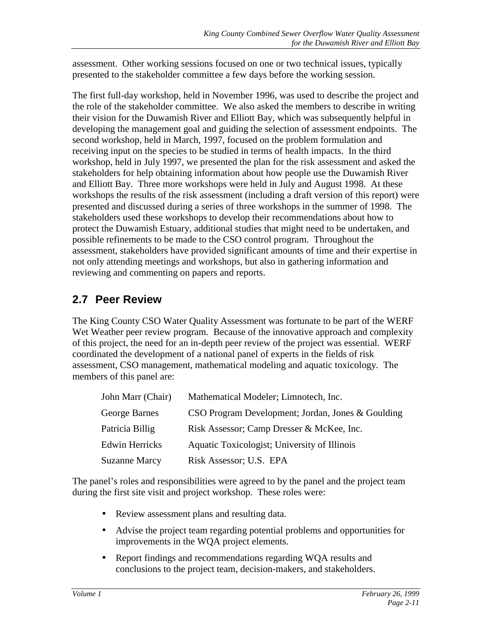<span id="page-30-0"></span>assessment. Other working sessions focused on one or two technical issues, typically presented to the stakeholder committee a few days before the working session.

The first full-day workshop, held in November 1996, was used to describe the project and the role of the stakeholder committee. We also asked the members to describe in writing their vision for the Duwamish River and Elliott Bay, which was subsequently helpful in developing the management goal and guiding the selection of assessment endpoints. The second workshop, held in March, 1997, focused on the problem formulation and receiving input on the species to be studied in terms of health impacts. In the third workshop, held in July 1997, we presented the plan for the risk assessment and asked the stakeholders for help obtaining information about how people use the Duwamish River and Elliott Bay. Three more workshops were held in July and August 1998. At these workshops the results of the risk assessment (including a draft version of this report) were presented and discussed during a series of three workshops in the summer of 1998. The stakeholders used these workshops to develop their recommendations about how to protect the Duwamish Estuary, additional studies that might need to be undertaken, and possible refinements to be made to the CSO control program. Throughout the assessment, stakeholders have provided significant amounts of time and their expertise in not only attending meetings and workshops, but also in gathering information and reviewing and commenting on papers and reports.

### **2.7 Peer Review**

The King County CSO Water Quality Assessment was fortunate to be part of the WERF Wet Weather peer review program. Because of the innovative approach and complexity of this project, the need for an in-depth peer review of the project was essential. WERF coordinated the development of a national panel of experts in the fields of risk assessment, CSO management, mathematical modeling and aquatic toxicology. The members of this panel are:

| John Marr (Chair)     | Mathematical Modeler; Limnotech, Inc.             |
|-----------------------|---------------------------------------------------|
| George Barnes         | CSO Program Development; Jordan, Jones & Goulding |
| Patricia Billig       | Risk Assessor; Camp Dresser & McKee, Inc.         |
| <b>Edwin Herricks</b> | Aquatic Toxicologist; University of Illinois      |
| <b>Suzanne Marcy</b>  | Risk Assessor; U.S. EPA                           |

The panel's roles and responsibilities were agreed to by the panel and the project team during the first site visit and project workshop. These roles were:

- Review assessment plans and resulting data.
- Advise the project team regarding potential problems and opportunities for improvements in the WQA project elements.
- Report findings and recommendations regarding WQA results and conclusions to the project team, decision-makers, and stakeholders.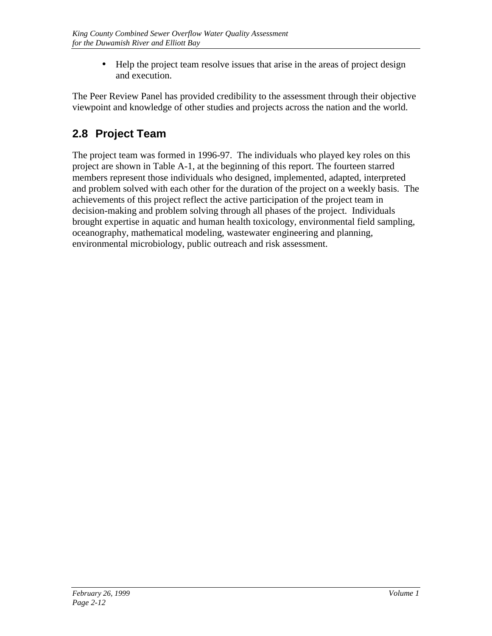• Help the project team resolve issues that arise in the areas of project design and execution.

<span id="page-31-0"></span>The Peer Review Panel has provided credibility to the assessment through their objective viewpoint and knowledge of other studies and projects across the nation and the world.

# **2.8 Project Team**

The project team was formed in 1996-97. The individuals who played key roles on this project are shown in Table A-1, at the beginning of this report. The fourteen starred members represent those individuals who designed, implemented, adapted, interpreted and problem solved with each other for the duration of the project on a weekly basis. The achievements of this project reflect the active participation of the project team in decision-making and problem solving through all phases of the project. Individuals brought expertise in aquatic and human health toxicology, environmental field sampling, oceanography, mathematical modeling, wastewater engineering and planning, environmental microbiology, public outreach and risk assessment.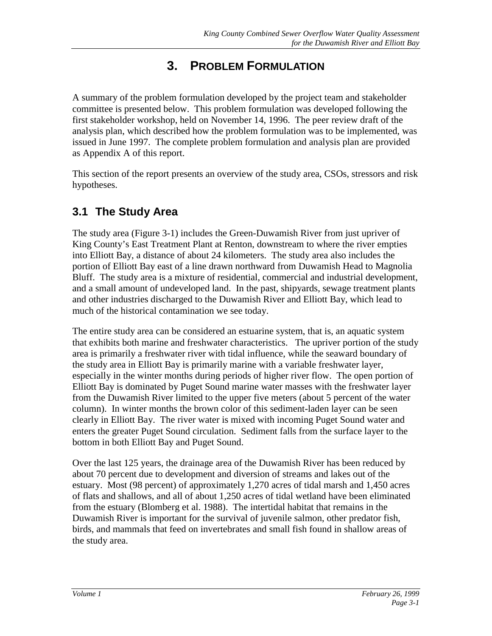# **3. PROBLEM FORMULATION**

<span id="page-32-0"></span>A summary of the problem formulation developed by the project team and stakeholder committee is presented below. This problem formulation was developed following the first stakeholder workshop, held on November 14, 1996. The peer review draft of the analysis plan, which described how the problem formulation was to be implemented, was issued in June 1997. The complete problem formulation and analysis plan are provided as Appendix A of this report.

This section of the report presents an overview of the study area, CSOs, stressors and risk hypotheses.

### **3.1 The Study Area**

The study area (Figure 3-1) includes the Green-Duwamish River from just upriver of King County's East Treatment Plant at Renton, downstream to where the river empties into Elliott Bay, a distance of about 24 kilometers. The study area also includes the portion of Elliott Bay east of a line drawn northward from Duwamish Head to Magnolia Bluff. The study area is a mixture of residential, commercial and industrial development, and a small amount of undeveloped land. In the past, shipyards, sewage treatment plants and other industries discharged to the Duwamish River and Elliott Bay, which lead to much of the historical contamination we see today.

The entire study area can be considered an estuarine system, that is, an aquatic system that exhibits both marine and freshwater characteristics. The upriver portion of the study area is primarily a freshwater river with tidal influence, while the seaward boundary of the study area in Elliott Bay is primarily marine with a variable freshwater layer, especially in the winter months during periods of higher river flow. The open portion of Elliott Bay is dominated by Puget Sound marine water masses with the freshwater layer from the Duwamish River limited to the upper five meters (about 5 percent of the water column). In winter months the brown color of this sediment-laden layer can be seen clearly in Elliott Bay. The river water is mixed with incoming Puget Sound water and enters the greater Puget Sound circulation. Sediment falls from the surface layer to the bottom in both Elliott Bay and Puget Sound.

Over the last 125 years, the drainage area of the Duwamish River has been reduced by about 70 percent due to development and diversion of streams and lakes out of the estuary. Most (98 percent) of approximately 1,270 acres of tidal marsh and 1,450 acres of flats and shallows, and all of about 1,250 acres of tidal wetland have been eliminated from the estuary (Blomberg et al. 1988). The intertidal habitat that remains in the Duwamish River is important for the survival of juvenile salmon, other predator fish, birds, and mammals that feed on invertebrates and small fish found in shallow areas of the study area.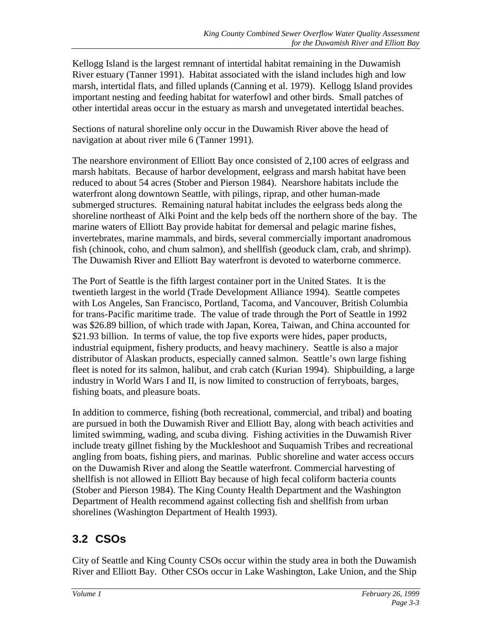<span id="page-34-0"></span>Kellogg Island is the largest remnant of intertidal habitat remaining in the Duwamish River estuary (Tanner 1991). Habitat associated with the island includes high and low marsh, intertidal flats, and filled uplands (Canning et al. 1979). Kellogg Island provides important nesting and feeding habitat for waterfowl and other birds. Small patches of other intertidal areas occur in the estuary as marsh and unvegetated intertidal beaches.

Sections of natural shoreline only occur in the Duwamish River above the head of navigation at about river mile 6 (Tanner 1991).

The nearshore environment of Elliott Bay once consisted of 2,100 acres of eelgrass and marsh habitats. Because of harbor development, eelgrass and marsh habitat have been reduced to about 54 acres (Stober and Pierson 1984). Nearshore habitats include the waterfront along downtown Seattle, with pilings, riprap, and other human-made submerged structures. Remaining natural habitat includes the eelgrass beds along the shoreline northeast of Alki Point and the kelp beds off the northern shore of the bay. The marine waters of Elliott Bay provide habitat for demersal and pelagic marine fishes, invertebrates, marine mammals, and birds, several commercially important anadromous fish (chinook, coho, and chum salmon), and shellfish (geoduck clam, crab, and shrimp). The Duwamish River and Elliott Bay waterfront is devoted to waterborne commerce.

The Port of Seattle is the fifth largest container port in the United States. It is the twentieth largest in the world (Trade Development Alliance 1994). Seattle competes with Los Angeles, San Francisco, Portland, Tacoma, and Vancouver, British Columbia for trans-Pacific maritime trade. The value of trade through the Port of Seattle in 1992 was \$26.89 billion, of which trade with Japan, Korea, Taiwan, and China accounted for \$21.93 billion. In terms of value, the top five exports were hides, paper products, industrial equipment, fishery products, and heavy machinery. Seattle is also a major distributor of Alaskan products, especially canned salmon. Seattle's own large fishing fleet is noted for its salmon, halibut, and crab catch (Kurian 1994). Shipbuilding, a large industry in World Wars I and II, is now limited to construction of ferryboats, barges, fishing boats, and pleasure boats.

In addition to commerce, fishing (both recreational, commercial, and tribal) and boating are pursued in both the Duwamish River and Elliott Bay, along with beach activities and limited swimming, wading, and scuba diving. Fishing activities in the Duwamish River include treaty gillnet fishing by the Muckleshoot and Suquamish Tribes and recreational angling from boats, fishing piers, and marinas. Public shoreline and water access occurs on the Duwamish River and along the Seattle waterfront. Commercial harvesting of shellfish is not allowed in Elliott Bay because of high fecal coliform bacteria counts (Stober and Pierson 1984). The King County Health Department and the Washington Department of Health recommend against collecting fish and shellfish from urban shorelines (Washington Department of Health 1993).

# **3.2 CSOs**

City of Seattle and King County CSOs occur within the study area in both the Duwamish River and Elliott Bay. Other CSOs occur in Lake Washington, Lake Union, and the Ship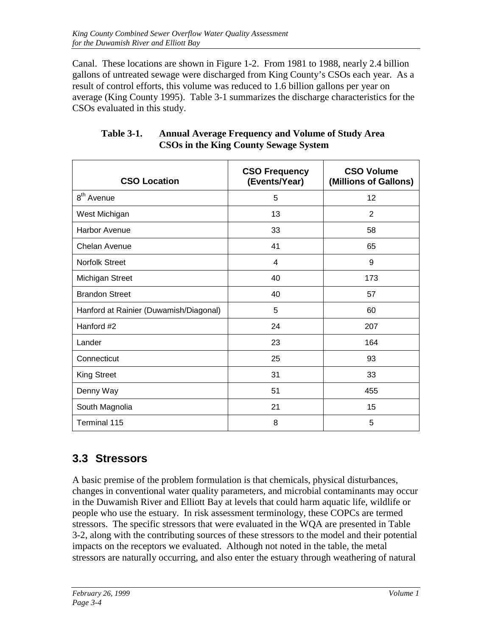<span id="page-35-0"></span>Canal. These locations are shown in Figure 1-2. From 1981 to 1988, nearly 2.4 billion gallons of untreated sewage were discharged from King County's CSOs each year. As a result of control efforts, this volume was reduced to 1.6 billion gallons per year on average (King County 1995). Table 3-1 summarizes the discharge characteristics for the CSOs evaluated in this study.

| <b>CSO Location</b>                    | <b>CSO Frequency</b><br>(Events/Year) | <b>CSO Volume</b><br>(Millions of Gallons) |
|----------------------------------------|---------------------------------------|--------------------------------------------|
| 8 <sup>th</sup> Avenue                 | 5                                     | 12                                         |
| West Michigan                          | 13                                    | 2                                          |
| <b>Harbor Avenue</b>                   | 33                                    | 58                                         |
| Chelan Avenue                          | 41                                    | 65                                         |
| <b>Norfolk Street</b>                  | 4                                     | 9                                          |
| Michigan Street                        | 40                                    | 173                                        |
| <b>Brandon Street</b>                  | 40                                    | 57                                         |
| Hanford at Rainier (Duwamish/Diagonal) | 5                                     | 60                                         |
| Hanford #2                             | 24                                    | 207                                        |
| Lander                                 | 23                                    | 164                                        |
| Connecticut                            | 25                                    | 93                                         |
| <b>King Street</b>                     | 31                                    | 33                                         |
| Denny Way                              | 51                                    | 455                                        |
| South Magnolia                         | 21                                    | 15                                         |
| Terminal 115                           | 8                                     | 5                                          |

#### **Table 3-1. Annual Average Frequency and Volume of Study Area CSOs in the King County Sewage System**

### **3.3 Stressors**

A basic premise of the problem formulation is that chemicals, physical disturbances, changes in conventional water quality parameters, and microbial contaminants may occur in the Duwamish River and Elliott Bay at levels that could harm aquatic life, wildlife or people who use the estuary. In risk assessment terminology, these COPCs are termed stressors. The specific stressors that were evaluated in the WQA are presented in Table 3-2, along with the contributing sources of these stressors to the model and their potential impacts on the receptors we evaluated. Although not noted in the table, the metal stressors are naturally occurring, and also enter the estuary through weathering of natural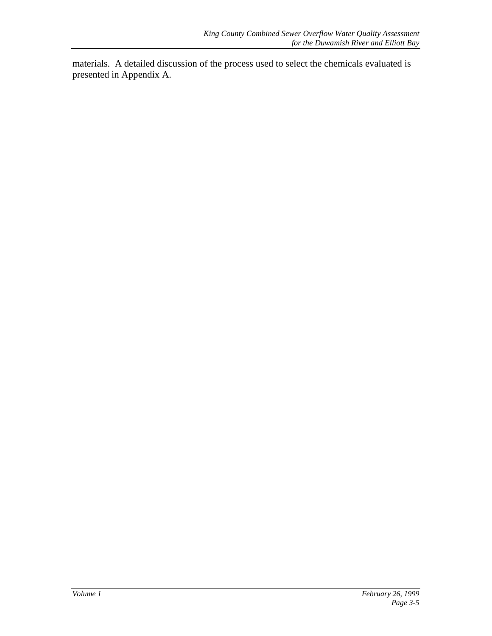materials. A detailed discussion of the process used to select the chemicals evaluated is presented in Appendix A.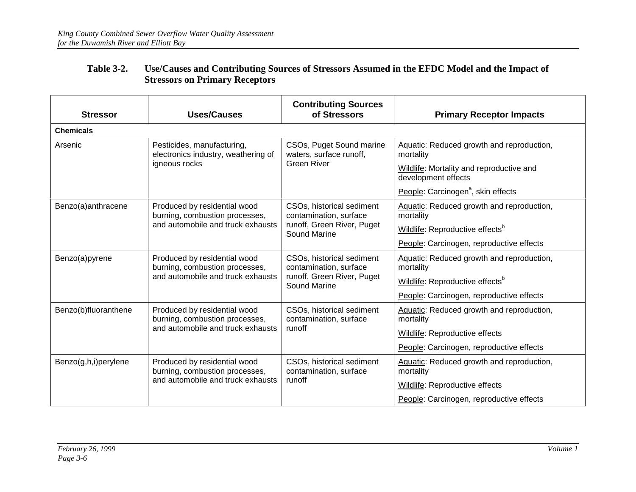| <b>Stressor</b>      | <b>Uses/Causes</b>                                                                                                                                              | <b>Contributing Sources</b><br>of Stressors                                                              | <b>Primary Receptor Impacts</b>                                                                                                                                                                     |
|----------------------|-----------------------------------------------------------------------------------------------------------------------------------------------------------------|----------------------------------------------------------------------------------------------------------|-----------------------------------------------------------------------------------------------------------------------------------------------------------------------------------------------------|
| <b>Chemicals</b>     |                                                                                                                                                                 |                                                                                                          |                                                                                                                                                                                                     |
| Arsenic              | Pesticides, manufacturing,<br>CSOs, Puget Sound marine<br>electronics industry, weathering of<br>waters, surface runoff,<br><b>Green River</b><br>igneous rocks |                                                                                                          | Aquatic: Reduced growth and reproduction,<br>mortality<br>Wildlife: Mortality and reproductive and<br>development effects                                                                           |
| Benzo(a)anthracene   | Produced by residential wood<br>burning, combustion processes,<br>and automobile and truck exhausts                                                             | CSOs, historical sediment<br>contamination, surface<br>runoff, Green River, Puget<br>Sound Marine        | People: Carcinogen <sup>a</sup> , skin effects<br>Aquatic: Reduced growth and reproduction,<br>mortality<br>Wildlife: Reproductive effects <sup>b</sup><br>People: Carcinogen, reproductive effects |
| Benzo(a)pyrene       | Produced by residential wood<br>burning, combustion processes,<br>and automobile and truck exhausts                                                             | CSOs, historical sediment<br>contamination, surface<br>runoff, Green River, Puget<br><b>Sound Marine</b> | Aquatic: Reduced growth and reproduction,<br>mortality<br>Wildlife: Reproductive effects <sup>b</sup><br>People: Carcinogen, reproductive effects                                                   |
| Benzo(b)fluoranthene | Produced by residential wood<br>burning, combustion processes,<br>and automobile and truck exhausts                                                             | CSOs, historical sediment<br>contamination, surface<br>runoff                                            | Aquatic: Reduced growth and reproduction,<br>mortality<br>Wildlife: Reproductive effects<br>People: Carcinogen, reproductive effects                                                                |
| Benzo(g,h,i)perylene | Produced by residential wood<br>burning, combustion processes,<br>and automobile and truck exhausts                                                             | CSOs, historical sediment<br>contamination, surface<br>runoff                                            | Aquatic: Reduced growth and reproduction,<br>mortality<br>Wildlife: Reproductive effects<br>People: Carcinogen, reproductive effects                                                                |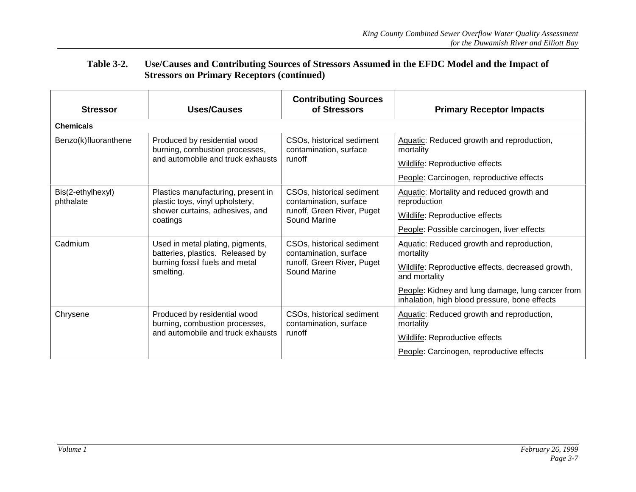| <b>Stressor</b>                | <b>Uses/Causes</b>                                                    | <b>Contributing Sources</b><br>of Stressors         | <b>Primary Receptor Impacts</b>                                                                   |
|--------------------------------|-----------------------------------------------------------------------|-----------------------------------------------------|---------------------------------------------------------------------------------------------------|
| <b>Chemicals</b>               |                                                                       |                                                     |                                                                                                   |
| Benzo(k)fluoranthene           | Produced by residential wood<br>burning, combustion processes,        | CSOs, historical sediment<br>contamination, surface | Aquatic: Reduced growth and reproduction,<br>mortality                                            |
|                                | and automobile and truck exhausts                                     | runoff                                              | Wildlife: Reproductive effects                                                                    |
|                                |                                                                       |                                                     | People: Carcinogen, reproductive effects                                                          |
| Bis(2-ethylhexyl)<br>phthalate | Plastics manufacturing, present in<br>plastic toys, vinyl upholstery, | CSOs, historical sediment<br>contamination, surface | Aquatic: Mortality and reduced growth and<br>reproduction                                         |
|                                | shower curtains, adhesives, and<br>coatings                           | runoff, Green River, Puget<br>Sound Marine          | Wildlife: Reproductive effects                                                                    |
|                                |                                                                       |                                                     | People: Possible carcinogen, liver effects                                                        |
| Cadmium                        | Used in metal plating, pigments,<br>batteries, plastics. Released by  | CSOs, historical sediment<br>contamination, surface | Aquatic: Reduced growth and reproduction,<br>mortality                                            |
|                                | burning fossil fuels and metal<br>smelting.                           | runoff, Green River, Puget<br>Sound Marine          | Wildlife: Reproductive effects, decreased growth,<br>and mortality                                |
|                                |                                                                       |                                                     | People: Kidney and lung damage, lung cancer from<br>inhalation, high blood pressure, bone effects |
| Chrysene                       | Produced by residential wood<br>burning, combustion processes,        | CSOs, historical sediment<br>contamination, surface | Aquatic: Reduced growth and reproduction,<br>mortality                                            |
|                                | and automobile and truck exhausts                                     | runoff                                              | Wildlife: Reproductive effects                                                                    |
|                                |                                                                       |                                                     | People: Carcinogen, reproductive effects                                                          |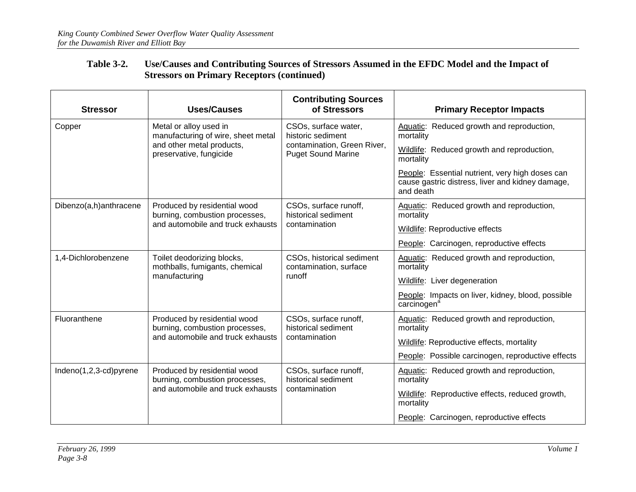| <b>Stressor</b>        | <b>Uses/Causes</b>                                                                                             | <b>Contributing Sources</b><br>of Stressors                   | <b>Primary Receptor Impacts</b>                                                                                  |
|------------------------|----------------------------------------------------------------------------------------------------------------|---------------------------------------------------------------|------------------------------------------------------------------------------------------------------------------|
| Copper                 | Metal or alloy used in<br>manufacturing of wire, sheet metal                                                   | CSOs, surface water,<br>historic sediment                     | Aquatic: Reduced growth and reproduction,<br>mortality                                                           |
|                        | and other metal products,<br>preservative, fungicide                                                           | contamination, Green River,<br><b>Puget Sound Marine</b>      | Wildlife: Reduced growth and reproduction,<br>mortality                                                          |
|                        |                                                                                                                |                                                               | People: Essential nutrient, very high doses can<br>cause gastric distress, liver and kidney damage,<br>and death |
| Dibenzo(a,h)anthracene | Produced by residential wood<br>CSOs, surface runoff,<br>burning, combustion processes,<br>historical sediment |                                                               | Aquatic: Reduced growth and reproduction,<br>mortality                                                           |
|                        | and automobile and truck exhausts                                                                              | contamination                                                 | Wildlife: Reproductive effects                                                                                   |
|                        |                                                                                                                |                                                               | People: Carcinogen, reproductive effects                                                                         |
| 1,4-Dichlorobenzene    | Toilet deodorizing blocks,<br>mothballs, fumigants, chemical                                                   | CSOs, historical sediment<br>contamination, surface<br>runoff | Aquatic: Reduced growth and reproduction,<br>mortality                                                           |
|                        | manufacturing                                                                                                  |                                                               | Wildlife: Liver degeneration                                                                                     |
|                        |                                                                                                                |                                                               | People: Impacts on liver, kidney, blood, possible<br>carcinogen <sup>a</sup>                                     |
| Fluoranthene           | Produced by residential wood<br>burning, combustion processes,                                                 | CSOs, surface runoff,<br>historical sediment                  | Aquatic: Reduced growth and reproduction,<br>mortality                                                           |
|                        | and automobile and truck exhausts                                                                              | contamination                                                 | Wildlife: Reproductive effects, mortality                                                                        |
|                        |                                                                                                                |                                                               | People: Possible carcinogen, reproductive effects                                                                |
| Indeno(1,2,3-cd)pyrene | Produced by residential wood<br>burning, combustion processes,                                                 | CSOs, surface runoff,<br>historical sediment                  | Aquatic: Reduced growth and reproduction,<br>mortality                                                           |
|                        | and automobile and truck exhausts                                                                              | contamination                                                 | Wildlife: Reproductive effects, reduced growth,<br>mortality                                                     |
|                        |                                                                                                                |                                                               | People: Carcinogen, reproductive effects                                                                         |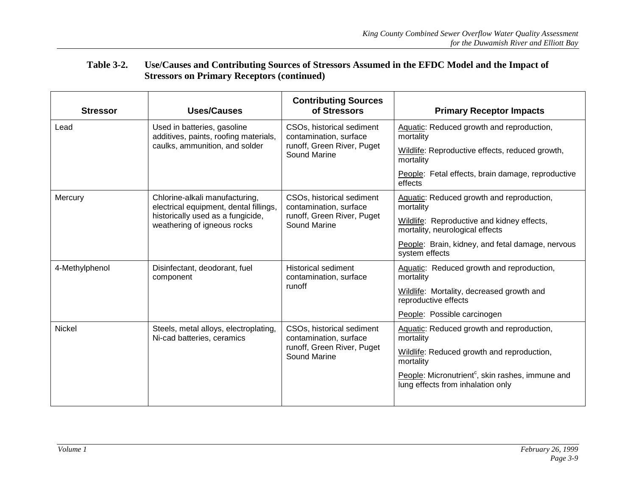| <b>Stressor</b> | <b>Uses/Causes</b>                                                       | <b>Contributing Sources</b><br>of Stressors          | <b>Primary Receptor Impacts</b>                                                                   |
|-----------------|--------------------------------------------------------------------------|------------------------------------------------------|---------------------------------------------------------------------------------------------------|
| Lead            | Used in batteries, gasoline<br>additives, paints, roofing materials,     | CSOs, historical sediment<br>contamination, surface  | Aquatic: Reduced growth and reproduction,<br>mortality                                            |
|                 | caulks, ammunition, and solder                                           | runoff, Green River, Puget<br>Sound Marine           | Wildlife: Reproductive effects, reduced growth,<br>mortality                                      |
|                 |                                                                          |                                                      | People: Fetal effects, brain damage, reproductive<br>effects                                      |
| Mercury         | Chlorine-alkali manufacturing,<br>electrical equipment, dental fillings, | CSOs, historical sediment<br>contamination, surface  | Aquatic: Reduced growth and reproduction,<br>mortality                                            |
|                 | historically used as a fungicide,<br>weathering of igneous rocks         | runoff, Green River, Puget<br>Sound Marine           | Wildlife: Reproductive and kidney effects,<br>mortality, neurological effects                     |
|                 |                                                                          |                                                      | People: Brain, kidney, and fetal damage, nervous<br>system effects                                |
| 4-Methylphenol  | Disinfectant, deodorant, fuel<br>component                               | <b>Historical sediment</b><br>contamination, surface | Aquatic: Reduced growth and reproduction,<br>mortality                                            |
|                 | runoff                                                                   |                                                      | Wildlife: Mortality, decreased growth and<br>reproductive effects                                 |
|                 |                                                                          |                                                      | People: Possible carcinogen                                                                       |
| <b>Nickel</b>   | Steels, metal alloys, electroplating,<br>Ni-cad batteries, ceramics      | CSOs, historical sediment<br>contamination, surface  | Aquatic: Reduced growth and reproduction,<br>mortality                                            |
|                 |                                                                          | runoff, Green River, Puget<br>Sound Marine           | Wildlife: Reduced growth and reproduction,<br>mortality                                           |
|                 |                                                                          |                                                      | People: Micronutrient <sup>c</sup> , skin rashes, immune and<br>lung effects from inhalation only |
|                 |                                                                          |                                                      |                                                                                                   |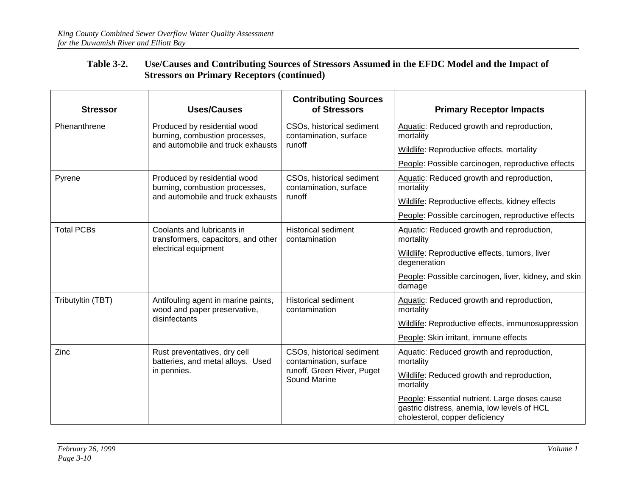| <b>Stressor</b>   | <b>Uses/Causes</b>                                                  | <b>Contributing Sources</b><br>of Stressors         | <b>Primary Receptor Impacts</b>                                                                                                |  |
|-------------------|---------------------------------------------------------------------|-----------------------------------------------------|--------------------------------------------------------------------------------------------------------------------------------|--|
| Phenanthrene      | Produced by residential wood<br>burning, combustion processes,      | CSOs, historical sediment<br>contamination, surface | Aquatic: Reduced growth and reproduction,<br>mortality                                                                         |  |
|                   | and automobile and truck exhausts                                   | runoff                                              | Wildlife: Reproductive effects, mortality                                                                                      |  |
|                   |                                                                     |                                                     | People: Possible carcinogen, reproductive effects                                                                              |  |
| Pyrene            | Produced by residential wood<br>burning, combustion processes,      | CSOs, historical sediment<br>contamination, surface | Aquatic: Reduced growth and reproduction,<br>mortality                                                                         |  |
|                   | and automobile and truck exhausts                                   | runoff                                              | Wildlife: Reproductive effects, kidney effects                                                                                 |  |
|                   |                                                                     |                                                     | People: Possible carcinogen, reproductive effects                                                                              |  |
| <b>Total PCBs</b> | Coolants and lubricants in<br>transformers, capacitors, and other   | <b>Historical sediment</b><br>contamination         | Aquatic: Reduced growth and reproduction,<br>mortality                                                                         |  |
|                   | electrical equipment                                                |                                                     | Wildlife: Reproductive effects, tumors, liver<br>degeneration                                                                  |  |
|                   |                                                                     |                                                     | People: Possible carcinogen, liver, kidney, and skin<br>damage                                                                 |  |
| Tributyltin (TBT) | Antifouling agent in marine paints,<br>wood and paper preservative, | <b>Historical sediment</b><br>contamination         | Aquatic: Reduced growth and reproduction,<br>mortality                                                                         |  |
|                   | disinfectants                                                       |                                                     | Wildlife: Reproductive effects, immunosuppression                                                                              |  |
|                   |                                                                     |                                                     | People: Skin irritant, immune effects                                                                                          |  |
| Zinc              | Rust preventatives, dry cell<br>batteries, and metal alloys. Used   | CSOs, historical sediment<br>contamination, surface | Aquatic: Reduced growth and reproduction,<br>mortality                                                                         |  |
|                   | in pennies.                                                         | runoff, Green River, Puget<br><b>Sound Marine</b>   | Wildlife: Reduced growth and reproduction,<br>mortality                                                                        |  |
|                   |                                                                     |                                                     | People: Essential nutrient. Large doses cause<br>gastric distress, anemia, low levels of HCL<br>cholesterol, copper deficiency |  |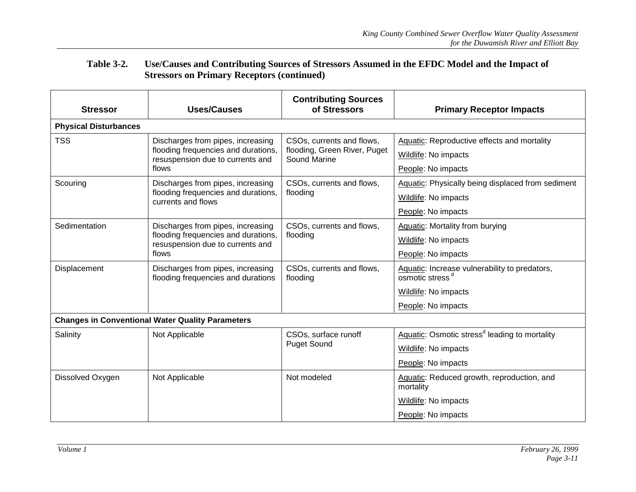| <b>Stressor</b>              | <b>Uses/Causes</b>                                                      | <b>Contributing Sources</b><br>of Stressors  | <b>Primary Receptor Impacts</b>                                              |  |
|------------------------------|-------------------------------------------------------------------------|----------------------------------------------|------------------------------------------------------------------------------|--|
| <b>Physical Disturbances</b> |                                                                         |                                              |                                                                              |  |
| <b>TSS</b>                   | Discharges from pipes, increasing                                       | CSOs, currents and flows,                    | Aquatic: Reproductive effects and mortality                                  |  |
|                              | flooding frequencies and durations,<br>resuspension due to currents and | flooding, Green River, Puget<br>Sound Marine | Wildlife: No impacts                                                         |  |
|                              | flows                                                                   |                                              | People: No impacts                                                           |  |
| Scouring                     | Discharges from pipes, increasing                                       | CSOs, currents and flows,                    | Aquatic: Physically being displaced from sediment                            |  |
|                              | flooding frequencies and durations,<br>currents and flows               | flooding                                     | Wildlife: No impacts                                                         |  |
|                              |                                                                         |                                              | People: No impacts                                                           |  |
| Sedimentation                | Discharges from pipes, increasing                                       | CSOs, currents and flows,<br>flooding        | Aquatic: Mortality from burying                                              |  |
|                              | flooding frequencies and durations,<br>resuspension due to currents and |                                              | Wildlife: No impacts                                                         |  |
|                              | flows                                                                   |                                              | People: No impacts                                                           |  |
| Displacement                 | Discharges from pipes, increasing<br>flooding frequencies and durations | CSOs, currents and flows,<br>flooding        | Aquatic: Increase vulnerability to predators,<br>osmotic stress <sup>d</sup> |  |
|                              |                                                                         |                                              | Wildlife: No impacts                                                         |  |
|                              |                                                                         |                                              | People: No impacts                                                           |  |
|                              | <b>Changes in Conventional Water Quality Parameters</b>                 |                                              |                                                                              |  |
| Salinity                     | Not Applicable                                                          | CSOs, surface runoff                         | Aquatic: Osmotic stress <sup>d</sup> leading to mortality                    |  |
|                              |                                                                         | <b>Puget Sound</b>                           | Wildlife: No impacts                                                         |  |
|                              |                                                                         |                                              | People: No impacts                                                           |  |
| Dissolved Oxygen             | Not Applicable                                                          | Not modeled                                  | Aquatic: Reduced growth, reproduction, and<br>mortality                      |  |
|                              |                                                                         |                                              | Wildlife: No impacts                                                         |  |
|                              |                                                                         |                                              | People: No impacts                                                           |  |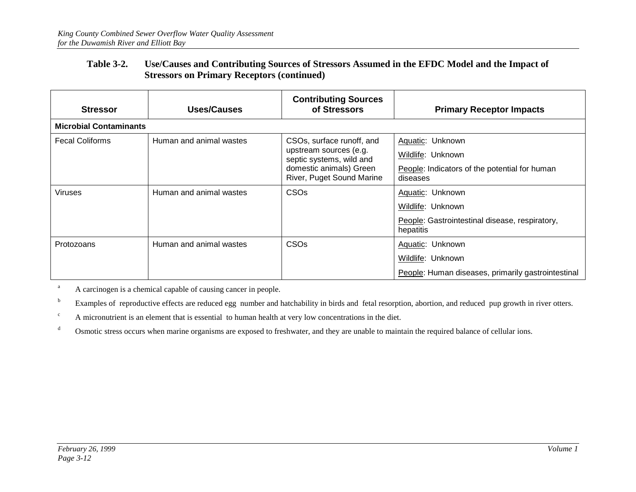| <b>Stressor</b>               | Uses/Causes             | <b>Contributing Sources</b><br>of Stressors                                                                                             | <b>Primary Receptor Impacts</b>                                                                      |
|-------------------------------|-------------------------|-----------------------------------------------------------------------------------------------------------------------------------------|------------------------------------------------------------------------------------------------------|
| <b>Microbial Contaminants</b> |                         |                                                                                                                                         |                                                                                                      |
| <b>Fecal Coliforms</b>        | Human and animal wastes | CSOs, surface runoff, and<br>upstream sources (e.g.<br>septic systems, wild and<br>domestic animals) Green<br>River, Puget Sound Marine | Aquatic: Unknown<br>Wildlife: Unknown<br>People: Indicators of the potential for human<br>diseases   |
| <b>Viruses</b>                | Human and animal wastes | <b>CSO<sub>s</sub></b>                                                                                                                  | Aquatic: Unknown<br>Wildlife: Unknown<br>People: Gastrointestinal disease, respiratory,<br>hepatitis |
| Protozoans                    | Human and animal wastes | <b>CSO<sub>s</sub></b>                                                                                                                  | Aquatic: Unknown<br>Wildlife: Unknown<br>People: Human diseases, primarily gastrointestinal          |

aA carcinogen is a chemical capable of causing cancer in people.

bExamples of reproductive effects are reduced egg number and hatchability in birds and fetal resorption, abortion, and reduced pup growth in river otters.

 $\rm c$ A micronutrient is an element that is essential to human health at very low concentrations in the diet.

dOsmotic stress occurs when marine organisms are exposed to freshwater, and they are unable to maintain the required balance of cellular ions.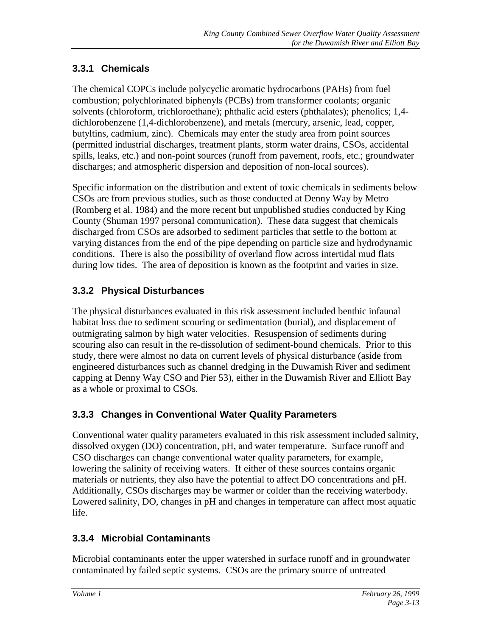## **3.3.1 Chemicals**

The chemical COPCs include polycyclic aromatic hydrocarbons (PAHs) from fuel combustion; polychlorinated biphenyls (PCBs) from transformer coolants; organic solvents (chloroform, trichloroethane); phthalic acid esters (phthalates); phenolics; 1,4 dichlorobenzene (1,4-dichlorobenzene), and metals (mercury, arsenic, lead, copper, butyltins, cadmium, zinc). Chemicals may enter the study area from point sources (permitted industrial discharges, treatment plants, storm water drains, CSOs, accidental spills, leaks, etc.) and non-point sources (runoff from pavement, roofs, etc.; groundwater discharges; and atmospheric dispersion and deposition of non-local sources).

Specific information on the distribution and extent of toxic chemicals in sediments below CSOs are from previous studies, such as those conducted at Denny Way by Metro (Romberg et al. 1984) and the more recent but unpublished studies conducted by King County (Shuman 1997 personal communication). These data suggest that chemicals discharged from CSOs are adsorbed to sediment particles that settle to the bottom at varying distances from the end of the pipe depending on particle size and hydrodynamic conditions. There is also the possibility of overland flow across intertidal mud flats during low tides. The area of deposition is known as the footprint and varies in size.

## **3.3.2 Physical Disturbances**

The physical disturbances evaluated in this risk assessment included benthic infaunal habitat loss due to sediment scouring or sedimentation (burial), and displacement of outmigrating salmon by high water velocities. Resuspension of sediments during scouring also can result in the re-dissolution of sediment-bound chemicals. Prior to this study, there were almost no data on current levels of physical disturbance (aside from engineered disturbances such as channel dredging in the Duwamish River and sediment capping at Denny Way CSO and Pier 53), either in the Duwamish River and Elliott Bay as a whole or proximal to CSOs.

## **3.3.3 Changes in Conventional Water Quality Parameters**

Conventional water quality parameters evaluated in this risk assessment included salinity, dissolved oxygen (DO) concentration, pH, and water temperature. Surface runoff and CSO discharges can change conventional water quality parameters, for example, lowering the salinity of receiving waters. If either of these sources contains organic materials or nutrients, they also have the potential to affect DO concentrations and pH. Additionally, CSOs discharges may be warmer or colder than the receiving waterbody. Lowered salinity, DO, changes in pH and changes in temperature can affect most aquatic life.

## **3.3.4 Microbial Contaminants**

Microbial contaminants enter the upper watershed in surface runoff and in groundwater contaminated by failed septic systems. CSOs are the primary source of untreated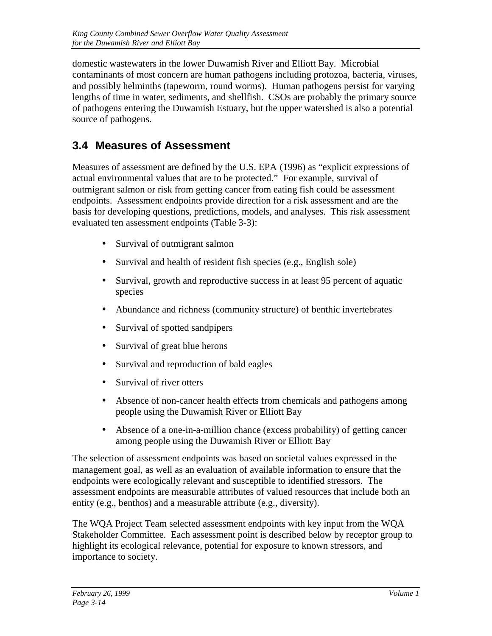domestic wastewaters in the lower Duwamish River and Elliott Bay. Microbial contaminants of most concern are human pathogens including protozoa, bacteria, viruses, and possibly helminths (tapeworm, round worms). Human pathogens persist for varying lengths of time in water, sediments, and shellfish. CSOs are probably the primary source of pathogens entering the Duwamish Estuary, but the upper watershed is also a potential source of pathogens.

# **3.4 Measures of Assessment**

Measures of assessment are defined by the U.S. EPA (1996) as "explicit expressions of actual environmental values that are to be protected." For example, survival of outmigrant salmon or risk from getting cancer from eating fish could be assessment endpoints. Assessment endpoints provide direction for a risk assessment and are the basis for developing questions, predictions, models, and analyses. This risk assessment evaluated ten assessment endpoints (Table 3-3):

- Survival of outmigrant salmon
- Survival and health of resident fish species (e.g., English sole)
- Survival, growth and reproductive success in at least 95 percent of aquatic species
- Abundance and richness (community structure) of benthic invertebrates
- Survival of spotted sandpipers
- Survival of great blue herons
- Survival and reproduction of bald eagles
- Survival of river otters
- Absence of non-cancer health effects from chemicals and pathogens among people using the Duwamish River or Elliott Bay
- Absence of a one-in-a-million chance (excess probability) of getting cancer among people using the Duwamish River or Elliott Bay

The selection of assessment endpoints was based on societal values expressed in the management goal, as well as an evaluation of available information to ensure that the endpoints were ecologically relevant and susceptible to identified stressors. The assessment endpoints are measurable attributes of valued resources that include both an entity (e.g., benthos) and a measurable attribute (e.g., diversity).

The WQA Project Team selected assessment endpoints with key input from the WQA Stakeholder Committee. Each assessment point is described below by receptor group to highlight its ecological relevance, potential for exposure to known stressors, and importance to society.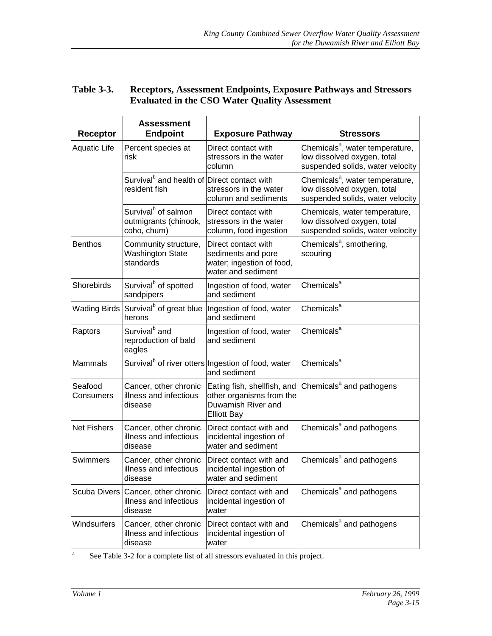#### **Table 3-3. Receptors, Assessment Endpoints, Exposure Pathways and Stressors Evaluated in the CSO Water Quality Assessment**

| <b>Receptor</b>      | <b>Assessment</b><br><b>Endpoint</b>                                     | <b>Exposure Pathway</b>                                                                             | <b>Stressors</b>                                                                                               |
|----------------------|--------------------------------------------------------------------------|-----------------------------------------------------------------------------------------------------|----------------------------------------------------------------------------------------------------------------|
| <b>Aquatic Life</b>  | Percent species at<br>risk                                               | Direct contact with<br>stressors in the water<br>column                                             | Chemicals <sup>a</sup> , water temperature,<br>low dissolved oxygen, total<br>suspended solids, water velocity |
|                      | Survival <sup>b</sup> and health of Direct contact with<br>resident fish | stressors in the water<br>column and sediments                                                      | Chemicals <sup>a</sup> , water temperature,<br>low dissolved oxygen, total<br>suspended solids, water velocity |
|                      | Survival <sup>b</sup> of salmon<br>outmigrants (chinook,<br>coho, chum)  | Direct contact with<br>stressors in the water<br>column, food ingestion                             | Chemicals, water temperature,<br>low dissolved oxygen, total<br>suspended solids, water velocity               |
| <b>Benthos</b>       | Community structure,<br><b>Washington State</b><br>standards             | Direct contact with<br>sediments and pore<br>water; ingestion of food,<br>water and sediment        | Chemicals <sup>a</sup> , smothering,<br>scouring                                                               |
| <b>Shorebirds</b>    | Survival <sup>b</sup> of spotted<br>sandpipers                           | Ingestion of food, water<br>and sediment                                                            | Chemicals <sup>a</sup>                                                                                         |
|                      | herons                                                                   | Wading Birds Survival <sup>b</sup> of great blue Ingestion of food, water<br>and sediment           | Chemicals <sup>a</sup>                                                                                         |
| Raptors              | Survival <sup>b</sup> and<br>reproduction of bald<br>eagles              | Ingestion of food, water<br>and sediment                                                            | Chemicals <sup>a</sup>                                                                                         |
| <b>Mammals</b>       |                                                                          | Survival <sup>b</sup> of river otters Ingestion of food, water<br>and sediment                      | Chemicals <sup>a</sup>                                                                                         |
| Seafood<br>Consumers | Cancer, other chronic<br>illness and infectious<br>disease               | Eating fish, shellfish, and<br>other organisms from the<br>Duwamish River and<br><b>Elliott Bay</b> | Chemicals <sup>a</sup> and pathogens                                                                           |
| <b>Net Fishers</b>   | Cancer, other chronic<br>illness and infectious<br>disease               | Direct contact with and<br>incidental ingestion of<br>water and sediment                            | Chemicals <sup>a</sup> and pathogens                                                                           |
| Swimmers             | Cancer, other chronic<br>illness and infectious<br>disease               | Direct contact with and<br>incidental ingestion of<br>water and sediment                            | Chemicals <sup>a</sup> and pathogens                                                                           |
|                      | Scuba Divers Cancer, other chronic<br>illness and infectious<br>disease  | Direct contact with and<br>incidental ingestion of<br>water                                         | Chemicals <sup>a</sup> and pathogens                                                                           |
| Windsurfers          | Cancer, other chronic<br>illness and infectious<br>disease               | Direct contact with and<br>incidental ingestion of<br>water                                         | Chemicals <sup>a</sup> and pathogens                                                                           |

<sup>a</sup> See Table 3-2 for a complete list of all stressors evaluated in this project.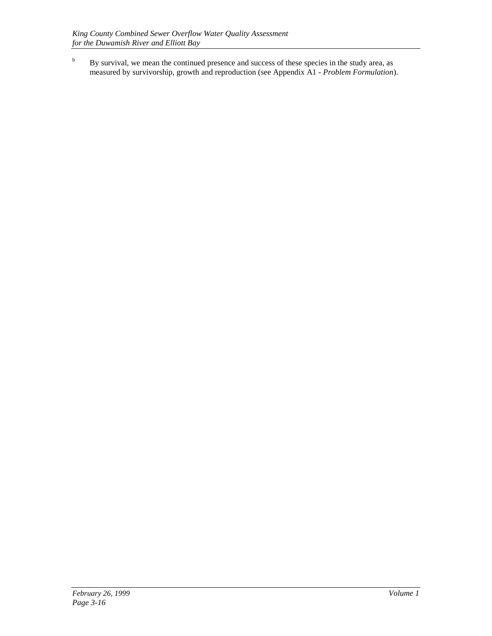<sup>b</sup> By survival, we mean the continued presence and success of these species in the study area, as measured by survivorship, growth and reproduction (see Appendix A1 - *Problem Formulation*).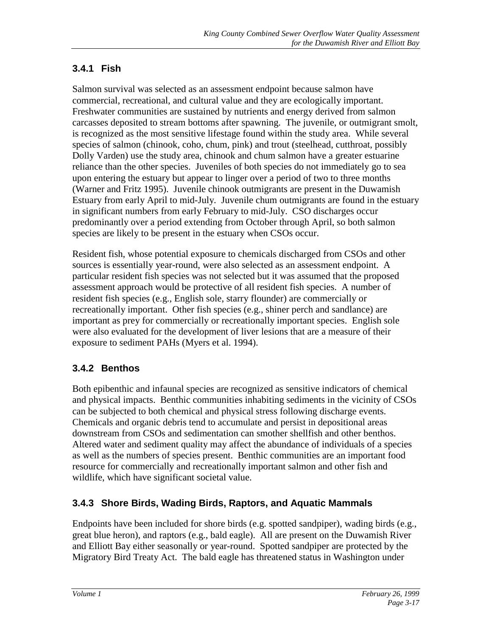## **3.4.1 Fish**

Salmon survival was selected as an assessment endpoint because salmon have commercial, recreational, and cultural value and they are ecologically important. Freshwater communities are sustained by nutrients and energy derived from salmon carcasses deposited to stream bottoms after spawning. The juvenile, or outmigrant smolt, is recognized as the most sensitive lifestage found within the study area. While several species of salmon (chinook, coho, chum, pink) and trout (steelhead, cutthroat, possibly Dolly Varden) use the study area, chinook and chum salmon have a greater estuarine reliance than the other species. Juveniles of both species do not immediately go to sea upon entering the estuary but appear to linger over a period of two to three months (Warner and Fritz 1995). Juvenile chinook outmigrants are present in the Duwamish Estuary from early April to mid-July. Juvenile chum outmigrants are found in the estuary in significant numbers from early February to mid-July. CSO discharges occur predominantly over a period extending from October through April, so both salmon species are likely to be present in the estuary when CSOs occur.

Resident fish, whose potential exposure to chemicals discharged from CSOs and other sources is essentially year-round, were also selected as an assessment endpoint. A particular resident fish species was not selected but it was assumed that the proposed assessment approach would be protective of all resident fish species. A number of resident fish species (e.g., English sole, starry flounder) are commercially or recreationally important. Other fish species (e.g., shiner perch and sandlance) are important as prey for commercially or recreationally important species. English sole were also evaluated for the development of liver lesions that are a measure of their exposure to sediment PAHs (Myers et al. 1994).

## **3.4.2 Benthos**

Both epibenthic and infaunal species are recognized as sensitive indicators of chemical and physical impacts. Benthic communities inhabiting sediments in the vicinity of CSOs can be subjected to both chemical and physical stress following discharge events. Chemicals and organic debris tend to accumulate and persist in depositional areas downstream from CSOs and sedimentation can smother shellfish and other benthos. Altered water and sediment quality may affect the abundance of individuals of a species as well as the numbers of species present. Benthic communities are an important food resource for commercially and recreationally important salmon and other fish and wildlife, which have significant societal value.

## **3.4.3 Shore Birds, Wading Birds, Raptors, and Aquatic Mammals**

Endpoints have been included for shore birds (e.g. spotted sandpiper), wading birds (e.g., great blue heron), and raptors (e.g., bald eagle). All are present on the Duwamish River and Elliott Bay either seasonally or year-round. Spotted sandpiper are protected by the Migratory Bird Treaty Act. The bald eagle has threatened status in Washington under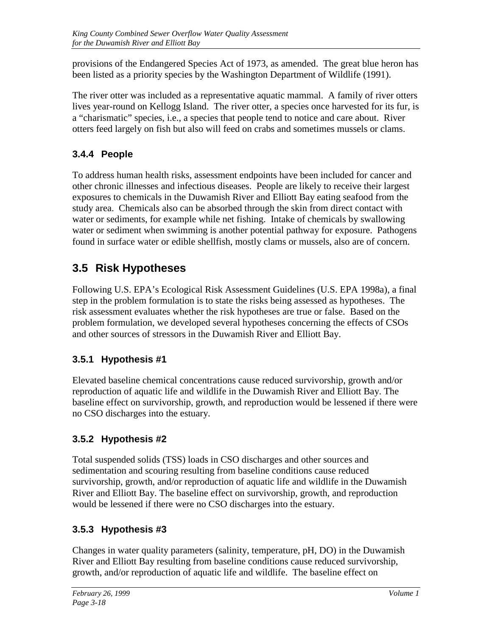provisions of the Endangered Species Act of 1973, as amended. The great blue heron has been listed as a priority species by the Washington Department of Wildlife (1991).

The river otter was included as a representative aquatic mammal. A family of river otters lives year-round on Kellogg Island. The river otter, a species once harvested for its fur, is a "charismatic" species, i.e., a species that people tend to notice and care about. River otters feed largely on fish but also will feed on crabs and sometimes mussels or clams.

## **3.4.4 People**

To address human health risks, assessment endpoints have been included for cancer and other chronic illnesses and infectious diseases. People are likely to receive their largest exposures to chemicals in the Duwamish River and Elliott Bay eating seafood from the study area. Chemicals also can be absorbed through the skin from direct contact with water or sediments, for example while net fishing. Intake of chemicals by swallowing water or sediment when swimming is another potential pathway for exposure. Pathogens found in surface water or edible shellfish, mostly clams or mussels, also are of concern.

# **3.5 Risk Hypotheses**

Following U.S. EPA's Ecological Risk Assessment Guidelines (U.S. EPA 1998a), a final step in the problem formulation is to state the risks being assessed as hypotheses. The risk assessment evaluates whether the risk hypotheses are true or false. Based on the problem formulation, we developed several hypotheses concerning the effects of CSOs and other sources of stressors in the Duwamish River and Elliott Bay.

# **3.5.1 Hypothesis #1**

Elevated baseline chemical concentrations cause reduced survivorship, growth and/or reproduction of aquatic life and wildlife in the Duwamish River and Elliott Bay. The baseline effect on survivorship, growth, and reproduction would be lessened if there were no CSO discharges into the estuary.

# **3.5.2 Hypothesis #2**

Total suspended solids (TSS) loads in CSO discharges and other sources and sedimentation and scouring resulting from baseline conditions cause reduced survivorship, growth, and/or reproduction of aquatic life and wildlife in the Duwamish River and Elliott Bay. The baseline effect on survivorship, growth, and reproduction would be lessened if there were no CSO discharges into the estuary.

# **3.5.3 Hypothesis #3**

Changes in water quality parameters (salinity, temperature, pH, DO) in the Duwamish River and Elliott Bay resulting from baseline conditions cause reduced survivorship, growth, and/or reproduction of aquatic life and wildlife. The baseline effect on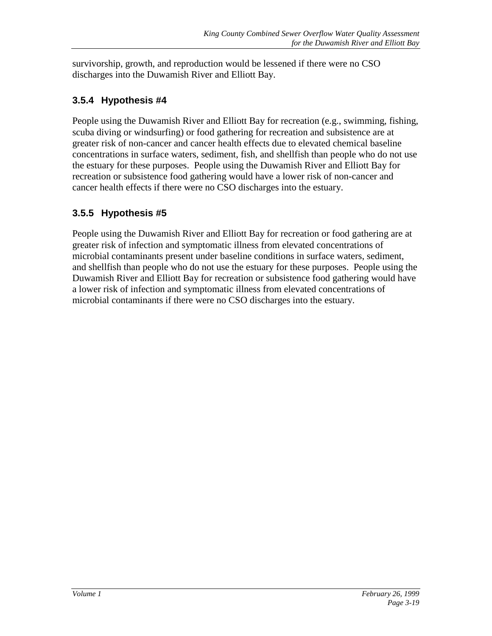survivorship, growth, and reproduction would be lessened if there were no CSO discharges into the Duwamish River and Elliott Bay.

## **3.5.4 Hypothesis #4**

People using the Duwamish River and Elliott Bay for recreation (e.g., swimming, fishing, scuba diving or windsurfing) or food gathering for recreation and subsistence are at greater risk of non-cancer and cancer health effects due to elevated chemical baseline concentrations in surface waters, sediment, fish, and shellfish than people who do not use the estuary for these purposes. People using the Duwamish River and Elliott Bay for recreation or subsistence food gathering would have a lower risk of non-cancer and cancer health effects if there were no CSO discharges into the estuary.

## **3.5.5 Hypothesis #5**

People using the Duwamish River and Elliott Bay for recreation or food gathering are at greater risk of infection and symptomatic illness from elevated concentrations of microbial contaminants present under baseline conditions in surface waters, sediment, and shellfish than people who do not use the estuary for these purposes. People using the Duwamish River and Elliott Bay for recreation or subsistence food gathering would have a lower risk of infection and symptomatic illness from elevated concentrations of microbial contaminants if there were no CSO discharges into the estuary.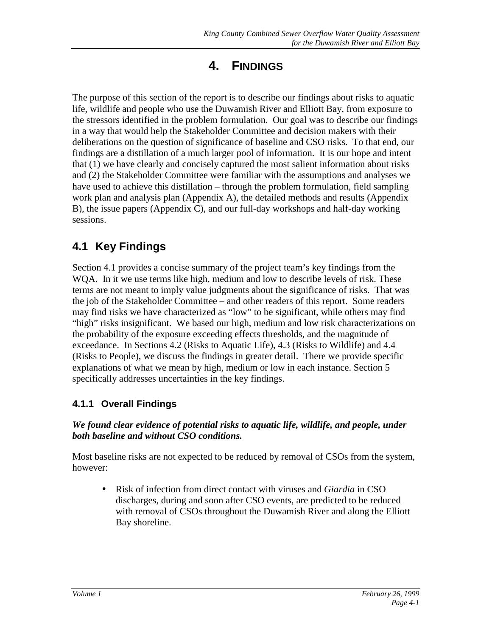# **4. FINDINGS**

The purpose of this section of the report is to describe our findings about risks to aquatic life, wildlife and people who use the Duwamish River and Elliott Bay, from exposure to the stressors identified in the problem formulation. Our goal was to describe our findings in a way that would help the Stakeholder Committee and decision makers with their deliberations on the question of significance of baseline and CSO risks. To that end, our findings are a distillation of a much larger pool of information. It is our hope and intent that (1) we have clearly and concisely captured the most salient information about risks and (2) the Stakeholder Committee were familiar with the assumptions and analyses we have used to achieve this distillation – through the problem formulation, field sampling work plan and analysis plan (Appendix A), the detailed methods and results (Appendix B), the issue papers (Appendix C), and our full-day workshops and half-day working sessions.

# **4.1 Key Findings**

Section 4.1 provides a concise summary of the project team's key findings from the WQA. In it we use terms like high, medium and low to describe levels of risk. These terms are not meant to imply value judgments about the significance of risks. That was the job of the Stakeholder Committee – and other readers of this report. Some readers may find risks we have characterized as "low" to be significant, while others may find "high" risks insignificant. We based our high, medium and low risk characterizations on the probability of the exposure exceeding effects thresholds, and the magnitude of exceedance. In Sections 4.2 (Risks to Aquatic Life), 4.3 (Risks to Wildlife) and 4.4 (Risks to People), we discuss the findings in greater detail. There we provide specific explanations of what we mean by high, medium or low in each instance. Section 5 specifically addresses uncertainties in the key findings.

# **4.1.1 Overall Findings**

#### *We found clear evidence of potential risks to aquatic life, wildlife, and people, under both baseline and without CSO conditions.*

Most baseline risks are not expected to be reduced by removal of CSOs from the system, however:

• Risk of infection from direct contact with viruses and *Giardia* in CSO discharges, during and soon after CSO events, are predicted to be reduced with removal of CSOs throughout the Duwamish River and along the Elliott Bay shoreline.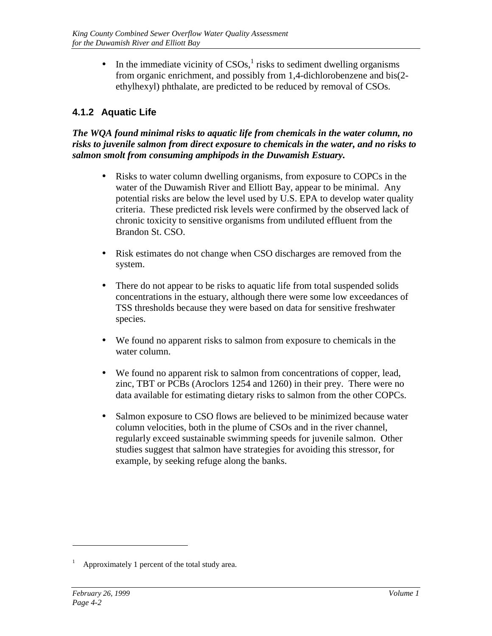• In the immediate vicinity of  $CSOs<sub>i</sub><sup>1</sup>$  risks to sediment dwelling organisms from organic enrichment, and possibly from 1,4-dichlorobenzene and bis(2 ethylhexyl) phthalate, are predicted to be reduced by removal of CSOs.

## **4.1.2 Aquatic Life**

*The WQA found minimal risks to aquatic life from chemicals in the water column, no risks to juvenile salmon from direct exposure to chemicals in the water, and no risks to salmon smolt from consuming amphipods in the Duwamish Estuary.*

- Risks to water column dwelling organisms, from exposure to COPCs in the water of the Duwamish River and Elliott Bay, appear to be minimal. Any potential risks are below the level used by U.S. EPA to develop water quality criteria. These predicted risk levels were confirmed by the observed lack of chronic toxicity to sensitive organisms from undiluted effluent from the Brandon St. CSO.
- Risk estimates do not change when CSO discharges are removed from the system.
- There do not appear to be risks to aquatic life from total suspended solids concentrations in the estuary, although there were some low exceedances of TSS thresholds because they were based on data for sensitive freshwater species.
- We found no apparent risks to salmon from exposure to chemicals in the water column.
- We found no apparent risk to salmon from concentrations of copper, lead, zinc, TBT or PCBs (Aroclors 1254 and 1260) in their prey. There were no data available for estimating dietary risks to salmon from the other COPCs.
- Salmon exposure to CSO flows are believed to be minimized because water column velocities, both in the plume of CSOs and in the river channel, regularly exceed sustainable swimming speeds for juvenile salmon. Other studies suggest that salmon have strategies for avoiding this stressor, for example, by seeking refuge along the banks.

 $\overline{a}$ 

<sup>1</sup> Approximately 1 percent of the total study area.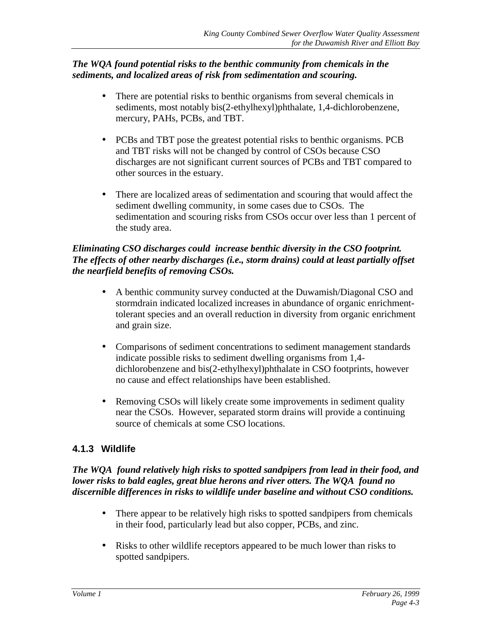#### *The WQA found potential risks to the benthic community from chemicals in the sediments, and localized areas of risk from sedimentation and scouring.*

- There are potential risks to benthic organisms from several chemicals in sediments, most notably bis(2-ethylhexyl)phthalate, 1,4-dichlorobenzene, mercury, PAHs, PCBs, and TBT.
- PCBs and TBT pose the greatest potential risks to benthic organisms. PCB and TBT risks will not be changed by control of CSOs because CSO discharges are not significant current sources of PCBs and TBT compared to other sources in the estuary.
- There are localized areas of sedimentation and scouring that would affect the sediment dwelling community, in some cases due to CSOs. The sedimentation and scouring risks from CSOs occur over less than 1 percent of the study area.

#### *Eliminating CSO discharges could increase benthic diversity in the CSO footprint. The effects of other nearby discharges (i.e., storm drains) could at least partially offset the nearfield benefits of removing CSOs.*

- A benthic community survey conducted at the Duwamish/Diagonal CSO and stormdrain indicated localized increases in abundance of organic enrichmenttolerant species and an overall reduction in diversity from organic enrichment and grain size.
- Comparisons of sediment concentrations to sediment management standards indicate possible risks to sediment dwelling organisms from 1,4 dichlorobenzene and bis(2-ethylhexyl)phthalate in CSO footprints, however no cause and effect relationships have been established.
- Removing CSOs will likely create some improvements in sediment quality near the CSOs. However, separated storm drains will provide a continuing source of chemicals at some CSO locations.

## **4.1.3 Wildlife**

*The WQA found relatively high risks to spotted sandpipers from lead in their food, and lower risks to bald eagles, great blue herons and river otters. The WQA found no discernible differences in risks to wildlife under baseline and without CSO conditions.*

- There appear to be relatively high risks to spotted sandpipers from chemicals in their food, particularly lead but also copper, PCBs, and zinc.
- Risks to other wildlife receptors appeared to be much lower than risks to spotted sandpipers.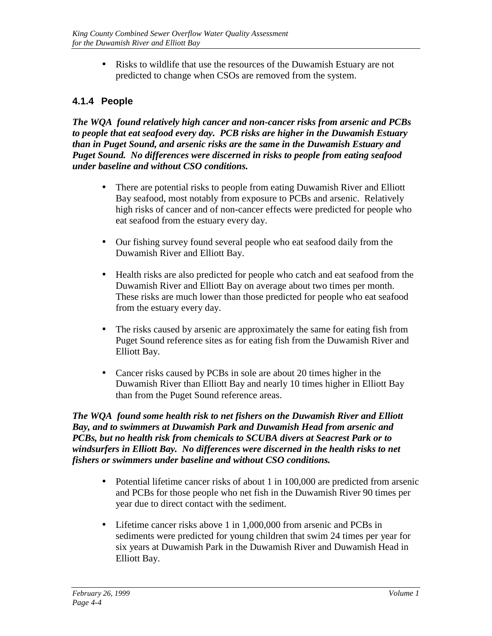• Risks to wildlife that use the resources of the Duwamish Estuary are not predicted to change when CSOs are removed from the system.

## **4.1.4 People**

*The WQA found relatively high cancer and non-cancer risks from arsenic and PCBs to people that eat seafood every day. PCB risks are higher in the Duwamish Estuary than in Puget Sound, and arsenic risks are the same in the Duwamish Estuary and Puget Sound. No differences were discerned in risks to people from eating seafood under baseline and without CSO conditions.*

- There are potential risks to people from eating Duwamish River and Elliott Bay seafood, most notably from exposure to PCBs and arsenic. Relatively high risks of cancer and of non-cancer effects were predicted for people who eat seafood from the estuary every day.
- Our fishing survey found several people who eat seafood daily from the Duwamish River and Elliott Bay.
- Health risks are also predicted for people who catch and eat seafood from the Duwamish River and Elliott Bay on average about two times per month. These risks are much lower than those predicted for people who eat seafood from the estuary every day.
- The risks caused by arsenic are approximately the same for eating fish from Puget Sound reference sites as for eating fish from the Duwamish River and Elliott Bay.
- Cancer risks caused by PCBs in sole are about 20 times higher in the Duwamish River than Elliott Bay and nearly 10 times higher in Elliott Bay than from the Puget Sound reference areas.

*The WQA found some health risk to net fishers on the Duwamish River and Elliott Bay, and to swimmers at Duwamish Park and Duwamish Head from arsenic and PCBs, but no health risk from chemicals to SCUBA divers at Seacrest Park or to windsurfers in Elliott Bay. No differences were discerned in the health risks to net fishers or swimmers under baseline and without CSO conditions.*

- Potential lifetime cancer risks of about 1 in 100,000 are predicted from arsenic and PCBs for those people who net fish in the Duwamish River 90 times per year due to direct contact with the sediment.
- Lifetime cancer risks above 1 in 1,000,000 from arsenic and PCBs in sediments were predicted for young children that swim 24 times per year for six years at Duwamish Park in the Duwamish River and Duwamish Head in Elliott Bay.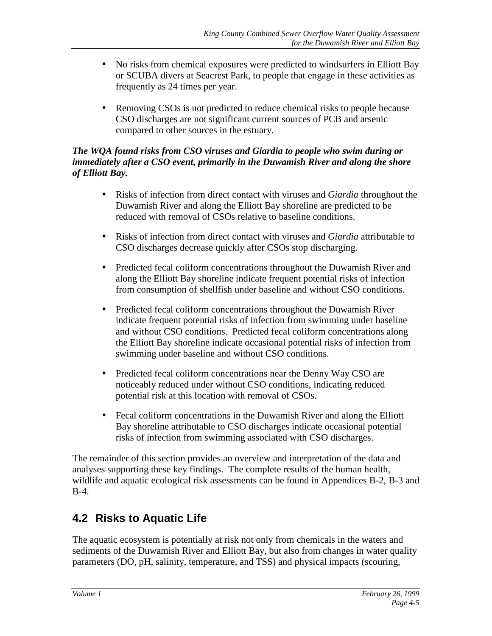- No risks from chemical exposures were predicted to windsurfers in Elliott Bay or SCUBA divers at Seacrest Park, to people that engage in these activities as frequently as 24 times per year.
- Removing CSOs is not predicted to reduce chemical risks to people because CSO discharges are not significant current sources of PCB and arsenic compared to other sources in the estuary.

#### *The WQA found risks from CSO viruses and Giardia to people who swim during or immediately after a CSO event, primarily in the Duwamish River and along the shore of Elliott Bay.*

- Risks of infection from direct contact with viruses and *Giardia* throughout the Duwamish River and along the Elliott Bay shoreline are predicted to be reduced with removal of CSOs relative to baseline conditions.
- Risks of infection from direct contact with viruses and *Giardia* attributable to CSO discharges decrease quickly after CSOs stop discharging.
- Predicted fecal coliform concentrations throughout the Duwamish River and along the Elliott Bay shoreline indicate frequent potential risks of infection from consumption of shellfish under baseline and without CSO conditions.
- Predicted fecal coliform concentrations throughout the Duwamish River indicate frequent potential risks of infection from swimming under baseline and without CSO conditions. Predicted fecal coliform concentrations along the Elliott Bay shoreline indicate occasional potential risks of infection from swimming under baseline and without CSO conditions.
- Predicted fecal coliform concentrations near the Denny Way CSO are noticeably reduced under without CSO conditions, indicating reduced potential risk at this location with removal of CSOs.
- Fecal coliform concentrations in the Duwamish River and along the Elliott Bay shoreline attributable to CSO discharges indicate occasional potential risks of infection from swimming associated with CSO discharges.

The remainder of this section provides an overview and interpretation of the data and analyses supporting these key findings. The complete results of the human health, wildlife and aquatic ecological risk assessments can be found in Appendices B-2, B-3 and B-4.

# **4.2 Risks to Aquatic Life**

The aquatic ecosystem is potentially at risk not only from chemicals in the waters and sediments of the Duwamish River and Elliott Bay, but also from changes in water quality parameters (DO, pH, salinity, temperature, and TSS) and physical impacts (scouring,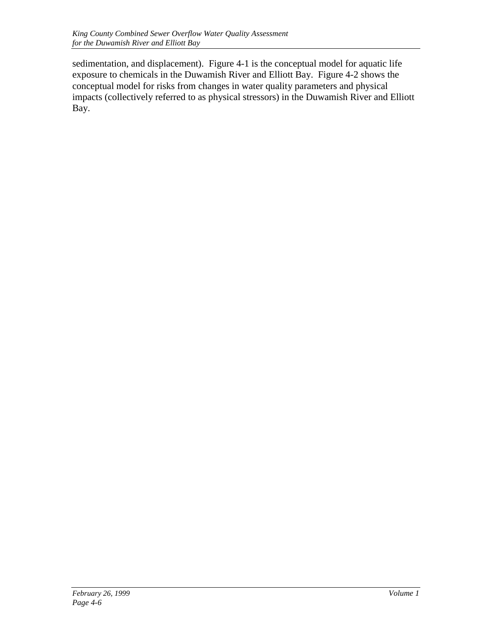sedimentation, and displacement). Figure 4-1 is the conceptual model for aquatic life exposure to chemicals in the Duwamish River and Elliott Bay. Figure 4-2 shows the conceptual model for risks from changes in water quality parameters and physical impacts (collectively referred to as physical stressors) in the Duwamish River and Elliott Bay.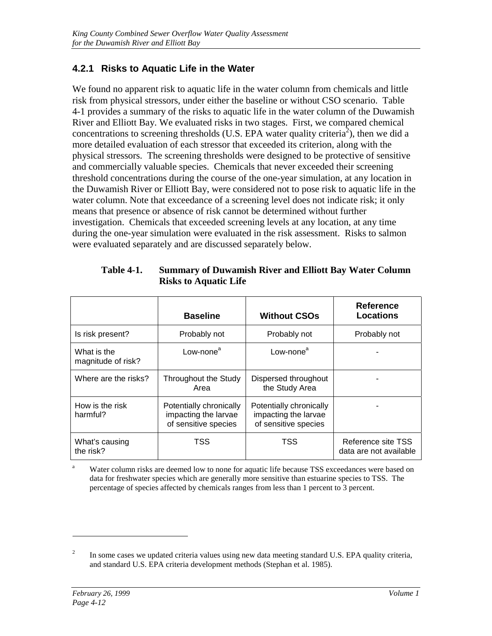### **4.2.1 Risks to Aquatic Life in the Water**

We found no apparent risk to aquatic life in the water column from chemicals and little risk from physical stressors, under either the baseline or without CSO scenario. Table 4-1 provides a summary of the risks to aquatic life in the water column of the Duwamish River and Elliott Bay. We evaluated risks in two stages. First, we compared chemical concentrations to screening thresholds (U.S. EPA water quality criteria<sup>2</sup>), then we did a more detailed evaluation of each stressor that exceeded its criterion, along with the physical stressors. The screening thresholds were designed to be protective of sensitive and commercially valuable species. Chemicals that never exceeded their screening threshold concentrations during the course of the one-year simulation, at any location in the Duwamish River or Elliott Bay, were considered not to pose risk to aquatic life in the water column. Note that exceedance of a screening level does not indicate risk; it only means that presence or absence of risk cannot be determined without further investigation. Chemicals that exceeded screening levels at any location, at any time during the one-year simulation were evaluated in the risk assessment. Risks to salmon were evaluated separately and are discussed separately below.

|                                   | <b>Baseline</b>                                                         | <b>Without CSOs</b>                                                     | <b>Reference</b><br><b>Locations</b>         |
|-----------------------------------|-------------------------------------------------------------------------|-------------------------------------------------------------------------|----------------------------------------------|
| Is risk present?                  | Probably not                                                            | Probably not                                                            | Probably not                                 |
| What is the<br>magnitude of risk? | Low-none <sup>a</sup>                                                   | Low-none <sup>a</sup>                                                   |                                              |
| Where are the risks?              | Throughout the Study<br>Area                                            | Dispersed throughout<br>the Study Area                                  |                                              |
| How is the risk<br>harmful?       | Potentially chronically<br>impacting the larvae<br>of sensitive species | Potentially chronically<br>impacting the larvae<br>of sensitive species |                                              |
| What's causing<br>the risk?       | TSS                                                                     | TSS                                                                     | Reference site TSS<br>data are not available |

**Table 4-1. Summary of Duwamish River and Elliott Bay Water Column Risks to Aquatic Life**

<sup>a</sup> Water column risks are deemed low to none for aquatic life because TSS exceedances were based on data for freshwater species which are generally more sensitive than estuarine species to TSS. The percentage of species affected by chemicals ranges from less than 1 percent to 3 percent.

 $\overline{a}$ 

<sup>2</sup> In some cases we updated criteria values using new data meeting standard U.S. EPA quality criteria, and standard U.S. EPA criteria development methods (Stephan et al. 1985).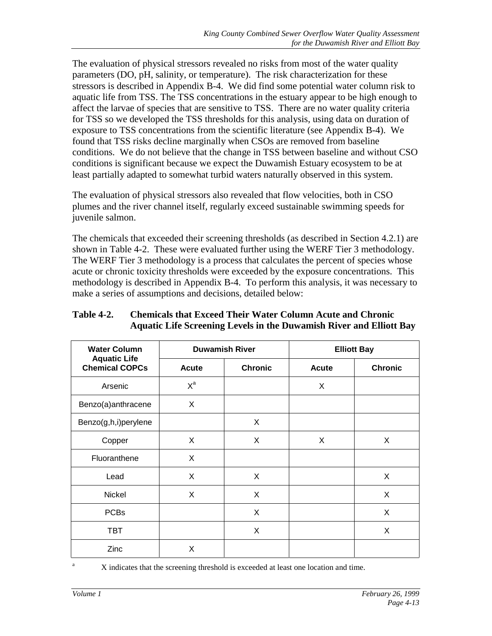The evaluation of physical stressors revealed no risks from most of the water quality parameters (DO, pH, salinity, or temperature). The risk characterization for these stressors is described in Appendix B-4. We did find some potential water column risk to aquatic life from TSS. The TSS concentrations in the estuary appear to be high enough to affect the larvae of species that are sensitive to TSS. There are no water quality criteria for TSS so we developed the TSS thresholds for this analysis, using data on duration of exposure to TSS concentrations from the scientific literature (see Appendix B-4). We found that TSS risks decline marginally when CSOs are removed from baseline conditions. We do not believe that the change in TSS between baseline and without CSO conditions is significant because we expect the Duwamish Estuary ecosystem to be at least partially adapted to somewhat turbid waters naturally observed in this system.

The evaluation of physical stressors also revealed that flow velocities, both in CSO plumes and the river channel itself, regularly exceed sustainable swimming speeds for juvenile salmon.

The chemicals that exceeded their screening thresholds (as described in Section 4.2.1) are shown in Table 4-2. These were evaluated further using the WERF Tier 3 methodology. The WERF Tier 3 methodology is a process that calculates the percent of species whose acute or chronic toxicity thresholds were exceeded by the exposure concentrations. This methodology is described in Appendix B-4. To perform this analysis, it was necessary to make a series of assumptions and decisions, detailed below:

| <b>Water Column</b>                          |              | <b>Duwamish River</b> | <b>Elliott Bay</b> |                |  |
|----------------------------------------------|--------------|-----------------------|--------------------|----------------|--|
| <b>Aquatic Life</b><br><b>Chemical COPCs</b> | <b>Acute</b> | <b>Chronic</b>        | Acute              | <b>Chronic</b> |  |
| Arsenic                                      | $X^a$        |                       | X                  |                |  |
| Benzo(a)anthracene                           | X            |                       |                    |                |  |
| Benzo(g,h,i)perylene                         |              | X                     |                    |                |  |
| Copper                                       | X            | X                     | X                  | X              |  |
| Fluoranthene                                 | X            |                       |                    |                |  |
| Lead                                         | X            | X                     |                    | X              |  |
| Nickel                                       | X            | X                     |                    | X              |  |
| <b>PCBs</b>                                  |              | X                     |                    | X              |  |
| <b>TBT</b>                                   |              | X                     |                    | X              |  |
| Zinc                                         | X            |                       |                    |                |  |

#### **Table 4-2. Chemicals that Exceed Their Water Column Acute and Chronic Aquatic Life Screening Levels in the Duwamish River and Elliott Bay**

<sup>a</sup> X indicates that the screening threshold is exceeded at least one location and time.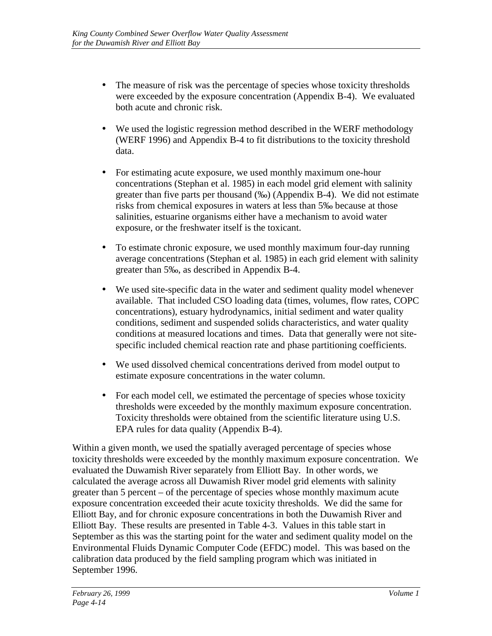- The measure of risk was the percentage of species whose toxicity thresholds were exceeded by the exposure concentration (Appendix B-4). We evaluated both acute and chronic risk.
- We used the logistic regression method described in the WERF methodology (WERF 1996) and Appendix B-4 to fit distributions to the toxicity threshold data.
- For estimating acute exposure, we used monthly maximum one-hour concentrations (Stephan et al. 1985) in each model grid element with salinity greater than five parts per thousand (‰) (Appendix B-4). We did not estimate risks from chemical exposures in waters at less than 5‰ because at those salinities, estuarine organisms either have a mechanism to avoid water exposure, or the freshwater itself is the toxicant.
- To estimate chronic exposure, we used monthly maximum four-day running average concentrations (Stephan et al*.* 1985) in each grid element with salinity greater than 5‰, as described in Appendix B-4.
- We used site-specific data in the water and sediment quality model whenever available. That included CSO loading data (times, volumes, flow rates, COPC concentrations), estuary hydrodynamics, initial sediment and water quality conditions, sediment and suspended solids characteristics, and water quality conditions at measured locations and times. Data that generally were not sitespecific included chemical reaction rate and phase partitioning coefficients.
- We used dissolved chemical concentrations derived from model output to estimate exposure concentrations in the water column.
- For each model cell, we estimated the percentage of species whose toxicity thresholds were exceeded by the monthly maximum exposure concentration. Toxicity thresholds were obtained from the scientific literature using U.S. EPA rules for data quality (Appendix B-4).

Within a given month, we used the spatially averaged percentage of species whose toxicity thresholds were exceeded by the monthly maximum exposure concentration. We evaluated the Duwamish River separately from Elliott Bay. In other words, we calculated the average across all Duwamish River model grid elements with salinity greater than 5 percent – of the percentage of species whose monthly maximum acute exposure concentration exceeded their acute toxicity thresholds. We did the same for Elliott Bay, and for chronic exposure concentrations in both the Duwamish River and Elliott Bay. These results are presented in Table 4-3. Values in this table start in September as this was the starting point for the water and sediment quality model on the Environmental Fluids Dynamic Computer Code (EFDC) model. This was based on the calibration data produced by the field sampling program which was initiated in September 1996.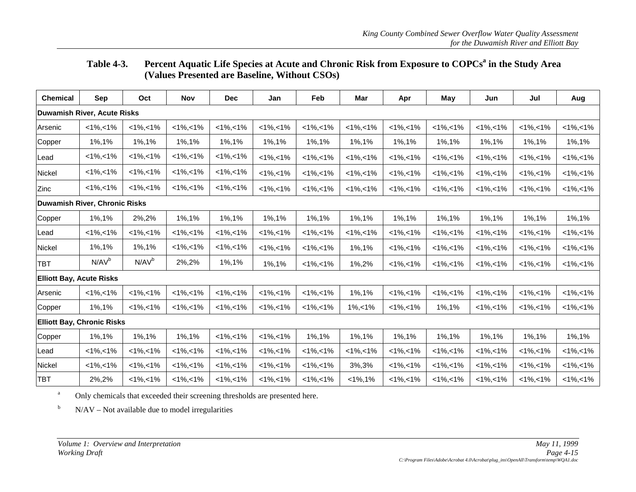#### Table 4-3. Percent Aquatic Life Species at Acute and Chronic Risk from Exposure to COPCs<sup>a</sup> in the Study Area **(Values Presented are Baseline, Without CSOs)**

| <b>Chemical</b>                 | <b>Sep</b>                         | Oct               | <b>Nov</b>      | <b>Dec</b>      | Jan             | Feb             | Mar             | Apr           | May             | Jun             | Jul             | Aug             |
|---------------------------------|------------------------------------|-------------------|-----------------|-----------------|-----------------|-----------------|-----------------|---------------|-----------------|-----------------|-----------------|-----------------|
|                                 | <b>Duwamish River, Acute Risks</b> |                   |                 |                 |                 |                 |                 |               |                 |                 |                 |                 |
| Arsenic                         | $<1\%$ , < 1%                      | $<1\%$ , < 1%     | $<1\%$ , < 1%   | $<1\%$ , < 1%   | $<1\%$ , < 1%   | $<1\%$ , < 1%   | $<1\%$ , < 1%   | $<1\%$ , < 1% | $<1\%$ , < 1%   | $<1\%$ , < 1%   | $<1\%$ , < 1%   | $<1\%,<1\%$     |
| Copper                          | 1%,1%                              | 1%,1%             | 1%,1%           | 1%,1%           | 1%,1%           | 1%,1%           | 1%,1%           | 1%,1%         | 1%,1%           | 1%, 1%          | 1%,1%           | 1%,1%           |
| Lead                            | $<1\%$ , < 1%                      | $<1\%$ , < 1%     | $<1\%$ , $<1\%$ | $<1\%$ , < 1%   | $<1\%$ , < 1%   | $<1\%$ , < 1%   | $<1\%$ , $<1\%$ | $<1\%$ , < 1% | $<1\%$ , < 1%   | $<1\%$ , $<1\%$ | $<1\%$ , < 1%   | $<1\%$ , $<1\%$ |
| Nickel                          | $<1\%,-1\%$                        | $<1\%,-1\%$       | $<1\%$ , $<1\%$ | $<1\%$ , < 1%   | $<1\%$ , < 1%   | $<1\%$ , < 1%   | $<1\%$ , $<1\%$ | $<1\%$ , < 1% | $<1\%$ , < 1%   | $<1\%$ , $<1\%$ | $<1\%$ , < 1%   | $<1\%$ , $<1\%$ |
| Zinc                            | $<1\%,-1\%$                        | $<1\%,-1\%$       | $<1\%,<1\%$     | $<1\%$ , < 1%   | $<1\%$ , $<1\%$ | $<1\%,<1\%$     | $<1\%$ , $<1\%$ | $<1\%$ , < 1% | $<1\%$ , $<1\%$ | $<1\%$ , $<1\%$ | $<1\%$ , $<1\%$ | $<1\%$ , $<1\%$ |
|                                 | Duwamish River, Chronic Risks      |                   |                 |                 |                 |                 |                 |               |                 |                 |                 |                 |
| Copper                          | 1%,1%                              | 2%,2%             | 1%, 1%          | 1%,1%           | 1%,1%           | 1%,1%           | 1%,1%           | 1%,1%         | 1%,1%           | 1%, 1%          | 1%,1%           | 1%,1%           |
| Lead                            | $<1\%,-1\%$                        | $<1\%,-1\%$       | $<1\%,<1\%$     | $<1\%,-1\%$     | $<1\%$ , < 1%   | $<1\%,-1\%$     | $<1\%,<1\%$     | $<1\%,-1\%$   | $<1\%,-1\%$     | $<1\%,<1\%$     | $<1\%,-1\%$     | $<1\%,-1\%$     |
| Nickel                          | 1%,1%                              | 1%, 1%            | $<1\%$ , $<1\%$ | $<1\%$ , < 1%   | $<1\%$ , < 1%   | $<1\%,<1\%$     | 1%,1%           | $<1\%$ , < 1% | $<1\%$ , $<1\%$ | $<1\%$ , $<1\%$ | $<1\%$ , $<1\%$ | $<1\%$ , $<1\%$ |
| <b>TBT</b>                      | N/AV <sup>b</sup>                  | N/AV <sup>b</sup> | 2%,2%           | 1%,1%           | 1%,1%           | $<1\%$ , $<1\%$ | 1%,2%           | $<1\%,-1\%$   | $<1\%$ , $<1\%$ | $<1\%$ , $<1\%$ | $<1\%,<1\%$     | $<1\%$ , $<1\%$ |
| <b>Elliott Bay, Acute Risks</b> |                                    |                   |                 |                 |                 |                 |                 |               |                 |                 |                 |                 |
| Arsenic                         | $<1\%$ , < 1%                      | $<1\%$ , < 1%     | $<1\%$ , $<1\%$ | $<1\%$ , < 1%   | $<1\%$ , < 1%   | $<1\%$ , < 1%   | 1%,1%           | $<1\%$ , < 1% | $<1\%$ , < 1%   | $<1\%$ , $<1\%$ | $<1\%$ , < 1%   | $<1\%$ , $<1\%$ |
| Copper                          | 1%,1%                              | $<1\%,-1\%$       | $<1\%,-1\%$     | $<1\%$ , < 1%   | $<1\%$ , < 1%   | $<1\%$ , $<1\%$ | $1\%$ , < $1\%$ | $<1\%,-1\%$   | 1%,1%           | $<1\%,<1\%$     | $<1\%,-1\%$     | $<1\%,-1\%$     |
|                                 | <b>Elliott Bay, Chronic Risks</b>  |                   |                 |                 |                 |                 |                 |               |                 |                 |                 |                 |
| Copper                          | 1%,1%                              | 1%,1%             | 1%, 1%          | $<1\%$ , $<1\%$ | $<1\%$ , $<1\%$ | 1%, 1%          | 1%, 1%          | 1%,1%         | 1%,1%           | 1%, 1%          | 1%, 1%          | 1%,1%           |
| Lead                            | $<1\%$ , $<1\%$                    | $<1\%$ , $<1\%$   | $<1\%$ , $<1\%$ | $<1\%$ , < 1%   | $<1\%$ , < 1%   | $<1\%$ , < 1%   | $<1\%$ , $<1\%$ | $<1\%$ , < 1% | $<1\%$ , $<1\%$ | $<1\%$ , $<1\%$ | $<1\%$ , < 1%   | $<1\%$ , $<1\%$ |
| Nickel                          | $<1\%,-1\%$                        | $<1\%,-1\%$       | $<1\%,-1\%$     | $<1\%$ , < 1%   | $<1\%$ , < 1%   | $<1\%,-1\%$     | 3%,3%           | $<1\%,-1\%$   | $<1\%,-1\%$     | $<1\%,-1\%$     | $<1\%,-1\%$     | $<1\%$ , $<1\%$ |
| <b>TBT</b>                      | 2%,2%                              | $<1\%$ , < 1%     | $<1\%,<1\%$     | $<1\%$ , < 1%   | $<1\%$ , < 1%   | $<1\%$ , < 1%   | $<1\%$ , 1%     | $<1\%$ , < 1% | $<1\%$ , < 1%   | $<1\%$ , < 1%   | $<1\%$ , < 1%   | $<1\%$ , $<1\%$ |

aOnly chemicals that exceeded their screening thresholds are presented here.

bN/AV – Not available due to model irregularities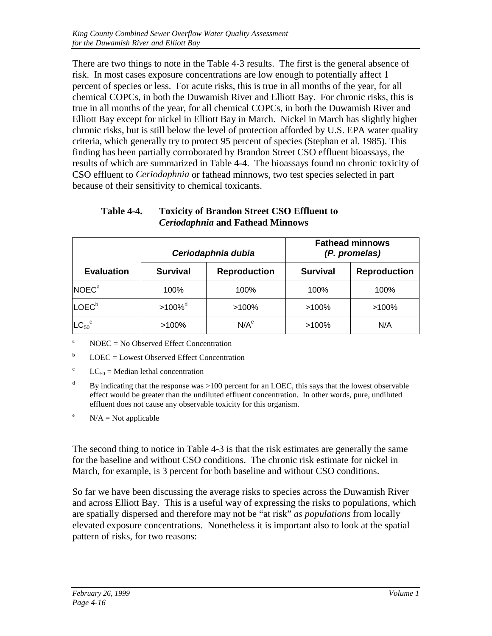There are two things to note in the Table 4-3 results. The first is the general absence of risk. In most cases exposure concentrations are low enough to potentially affect 1 percent of species or less. For acute risks, this is true in all months of the year, for all chemical COPCs, in both the Duwamish River and Elliott Bay. For chronic risks, this is true in all months of the year, for all chemical COPCs, in both the Duwamish River and Elliott Bay except for nickel in Elliott Bay in March. Nickel in March has slightly higher chronic risks, but is still below the level of protection afforded by U.S. EPA water quality criteria, which generally try to protect 95 percent of species (Stephan et al. 1985). This finding has been partially corroborated by Brandon Street CSO effluent bioassays, the results of which are summarized in Table 4-4. The bioassays found no chronic toxicity of CSO effluent to *Ceriodaphnia* or fathead minnows, two test species selected in part because of their sensitivity to chemical toxicants.

|                        |                       | Ceriodaphnia dubia  |                 | <b>Fathead minnows</b><br>(P. promelas) |
|------------------------|-----------------------|---------------------|-----------------|-----------------------------------------|
| <b>Evaluation</b>      | <b>Survival</b>       | <b>Reproduction</b> | <b>Survival</b> | <b>Reproduction</b>                     |
| NOEC <sup>a</sup>      | 100%                  | 100%                | 100%            | 100%                                    |
| LOEC <sup>b</sup>      | $>100\%$ <sup>d</sup> | $>100\%$            | $>100\%$        | $>100\%$                                |
| $LC_{50}$ <sup>c</sup> | $>100\%$              | N/A <sup>e</sup>    | $>100\%$        | N/A                                     |

| Table 4-4. | <b>Toxicity of Brandon Street CSO Effluent to</b> |
|------------|---------------------------------------------------|
|            | <i>Ceriodaphnia</i> and Fathead Minnows           |

<sup>a</sup> NOEC = No Observed Effect Concentration

 $b$  LOEC = Lowest Observed Effect Concentration

<sup>c</sup>  $LC_{50}$  = Median lethal concentration

 $d$  By indicating that the response was  $>100$  percent for an LOEC, this says that the lowest observable effect would be greater than the undiluted effluent concentration. In other words, pure, undiluted effluent does not cause any observable toxicity for this organism.

 $N/A = Not applicable$ 

The second thing to notice in Table 4-3 is that the risk estimates are generally the same for the baseline and without CSO conditions. The chronic risk estimate for nickel in March, for example, is 3 percent for both baseline and without CSO conditions.

So far we have been discussing the average risks to species across the Duwamish River and across Elliott Bay. This is a useful way of expressing the risks to populations, which are spatially dispersed and therefore may not be "at risk" *as populations* from locally elevated exposure concentrations. Nonetheless it is important also to look at the spatial pattern of risks, for two reasons: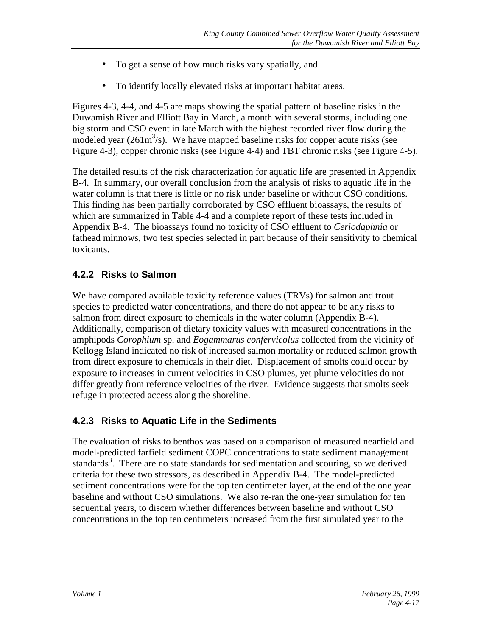- To get a sense of how much risks vary spatially, and
- To identify locally elevated risks at important habitat areas.

Figures 4-3, 4-4, and 4-5 are maps showing the spatial pattern of baseline risks in the Duwamish River and Elliott Bay in March, a month with several storms, including one big storm and CSO event in late March with the highest recorded river flow during the modeled year  $(261m<sup>3</sup>/s)$ . We have mapped baseline risks for copper acute risks (see Figure 4-3), copper chronic risks (see Figure 4-4) and TBT chronic risks (see Figure 4-5).

The detailed results of the risk characterization for aquatic life are presented in Appendix B-4. In summary, our overall conclusion from the analysis of risks to aquatic life in the water column is that there is little or no risk under baseline or without CSO conditions. This finding has been partially corroborated by CSO effluent bioassays, the results of which are summarized in Table 4-4 and a complete report of these tests included in Appendix B-4. The bioassays found no toxicity of CSO effluent to *Ceriodaphnia* or fathead minnows, two test species selected in part because of their sensitivity to chemical toxicants.

### **4.2.2 Risks to Salmon**

We have compared available toxicity reference values (TRVs) for salmon and trout species to predicted water concentrations, and there do not appear to be any risks to salmon from direct exposure to chemicals in the water column (Appendix B-4). Additionally, comparison of dietary toxicity values with measured concentrations in the amphipods *Corophium* sp. and *Eogammarus confervicolus* collected from the vicinity of Kellogg Island indicated no risk of increased salmon mortality or reduced salmon growth from direct exposure to chemicals in their diet. Displacement of smolts could occur by exposure to increases in current velocities in CSO plumes, yet plume velocities do not differ greatly from reference velocities of the river. Evidence suggests that smolts seek refuge in protected access along the shoreline.

### **4.2.3 Risks to Aquatic Life in the Sediments**

The evaluation of risks to benthos was based on a comparison of measured nearfield and model-predicted farfield sediment COPC concentrations to state sediment management standards<sup>3</sup>. There are no state standards for sedimentation and scouring, so we derived criteria for these two stressors, as described in Appendix B-4. The model-predicted sediment concentrations were for the top ten centimeter layer, at the end of the one year baseline and without CSO simulations. We also re-ran the one-year simulation for ten sequential years, to discern whether differences between baseline and without CSO concentrations in the top ten centimeters increased from the first simulated year to the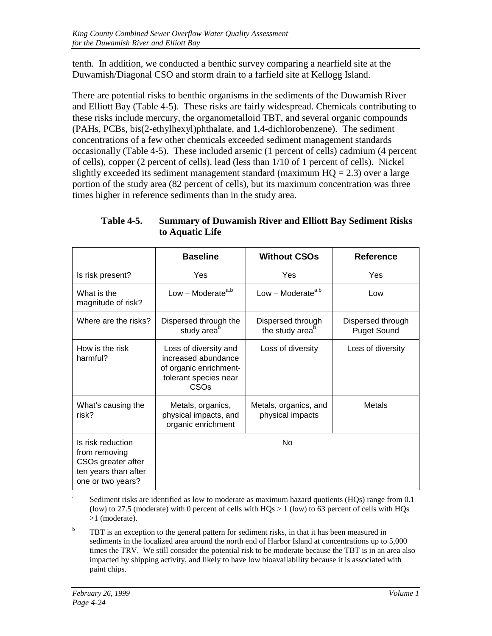tenth. In addition, we conducted a benthic survey comparing a nearfield site at the Duwamish/Diagonal CSO and storm drain to a farfield site at Kellogg Island.

There are potential risks to benthic organisms in the sediments of the Duwamish River and Elliott Bay (Table 4-5). These risks are fairly widespread. Chemicals contributing to these risks include mercury, the organometalloid TBT, and several organic compounds (PAHs, PCBs, bis(2-ethylhexyl)phthalate, and 1,4-dichlorobenzene). The sediment concentrations of a few other chemicals exceeded sediment management standards occasionally (Table 4-5). These included arsenic (1 percent of cells) cadmium (4 percent of cells), copper (2 percent of cells), lead (less than 1/10 of 1 percent of cells). Nickel slightly exceeded its sediment management standard (maximum  $HO = 2.3$ ) over a large portion of the study area (82 percent of cells), but its maximum concentration was three times higher in reference sediments than in the study area.

|                                                                                                       | <b>Baseline</b>                                                                                                     | <b>Without CSOs</b>                              | <b>Reference</b>                        |  |
|-------------------------------------------------------------------------------------------------------|---------------------------------------------------------------------------------------------------------------------|--------------------------------------------------|-----------------------------------------|--|
| Is risk present?                                                                                      | Yes                                                                                                                 | Yes                                              | Yes                                     |  |
| What is the<br>magnitude of risk?                                                                     | Low – Moderate <sup>a,b</sup>                                                                                       | Low - Moderate <sup>a,b</sup>                    | Low                                     |  |
| Where are the risks?                                                                                  | Dispersed through the<br>study area <sup>b</sup>                                                                    | Dispersed through<br>the study area <sup>o</sup> | Dispersed through<br><b>Puget Sound</b> |  |
| How is the risk<br>harmful?                                                                           | Loss of diversity and<br>increased abundance<br>of organic enrichment-<br>tolerant species near<br>CSO <sub>s</sub> | Loss of diversity                                | Loss of diversity                       |  |
| What's causing the<br>risk?                                                                           | Metals, organics,<br>physical impacts, and<br>organic enrichment                                                    | Metals, organics, and<br>physical impacts        | Metals                                  |  |
| Is risk reduction<br>from removing<br>CSOs greater after<br>ten years than after<br>one or two years? |                                                                                                                     | No                                               |                                         |  |

**Table 4-5. Summary of Duwamish River and Elliott Bay Sediment Risks to Aquatic Life**

<sup>a</sup> Sediment risks are identified as low to moderate as maximum hazard quotients (HQs) range from 0.1 (low) to 27.5 (moderate) with 0 percent of cells with  $HQs > 1$  (low) to 63 percent of cells with  $HQs$ >1 (moderate).

 $b$  TBT is an exception to the general pattern for sediment risks, in that it has been measured in sediments in the localized area around the north end of Harbor Island at concentrations up to 5,000 times the TRV. We still consider the potential risk to be moderate because the TBT is in an area also impacted by shipping activity, and likely to have low bioavailability because it is associated with paint chips.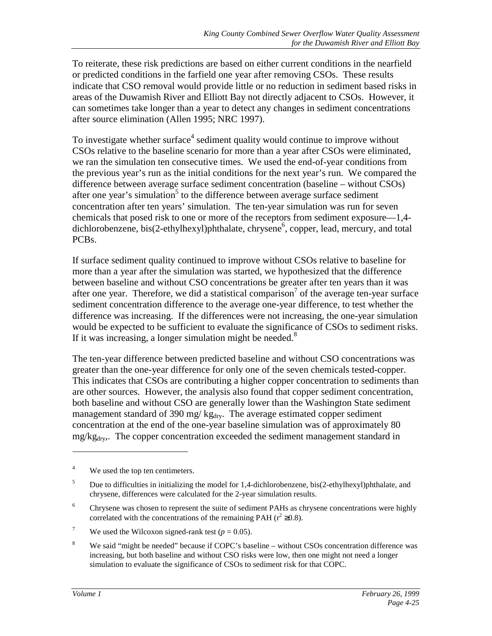To reiterate, these risk predictions are based on either current conditions in the nearfield or predicted conditions in the farfield one year after removing CSOs. These results indicate that CSO removal would provide little or no reduction in sediment based risks in areas of the Duwamish River and Elliott Bay not directly adjacent to CSOs. However, it can sometimes take longer than a year to detect any changes in sediment concentrations after source elimination (Allen 1995; NRC 1997).

To investigate whether surface<sup>4</sup> sediment quality would continue to improve without CSOs relative to the baseline scenario for more than a year after CSOs were eliminated, we ran the simulation ten consecutive times. We used the end-of-year conditions from the previous year's run as the initial conditions for the next year's run. We compared the difference between average surface sediment concentration (baseline – without CSOs) after one year's simulation<sup>5</sup> to the difference between average surface sediment concentration after ten years' simulation. The ten-year simulation was run for seven chemicals that posed risk to one or more of the receptors from sediment exposure—1,4 dichlorobenzene, bis(2-ethylhexyl)phthalate, chrysene<sup>6</sup>, copper, lead, mercury, and total PCBs.

If surface sediment quality continued to improve without CSOs relative to baseline for more than a year after the simulation was started, we hypothesized that the difference between baseline and without CSO concentrations be greater after ten years than it was after one year. Therefore, we did a statistical comparison<sup>7</sup> of the average ten-year surface sediment concentration difference to the average one-year difference, to test whether the difference was increasing. If the differences were not increasing, the one-year simulation would be expected to be sufficient to evaluate the significance of CSOs to sediment risks. If it was increasing, a longer simulation might be needed. $8$ 

The ten-year difference between predicted baseline and without CSO concentrations was greater than the one-year difference for only one of the seven chemicals tested-copper. This indicates that CSOs are contributing a higher copper concentration to sediments than are other sources. However, the analysis also found that copper sediment concentration, both baseline and without CSO are generally lower than the Washington State sediment management standard of 390 mg/ $kg<sub>dry</sub>$ . The average estimated copper sediment concentration at the end of the one-year baseline simulation was of approximately 80  $mg/kg<sub>drv</sub>$ . The copper concentration exceeded the sediment management standard in

 $\overline{a}$ 

<sup>4</sup> We used the top ten centimeters.

<sup>5</sup> Due to difficulties in initializing the model for 1,4-dichlorobenzene, bis(2-ethylhexyl)phthalate, and chrysene, differences were calculated for the 2-year simulation results.

<sup>6</sup> Chrysene was chosen to represent the suite of sediment PAHs as chrysene concentrations were highly correlated with the concentrations of the remaining PAH ( $r^2 \ge 0.8$ ).

<sup>7</sup> We used the Wilcoxon signed-rank test  $(p = 0.05)$ .

<sup>&</sup>lt;sup>8</sup> We said "might be needed" because if COPC's baseline – without CSOs concentration difference was increasing, but both baseline and without CSO risks were low, then one might not need a longer simulation to evaluate the significance of CSOs to sediment risk for that COPC.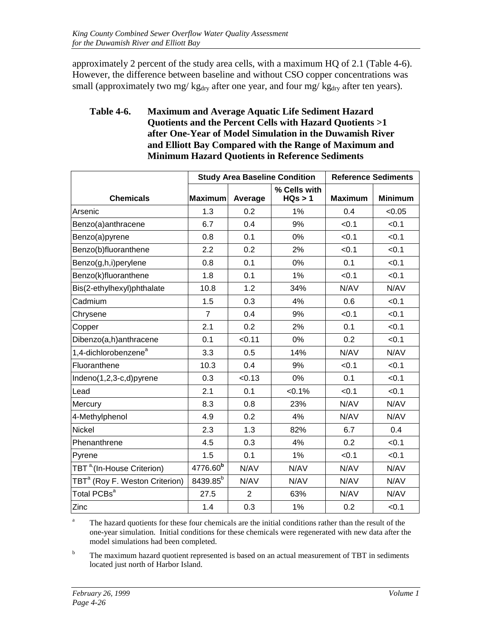approximately 2 percent of the study area cells, with a maximum HQ of 2.1 (Table 4-6). However, the difference between baseline and without CSO copper concentrations was small (approximately two mg/  $kg<sub>dry</sub>$  after one year, and four mg/  $kg<sub>dry</sub>$  after ten years).

#### **Table 4-6. Maximum and Average Aquatic Life Sediment Hazard Quotients and the Percent Cells with Hazard Quotients >1 after One-Year of Model Simulation in the Duwamish River and Elliott Bay Compared with the Range of Maximum and Minimum Hazard Quotients in Reference Sediments**

|                                                    | <b>Study Area Baseline Condition</b> |                |                         | <b>Reference Sediments</b> |                |
|----------------------------------------------------|--------------------------------------|----------------|-------------------------|----------------------------|----------------|
| <b>Chemicals</b>                                   | <b>Maximum</b>                       | Average        | % Cells with<br>HQs > 1 | <b>Maximum</b>             | <b>Minimum</b> |
| Arsenic                                            | 1.3                                  | 0.2            | 1%                      | 0.4                        | < 0.05         |
| Benzo(a)anthracene                                 | 6.7                                  | 0.4            | 9%                      | < 0.1                      | < 0.1          |
| Benzo(a)pyrene                                     | 0.8                                  | 0.1            | 0%                      | < 0.1                      | <0.1           |
| Benzo(b)fluoranthene                               | 2.2                                  | 0.2            | 2%                      | < 0.1                      | < 0.1          |
| Benzo(g,h,i)perylene                               | 0.8                                  | 0.1            | 0%                      | 0.1                        | < 0.1          |
| Benzo(k)fluoranthene                               | 1.8                                  | 0.1            | 1%                      | < 0.1                      | < 0.1          |
| Bis(2-ethylhexyl)phthalate                         | 10.8                                 | 1.2            | 34%                     | N/AV                       | N/AV           |
| Cadmium                                            | 1.5                                  | 0.3            | 4%                      | 0.6                        | < 0.1          |
| Chrysene                                           | $\overline{7}$                       | 0.4            | 9%                      | < 0.1                      | < 0.1          |
| Copper                                             | 2.1                                  | 0.2            | 2%                      | 0.1                        | < 0.1          |
| Dibenzo(a,h)anthracene                             | 0.1                                  | < 0.11         | 0%                      | 0.2                        | < 0.1          |
| 1,4-dichlorobenzene <sup>a</sup>                   | 3.3                                  | 0.5            | 14%                     | N/AV                       | N/AV           |
| Fluoranthene                                       | 10.3                                 | 0.4            | 9%                      | < 0.1                      | < 0.1          |
| Indeno(1,2,3-c,d)pyrene                            | 0.3                                  | < 0.13         | 0%                      | 0.1                        | < 0.1          |
| Lead                                               | 2.1                                  | 0.1            | $< 0.1\%$               | < 0.1                      | < 0.1          |
| Mercury                                            | 8.3                                  | 0.8            | 23%                     | N/AV                       | N/AV           |
| 4-Methylphenol                                     | 4.9                                  | 0.2            | 4%                      | N/AV                       | N/AV           |
| <b>Nickel</b>                                      | 2.3                                  | 1.3            | 82%                     | 6.7                        | 0.4            |
| Phenanthrene                                       | 4.5                                  | 0.3            | 4%                      | 0.2                        | < 0.1          |
| Pyrene                                             | 1.5                                  | 0.1            | 1%                      | < 0.1                      | < 0.1          |
| TBT <sup>a</sup> <sub>'</sub> (In-House Criterion) | 4776.60 <sup>b</sup>                 | N/AV           | N/AV                    | N/AV                       | N/AV           |
| TBT <sup>a</sup> (Roy F. Weston Criterion)         | 8439.85 <sup>b</sup>                 | N/AV           | N/AV                    | N/AV                       | N/AV           |
| Total PCBs <sup>a</sup>                            | 27.5                                 | $\overline{2}$ | 63%                     | N/AV                       | N/AV           |
| Zinc                                               | 1.4                                  | 0.3            | 1%                      | 0.2                        | < 0.1          |

<sup>a</sup> The hazard quotients for these four chemicals are the initial conditions rather than the result of the one-year simulation. Initial conditions for these chemicals were regenerated with new data after the model simulations had been completed.

<sup>b</sup> The maximum hazard quotient represented is based on an actual measurement of TBT in sediments located just north of Harbor Island.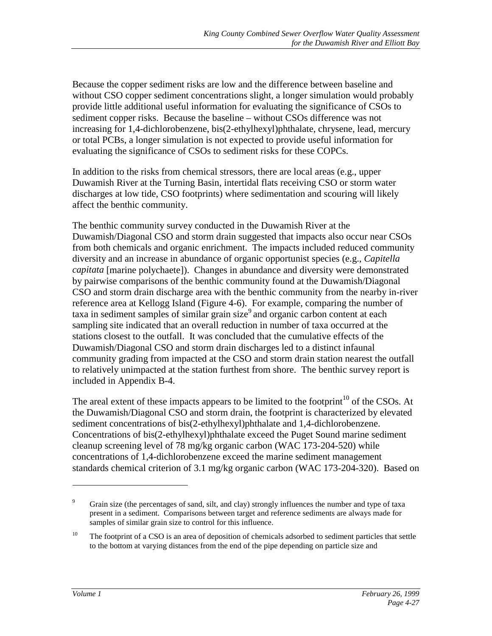Because the copper sediment risks are low and the difference between baseline and without CSO copper sediment concentrations slight, a longer simulation would probably provide little additional useful information for evaluating the significance of CSOs to sediment copper risks. Because the baseline – without CSOs difference was not increasing for 1,4-dichlorobenzene, bis(2-ethylhexyl)phthalate, chrysene, lead, mercury or total PCBs, a longer simulation is not expected to provide useful information for evaluating the significance of CSOs to sediment risks for these COPCs.

In addition to the risks from chemical stressors, there are local areas (e.g., upper Duwamish River at the Turning Basin, intertidal flats receiving CSO or storm water discharges at low tide, CSO footprints) where sedimentation and scouring will likely affect the benthic community.

The benthic community survey conducted in the Duwamish River at the Duwamish/Diagonal CSO and storm drain suggested that impacts also occur near CSOs from both chemicals and organic enrichment. The impacts included reduced community diversity and an increase in abundance of organic opportunist species (e.g., *Capitella capitata* [marine polychaete]). Changes in abundance and diversity were demonstrated by pairwise comparisons of the benthic community found at the Duwamish/Diagonal CSO and storm drain discharge area with the benthic community from the nearby in-river reference area at Kellogg Island (Figure 4-6). For example, comparing the number of taxa in sediment samples of similar grain size<sup>9</sup> and organic carbon content at each sampling site indicated that an overall reduction in number of taxa occurred at the stations closest to the outfall. It was concluded that the cumulative effects of the Duwamish/Diagonal CSO and storm drain discharges led to a distinct infaunal community grading from impacted at the CSO and storm drain station nearest the outfall to relatively unimpacted at the station furthest from shore. The benthic survey report is included in Appendix B-4.

The areal extent of these impacts appears to be limited to the footprint<sup>10</sup> of the CSOs. At the Duwamish/Diagonal CSO and storm drain, the footprint is characterized by elevated sediment concentrations of bis(2-ethylhexyl)phthalate and 1,4-dichlorobenzene. Concentrations of bis(2-ethylhexyl)phthalate exceed the Puget Sound marine sediment cleanup screening level of 78 mg/kg organic carbon (WAC 173-204-520) while concentrations of 1,4-dichlorobenzene exceed the marine sediment management standards chemical criterion of 3.1 mg/kg organic carbon (WAC 173-204-320). Based on

 $\overline{a}$ 

<sup>9</sup> Grain size (the percentages of sand, silt, and clay) strongly influences the number and type of taxa present in a sediment. Comparisons between target and reference sediments are always made for samples of similar grain size to control for this influence.

<sup>&</sup>lt;sup>10</sup> The footprint of a CSO is an area of deposition of chemicals adsorbed to sediment particles that settle to the bottom at varying distances from the end of the pipe depending on particle size and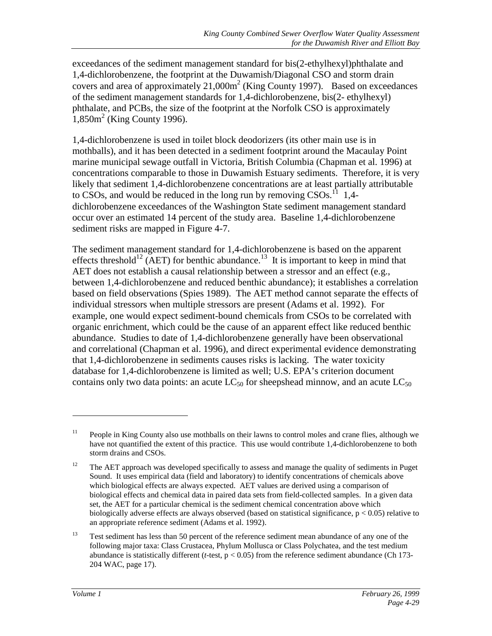exceedances of the sediment management standard for bis(2-ethylhexyl)phthalate and 1,4-dichlorobenzene, the footprint at the Duwamish/Diagonal CSO and storm drain covers and area of approximately  $21,000m^2$  (King County 1997). Based on exceedances of the sediment management standards for 1,4-dichlorobenzene, bis(2- ethylhexyl) phthalate, and PCBs, the size of the footprint at the Norfolk CSO is approximately  $1,850$ m<sup>2</sup> (King County 1996).

1,4-dichlorobenzene is used in toilet block deodorizers (its other main use is in mothballs), and it has been detected in a sediment footprint around the Macaulay Point marine municipal sewage outfall in Victoria, British Columbia (Chapman et al. 1996) at concentrations comparable to those in Duwamish Estuary sediments. Therefore, it is very likely that sediment 1,4-dichlorobenzene concentrations are at least partially attributable to CSOs, and would be reduced in the long run by removing  $CSOs$ .<sup>11</sup> 1,4dichlorobenzene exceedances of the Washington State sediment management standard occur over an estimated 14 percent of the study area. Baseline 1,4-dichlorobenzene sediment risks are mapped in Figure 4-7.

The sediment management standard for 1,4-dichlorobenzene is based on the apparent effects threshold<sup>12</sup> (AET) for benthic abundance.<sup>13</sup> It is important to keep in mind that AET does not establish a causal relationship between a stressor and an effect (e.g., between 1,4-dichlorobenzene and reduced benthic abundance); it establishes a correlation based on field observations (Spies 1989). The AET method cannot separate the effects of individual stressors when multiple stressors are present (Adams et al. 1992). For example, one would expect sediment-bound chemicals from CSOs to be correlated with organic enrichment, which could be the cause of an apparent effect like reduced benthic abundance. Studies to date of 1,4-dichlorobenzene generally have been observational and correlational (Chapman et al. 1996), and direct experimental evidence demonstrating that 1,4-dichlorobenzene in sediments causes risks is lacking. The water toxicity database for 1,4-dichlorobenzene is limited as well; U.S. EPA's criterion document contains only two data points: an acute  $LC_{50}$  for sheepshead minnow, and an acute  $LC_{50}$ 

<sup>&</sup>lt;sup>11</sup> People in King County also use mothballs on their lawns to control moles and crane flies, although we have not quantified the extent of this practice. This use would contribute 1,4-dichlorobenzene to both storm drains and CSOs.

 $12$  The AET approach was developed specifically to assess and manage the quality of sediments in Puget Sound. It uses empirical data (field and laboratory) to identify concentrations of chemicals above which biological effects are always expected. AET values are derived using a comparison of biological effects and chemical data in paired data sets from field-collected samples. In a given data set, the AET for a particular chemical is the sediment chemical concentration above which biologically adverse effects are always observed (based on statistical significance,  $p < 0.05$ ) relative to an appropriate reference sediment (Adams et al. 1992).

<sup>&</sup>lt;sup>13</sup> Test sediment has less than 50 percent of the reference sediment mean abundance of any one of the following major taxa: Class Crustacea, Phylum Mollusca or Class Polychatea, and the test medium abundance is statistically different (*t*-test, p < 0.05) from the reference sediment abundance (Ch 173- 204 WAC, page 17).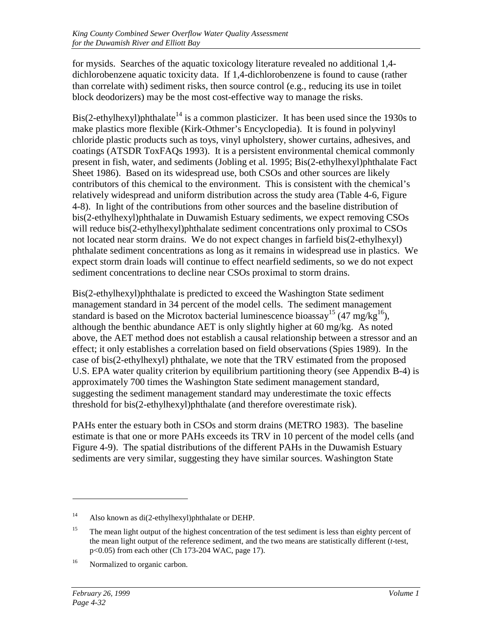for mysids. Searches of the aquatic toxicology literature revealed no additional 1,4 dichlorobenzene aquatic toxicity data. If 1,4-dichlorobenzene is found to cause (rather than correlate with) sediment risks, then source control (e.g., reducing its use in toilet block deodorizers) may be the most cost-effective way to manage the risks.

Bis(2-ethylhexyl)phthalate<sup>14</sup> is a common plasticizer. It has been used since the 1930s to make plastics more flexible (Kirk-Othmer's Encyclopedia). It is found in polyvinyl chloride plastic products such as toys, vinyl upholstery, shower curtains, adhesives, and coatings (ATSDR ToxFAQs 1993). It is a persistent environmental chemical commonly present in fish, water, and sediments (Jobling et al. 1995; Bis(2-ethylhexyl)phthalate Fact Sheet 1986). Based on its widespread use, both CSOs and other sources are likely contributors of this chemical to the environment. This is consistent with the chemical's relatively widespread and uniform distribution across the study area (Table 4-6, Figure 4-8). In light of the contributions from other sources and the baseline distribution of bis(2-ethylhexyl)phthalate in Duwamish Estuary sediments, we expect removing CSOs will reduce bis(2-ethylhexyl)phthalate sediment concentrations only proximal to CSOs not located near storm drains. We do not expect changes in farfield bis(2-ethylhexyl) phthalate sediment concentrations as long as it remains in widespread use in plastics. We expect storm drain loads will continue to effect nearfield sediments, so we do not expect sediment concentrations to decline near CSOs proximal to storm drains.

Bis(2-ethylhexyl)phthalate is predicted to exceed the Washington State sediment management standard in 34 percent of the model cells. The sediment management standard is based on the Microtox bacterial luminescence bioassay<sup>15</sup> (47 mg/kg<sup>16</sup>), although the benthic abundance AET is only slightly higher at 60 mg/kg. As noted above, the AET method does not establish a causal relationship between a stressor and an effect; it only establishes a correlation based on field observations (Spies 1989). In the case of bis(2-ethylhexyl) phthalate, we note that the TRV estimated from the proposed U.S. EPA water quality criterion by equilibrium partitioning theory (see Appendix B-4) is approximately 700 times the Washington State sediment management standard, suggesting the sediment management standard may underestimate the toxic effects threshold for bis(2-ethylhexyl)phthalate (and therefore overestimate risk).

PAHs enter the estuary both in CSOs and storm drains (METRO 1983). The baseline estimate is that one or more PAHs exceeds its TRV in 10 percent of the model cells (and Figure 4-9). The spatial distributions of the different PAHs in the Duwamish Estuary sediments are very similar, suggesting they have similar sources. Washington State

<sup>14</sup> Also known as di(2-ethylhexyl)phthalate or DEHP.

<sup>&</sup>lt;sup>15</sup> The mean light output of the highest concentration of the test sediment is less than eighty percent of the mean light output of the reference sediment, and the two means are statistically different (*t*-test, p<0.05) from each other (Ch 173-204 WAC, page 17).

<sup>&</sup>lt;sup>16</sup> Normalized to organic carbon.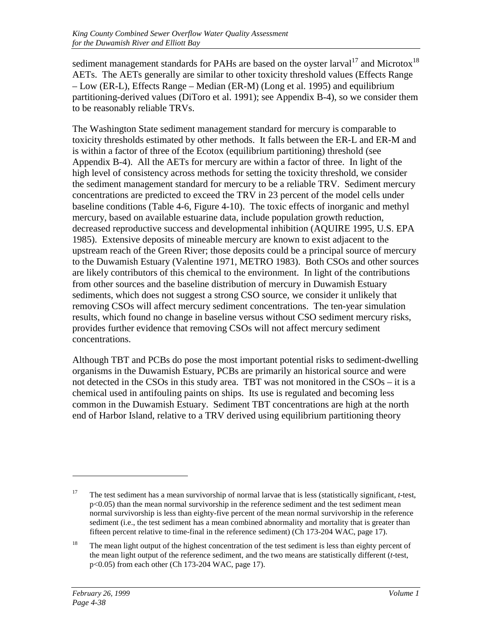sediment management standards for PAHs are based on the oyster  $larval<sup>17</sup>$  and Microtox<sup>18</sup> AETs. The AETs generally are similar to other toxicity threshold values (Effects Range – Low (ER-L), Effects Range – Median (ER-M) (Long et al. 1995) and equilibrium partitioning-derived values (DiToro et al. 1991); see Appendix B-4), so we consider them to be reasonably reliable TRVs.

The Washington State sediment management standard for mercury is comparable to toxicity thresholds estimated by other methods. It falls between the ER-L and ER-M and is within a factor of three of the Ecotox (equilibrium partitioning) threshold (see Appendix B-4). All the AETs for mercury are within a factor of three. In light of the high level of consistency across methods for setting the toxicity threshold, we consider the sediment management standard for mercury to be a reliable TRV. Sediment mercury concentrations are predicted to exceed the TRV in 23 percent of the model cells under baseline conditions (Table 4-6, Figure 4-10). The toxic effects of inorganic and methyl mercury, based on available estuarine data, include population growth reduction, decreased reproductive success and developmental inhibition (AQUIRE 1995, U.S. EPA 1985). Extensive deposits of mineable mercury are known to exist adjacent to the upstream reach of the Green River; those deposits could be a principal source of mercury to the Duwamish Estuary (Valentine 1971, METRO 1983). Both CSOs and other sources are likely contributors of this chemical to the environment. In light of the contributions from other sources and the baseline distribution of mercury in Duwamish Estuary sediments, which does not suggest a strong CSO source, we consider it unlikely that removing CSOs will affect mercury sediment concentrations. The ten-year simulation results, which found no change in baseline versus without CSO sediment mercury risks, provides further evidence that removing CSOs will not affect mercury sediment concentrations.

Although TBT and PCBs do pose the most important potential risks to sediment-dwelling organisms in the Duwamish Estuary, PCBs are primarily an historical source and were not detected in the CSOs in this study area. TBT was not monitored in the CSOs – it is a chemical used in antifouling paints on ships. Its use is regulated and becoming less common in the Duwamish Estuary. Sediment TBT concentrations are high at the north end of Harbor Island, relative to a TRV derived using equilibrium partitioning theory

<sup>17</sup> The test sediment has a mean survivorship of normal larvae that is less (statistically significant, *t*-test,  $p<0.05$ ) than the mean normal survivorship in the reference sediment and the test sediment mean normal survivorship is less than eighty-five percent of the mean normal survivorship in the reference sediment (i.e., the test sediment has a mean combined abnormality and mortality that is greater than fifteen percent relative to time-final in the reference sediment) (Ch 173-204 WAC, page 17).

<sup>&</sup>lt;sup>18</sup> The mean light output of the highest concentration of the test sediment is less than eighty percent of the mean light output of the reference sediment, and the two means are statistically different (*t*-test, p<0.05) from each other (Ch 173-204 WAC, page 17).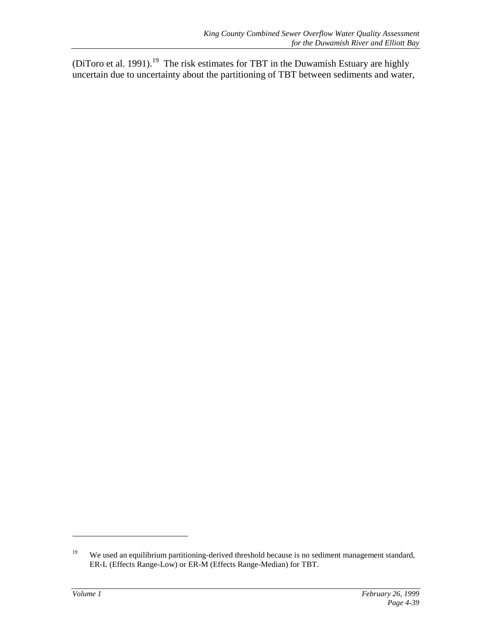(DiToro et al. 1991).<sup>19</sup> The risk estimates for TBT in the Duwamish Estuary are highly uncertain due to uncertainty about the partitioning of TBT between sediments and water,

<sup>&</sup>lt;sup>19</sup> We used an equilibrium partitioning-derived threshold because is no sediment management standard, ER-L (Effects Range-Low) or ER-M (Effects Range-Median) for TBT.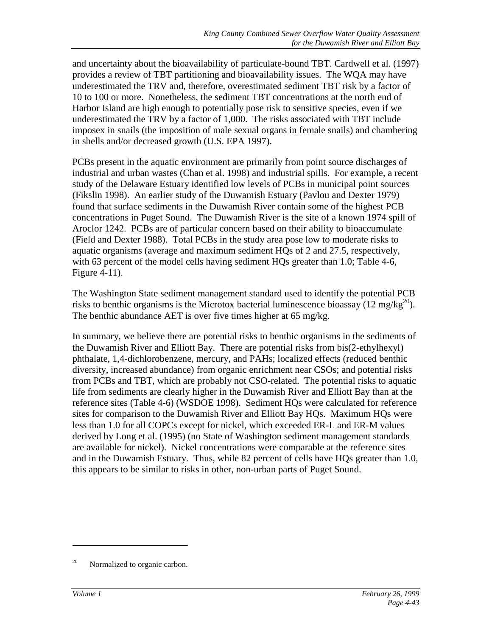and uncertainty about the bioavailability of particulate-bound TBT. Cardwell et al. (1997) provides a review of TBT partitioning and bioavailability issues. The WQA may have underestimated the TRV and, therefore, overestimated sediment TBT risk by a factor of 10 to 100 or more. Nonetheless, the sediment TBT concentrations at the north end of Harbor Island are high enough to potentially pose risk to sensitive species, even if we underestimated the TRV by a factor of 1,000. The risks associated with TBT include imposex in snails (the imposition of male sexual organs in female snails) and chambering in shells and/or decreased growth (U.S. EPA 1997).

PCBs present in the aquatic environment are primarily from point source discharges of industrial and urban wastes (Chan et al. 1998) and industrial spills. For example, a recent study of the Delaware Estuary identified low levels of PCBs in municipal point sources (Fikslin 1998). An earlier study of the Duwamish Estuary (Pavlou and Dexter 1979) found that surface sediments in the Duwamish River contain some of the highest PCB concentrations in Puget Sound. The Duwamish River is the site of a known 1974 spill of Aroclor 1242. PCBs are of particular concern based on their ability to bioaccumulate (Field and Dexter 1988). Total PCBs in the study area pose low to moderate risks to aquatic organisms (average and maximum sediment HQs of 2 and 27.5, respectively, with 63 percent of the model cells having sediment HQs greater than 1.0; Table 4-6, Figure 4-11).

The Washington State sediment management standard used to identify the potential PCB risks to benthic organisms is the Microtox bacterial luminescence bioassay (12 mg/kg<sup>20</sup>). The benthic abundance AET is over five times higher at 65 mg/kg.

In summary, we believe there are potential risks to benthic organisms in the sediments of the Duwamish River and Elliott Bay. There are potential risks from bis(2-ethylhexyl) phthalate, 1,4-dichlorobenzene, mercury, and PAHs; localized effects (reduced benthic diversity, increased abundance) from organic enrichment near CSOs; and potential risks from PCBs and TBT, which are probably not CSO-related. The potential risks to aquatic life from sediments are clearly higher in the Duwamish River and Elliott Bay than at the reference sites (Table 4-6) (WSDOE 1998). Sediment HQs were calculated for reference sites for comparison to the Duwamish River and Elliott Bay HQs. Maximum HQs were less than 1.0 for all COPCs except for nickel, which exceeded ER-L and ER-M values derived by Long et al. (1995) (no State of Washington sediment management standards are available for nickel). Nickel concentrations were comparable at the reference sites and in the Duwamish Estuary. Thus, while 82 percent of cells have HQs greater than 1.0, this appears to be similar to risks in other, non-urban parts of Puget Sound.

 $^{20}$  Normalized to organic carbon.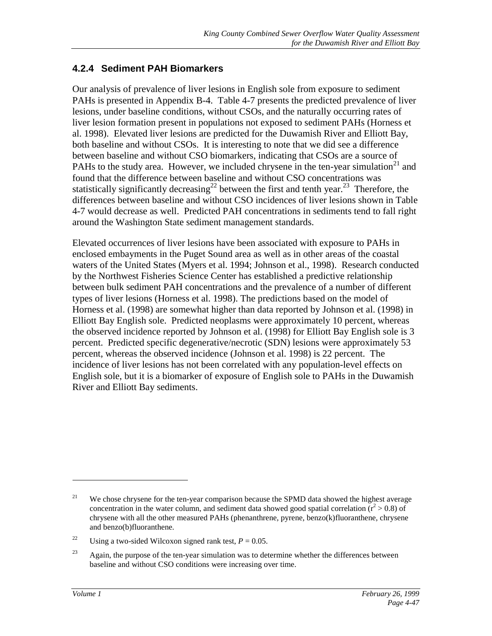## **4.2.4 Sediment PAH Biomarkers**

Our analysis of prevalence of liver lesions in English sole from exposure to sediment PAHs is presented in Appendix B-4. Table 4-7 presents the predicted prevalence of liver lesions, under baseline conditions, without CSOs, and the naturally occurring rates of liver lesion formation present in populations not exposed to sediment PAHs (Horness et al. 1998). Elevated liver lesions are predicted for the Duwamish River and Elliott Bay, both baseline and without CSOs. It is interesting to note that we did see a difference between baseline and without CSO biomarkers, indicating that CSOs are a source of PAHs to the study area. However, we included chrysene in the ten-year simulation<sup>21</sup> and found that the difference between baseline and without CSO concentrations was statistically significantly decreasing<sup>22</sup> between the first and tenth year.<sup>23</sup> Therefore, the differences between baseline and without CSO incidences of liver lesions shown in Table 4-7 would decrease as well. Predicted PAH concentrations in sediments tend to fall right around the Washington State sediment management standards.

Elevated occurrences of liver lesions have been associated with exposure to PAHs in enclosed embayments in the Puget Sound area as well as in other areas of the coastal waters of the United States (Myers et al. 1994; Johnson et al., 1998). Research conducted by the Northwest Fisheries Science Center has established a predictive relationship between bulk sediment PAH concentrations and the prevalence of a number of different types of liver lesions (Horness et al. 1998). The predictions based on the model of Horness et al. (1998) are somewhat higher than data reported by Johnson et al. (1998) in Elliott Bay English sole. Predicted neoplasms were approximately 10 percent, whereas the observed incidence reported by Johnson et al. (1998) for Elliott Bay English sole is 3 percent. Predicted specific degenerative/necrotic (SDN) lesions were approximately 53 percent, whereas the observed incidence (Johnson et al. 1998) is 22 percent. The incidence of liver lesions has not been correlated with any population-level effects on English sole, but it is a biomarker of exposure of English sole to PAHs in the Duwamish River and Elliott Bay sediments.

<sup>&</sup>lt;sup>21</sup> We chose chrysene for the ten-year comparison because the SPMD data showed the highest average concentration in the water column, and sediment data showed good spatial correlation  $(r^2 > 0.8)$  of chrysene with all the other measured PAHs (phenanthrene, pyrene, benzo(k)fluoranthene, chrysene and benzo(b)fluoranthene.

<sup>&</sup>lt;sup>22</sup> Using a two-sided Wilcoxon signed rank test,  $P = 0.05$ .

 $23$  Again, the purpose of the ten-year simulation was to determine whether the differences between baseline and without CSO conditions were increasing over time.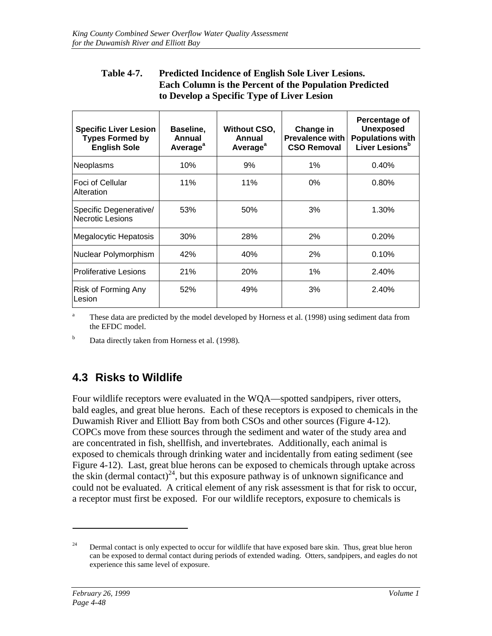### **Table 4-7. Predicted Incidence of English Sole Liver Lesions. Each Column is the Percent of the Population Predicted to Develop a Specific Type of Liver Lesion**

| <b>Specific Liver Lesion</b><br><b>Types Formed by</b><br><b>English Sole</b> | Baseline,<br>Annual<br>Average <sup>a</sup> | <b>Without CSO,</b><br>Annual<br>Average <sup>a</sup> | Change in<br><b>Prevalence with</b><br><b>CSO Removal</b> | Percentage of<br><b>Unexposed</b><br><b>Populations with</b><br>Liver Lesions <sup>b</sup> |
|-------------------------------------------------------------------------------|---------------------------------------------|-------------------------------------------------------|-----------------------------------------------------------|--------------------------------------------------------------------------------------------|
| Neoplasms                                                                     | 10%                                         | 9%                                                    | $1\%$                                                     | 0.40%                                                                                      |
| lFoci of Cellular<br>Alteration                                               | 11%                                         | 11%                                                   | $0\%$                                                     | 0.80%                                                                                      |
| Specific Degenerative/<br>Necrotic Lesions                                    | 53%                                         | 50%                                                   | 3%                                                        | 1.30%                                                                                      |
| Megalocytic Hepatosis                                                         | 30%                                         | 28%                                                   | 2%                                                        | 0.20%                                                                                      |
| Nuclear Polymorphism                                                          | 42%                                         | 40%                                                   | 2%                                                        | 0.10%                                                                                      |
| <b>Proliferative Lesions</b>                                                  | 21%                                         | 20%                                                   | 1%                                                        | 2.40%                                                                                      |
| <b>Risk of Forming Any</b><br>Lesion                                          | 52%                                         | 49%                                                   | 3%                                                        | 2.40%                                                                                      |

<sup>a</sup> These data are predicted by the model developed by Horness et al. (1998) using sediment data from the EFDC model.

 $<sup>b</sup>$  Data directly taken from Horness et al. (1998).</sup>

# **4.3 Risks to Wildlife**

Four wildlife receptors were evaluated in the WQA—spotted sandpipers, river otters, bald eagles, and great blue herons. Each of these receptors is exposed to chemicals in the Duwamish River and Elliott Bay from both CSOs and other sources (Figure 4-12). COPCs move from these sources through the sediment and water of the study area and are concentrated in fish, shellfish, and invertebrates. Additionally, each animal is exposed to chemicals through drinking water and incidentally from eating sediment (see Figure 4-12). Last, great blue herons can be exposed to chemicals through uptake across the skin (dermal contact)<sup>24</sup>, but this exposure pathway is of unknown significance and could not be evaluated. A critical element of any risk assessment is that for risk to occur, a receptor must first be exposed. For our wildlife receptors, exposure to chemicals is

<sup>&</sup>lt;sup>24</sup> Dermal contact is only expected to occur for wildlife that have exposed bare skin. Thus, great blue heron can be exposed to dermal contact during periods of extended wading. Otters, sandpipers, and eagles do not experience this same level of exposure.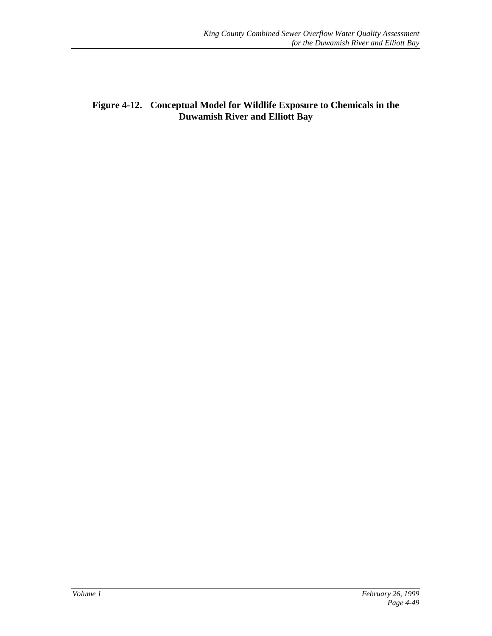**Figure 4-12. Conceptual Model for Wildlife Exposure to Chemicals in the Duwamish River and Elliott Bay**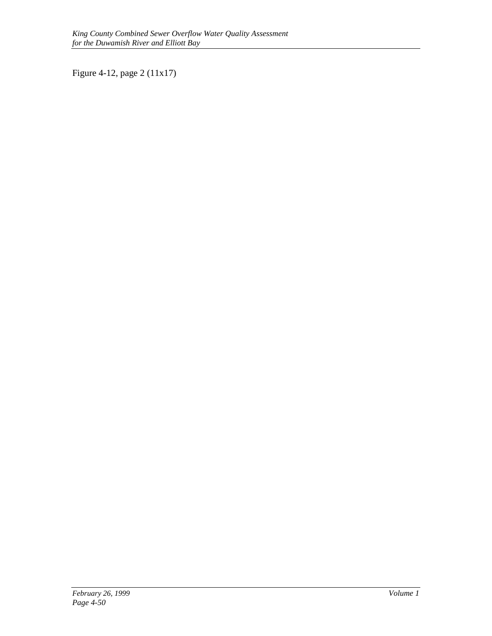Figure 4-12, page 2 (11x17)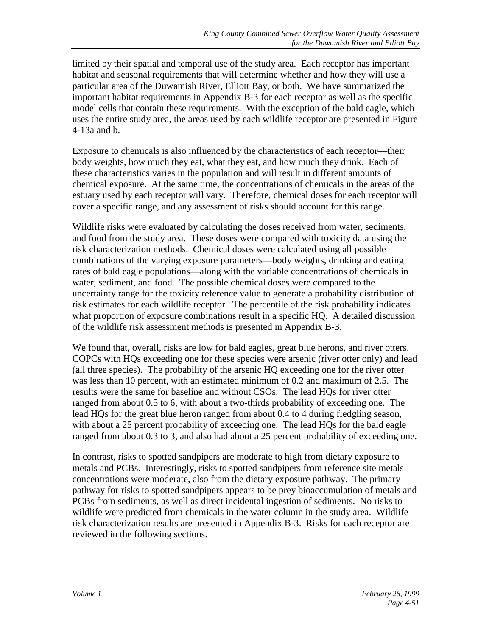limited by their spatial and temporal use of the study area. Each receptor has important habitat and seasonal requirements that will determine whether and how they will use a particular area of the Duwamish River, Elliott Bay, or both. We have summarized the important habitat requirements in Appendix B-3 for each receptor as well as the specific model cells that contain these requirements. With the exception of the bald eagle, which uses the entire study area, the areas used by each wildlife receptor are presented in Figure 4-13a and b.

Exposure to chemicals is also influenced by the characteristics of each receptor—their body weights, how much they eat, what they eat, and how much they drink. Each of these characteristics varies in the population and will result in different amounts of chemical exposure. At the same time, the concentrations of chemicals in the areas of the estuary used by each receptor will vary. Therefore, chemical doses for each receptor will cover a specific range, and any assessment of risks should account for this range.

Wildlife risks were evaluated by calculating the doses received from water, sediments, and food from the study area. These doses were compared with toxicity data using the risk characterization methods. Chemical doses were calculated using all possible combinations of the varying exposure parameters—body weights, drinking and eating rates of bald eagle populations—along with the variable concentrations of chemicals in water, sediment, and food. The possible chemical doses were compared to the uncertainty range for the toxicity reference value to generate a probability distribution of risk estimates for each wildlife receptor. The percentile of the risk probability indicates what proportion of exposure combinations result in a specific HQ. A detailed discussion of the wildlife risk assessment methods is presented in Appendix B-3.

We found that, overall, risks are low for bald eagles, great blue herons, and river otters. COPCs with HQs exceeding one for these species were arsenic (river otter only) and lead (all three species). The probability of the arsenic HQ exceeding one for the river otter was less than 10 percent, with an estimated minimum of 0.2 and maximum of 2.5. The results were the same for baseline and without CSOs. The lead HQs for river otter ranged from about 0.5 to 6, with about a two-thirds probability of exceeding one. The lead HQs for the great blue heron ranged from about 0.4 to 4 during fledgling season, with about a 25 percent probability of exceeding one. The lead HQs for the bald eagle ranged from about 0.3 to 3, and also had about a 25 percent probability of exceeding one.

In contrast, risks to spotted sandpipers are moderate to high from dietary exposure to metals and PCBs. Interestingly, risks to spotted sandpipers from reference site metals concentrations were moderate, also from the dietary exposure pathway. The primary pathway for risks to spotted sandpipers appears to be prey bioaccumulation of metals and PCBs from sediments, as well as direct incidental ingestion of sediments. No risks to wildlife were predicted from chemicals in the water column in the study area. Wildlife risk characterization results are presented in Appendix B-3. Risks for each receptor are reviewed in the following sections.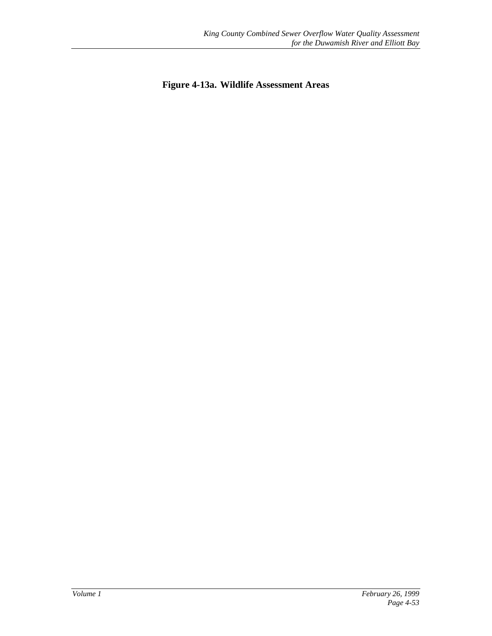**Figure 4-13a. Wildlife Assessment Areas**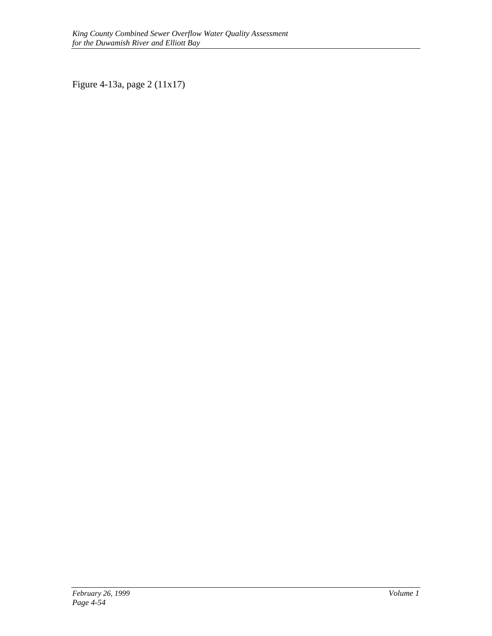Figure 4-13a, page 2 (11x17)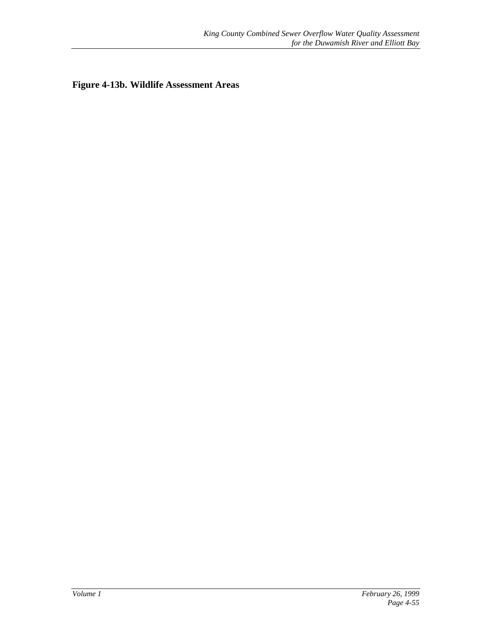**Figure 4-13b. Wildlife Assessment Areas**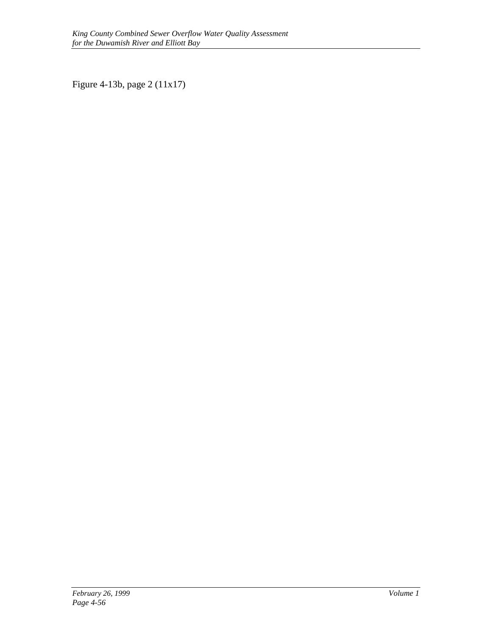Figure 4-13b, page 2 (11x17)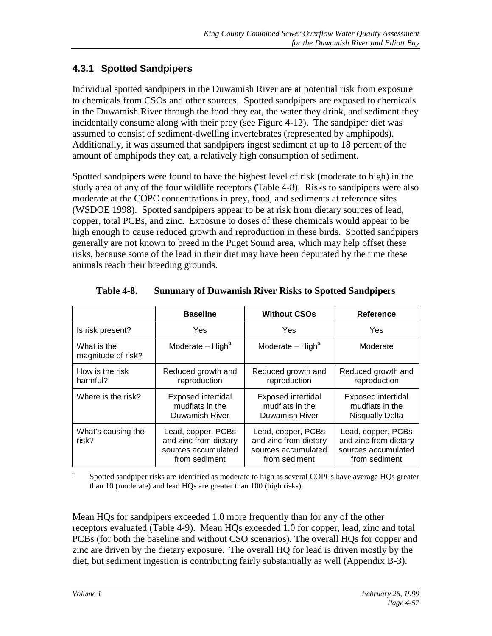## **4.3.1 Spotted Sandpipers**

Individual spotted sandpipers in the Duwamish River are at potential risk from exposure to chemicals from CSOs and other sources. Spotted sandpipers are exposed to chemicals in the Duwamish River through the food they eat, the water they drink, and sediment they incidentally consume along with their prey (see Figure 4-12). The sandpiper diet was assumed to consist of sediment-dwelling invertebrates (represented by amphipods). Additionally, it was assumed that sandpipers ingest sediment at up to 18 percent of the amount of amphipods they eat, a relatively high consumption of sediment.

Spotted sandpipers were found to have the highest level of risk (moderate to high) in the study area of any of the four wildlife receptors (Table 4-8). Risks to sandpipers were also moderate at the COPC concentrations in prey, food, and sediments at reference sites (WSDOE 1998). Spotted sandpipers appear to be at risk from dietary sources of lead, copper, total PCBs, and zinc. Exposure to doses of these chemicals would appear to be high enough to cause reduced growth and reproduction in these birds. Spotted sandpipers generally are not known to breed in the Puget Sound area, which may help offset these risks, because some of the lead in their diet may have been depurated by the time these animals reach their breeding grounds.

|                                   | <b>Baseline</b>                                                                     | <b>Without CSOs</b>                                                                 | <b>Reference</b>                                                                    |
|-----------------------------------|-------------------------------------------------------------------------------------|-------------------------------------------------------------------------------------|-------------------------------------------------------------------------------------|
| Is risk present?                  | Yes                                                                                 | Yes                                                                                 | Yes                                                                                 |
| What is the<br>magnitude of risk? | Moderate $-$ High <sup>a</sup>                                                      | Moderate $-$ High <sup>a</sup>                                                      | Moderate                                                                            |
| How is the risk<br>harmful?       | Reduced growth and<br>reproduction                                                  | Reduced growth and<br>reproduction                                                  | Reduced growth and<br>reproduction                                                  |
| Where is the risk?                | <b>Exposed intertidal</b><br>mudflats in the<br>Duwamish River                      | <b>Exposed intertidal</b><br>mudflats in the<br>Duwamish River                      | <b>Exposed intertidal</b><br>mudflats in the<br><b>Nisqually Delta</b>              |
| What's causing the<br>risk?       | Lead, copper, PCBs<br>and zinc from dietary<br>sources accumulated<br>from sediment | Lead, copper, PCBs<br>and zinc from dietary<br>sources accumulated<br>from sediment | Lead, copper, PCBs<br>and zinc from dietary<br>sources accumulated<br>from sediment |

**Table 4-8. Summary of Duwamish River Risks to Spotted Sandpipers**

Spotted sandpiper risks are identified as moderate to high as several COPCs have average HQs greater than 10 (moderate) and lead HQs are greater than 100 (high risks).

Mean HQs for sandpipers exceeded 1.0 more frequently than for any of the other receptors evaluated (Table 4-9). Mean HQs exceeded 1.0 for copper, lead, zinc and total PCBs (for both the baseline and without CSO scenarios). The overall HQs for copper and zinc are driven by the dietary exposure. The overall HQ for lead is driven mostly by the diet, but sediment ingestion is contributing fairly substantially as well (Appendix B-3).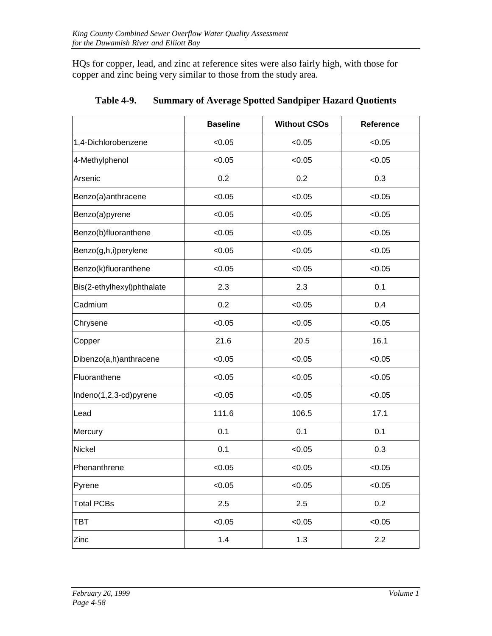HQs for copper, lead, and zinc at reference sites were also fairly high, with those for copper and zinc being very similar to those from the study area.

|                            | <b>Baseline</b> | <b>Without CSOs</b> | Reference |
|----------------------------|-----------------|---------------------|-----------|
| 1,4-Dichlorobenzene        | < 0.05          | < 0.05              | < 0.05    |
| 4-Methylphenol             | <0.05           | < 0.05              | < 0.05    |
| Arsenic                    | 0.2             | 0.2                 | 0.3       |
| Benzo(a)anthracene         | < 0.05          | < 0.05              | < 0.05    |
| Benzo(a)pyrene             | < 0.05          | < 0.05              | < 0.05    |
| Benzo(b)fluoranthene       | < 0.05          | < 0.05              | < 0.05    |
| Benzo(g,h,i)perylene       | < 0.05          | < 0.05              | < 0.05    |
| Benzo(k)fluoranthene       | < 0.05          | < 0.05              | < 0.05    |
| Bis(2-ethylhexyl)phthalate | 2.3             | 2.3                 | 0.1       |
| Cadmium                    | 0.2             | < 0.05              | 0.4       |
| Chrysene                   | <0.05           | < 0.05              | < 0.05    |
| Copper                     | 21.6            | 20.5                | 16.1      |
| Dibenzo(a,h)anthracene     | < 0.05          | < 0.05              | < 0.05    |
| Fluoranthene               | < 0.05          | < 0.05              | < 0.05    |
| Indeno(1,2,3-cd)pyrene     | < 0.05          | < 0.05              | < 0.05    |
| Lead                       | 111.6           | 106.5               | 17.1      |
| Mercury                    | 0.1             | 0.1                 | 0.1       |
| <b>Nickel</b>              | 0.1             | < 0.05              | 0.3       |
| Phenanthrene               | < 0.05          | < 0.05              | < 0.05    |
| Pyrene                     | < 0.05          | < 0.05              | < 0.05    |
| <b>Total PCBs</b>          | 2.5             | 2.5                 | 0.2       |
| TBT                        | < 0.05          | < 0.05              | < 0.05    |
| Zinc                       | 1.4             | 1.3                 | 2.2       |

**Table 4-9. Summary of Average Spotted Sandpiper Hazard Quotients**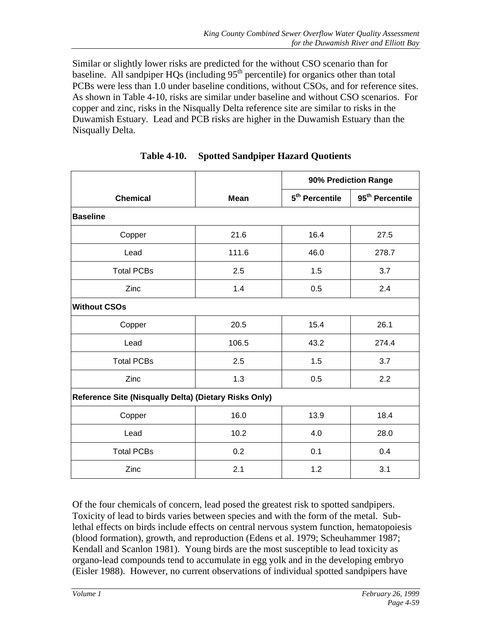Similar or slightly lower risks are predicted for the without CSO scenario than for baseline. All sandpiper  $HQs$  (including  $95<sup>th</sup>$  percentile) for organics other than total PCBs were less than 1.0 under baseline conditions, without CSOs, and for reference sites. As shown in Table 4-10, risks are similar under baseline and without CSO scenarios. For copper and zinc, risks in the Nisqually Delta reference site are similar to risks in the Duwamish Estuary. Lead and PCB risks are higher in the Duwamish Estuary than the Nisqually Delta.

|                                                       |             | 90% Prediction Range       |                             |
|-------------------------------------------------------|-------------|----------------------------|-----------------------------|
| <b>Chemical</b>                                       | <b>Mean</b> | 5 <sup>th</sup> Percentile | 95 <sup>th</sup> Percentile |
| <b>Baseline</b>                                       |             |                            |                             |
| Copper                                                | 21.6        | 16.4                       | 27.5                        |
| Lead                                                  | 111.6       | 46.0                       | 278.7                       |
| <b>Total PCBs</b>                                     | 2.5         | 1.5                        | 3.7                         |
| Zinc                                                  | 1.4         | 0.5                        | 2.4                         |
| <b>Without CSOs</b>                                   |             |                            |                             |
| Copper                                                | 20.5        | 15.4                       | 26.1                        |
| Lead                                                  | 106.5       | 43.2                       | 274.4                       |
| <b>Total PCBs</b>                                     | 2.5         | 1.5                        | 3.7                         |
| Zinc                                                  | 1.3         | 0.5                        | 2.2                         |
| Reference Site (Nisqually Delta) (Dietary Risks Only) |             |                            |                             |
| Copper                                                | 16.0        | 13.9                       | 18.4                        |
| Lead                                                  | 10.2        | 4.0                        | 28.0                        |
| <b>Total PCBs</b>                                     | 0.2         | 0.1                        | 0.4                         |
| Zinc                                                  | 2.1         | 1.2                        | 3.1                         |

**Table 4-10. Spotted Sandpiper Hazard Quotients**

Of the four chemicals of concern, lead posed the greatest risk to spotted sandpipers. Toxicity of lead to birds varies between species and with the form of the metal. Sublethal effects on birds include effects on central nervous system function, hematopoiesis (blood formation), growth, and reproduction (Edens et al. 1979; Scheuhammer 1987; Kendall and Scanlon 1981). Young birds are the most susceptible to lead toxicity as organo-lead compounds tend to accumulate in egg yolk and in the developing embryo (Eisler 1988). However, no current observations of individual spotted sandpipers have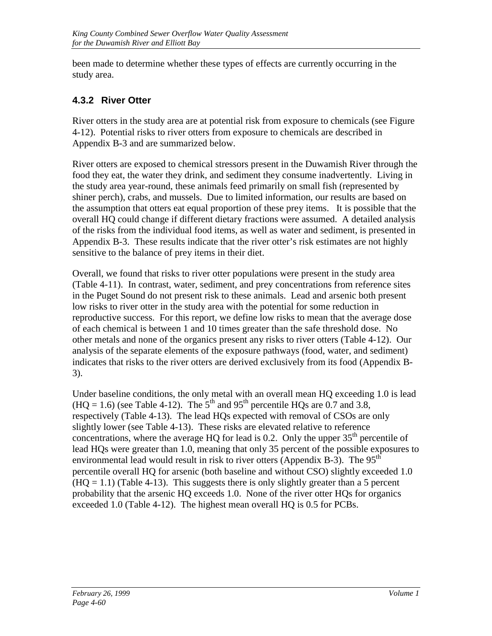been made to determine whether these types of effects are currently occurring in the study area.

## **4.3.2 River Otter**

River otters in the study area are at potential risk from exposure to chemicals (see Figure 4-12). Potential risks to river otters from exposure to chemicals are described in Appendix B-3 and are summarized below.

River otters are exposed to chemical stressors present in the Duwamish River through the food they eat, the water they drink, and sediment they consume inadvertently. Living in the study area year-round, these animals feed primarily on small fish (represented by shiner perch), crabs, and mussels. Due to limited information, our results are based on the assumption that otters eat equal proportion of these prey items. It is possible that the overall HQ could change if different dietary fractions were assumed. A detailed analysis of the risks from the individual food items, as well as water and sediment, is presented in Appendix B-3. These results indicate that the river otter's risk estimates are not highly sensitive to the balance of prey items in their diet.

Overall, we found that risks to river otter populations were present in the study area (Table 4-11). In contrast, water, sediment, and prey concentrations from reference sites in the Puget Sound do not present risk to these animals. Lead and arsenic both present low risks to river otter in the study area with the potential for some reduction in reproductive success. For this report, we define low risks to mean that the average dose of each chemical is between 1 and 10 times greater than the safe threshold dose. No other metals and none of the organics present any risks to river otters (Table 4-12). Our analysis of the separate elements of the exposure pathways (food, water, and sediment) indicates that risks to the river otters are derived exclusively from its food (Appendix B-3).

Under baseline conditions, the only metal with an overall mean HQ exceeding 1.0 is lead  $(HO = 1.6)$  (see Table 4-12). The 5<sup>th</sup> and 95<sup>th</sup> percentile HOs are 0.7 and 3.8, respectively (Table 4-13). The lead HQs expected with removal of CSOs are only slightly lower (see Table 4-13). These risks are elevated relative to reference concentrations, where the average HQ for lead is 0.2. Only the upper  $35<sup>th</sup>$  percentile of lead HQs were greater than 1.0, meaning that only 35 percent of the possible exposures to environmental lead would result in risk to river otters (Appendix B-3). The  $95<sup>th</sup>$ percentile overall HQ for arsenic (both baseline and without CSO) slightly exceeded 1.0  $(HQ = 1.1)$  (Table 4-13). This suggests there is only slightly greater than a 5 percent probability that the arsenic HQ exceeds 1.0. None of the river otter HQs for organics exceeded 1.0 (Table 4-12). The highest mean overall HQ is 0.5 for PCBs.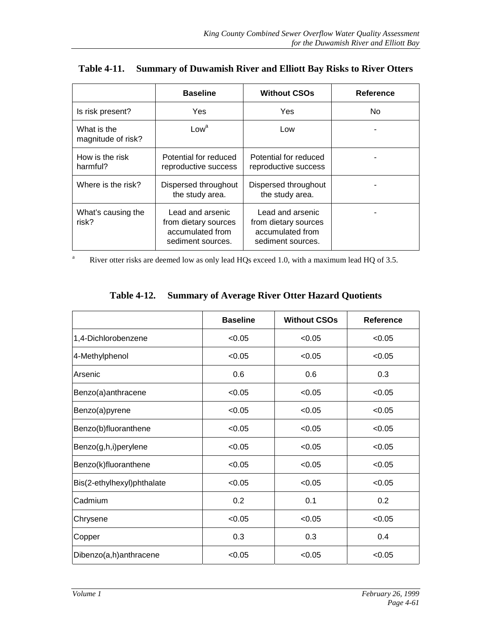|                                   | <b>Baseline</b>                                                                   | <b>Without CSOs</b>                                                               | Reference |
|-----------------------------------|-----------------------------------------------------------------------------------|-----------------------------------------------------------------------------------|-----------|
| Is risk present?                  | Yes                                                                               | Yes                                                                               | No.       |
| What is the<br>magnitude of risk? | Low <sup>a</sup>                                                                  | Low                                                                               |           |
| How is the risk<br>harmful?       | Potential for reduced<br>reproductive success                                     | Potential for reduced<br>reproductive success                                     |           |
| Where is the risk?                | Dispersed throughout<br>the study area.                                           | Dispersed throughout<br>the study area.                                           |           |
| What's causing the<br>risk?       | Lead and arsenic<br>from dietary sources<br>accumulated from<br>sediment sources. | Lead and arsenic<br>from dietary sources<br>accumulated from<br>sediment sources. |           |

|  |  | Table 4-11. Summary of Duwamish River and Elliott Bay Risks to River Otters |  |
|--|--|-----------------------------------------------------------------------------|--|
|--|--|-----------------------------------------------------------------------------|--|

<sup>a</sup> River otter risks are deemed low as only lead HQs exceed 1.0, with a maximum lead HQ of 3.5.

|                            | <b>Baseline</b> | <b>Without CSOs</b> | Reference |
|----------------------------|-----------------|---------------------|-----------|
| 1,4-Dichlorobenzene        | < 0.05          | < 0.05              | < 0.05    |
| 4-Methylphenol             | < 0.05          | < 0.05              | < 0.05    |
| Arsenic                    | 0.6             | 0.6                 | 0.3       |
| Benzo(a)anthracene         | < 0.05          | < 0.05              | < 0.05    |
| Benzo(a)pyrene             | < 0.05          | < 0.05              | < 0.05    |
| Benzo(b)fluoranthene       | < 0.05          | < 0.05              | < 0.05    |
| Benzo(g,h,i)perylene       | < 0.05          | < 0.05              | < 0.05    |
| Benzo(k)fluoranthene       | < 0.05          | < 0.05              | < 0.05    |
| Bis(2-ethylhexyl)phthalate | < 0.05          | < 0.05              | < 0.05    |
| Cadmium                    | 0.2             | 0.1                 | 0.2       |
| Chrysene                   | < 0.05          | < 0.05              | < 0.05    |
| Copper                     | 0.3             | 0.3                 | 0.4       |
| Dibenzo(a,h)anthracene     | < 0.05          | < 0.05              | < 0.05    |

## **Table 4-12. Summary of Average River Otter Hazard Quotients**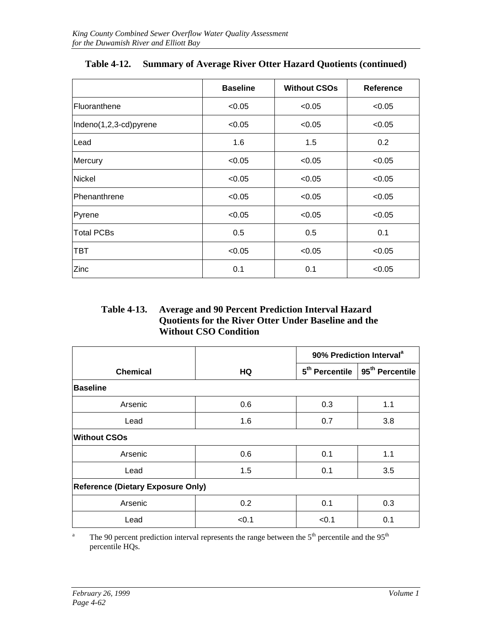|                        | <b>Baseline</b> | <b>Without CSOs</b> | Reference |
|------------------------|-----------------|---------------------|-----------|
| Fluoranthene           | < 0.05          | < 0.05              | < 0.05    |
| Indeno(1,2,3-cd)pyrene | < 0.05          | < 0.05              | < 0.05    |
| Lead                   | 1.6             | 1.5                 | 0.2       |
| Mercury                | < 0.05          | < 0.05              | < 0.05    |
| Nickel                 | < 0.05          | < 0.05              | < 0.05    |
| Phenanthrene           | < 0.05          | < 0.05              | < 0.05    |
| Pyrene                 | < 0.05          | < 0.05              | < 0.05    |
| <b>Total PCBs</b>      | 0.5             | 0.5                 | 0.1       |
| TBT                    | < 0.05          | < 0.05              | < 0.05    |
| Zinc                   | 0.1             | 0.1                 | < 0.05    |

| Table 4-12. Summary of Average River Otter Hazard Quotients (continued) |  |
|-------------------------------------------------------------------------|--|
|                                                                         |  |

#### **Table 4-13. Average and 90 Percent Prediction Interval Hazard Quotients for the River Otter Under Baseline and the Without CSO Condition**

|                                   |       | 90% Prediction Interval <sup>a</sup> |                             |  |  |
|-----------------------------------|-------|--------------------------------------|-----------------------------|--|--|
| <b>Chemical</b>                   | HQ    | 5 <sup>th</sup> Percentile           | 95 <sup>th</sup> Percentile |  |  |
| <b>Baseline</b>                   |       |                                      |                             |  |  |
| Arsenic                           | 0.6   | 0.3                                  | 1.1                         |  |  |
| Lead                              | 1.6   | 0.7                                  | 3.8                         |  |  |
| <b>Without CSOs</b>               |       |                                      |                             |  |  |
| Arsenic                           | 0.6   | 0.1                                  | 1.1                         |  |  |
| Lead                              | 1.5   | 0.1                                  | 3.5                         |  |  |
| Reference (Dietary Exposure Only) |       |                                      |                             |  |  |
| Arsenic                           | 0.2   | 0.1                                  | 0.3                         |  |  |
| Lead                              | < 0.1 | < 0.1                                | 0.1                         |  |  |

<sup>a</sup> The 90 percent prediction interval represents the range between the  $5<sup>th</sup>$  percentile and the  $95<sup>th</sup>$ percentile HQs.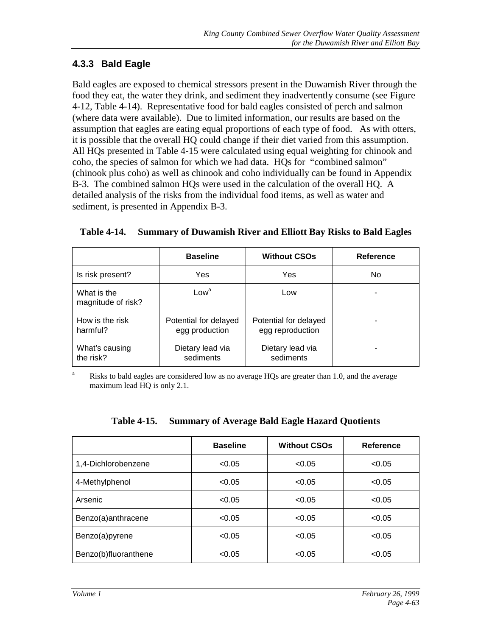## **4.3.3 Bald Eagle**

Bald eagles are exposed to chemical stressors present in the Duwamish River through the food they eat, the water they drink, and sediment they inadvertently consume (see Figure 4-12, Table 4-14). Representative food for bald eagles consisted of perch and salmon (where data were available). Due to limited information, our results are based on the assumption that eagles are eating equal proportions of each type of food. As with otters, it is possible that the overall HQ could change if their diet varied from this assumption. All HQs presented in Table 4-15 were calculated using equal weighting for chinook and coho, the species of salmon for which we had data. HQs for "combined salmon" (chinook plus coho) as well as chinook and coho individually can be found in Appendix B-3. The combined salmon HQs were used in the calculation of the overall HQ. A detailed analysis of the risks from the individual food items, as well as water and sediment, is presented in Appendix B-3.

|                                   | <b>Baseline</b>                         | <b>Without CSOs</b>                       | Reference |
|-----------------------------------|-----------------------------------------|-------------------------------------------|-----------|
| Is risk present?                  | Yes                                     | Yes                                       | No        |
| What is the<br>magnitude of risk? | $\mathsf{Low}^\mathsf{a}$               | Low                                       |           |
| How is the risk<br>harmful?       | Potential for delayed<br>egg production | Potential for delayed<br>egg reproduction |           |
| What's causing<br>the risk?       | Dietary lead via<br>sediments           | Dietary lead via<br>sediments             |           |

#### **Table 4-14. Summary of Duwamish River and Elliott Bay Risks to Bald Eagles**

<sup>a</sup> Risks to bald eagles are considered low as no average HQs are greater than 1.0, and the average maximum lead HQ is only 2.1.

| Table 4-15. Summary of Average Bald Eagle Hazard Quotients |  |  |  |
|------------------------------------------------------------|--|--|--|
|                                                            |  |  |  |

|                      | <b>Baseline</b> | <b>Without CSOs</b> | Reference |
|----------------------|-----------------|---------------------|-----------|
| 1,4-Dichlorobenzene  | < 0.05          | < 0.05              | < 0.05    |
| 4-Methylphenol       | < 0.05          | < 0.05              | < 0.05    |
| Arsenic              | < 0.05          | < 0.05              | < 0.05    |
| Benzo(a)anthracene   | < 0.05          | < 0.05              | < 0.05    |
| Benzo(a)pyrene       | < 0.05          | < 0.05              | < 0.05    |
| Benzo(b)fluoranthene | < 0.05          | < 0.05              | < 0.05    |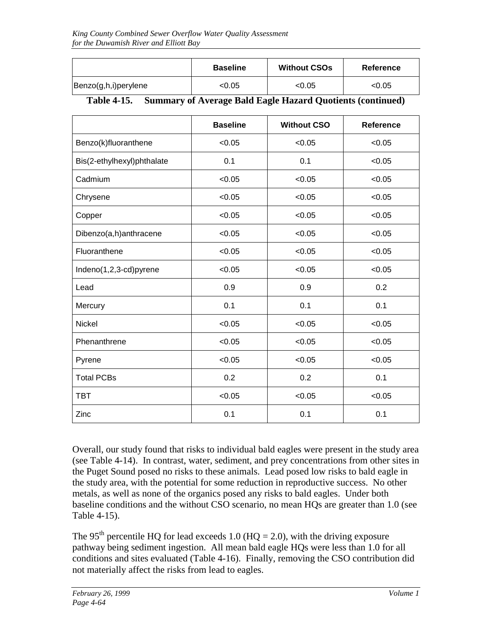|                      | <b>Baseline</b> | <b>Without CSOs</b> | <b>Reference</b> |
|----------------------|-----------------|---------------------|------------------|
| Benzo(g,h,i)perylene | <0.05           | <0.05               | < 0.05           |

#### **Table 4-15. Summary of Average Bald Eagle Hazard Quotients (continued)**

|                            | <b>Baseline</b> | <b>Without CSO</b> | <b>Reference</b> |
|----------------------------|-----------------|--------------------|------------------|
| Benzo(k)fluoranthene       | < 0.05          | < 0.05             | < 0.05           |
| Bis(2-ethylhexyl)phthalate | 0.1             | 0.1                | < 0.05           |
| Cadmium                    | < 0.05          | < 0.05             | < 0.05           |
| Chrysene                   | < 0.05          | < 0.05             | < 0.05           |
| Copper                     | < 0.05          | < 0.05             | < 0.05           |
| Dibenzo(a,h)anthracene     | < 0.05          | < 0.05             | < 0.05           |
| Fluoranthene               | < 0.05          | < 0.05             | < 0.05           |
| Indeno(1,2,3-cd)pyrene     | < 0.05          | < 0.05             | < 0.05           |
| Lead                       | 0.9             | 0.9                | 0.2              |
| Mercury                    | 0.1             | 0.1                | 0.1              |
| Nickel                     | < 0.05          | < 0.05             | < 0.05           |
| Phenanthrene               | < 0.05          | < 0.05             | < 0.05           |
| Pyrene                     | < 0.05          | < 0.05             | < 0.05           |
| <b>Total PCBs</b>          | 0.2             | 0.2                | 0.1              |
| <b>TBT</b>                 | < 0.05          | < 0.05             | < 0.05           |
| Zinc                       | 0.1             | 0.1                | 0.1              |

Overall, our study found that risks to individual bald eagles were present in the study area (see Table 4-14). In contrast, water, sediment, and prey concentrations from other sites in the Puget Sound posed no risks to these animals. Lead posed low risks to bald eagle in the study area, with the potential for some reduction in reproductive success. No other metals, as well as none of the organics posed any risks to bald eagles. Under both baseline conditions and the without CSO scenario, no mean HQs are greater than 1.0 (see Table 4-15).

The 95<sup>th</sup> percentile HQ for lead exceeds 1.0 (HQ = 2.0), with the driving exposure pathway being sediment ingestion. All mean bald eagle HQs were less than 1.0 for all conditions and sites evaluated (Table 4-16). Finally, removing the CSO contribution did not materially affect the risks from lead to eagles.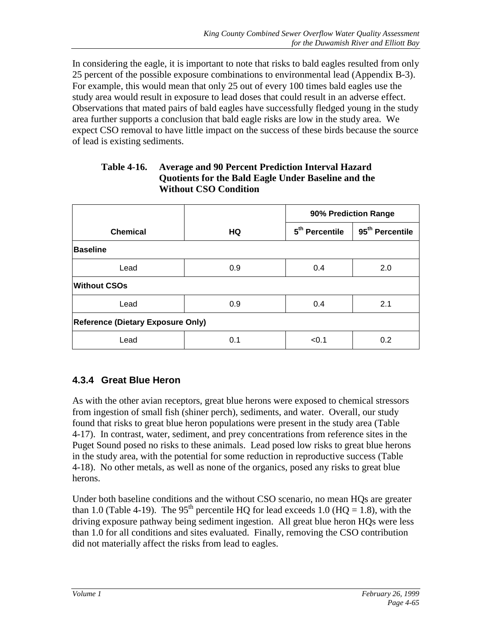In considering the eagle, it is important to note that risks to bald eagles resulted from only 25 percent of the possible exposure combinations to environmental lead (Appendix B-3). For example, this would mean that only 25 out of every 100 times bald eagles use the study area would result in exposure to lead doses that could result in an adverse effect. Observations that mated pairs of bald eagles have successfully fledged young in the study area further supports a conclusion that bald eagle risks are low in the study area. We expect CSO removal to have little impact on the success of these birds because the source of lead is existing sediments.

| <b>Table 4-16.</b> | <b>Average and 90 Percent Prediction Interval Hazard</b> |
|--------------------|----------------------------------------------------------|
|                    | Quotients for the Bald Eagle Under Baseline and the      |
|                    | <b>Without CSO Condition</b>                             |

|                                          |     | 90% Prediction Range       |                             |
|------------------------------------------|-----|----------------------------|-----------------------------|
| <b>Chemical</b>                          | HQ  | 5 <sup>th</sup> Percentile | 95 <sup>th</sup> Percentile |
| <b>Baseline</b>                          |     |                            |                             |
| Lead                                     | 0.9 | 0.4                        | 2.0                         |
| <b>Without CSOs</b>                      |     |                            |                             |
| Lead                                     | 0.9 | 0.4                        | 2.1                         |
| <b>Reference (Dietary Exposure Only)</b> |     |                            |                             |
| Lead                                     | 0.1 | < 0.1                      | 0.2                         |

## **4.3.4 Great Blue Heron**

As with the other avian receptors, great blue herons were exposed to chemical stressors from ingestion of small fish (shiner perch), sediments, and water. Overall, our study found that risks to great blue heron populations were present in the study area (Table 4-17). In contrast, water, sediment, and prey concentrations from reference sites in the Puget Sound posed no risks to these animals. Lead posed low risks to great blue herons in the study area, with the potential for some reduction in reproductive success (Table 4-18). No other metals, as well as none of the organics, posed any risks to great blue herons.

Under both baseline conditions and the without CSO scenario, no mean HQs are greater than 1.0 (Table 4-19). The 95<sup>th</sup> percentile HQ for lead exceeds 1.0 (HQ = 1.8), with the driving exposure pathway being sediment ingestion. All great blue heron HQs were less than 1.0 for all conditions and sites evaluated. Finally, removing the CSO contribution did not materially affect the risks from lead to eagles.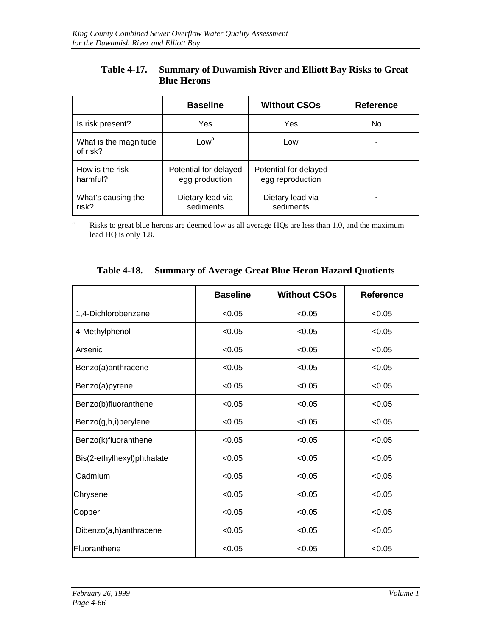| Table 4-17. Summary of Duwamish River and Elliott Bay Risks to Great |
|----------------------------------------------------------------------|
| <b>Blue Herons</b>                                                   |

|                                   | <b>Baseline</b>                         | <b>Without CSOs</b>                       | <b>Reference</b> |
|-----------------------------------|-----------------------------------------|-------------------------------------------|------------------|
| Is risk present?                  | Yes                                     | Yes                                       | No               |
| What is the magnitude<br>of risk? | Low <sup>a</sup>                        | Low                                       |                  |
| How is the risk<br>harmful?       | Potential for delayed<br>egg production | Potential for delayed<br>egg reproduction |                  |
| What's causing the<br>risk?       | Dietary lead via<br>sediments           | Dietary lead via<br>sediments             |                  |

<sup>a</sup> Risks to great blue herons are deemed low as all average HQs are less than 1.0, and the maximum lead HQ is only 1.8.

|                            | <b>Baseline</b> | <b>Without CSOs</b> | <b>Reference</b> |
|----------------------------|-----------------|---------------------|------------------|
| 1,4-Dichlorobenzene        | < 0.05          | < 0.05              | < 0.05           |
| 4-Methylphenol             | < 0.05          | < 0.05              | < 0.05           |
| Arsenic                    | < 0.05          | < 0.05              | < 0.05           |
| Benzo(a)anthracene         | < 0.05          | < 0.05              | < 0.05           |
| Benzo(a)pyrene             | < 0.05          | < 0.05              | < 0.05           |
| Benzo(b)fluoranthene       | < 0.05          | < 0.05              | < 0.05           |
| Benzo(g,h,i)perylene       | < 0.05          | < 0.05              | < 0.05           |
| Benzo(k)fluoranthene       | < 0.05          | < 0.05              | < 0.05           |
| Bis(2-ethylhexyl)phthalate | < 0.05          | < 0.05              | < 0.05           |
| Cadmium                    | < 0.05          | < 0.05              | < 0.05           |
| Chrysene                   | < 0.05          | < 0.05              | < 0.05           |
| Copper                     | < 0.05          | < 0.05              | < 0.05           |
| Dibenzo(a,h)anthracene     | < 0.05          | < 0.05              | < 0.05           |
| <b>IFluoranthene</b>       | < 0.05          | < 0.05              | < 0.05           |

## **Table 4-18. Summary of Average Great Blue Heron Hazard Quotients**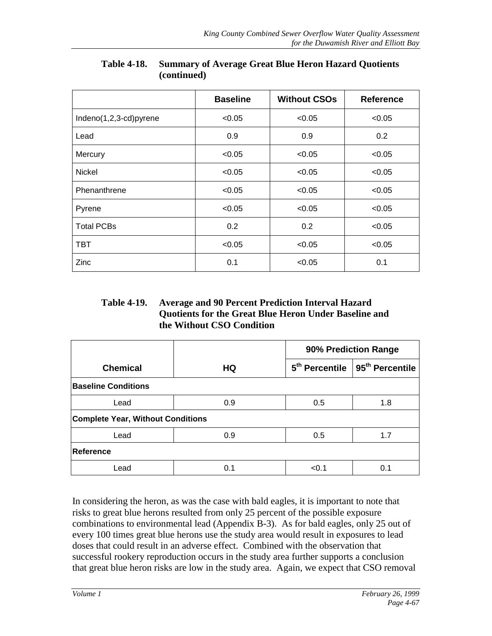|                        | <b>Baseline</b> | <b>Without CSOs</b> | <b>Reference</b> |
|------------------------|-----------------|---------------------|------------------|
| Indeno(1,2,3-cd)pyrene | < 0.05          | < 0.05              | < 0.05           |
| Lead                   | 0.9             | 0.9                 | 0.2              |
| Mercury                | < 0.05          | < 0.05              | < 0.05           |
| <b>Nickel</b>          | < 0.05          | < 0.05              | < 0.05           |
| Phenanthrene           | < 0.05          | < 0.05              | < 0.05           |
| Pyrene                 | < 0.05          | < 0.05              | < 0.05           |
| <b>Total PCBs</b>      | 0.2             | 0.2                 | < 0.05           |
| TBT                    | < 0.05          | < 0.05              | < 0.05           |
| Zinc                   | 0.1             | < 0.05              | 0.1              |

### **Table 4-18. Summary of Average Great Blue Heron Hazard Quotients (continued)**

### **Table 4-19. Average and 90 Percent Prediction Interval Hazard Quotients for the Great Blue Heron Under Baseline and the Without CSO Condition**

|                                          |     | 90% Prediction Range |                                                |
|------------------------------------------|-----|----------------------|------------------------------------------------|
| <b>Chemical</b>                          | HQ  |                      | $5th$ Percentile   95 <sup>th</sup> Percentile |
| <b>Baseline Conditions</b>               |     |                      |                                                |
| Lead                                     | 0.9 | 0.5                  | 1.8                                            |
| <b>Complete Year, Without Conditions</b> |     |                      |                                                |
| Lead                                     | 0.9 | 0.5                  | 1.7                                            |
| Reference                                |     |                      |                                                |
| Lead                                     | 0.1 | < 0.1                | 0.1                                            |

In considering the heron, as was the case with bald eagles, it is important to note that risks to great blue herons resulted from only 25 percent of the possible exposure combinations to environmental lead (Appendix B-3). As for bald eagles, only 25 out of every 100 times great blue herons use the study area would result in exposures to lead doses that could result in an adverse effect. Combined with the observation that successful rookery reproduction occurs in the study area further supports a conclusion that great blue heron risks are low in the study area. Again, we expect that CSO removal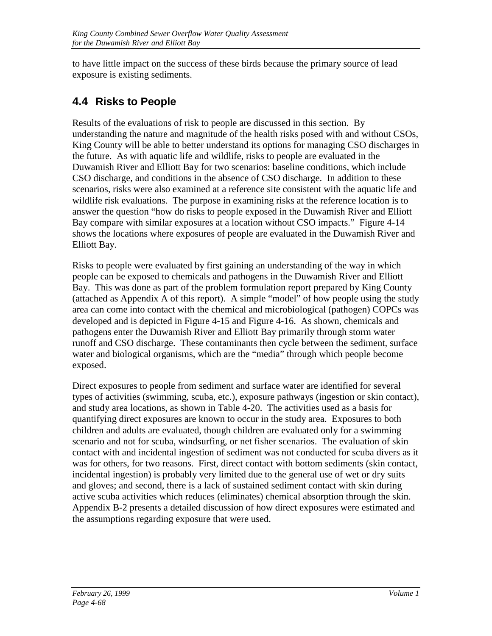to have little impact on the success of these birds because the primary source of lead exposure is existing sediments.

# **4.4 Risks to People**

Results of the evaluations of risk to people are discussed in this section. By understanding the nature and magnitude of the health risks posed with and without CSOs, King County will be able to better understand its options for managing CSO discharges in the future. As with aquatic life and wildlife, risks to people are evaluated in the Duwamish River and Elliott Bay for two scenarios: baseline conditions, which include CSO discharge, and conditions in the absence of CSO discharge. In addition to these scenarios, risks were also examined at a reference site consistent with the aquatic life and wildlife risk evaluations. The purpose in examining risks at the reference location is to answer the question "how do risks to people exposed in the Duwamish River and Elliott Bay compare with similar exposures at a location without CSO impacts." Figure 4-14 shows the locations where exposures of people are evaluated in the Duwamish River and Elliott Bay.

Risks to people were evaluated by first gaining an understanding of the way in which people can be exposed to chemicals and pathogens in the Duwamish River and Elliott Bay. This was done as part of the problem formulation report prepared by King County (attached as Appendix A of this report). A simple "model" of how people using the study area can come into contact with the chemical and microbiological (pathogen) COPCs was developed and is depicted in Figure 4-15 and Figure 4-16. As shown, chemicals and pathogens enter the Duwamish River and Elliott Bay primarily through storm water runoff and CSO discharge. These contaminants then cycle between the sediment, surface water and biological organisms, which are the "media" through which people become exposed.

Direct exposures to people from sediment and surface water are identified for several types of activities (swimming, scuba, etc.), exposure pathways (ingestion or skin contact), and study area locations, as shown in Table 4-20. The activities used as a basis for quantifying direct exposures are known to occur in the study area. Exposures to both children and adults are evaluated, though children are evaluated only for a swimming scenario and not for scuba, windsurfing, or net fisher scenarios. The evaluation of skin contact with and incidental ingestion of sediment was not conducted for scuba divers as it was for others, for two reasons. First, direct contact with bottom sediments (skin contact, incidental ingestion) is probably very limited due to the general use of wet or dry suits and gloves; and second, there is a lack of sustained sediment contact with skin during active scuba activities which reduces (eliminates) chemical absorption through the skin. Appendix B-2 presents a detailed discussion of how direct exposures were estimated and the assumptions regarding exposure that were used.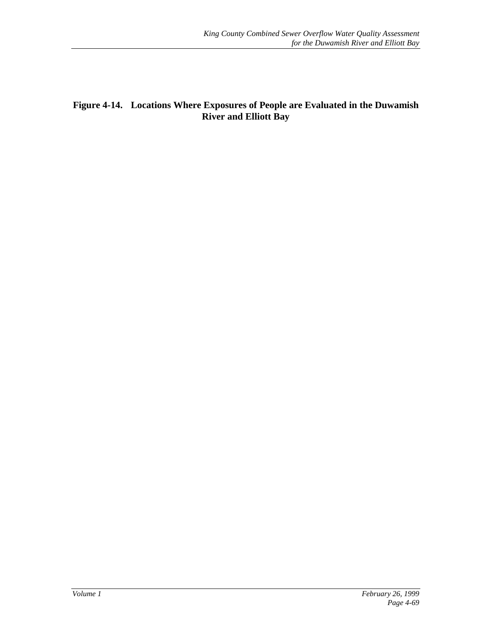## **Figure 4-14. Locations Where Exposures of People are Evaluated in the Duwamish River and Elliott Bay**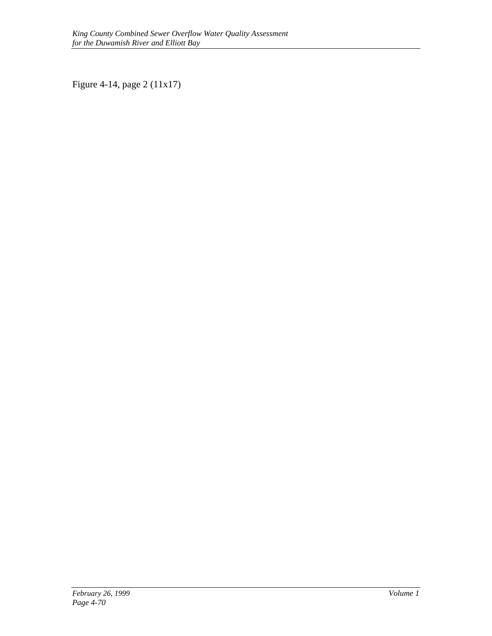Figure 4-14, page 2 (11x17)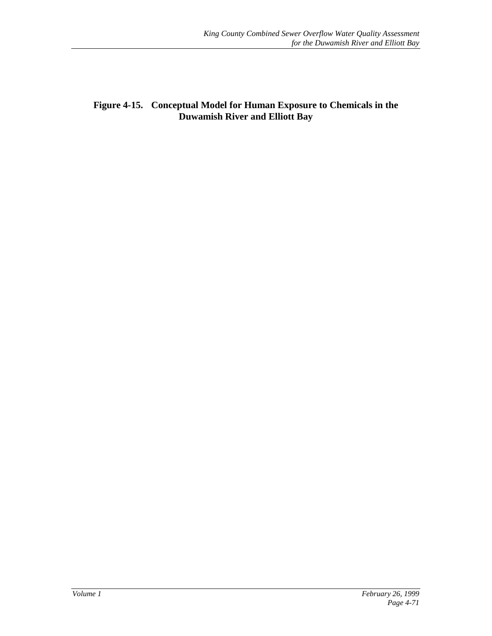### **Figure 4-15. Conceptual Model for Human Exposure to Chemicals in the Duwamish River and Elliott Bay**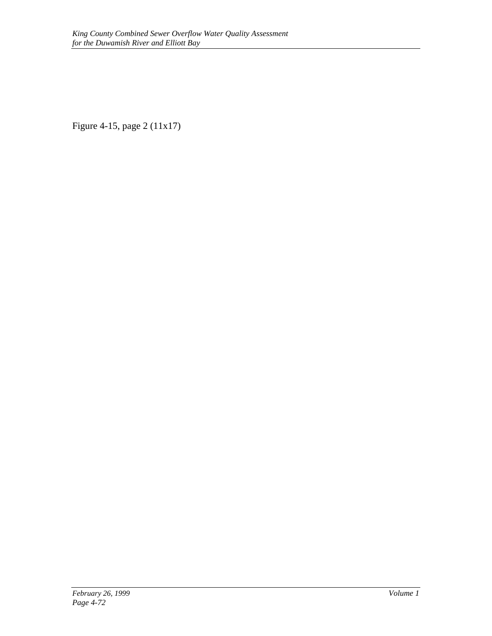Figure 4-15, page 2 (11x17)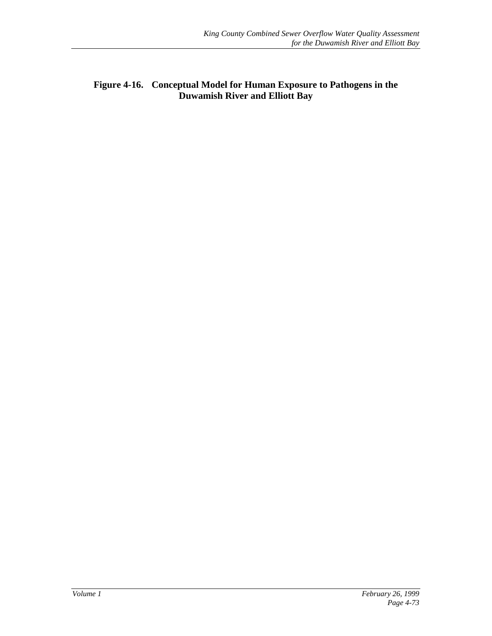## **Figure 4-16. Conceptual Model for Human Exposure to Pathogens in the Duwamish River and Elliott Bay**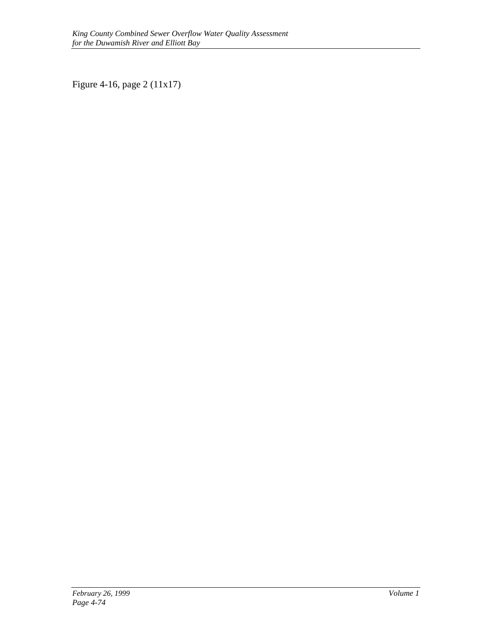Figure 4-16, page 2 (11x17)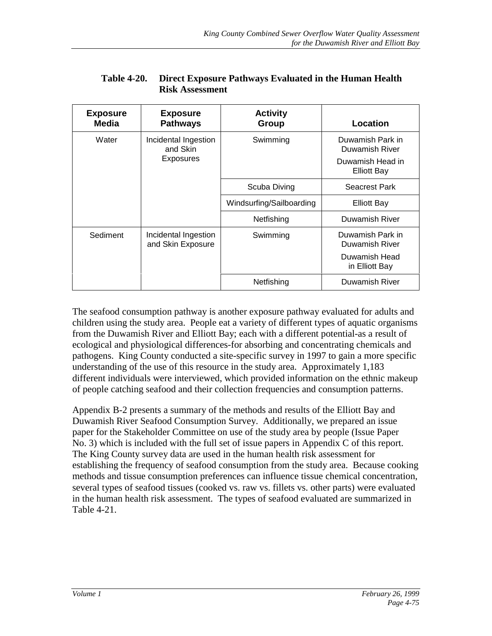| <b>Exposure</b><br><b>Media</b> | <b>Exposure</b><br><b>Pathways</b>                   | <b>Activity</b><br>Group | Location                           |
|---------------------------------|------------------------------------------------------|--------------------------|------------------------------------|
| Water                           | Incidental Ingestion<br>and Skin<br><b>Exposures</b> | Swimming                 | Duwamish Park in<br>Duwamish River |
|                                 |                                                      |                          | Duwamish Head in<br>Elliott Bay    |
|                                 |                                                      | Scuba Diving             | <b>Seacrest Park</b>               |
|                                 |                                                      | Windsurfing/Sailboarding | Elliott Bay                        |
|                                 |                                                      | Netfishing               | Duwamish River                     |
| Sediment                        | Incidental Ingestion<br>and Skin Exposure            | Swimming                 | Duwamish Park in<br>Duwamish River |
|                                 |                                                      |                          | Duwamish Head<br>in Elliott Bay    |
|                                 |                                                      | Netfishing               | Duwamish River                     |

#### **Table 4-20. Direct Exposure Pathways Evaluated in the Human Health Risk Assessment**

The seafood consumption pathway is another exposure pathway evaluated for adults and children using the study area. People eat a variety of different types of aquatic organisms from the Duwamish River and Elliott Bay; each with a different potential-as a result of ecological and physiological differences-for absorbing and concentrating chemicals and pathogens. King County conducted a site-specific survey in 1997 to gain a more specific understanding of the use of this resource in the study area. Approximately 1,183 different individuals were interviewed, which provided information on the ethnic makeup of people catching seafood and their collection frequencies and consumption patterns.

Appendix B-2 presents a summary of the methods and results of the Elliott Bay and Duwamish River Seafood Consumption Survey. Additionally, we prepared an issue paper for the Stakeholder Committee on use of the study area by people (Issue Paper No. 3) which is included with the full set of issue papers in Appendix C of this report. The King County survey data are used in the human health risk assessment for establishing the frequency of seafood consumption from the study area. Because cooking methods and tissue consumption preferences can influence tissue chemical concentration, several types of seafood tissues (cooked vs. raw vs. fillets vs. other parts) were evaluated in the human health risk assessment. The types of seafood evaluated are summarized in Table 4-21.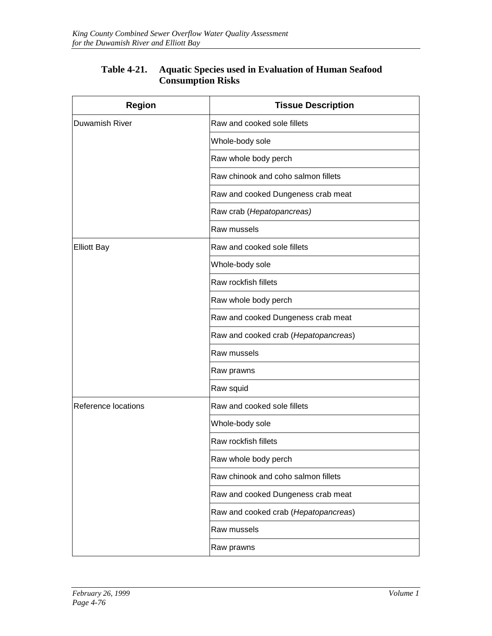| <b>Region</b>       | <b>Tissue Description</b>            |
|---------------------|--------------------------------------|
| Duwamish River      | Raw and cooked sole fillets          |
|                     | Whole-body sole                      |
|                     | Raw whole body perch                 |
|                     | Raw chinook and coho salmon fillets  |
|                     | Raw and cooked Dungeness crab meat   |
|                     | Raw crab (Hepatopancreas)            |
|                     | Raw mussels                          |
| <b>Elliott Bay</b>  | Raw and cooked sole fillets          |
|                     | Whole-body sole                      |
|                     | Raw rockfish fillets                 |
|                     | Raw whole body perch                 |
|                     | Raw and cooked Dungeness crab meat   |
|                     | Raw and cooked crab (Hepatopancreas) |
|                     | Raw mussels                          |
|                     | Raw prawns                           |
|                     | Raw squid                            |
| Reference locations | Raw and cooked sole fillets          |
|                     | Whole-body sole                      |
|                     | Raw rockfish fillets                 |
|                     | Raw whole body perch                 |
|                     | Raw chinook and coho salmon fillets  |
|                     | Raw and cooked Dungeness crab meat   |
|                     | Raw and cooked crab (Hepatopancreas) |
|                     | Raw mussels                          |
|                     | Raw prawns                           |

### **Table 4-21. Aquatic Species used in Evaluation of Human Seafood Consumption Risks**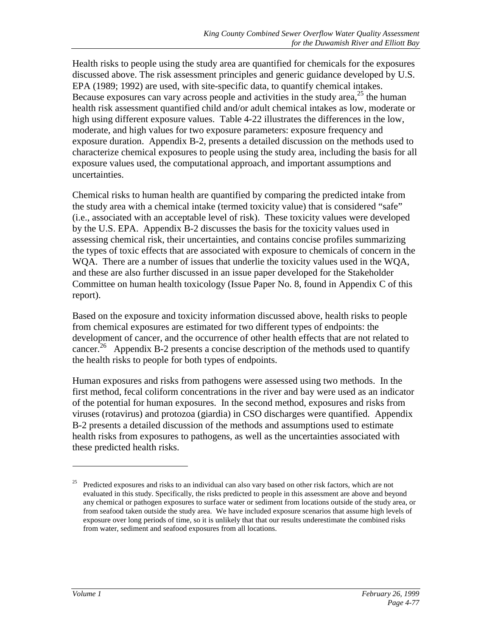Health risks to people using the study area are quantified for chemicals for the exposures discussed above. The risk assessment principles and generic guidance developed by U.S. EPA (1989; 1992) are used, with site-specific data, to quantify chemical intakes. Because exposures can vary across people and activities in the study area, $^{25}$  the human health risk assessment quantified child and/or adult chemical intakes as low, moderate or high using different exposure values. Table 4-22 illustrates the differences in the low, moderate, and high values for two exposure parameters: exposure frequency and exposure duration. Appendix B-2, presents a detailed discussion on the methods used to characterize chemical exposures to people using the study area, including the basis for all exposure values used, the computational approach, and important assumptions and uncertainties.

Chemical risks to human health are quantified by comparing the predicted intake from the study area with a chemical intake (termed toxicity value) that is considered "safe" (i.e., associated with an acceptable level of risk). These toxicity values were developed by the U.S. EPA. Appendix B-2 discusses the basis for the toxicity values used in assessing chemical risk, their uncertainties, and contains concise profiles summarizing the types of toxic effects that are associated with exposure to chemicals of concern in the WQA. There are a number of issues that underlie the toxicity values used in the WQA, and these are also further discussed in an issue paper developed for the Stakeholder Committee on human health toxicology (Issue Paper No. 8, found in Appendix C of this report).

Based on the exposure and toxicity information discussed above, health risks to people from chemical exposures are estimated for two different types of endpoints: the development of cancer, and the occurrence of other health effects that are not related to cancer.<sup>26</sup> Appendix B-2 presents a concise description of the methods used to quantify the health risks to people for both types of endpoints.

Human exposures and risks from pathogens were assessed using two methods. In the first method, fecal coliform concentrations in the river and bay were used as an indicator of the potential for human exposures. In the second method, exposures and risks from viruses (rotavirus) and protozoa (giardia) in CSO discharges were quantified. Appendix B-2 presents a detailed discussion of the methods and assumptions used to estimate health risks from exposures to pathogens, as well as the uncertainties associated with these predicted health risks.

 $\overline{a}$ 

<sup>25</sup> Predicted exposures and risks to an individual can also vary based on other risk factors, which are not evaluated in this study. Specifically, the risks predicted to people in this assessment are above and beyond any chemical or pathogen exposures to surface water or sediment from locations outside of the study area, or from seafood taken outside the study area. We have included exposure scenarios that assume high levels of exposure over long periods of time, so it is unlikely that that our results underestimate the combined risks from water, sediment and seafood exposures from all locations.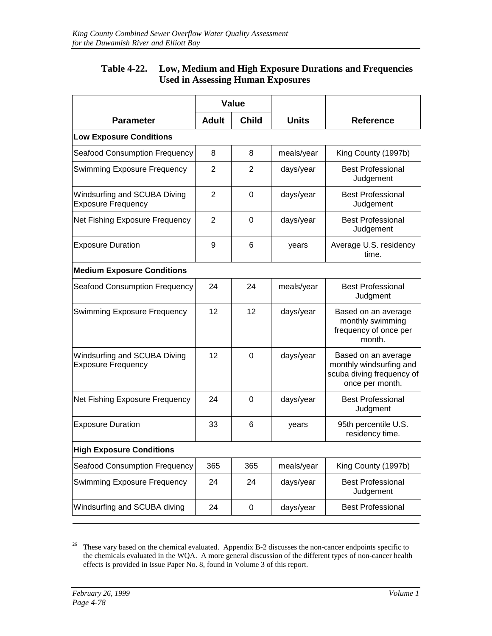| Table 4-22. Low, Medium and High Exposure Durations and Frequencies |
|---------------------------------------------------------------------|
| <b>Used in Assessing Human Exposures</b>                            |

|                                                           | <b>Value</b>                 |             |              |                                                                                                |  |  |  |
|-----------------------------------------------------------|------------------------------|-------------|--------------|------------------------------------------------------------------------------------------------|--|--|--|
| <b>Parameter</b>                                          | <b>Child</b><br><b>Adult</b> |             | <b>Units</b> | <b>Reference</b>                                                                               |  |  |  |
| <b>Low Exposure Conditions</b>                            |                              |             |              |                                                                                                |  |  |  |
| <b>Seafood Consumption Frequency</b>                      | 8                            | 8           | meals/year   | King County (1997b)                                                                            |  |  |  |
| <b>Swimming Exposure Frequency</b>                        | 2                            | 2           | days/year    | <b>Best Professional</b><br>Judgement                                                          |  |  |  |
| Windsurfing and SCUBA Diving<br><b>Exposure Frequency</b> | 2                            | 0           | days/year    | <b>Best Professional</b><br>Judgement                                                          |  |  |  |
| Net Fishing Exposure Frequency                            | $\overline{2}$               | $\Omega$    | days/year    | <b>Best Professional</b><br>Judgement                                                          |  |  |  |
| <b>Exposure Duration</b>                                  | 9                            | 6           | years        | Average U.S. residency<br>time.                                                                |  |  |  |
| <b>Medium Exposure Conditions</b>                         |                              |             |              |                                                                                                |  |  |  |
| <b>Seafood Consumption Frequency</b>                      | 24                           | 24          | meals/year   | <b>Best Professional</b><br>Judgment                                                           |  |  |  |
| <b>Swimming Exposure Frequency</b>                        | 12                           | 12          | days/year    | Based on an average<br>monthly swimming<br>frequency of once per<br>month.                     |  |  |  |
| Windsurfing and SCUBA Diving<br><b>Exposure Frequency</b> | 12                           | $\Omega$    | days/year    | Based on an average<br>monthly windsurfing and<br>scuba diving frequency of<br>once per month. |  |  |  |
| Net Fishing Exposure Frequency                            | 24                           | $\Omega$    | days/year    | <b>Best Professional</b><br>Judgment                                                           |  |  |  |
| <b>Exposure Duration</b>                                  | 33                           | 6           | years        | 95th percentile U.S.<br>residency time.                                                        |  |  |  |
| <b>High Exposure Conditions</b>                           |                              |             |              |                                                                                                |  |  |  |
| <b>Seafood Consumption Frequency</b>                      | 365                          | 365         | meals/year   | King County (1997b)                                                                            |  |  |  |
| <b>Swimming Exposure Frequency</b>                        | 24                           | 24          | days/year    | <b>Best Professional</b><br>Judgement                                                          |  |  |  |
| Windsurfing and SCUBA diving                              | 24                           | $\mathbf 0$ | days/year    | <b>Best Professional</b>                                                                       |  |  |  |
|                                                           |                              |             |              |                                                                                                |  |  |  |

<sup>26</sup> These vary based on the chemical evaluated. Appendix B-2 discusses the non-cancer endpoints specific to the chemicals evaluated in the WQA. A more general discussion of the different types of non-cancer health effects is provided in Issue Paper No. 8, found in Volume 3 of this report.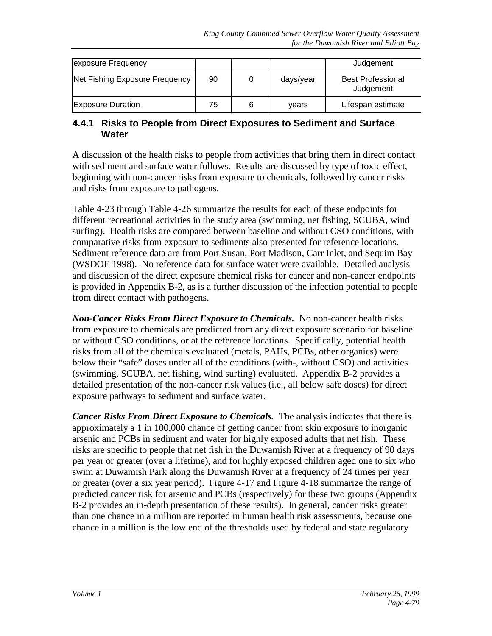| exposure Frequency             |    |           | Judgement                             |
|--------------------------------|----|-----------|---------------------------------------|
| Net Fishing Exposure Frequency | 90 | days/year | <b>Best Professional</b><br>Judgement |
| <b>Exposure Duration</b>       | 75 | vears     | Lifespan estimate                     |

### **4.4.1 Risks to People from Direct Exposures to Sediment and Surface Water**

A discussion of the health risks to people from activities that bring them in direct contact with sediment and surface water follows. Results are discussed by type of toxic effect, beginning with non-cancer risks from exposure to chemicals, followed by cancer risks and risks from exposure to pathogens.

Table 4-23 through Table 4-26 summarize the results for each of these endpoints for different recreational activities in the study area (swimming, net fishing, SCUBA, wind surfing). Health risks are compared between baseline and without CSO conditions, with comparative risks from exposure to sediments also presented for reference locations. Sediment reference data are from Port Susan, Port Madison, Carr Inlet, and Sequim Bay (WSDOE 1998). No reference data for surface water were available. Detailed analysis and discussion of the direct exposure chemical risks for cancer and non-cancer endpoints is provided in Appendix B-2, as is a further discussion of the infection potential to people from direct contact with pathogens.

*Non-Cancer Risks From Direct Exposure to Chemicals.* No non-cancer health risks from exposure to chemicals are predicted from any direct exposure scenario for baseline or without CSO conditions, or at the reference locations. Specifically, potential health risks from all of the chemicals evaluated (metals, PAHs, PCBs, other organics) were below their "safe" doses under all of the conditions (with-, without CSO) and activities (swimming, SCUBA, net fishing, wind surfing) evaluated. Appendix B-2 provides a detailed presentation of the non-cancer risk values (i.e., all below safe doses) for direct exposure pathways to sediment and surface water.

*Cancer Risks From Direct Exposure to Chemicals.* The analysis indicates that there is approximately a 1 in 100,000 chance of getting cancer from skin exposure to inorganic arsenic and PCBs in sediment and water for highly exposed adults that net fish. These risks are specific to people that net fish in the Duwamish River at a frequency of 90 days per year or greater (over a lifetime), and for highly exposed children aged one to six who swim at Duwamish Park along the Duwamish River at a frequency of 24 times per year or greater (over a six year period). Figure 4-17 and Figure 4-18 summarize the range of predicted cancer risk for arsenic and PCBs (respectively) for these two groups (Appendix B-2 provides an in-depth presentation of these results). In general, cancer risks greater than one chance in a million are reported in human health risk assessments, because one chance in a million is the low end of the thresholds used by federal and state regulatory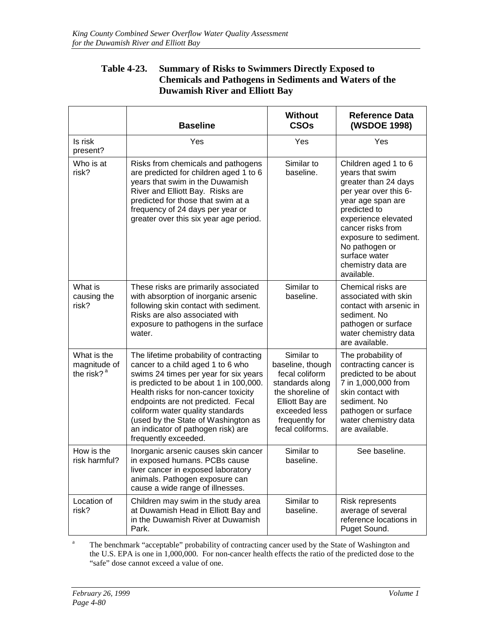### **Table 4-23. Summary of Risks to Swimmers Directly Exposed to Chemicals and Pathogens in Sediments and Waters of the Duwamish River and Elliott Bay**

|                                                | <b>Baseline</b>                                                                                                                                                                                                                                                                                                                                                                        | <b>Without</b><br><b>CSOs</b>                                                                                                                                     | <b>Reference Data</b><br>(WSDOE 1998)                                                                                                                                                                                                                                     |
|------------------------------------------------|----------------------------------------------------------------------------------------------------------------------------------------------------------------------------------------------------------------------------------------------------------------------------------------------------------------------------------------------------------------------------------------|-------------------------------------------------------------------------------------------------------------------------------------------------------------------|---------------------------------------------------------------------------------------------------------------------------------------------------------------------------------------------------------------------------------------------------------------------------|
| Is risk<br>present?                            | Yes                                                                                                                                                                                                                                                                                                                                                                                    | Yes                                                                                                                                                               | Yes                                                                                                                                                                                                                                                                       |
| Who is at<br>risk?                             | Risks from chemicals and pathogens<br>are predicted for children aged 1 to 6<br>years that swim in the Duwamish<br>River and Elliott Bay. Risks are<br>predicted for those that swim at a<br>frequency of 24 days per year or<br>greater over this six year age period.                                                                                                                | Similar to<br>baseline.                                                                                                                                           | Children aged 1 to 6<br>years that swim<br>greater than 24 days<br>per year over this 6-<br>year age span are<br>predicted to<br>experience elevated<br>cancer risks from<br>exposure to sediment.<br>No pathogen or<br>surface water<br>chemistry data are<br>available. |
| What is<br>causing the<br>risk?                | These risks are primarily associated<br>with absorption of inorganic arsenic<br>following skin contact with sediment.<br>Risks are also associated with<br>exposure to pathogens in the surface<br>water.                                                                                                                                                                              | Similar to<br>baseline.                                                                                                                                           | Chemical risks are<br>associated with skin<br>contact with arsenic in<br>sediment. No<br>pathogen or surface<br>water chemistry data<br>are available.                                                                                                                    |
| What is the<br>magnitude of<br>the risk? $a^a$ | The lifetime probability of contracting<br>cancer to a child aged 1 to 6 who<br>swims 24 times per year for six years<br>is predicted to be about 1 in 100,000.<br>Health risks for non-cancer toxicity<br>endpoints are not predicted. Fecal<br>coliform water quality standards<br>(used by the State of Washington as<br>an indicator of pathogen risk) are<br>frequently exceeded. | Similar to<br>baseline, though<br>fecal coliform<br>standards along<br>the shoreline of<br>Elliott Bay are<br>exceeded less<br>frequently for<br>fecal coliforms. | The probability of<br>contracting cancer is<br>predicted to be about<br>7 in 1,000,000 from<br>skin contact with<br>sediment. No<br>pathogen or surface<br>water chemistry data<br>are available.                                                                         |
| How is the<br>risk harmful?                    | Inorganic arsenic causes skin cancer<br>in exposed humans. PCBs cause<br>liver cancer in exposed laboratory<br>animals. Pathogen exposure can<br>cause a wide range of illnesses.                                                                                                                                                                                                      | Similar to<br>baseline.                                                                                                                                           | See baseline.                                                                                                                                                                                                                                                             |
| Location of<br>risk?                           | Children may swim in the study area<br>at Duwamish Head in Elliott Bay and<br>in the Duwamish River at Duwamish<br>Park.                                                                                                                                                                                                                                                               | Similar to<br>baseline.                                                                                                                                           | <b>Risk represents</b><br>average of several<br>reference locations in<br>Puget Sound.                                                                                                                                                                                    |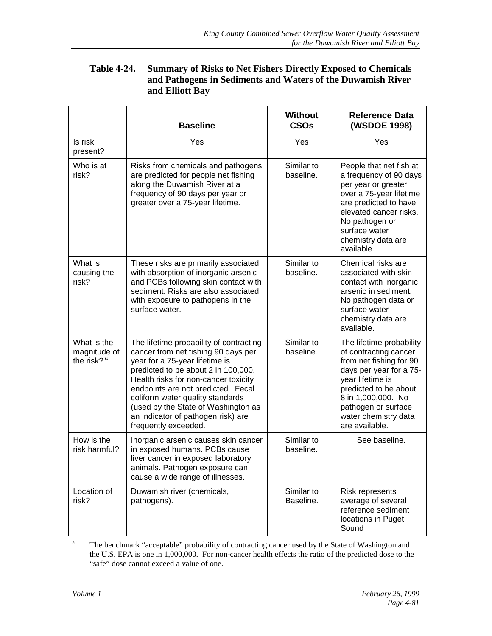#### **Table 4-24. Summary of Risks to Net Fishers Directly Exposed to Chemicals and Pathogens in Sediments and Waters of the Duwamish River and Elliott Bay**

|                                                       | <b>Baseline</b>                                                                                                                                                                                                                                                                                                                                                                | <b>Without</b><br><b>CSOs</b> | <b>Reference Data</b><br>(WSDOE 1998)                                                                                                                                                                                                       |
|-------------------------------------------------------|--------------------------------------------------------------------------------------------------------------------------------------------------------------------------------------------------------------------------------------------------------------------------------------------------------------------------------------------------------------------------------|-------------------------------|---------------------------------------------------------------------------------------------------------------------------------------------------------------------------------------------------------------------------------------------|
| Is risk<br>present?                                   | Yes                                                                                                                                                                                                                                                                                                                                                                            | Yes                           | Yes                                                                                                                                                                                                                                         |
| Who is at<br>risk?                                    | Risks from chemicals and pathogens<br>are predicted for people net fishing<br>along the Duwamish River at a<br>frequency of 90 days per year or<br>greater over a 75-year lifetime.                                                                                                                                                                                            | Similar to<br>baseline.       | People that net fish at<br>a frequency of 90 days<br>per year or greater<br>over a 75-year lifetime<br>are predicted to have<br>elevated cancer risks.<br>No pathogen or<br>surface water<br>chemistry data are<br>available.               |
| What is<br>causing the<br>risk?                       | These risks are primarily associated<br>with absorption of inorganic arsenic<br>and PCBs following skin contact with<br>sediment. Risks are also associated<br>with exposure to pathogens in the<br>surface water.                                                                                                                                                             | Similar to<br>baseline.       | Chemical risks are<br>associated with skin<br>contact with inorganic<br>arsenic in sediment.<br>No pathogen data or<br>surface water<br>chemistry data are<br>available.                                                                    |
| What is the<br>magnitude of<br>the risk? <sup>a</sup> | The lifetime probability of contracting<br>cancer from net fishing 90 days per<br>year for a 75-year lifetime is<br>predicted to be about 2 in 100,000.<br>Health risks for non-cancer toxicity<br>endpoints are not predicted. Fecal<br>coliform water quality standards<br>(used by the State of Washington as<br>an indicator of pathogen risk) are<br>frequently exceeded. | Similar to<br>baseline.       | The lifetime probability<br>of contracting cancer<br>from net fishing for 90<br>days per year for a 75-<br>year lifetime is<br>predicted to be about<br>8 in 1,000,000. No<br>pathogen or surface<br>water chemistry data<br>are available. |
| How is the<br>risk harmful?                           | Inorganic arsenic causes skin cancer<br>in exposed humans. PCBs cause<br>liver cancer in exposed laboratory<br>animals. Pathogen exposure can<br>cause a wide range of illnesses.                                                                                                                                                                                              | Similar to<br>baseline.       | See baseline.                                                                                                                                                                                                                               |
| Location of<br>risk?                                  | Duwamish river (chemicals,<br>pathogens).                                                                                                                                                                                                                                                                                                                                      | Similar to<br>Baseline.       | Risk represents<br>average of several<br>reference sediment<br>locations in Puget<br>Sound                                                                                                                                                  |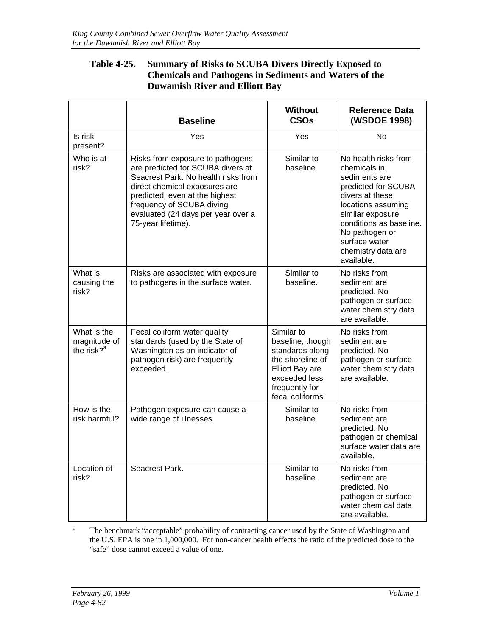# **Table 4-25. Summary of Risks to SCUBA Divers Directly Exposed to Chemicals and Pathogens in Sediments and Waters of the Duwamish River and Elliott Bay**

|                                              | <b>Baseline</b>                                                                                                                                                                                                                                                          | <b>Without</b><br><b>CSOs</b>                                                                                                                   | <b>Reference Data</b><br>(WSDOE 1998)                                                                                                                                                                                                       |
|----------------------------------------------|--------------------------------------------------------------------------------------------------------------------------------------------------------------------------------------------------------------------------------------------------------------------------|-------------------------------------------------------------------------------------------------------------------------------------------------|---------------------------------------------------------------------------------------------------------------------------------------------------------------------------------------------------------------------------------------------|
| Is risk<br>present?                          | Yes                                                                                                                                                                                                                                                                      | Yes                                                                                                                                             | <b>No</b>                                                                                                                                                                                                                                   |
| Who is at<br>risk?                           | Risks from exposure to pathogens<br>are predicted for SCUBA divers at<br>Seacrest Park. No health risks from<br>direct chemical exposures are<br>predicted, even at the highest<br>frequency of SCUBA diving<br>evaluated (24 days per year over a<br>75-year lifetime). | Similar to<br>baseline.                                                                                                                         | No health risks from<br>chemicals in<br>sediments are<br>predicted for SCUBA<br>divers at these<br>locations assuming<br>similar exposure<br>conditions as baseline.<br>No pathogen or<br>surface water<br>chemistry data are<br>available. |
| What is<br>causing the<br>risk?              | Risks are associated with exposure<br>to pathogens in the surface water.                                                                                                                                                                                                 | Similar to<br>baseline.                                                                                                                         | No risks from<br>sediment are<br>predicted. No<br>pathogen or surface<br>water chemistry data<br>are available.                                                                                                                             |
| What is the<br>magnitude of<br>the risk? $a$ | Fecal coliform water quality<br>standards (used by the State of<br>Washington as an indicator of<br>pathogen risk) are frequently<br>exceeded.                                                                                                                           | Similar to<br>baseline, though<br>standards along<br>the shoreline of<br>Elliott Bay are<br>exceeded less<br>frequently for<br>fecal coliforms. | No risks from<br>sediment are<br>predicted. No<br>pathogen or surface<br>water chemistry data<br>are available.                                                                                                                             |
| How is the<br>risk harmful?                  | Pathogen exposure can cause a<br>wide range of illnesses.                                                                                                                                                                                                                | Similar to<br>baseline.                                                                                                                         | No risks from<br>sediment are<br>predicted. No<br>pathogen or chemical<br>surface water data are<br>available.                                                                                                                              |
| Location of<br>risk?                         | Seacrest Park.                                                                                                                                                                                                                                                           | Similar to<br>baseline.                                                                                                                         | No risks from<br>sediment are<br>predicted. No<br>pathogen or surface<br>water chemical data<br>are available.                                                                                                                              |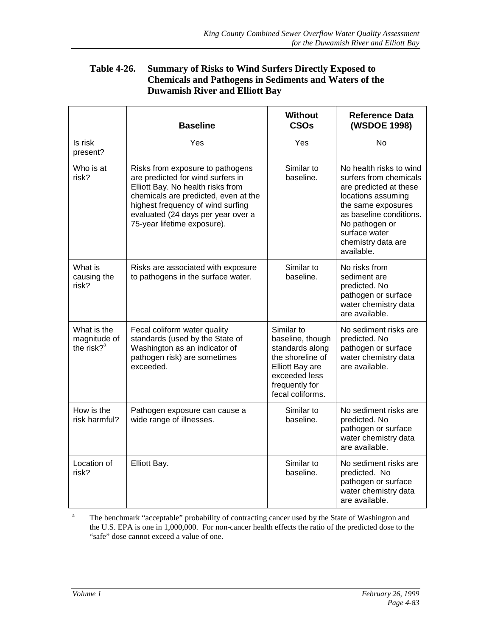### **Table 4-26. Summary of Risks to Wind Surfers Directly Exposed to Chemicals and Pathogens in Sediments and Waters of the Duwamish River and Elliott Bay**

|                                                       | <b>Without</b><br><b>Baseline</b><br><b>CSOs</b>                                                                                                                                                                                                             |                                                                                                                                                        | <b>Reference Data</b><br>(WSDOE 1998)                                                                                                                                                                                     |
|-------------------------------------------------------|--------------------------------------------------------------------------------------------------------------------------------------------------------------------------------------------------------------------------------------------------------------|--------------------------------------------------------------------------------------------------------------------------------------------------------|---------------------------------------------------------------------------------------------------------------------------------------------------------------------------------------------------------------------------|
| Is risk<br>present?                                   | Yes                                                                                                                                                                                                                                                          | Yes                                                                                                                                                    | No                                                                                                                                                                                                                        |
| Who is at<br>risk?                                    | Risks from exposure to pathogens<br>are predicted for wind surfers in<br>Elliott Bay. No health risks from<br>chemicals are predicted, even at the<br>highest frequency of wind surfing<br>evaluated (24 days per year over a<br>75-year lifetime exposure). | Similar to<br>baseline.                                                                                                                                | No health risks to wind<br>surfers from chemicals<br>are predicted at these<br>locations assuming<br>the same exposures<br>as baseline conditions.<br>No pathogen or<br>surface water<br>chemistry data are<br>available. |
| What is<br>causing the<br>risk?                       | Risks are associated with exposure<br>to pathogens in the surface water.                                                                                                                                                                                     | Similar to<br>baseline.                                                                                                                                | No risks from<br>sediment are<br>predicted. No<br>pathogen or surface<br>water chemistry data<br>are available.                                                                                                           |
| What is the<br>magnitude of<br>the risk? <sup>a</sup> | Fecal coliform water quality<br>standards (used by the State of<br>Washington as an indicator of<br>pathogen risk) are sometimes<br>exceeded.                                                                                                                | Similar to<br>baseline, though<br>standards along<br>the shoreline of<br><b>Elliott Bay are</b><br>exceeded less<br>frequently for<br>fecal coliforms. | No sediment risks are<br>predicted. No<br>pathogen or surface<br>water chemistry data<br>are available.                                                                                                                   |
| How is the<br>risk harmful?                           | Pathogen exposure can cause a<br>wide range of illnesses.                                                                                                                                                                                                    | Similar to<br>baseline.                                                                                                                                | No sediment risks are<br>predicted. No<br>pathogen or surface<br>water chemistry data<br>are available.                                                                                                                   |
| Location of<br>risk?                                  | Elliott Bay.                                                                                                                                                                                                                                                 | Similar to<br>baseline.                                                                                                                                | No sediment risks are<br>predicted. No<br>pathogen or surface<br>water chemistry data<br>are available.                                                                                                                   |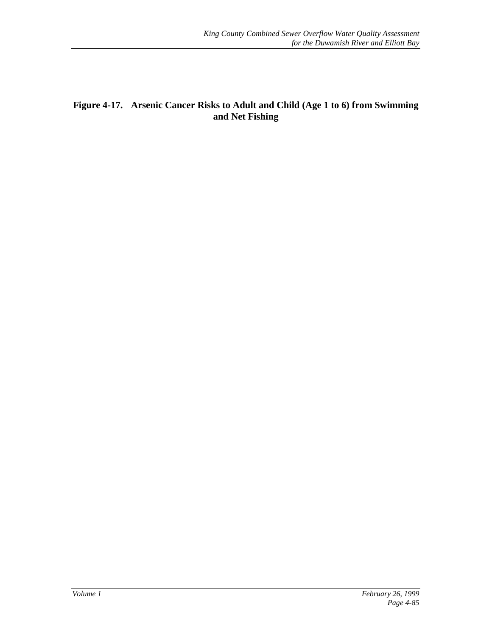# **Figure 4-17. Arsenic Cancer Risks to Adult and Child (Age 1 to 6) from Swimming and Net Fishing**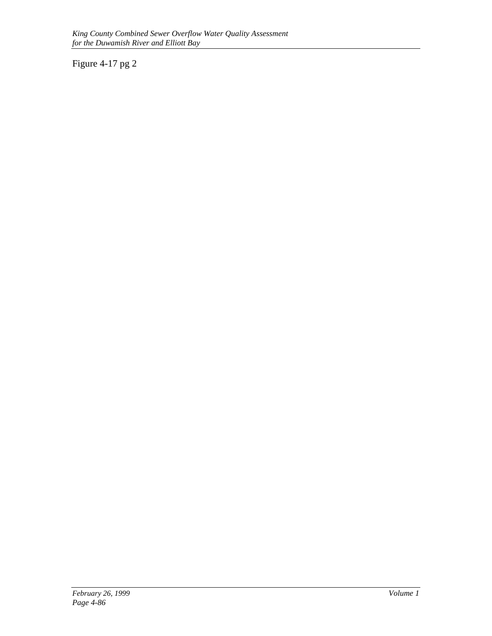Figure 4-17 pg 2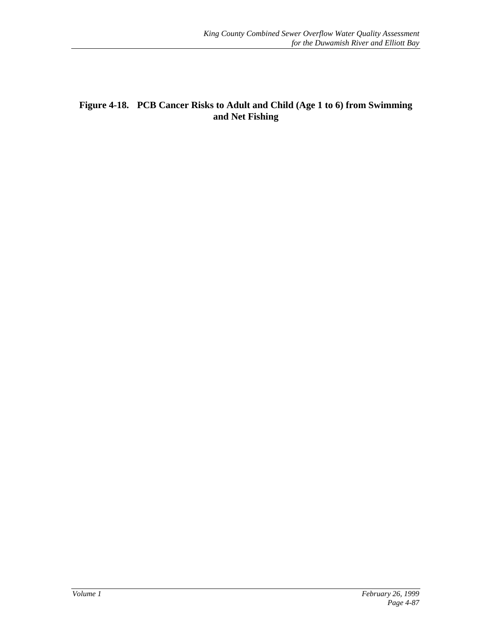# **Figure 4-18. PCB Cancer Risks to Adult and Child (Age 1 to 6) from Swimming and Net Fishing**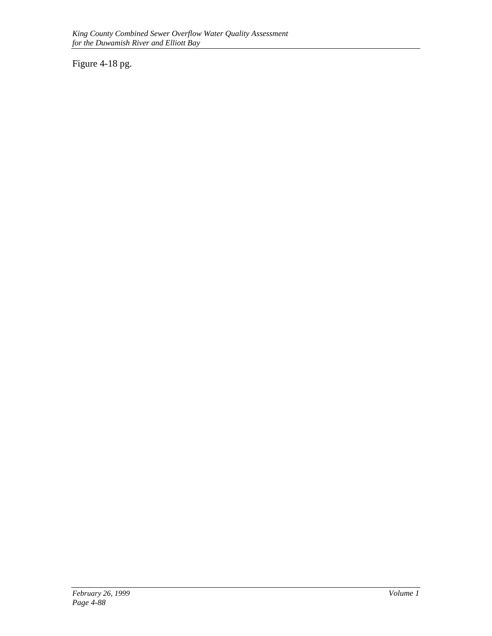Figure 4-18 pg.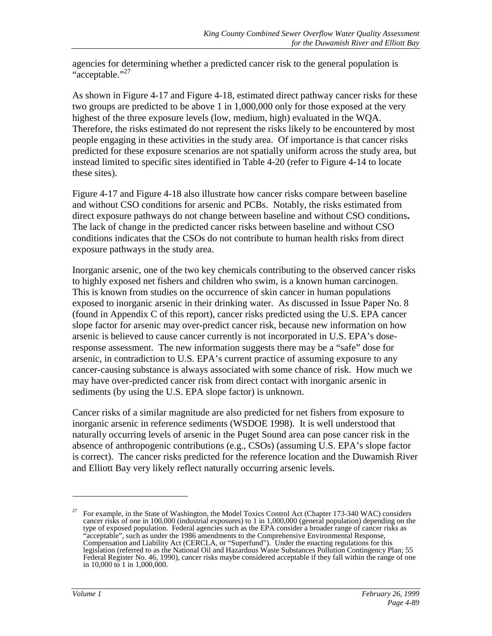agencies for determining whether a predicted cancer risk to the general population is "acceptable."<sup>27</sup>

As shown in Figure 4-17 and Figure 4-18, estimated direct pathway cancer risks for these two groups are predicted to be above 1 in 1,000,000 only for those exposed at the very highest of the three exposure levels (low, medium, high) evaluated in the WQA. Therefore, the risks estimated do not represent the risks likely to be encountered by most people engaging in these activities in the study area. Of importance is that cancer risks predicted for these exposure scenarios are not spatially uniform across the study area, but instead limited to specific sites identified in Table 4-20 (refer to Figure 4-14 to locate these sites).

Figure 4-17 and Figure 4-18 also illustrate how cancer risks compare between baseline and without CSO conditions for arsenic and PCBs. Notably, the risks estimated from direct exposure pathways do not change between baseline and without CSO conditions**.** The lack of change in the predicted cancer risks between baseline and without CSO conditions indicates that the CSOs do not contribute to human health risks from direct exposure pathways in the study area.

Inorganic arsenic, one of the two key chemicals contributing to the observed cancer risks to highly exposed net fishers and children who swim, is a known human carcinogen. This is known from studies on the occurrence of skin cancer in human populations exposed to inorganic arsenic in their drinking water. As discussed in Issue Paper No. 8 (found in Appendix C of this report), cancer risks predicted using the U.S. EPA cancer slope factor for arsenic may over-predict cancer risk, because new information on how arsenic is believed to cause cancer currently is not incorporated in U.S. EPA's doseresponse assessment. The new information suggests there may be a "safe" dose for arsenic, in contradiction to U.S. EPA's current practice of assuming exposure to any cancer-causing substance is always associated with some chance of risk. How much we may have over-predicted cancer risk from direct contact with inorganic arsenic in sediments (by using the U.S. EPA slope factor) is unknown.

Cancer risks of a similar magnitude are also predicted for net fishers from exposure to inorganic arsenic in reference sediments (WSDOE 1998). It is well understood that naturally occurring levels of arsenic in the Puget Sound area can pose cancer risk in the absence of anthropogenic contributions (e.g., CSOs) (assuming U.S. EPA's slope factor is correct). The cancer risks predicted for the reference location and the Duwamish River and Elliott Bay very likely reflect naturally occurring arsenic levels.

 $\overline{a}$ 

<sup>&</sup>lt;sup>27</sup> For example, in the State of Washington, the Model Toxics Control Act (Chapter 173-340 WAC) considers cancer risks of one in 100,000 (industrial exposures) to 1 in 1,000,000 (general population) depending on the type of exposed population. Federal agencies such as the EPA consider a broader range of cancer risks as "acceptable", such as under the 1986 amendments to the Comprehensive Environmental Response, Compensation and Liability Act (CERCLA, or "Superfund"). Under the enacting regulations for this legislation (referred to as the National Oil and Hazardous Waste Substances Pollution Contingency Plan; 55 Federal Register No. 46, 1990), cancer risks maybe considered acceptable if they fall within the range of one in 10,000 to 1 in 1,000,000.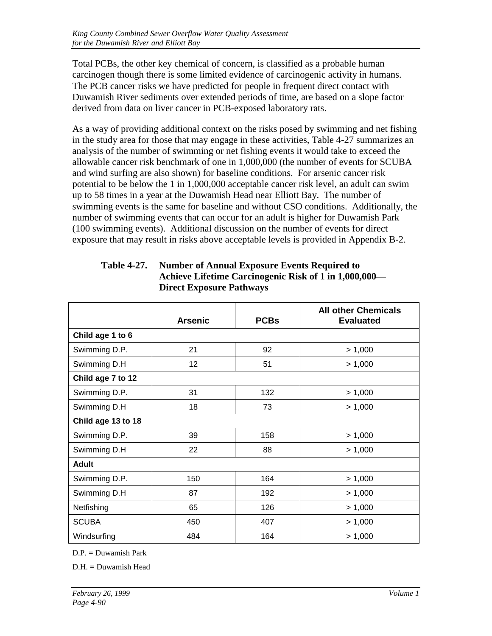Total PCBs, the other key chemical of concern, is classified as a probable human carcinogen though there is some limited evidence of carcinogenic activity in humans. The PCB cancer risks we have predicted for people in frequent direct contact with Duwamish River sediments over extended periods of time, are based on a slope factor derived from data on liver cancer in PCB-exposed laboratory rats.

As a way of providing additional context on the risks posed by swimming and net fishing in the study area for those that may engage in these activities, Table 4-27 summarizes an analysis of the number of swimming or net fishing events it would take to exceed the allowable cancer risk benchmark of one in 1,000,000 (the number of events for SCUBA and wind surfing are also shown) for baseline conditions. For arsenic cancer risk potential to be below the 1 in 1,000,000 acceptable cancer risk level, an adult can swim up to 58 times in a year at the Duwamish Head near Elliott Bay. The number of swimming events is the same for baseline and without CSO conditions. Additionally, the number of swimming events that can occur for an adult is higher for Duwamish Park (100 swimming events). Additional discussion on the number of events for direct exposure that may result in risks above acceptable levels is provided in Appendix B-2.

|                    | <b>Arsenic</b>  | <b>PCBs</b> | <b>All other Chemicals</b><br><b>Evaluated</b> |  |
|--------------------|-----------------|-------------|------------------------------------------------|--|
| Child age 1 to 6   |                 |             |                                                |  |
| Swimming D.P.      | 21              | 92          | > 1,000                                        |  |
| Swimming D.H       | 12 <sub>2</sub> | 51          | > 1,000                                        |  |
| Child age 7 to 12  |                 |             |                                                |  |
| Swimming D.P.      | 31              | 132         | > 1,000                                        |  |
| Swimming D.H       | 18              | 73          | > 1,000                                        |  |
| Child age 13 to 18 |                 |             |                                                |  |
| Swimming D.P.      | 39              | 158         | > 1,000                                        |  |
| Swimming D.H       | 22              | 88          | > 1,000                                        |  |
| <b>Adult</b>       |                 |             |                                                |  |
| Swimming D.P.      | 150             | 164         | > 1,000                                        |  |
| Swimming D.H       | 87              | 192         | > 1,000                                        |  |
| Netfishing         | 65              | 126         | > 1,000                                        |  |
| <b>SCUBA</b>       | 450             | 407         | > 1,000                                        |  |
| Windsurfing        | 484             | 164         | > 1,000                                        |  |

# **Table 4-27. Number of Annual Exposure Events Required to Achieve Lifetime Carcinogenic Risk of 1 in 1,000,000— Direct Exposure Pathways**

D.P. = Duwamish Park

D.H. = Duwamish Head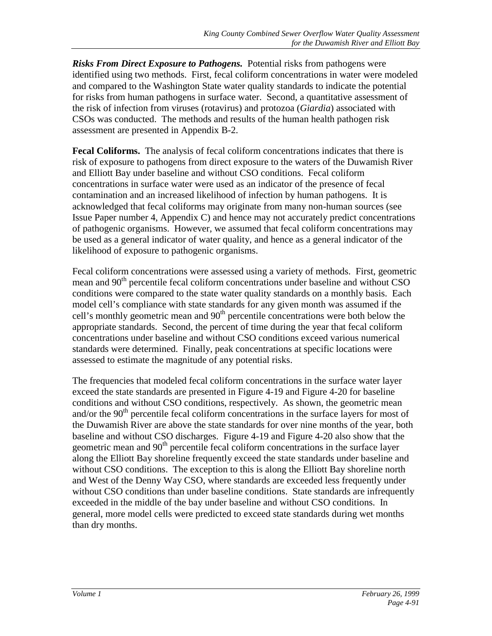*Risks From Direct Exposure to Pathogens.* Potential risks from pathogens were identified using two methods. First, fecal coliform concentrations in water were modeled and compared to the Washington State water quality standards to indicate the potential for risks from human pathogens in surface water. Second, a quantitative assessment of the risk of infection from viruses (rotavirus) and protozoa (*Giardia*) associated with CSOs was conducted. The methods and results of the human health pathogen risk assessment are presented in Appendix B-2.

**Fecal Coliforms.** The analysis of fecal coliform concentrations indicates that there is risk of exposure to pathogens from direct exposure to the waters of the Duwamish River and Elliott Bay under baseline and without CSO conditions. Fecal coliform concentrations in surface water were used as an indicator of the presence of fecal contamination and an increased likelihood of infection by human pathogens. It is acknowledged that fecal coliforms may originate from many non-human sources (see Issue Paper number 4, Appendix C) and hence may not accurately predict concentrations of pathogenic organisms. However, we assumed that fecal coliform concentrations may be used as a general indicator of water quality, and hence as a general indicator of the likelihood of exposure to pathogenic organisms.

Fecal coliform concentrations were assessed using a variety of methods. First, geometric mean and 90<sup>th</sup> percentile fecal coliform concentrations under baseline and without CSO conditions were compared to the state water quality standards on a monthly basis. Each model cell's compliance with state standards for any given month was assumed if the cell's monthly geometric mean and  $90<sup>th</sup>$  percentile concentrations were both below the appropriate standards. Second, the percent of time during the year that fecal coliform concentrations under baseline and without CSO conditions exceed various numerical standards were determined. Finally, peak concentrations at specific locations were assessed to estimate the magnitude of any potential risks.

The frequencies that modeled fecal coliform concentrations in the surface water layer exceed the state standards are presented in Figure 4-19 and Figure 4-20 for baseline conditions and without CSO conditions, respectively. As shown, the geometric mean and/or the  $90<sup>th</sup>$  percentile fecal coliform concentrations in the surface layers for most of the Duwamish River are above the state standards for over nine months of the year, both baseline and without CSO discharges. Figure 4-19 and Figure 4-20 also show that the geometric mean and 90<sup>th</sup> percentile fecal coliform concentrations in the surface layer along the Elliott Bay shoreline frequently exceed the state standards under baseline and without CSO conditions. The exception to this is along the Elliott Bay shoreline north and West of the Denny Way CSO, where standards are exceeded less frequently under without CSO conditions than under baseline conditions. State standards are infrequently exceeded in the middle of the bay under baseline and without CSO conditions. In general, more model cells were predicted to exceed state standards during wet months than dry months.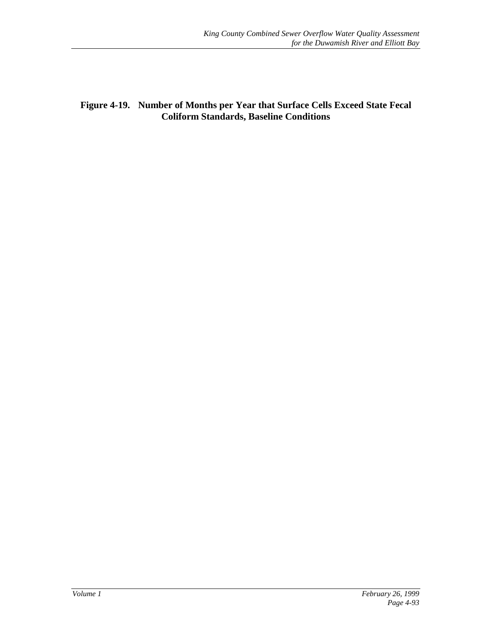**Figure 4-19. Number of Months per Year that Surface Cells Exceed State Fecal Coliform Standards, Baseline Conditions**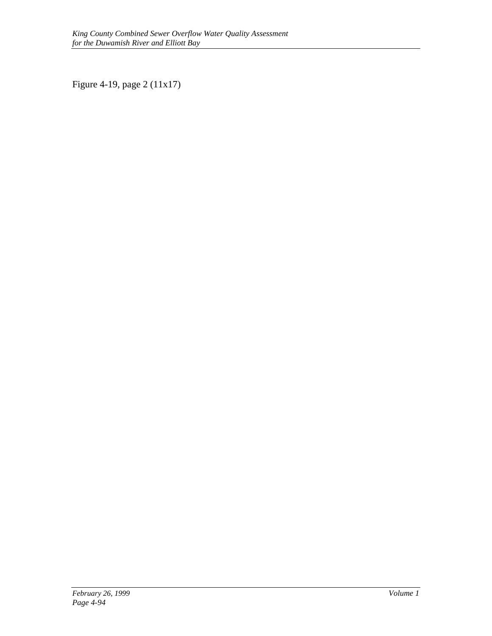Figure 4-19, page 2 (11x17)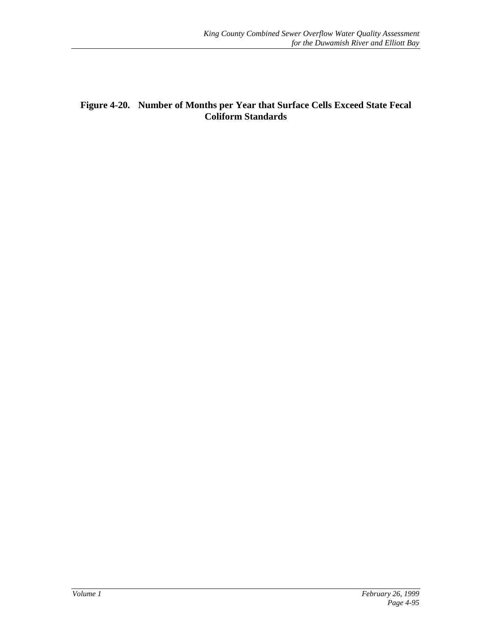# **Figure 4-20. Number of Months per Year that Surface Cells Exceed State Fecal Coliform Standards**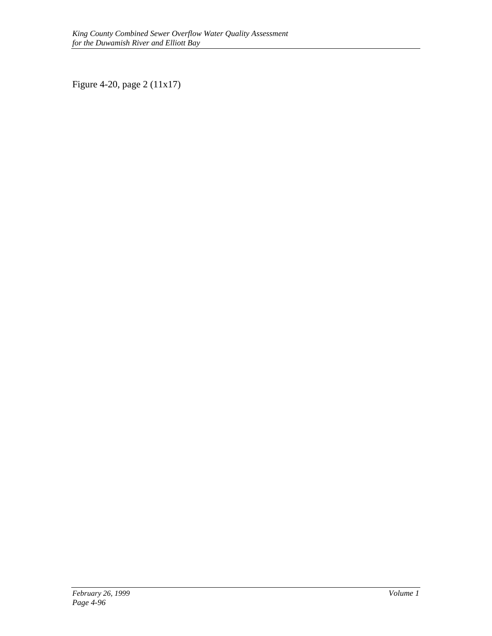Figure 4-20, page 2 (11x17)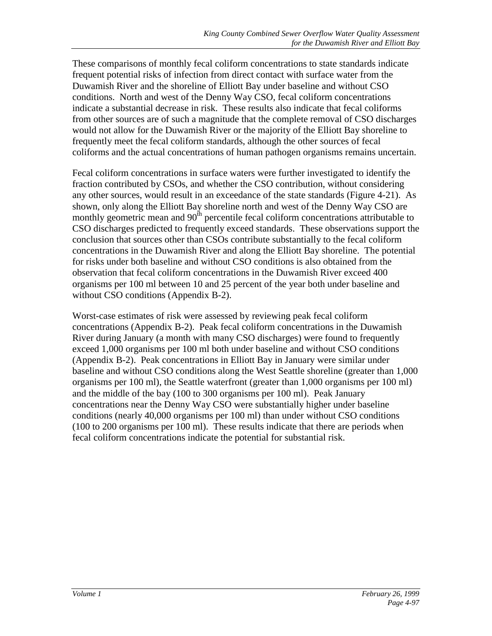These comparisons of monthly fecal coliform concentrations to state standards indicate frequent potential risks of infection from direct contact with surface water from the Duwamish River and the shoreline of Elliott Bay under baseline and without CSO conditions. North and west of the Denny Way CSO, fecal coliform concentrations indicate a substantial decrease in risk. These results also indicate that fecal coliforms from other sources are of such a magnitude that the complete removal of CSO discharges would not allow for the Duwamish River or the majority of the Elliott Bay shoreline to frequently meet the fecal coliform standards, although the other sources of fecal coliforms and the actual concentrations of human pathogen organisms remains uncertain.

Fecal coliform concentrations in surface waters were further investigated to identify the fraction contributed by CSOs, and whether the CSO contribution, without considering any other sources, would result in an exceedance of the state standards (Figure 4-21). As shown, only along the Elliott Bay shoreline north and west of the Denny Way CSO are monthly geometric mean and  $90<sup>th</sup>$  percentile fecal coliform concentrations attributable to CSO discharges predicted to frequently exceed standards. These observations support the conclusion that sources other than CSOs contribute substantially to the fecal coliform concentrations in the Duwamish River and along the Elliott Bay shoreline. The potential for risks under both baseline and without CSO conditions is also obtained from the observation that fecal coliform concentrations in the Duwamish River exceed 400 organisms per 100 ml between 10 and 25 percent of the year both under baseline and without CSO conditions (Appendix B-2).

Worst-case estimates of risk were assessed by reviewing peak fecal coliform concentrations (Appendix B-2). Peak fecal coliform concentrations in the Duwamish River during January (a month with many CSO discharges) were found to frequently exceed 1,000 organisms per 100 ml both under baseline and without CSO conditions (Appendix B-2). Peak concentrations in Elliott Bay in January were similar under baseline and without CSO conditions along the West Seattle shoreline (greater than 1,000 organisms per 100 ml), the Seattle waterfront (greater than 1,000 organisms per 100 ml) and the middle of the bay (100 to 300 organisms per 100 ml). Peak January concentrations near the Denny Way CSO were substantially higher under baseline conditions (nearly 40,000 organisms per 100 ml) than under without CSO conditions (100 to 200 organisms per 100 ml). These results indicate that there are periods when fecal coliform concentrations indicate the potential for substantial risk.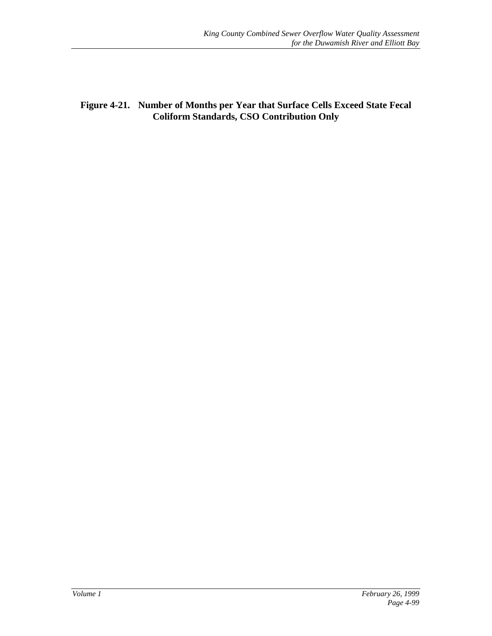**Figure 4-21. Number of Months per Year that Surface Cells Exceed State Fecal Coliform Standards, CSO Contribution Only**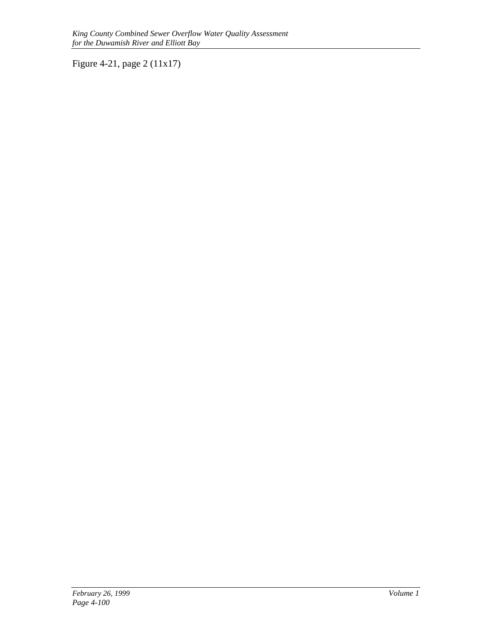Figure 4-21, page 2 (11x17)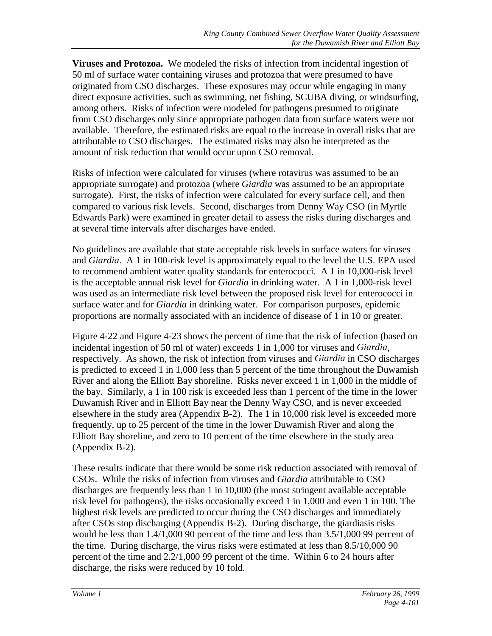**Viruses and Protozoa.** We modeled the risks of infection from incidental ingestion of 50 ml of surface water containing viruses and protozoa that were presumed to have originated from CSO discharges. These exposures may occur while engaging in many direct exposure activities, such as swimming, net fishing, SCUBA diving, or windsurfing, among others. Risks of infection were modeled for pathogens presumed to originate from CSO discharges only since appropriate pathogen data from surface waters were not available. Therefore, the estimated risks are equal to the increase in overall risks that are attributable to CSO discharges. The estimated risks may also be interpreted as the amount of risk reduction that would occur upon CSO removal.

Risks of infection were calculated for viruses (where rotavirus was assumed to be an appropriate surrogate) and protozoa (where *Giardia* was assumed to be an appropriate surrogate). First, the risks of infection were calculated for every surface cell, and then compared to various risk levels. Second, discharges from Denny Way CSO (in Myrtle Edwards Park) were examined in greater detail to assess the risks during discharges and at several time intervals after discharges have ended.

No guidelines are available that state acceptable risk levels in surface waters for viruses and *Giardia*. A 1 in 100-risk level is approximately equal to the level the U.S. EPA used to recommend ambient water quality standards for enterococci. A 1 in 10,000-risk level is the acceptable annual risk level for *Giardia* in drinking water. A 1 in 1,000-risk level was used as an intermediate risk level between the proposed risk level for enterococci in surface water and for *Giardia* in drinking water. For comparison purposes, epidemic proportions are normally associated with an incidence of disease of 1 in 10 or greater.

Figure 4-22 and Figure 4-23 shows the percent of time that the risk of infection (based on incidental ingestion of 50 ml of water) exceeds 1 in 1,000 for viruses and *Giardia*, respectively. As shown, the risk of infection from viruses and *Giardia* in CSO discharges is predicted to exceed 1 in 1,000 less than 5 percent of the time throughout the Duwamish River and along the Elliott Bay shoreline. Risks never exceed 1 in 1,000 in the middle of the bay. Similarly, a 1 in 100 risk is exceeded less than 1 percent of the time in the lower Duwamish River and in Elliott Bay near the Denny Way CSO, and is never exceeded elsewhere in the study area (Appendix B-2). The 1 in 10,000 risk level is exceeded more frequently, up to 25 percent of the time in the lower Duwamish River and along the Elliott Bay shoreline, and zero to 10 percent of the time elsewhere in the study area (Appendix B-2).

These results indicate that there would be some risk reduction associated with removal of CSOs. While the risks of infection from viruses and *Giardia* attributable to CSO discharges are frequently less than 1 in 10,000 (the most stringent available acceptable risk level for pathogens), the risks occasionally exceed 1 in 1,000 and even 1 in 100. The highest risk levels are predicted to occur during the CSO discharges and immediately after CSOs stop discharging (Appendix B-2). During discharge, the giardiasis risks would be less than 1.4/1,000 90 percent of the time and less than 3.5/1,000 99 percent of the time. During discharge, the virus risks were estimated at less than 8.5/10,000 90 percent of the time and 2.2/1,000 99 percent of the time. Within 6 to 24 hours after discharge, the risks were reduced by 10 fold.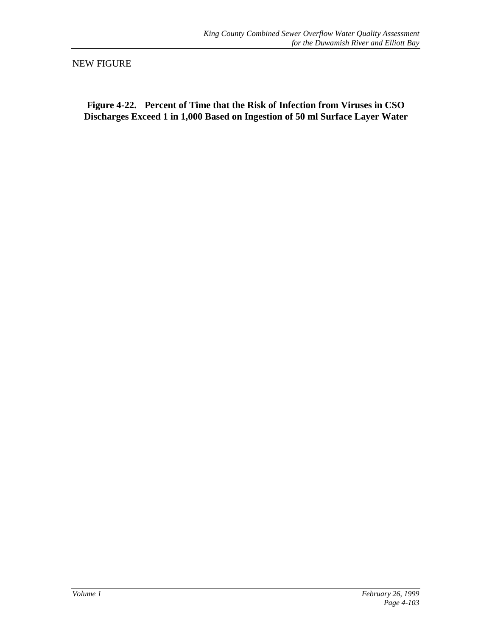NEW FIGURE

**Figure 4-22. Percent of Time that the Risk of Infection from Viruses in CSO Discharges Exceed 1 in 1,000 Based on Ingestion of 50 ml Surface Layer Water**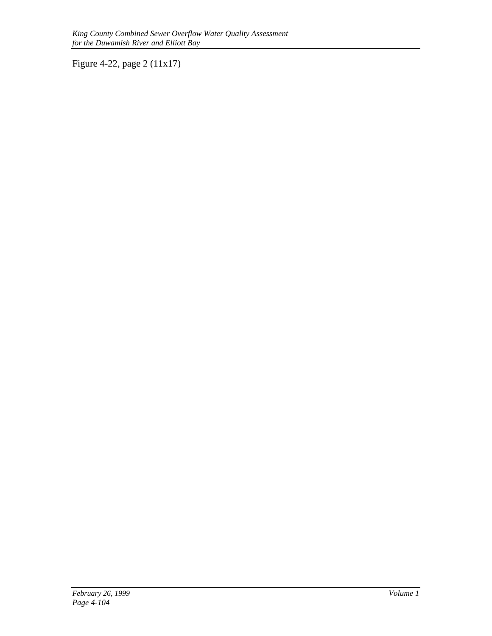Figure 4-22, page 2 (11x17)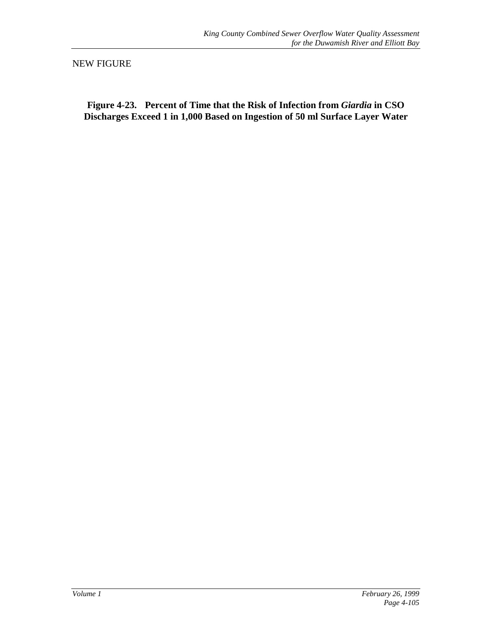NEW FIGURE

**Figure 4-23. Percent of Time that the Risk of Infection from** *Giardia* **in CSO Discharges Exceed 1 in 1,000 Based on Ingestion of 50 ml Surface Layer Water**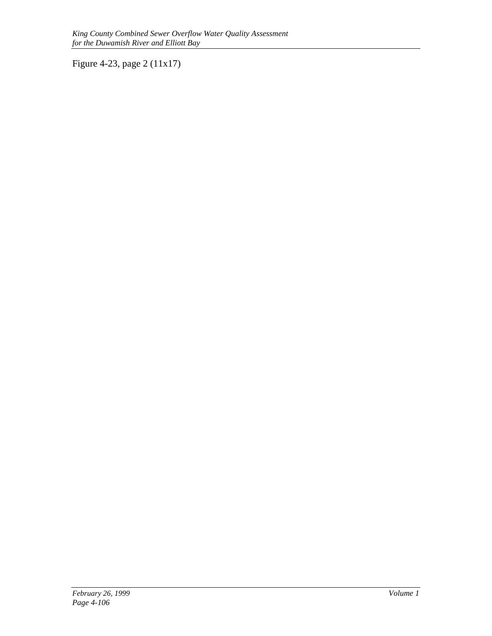Figure 4-23, page 2 (11x17)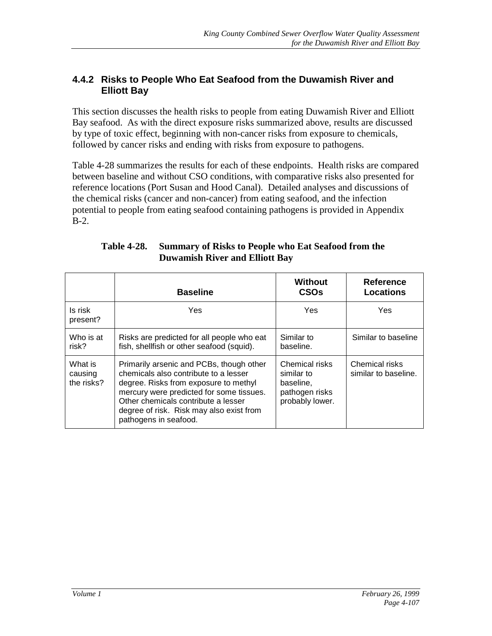# **4.4.2 Risks to People Who Eat Seafood from the Duwamish River and Elliott Bay**

This section discusses the health risks to people from eating Duwamish River and Elliott Bay seafood. As with the direct exposure risks summarized above, results are discussed by type of toxic effect, beginning with non-cancer risks from exposure to chemicals, followed by cancer risks and ending with risks from exposure to pathogens.

Table 4-28 summarizes the results for each of these endpoints. Health risks are compared between baseline and without CSO conditions, with comparative risks also presented for reference locations (Port Susan and Hood Canal). Detailed analyses and discussions of the chemical risks (cancer and non-cancer) from eating seafood, and the infection potential to people from eating seafood containing pathogens is provided in Appendix B-2.

|                                  | <b>Baseline</b>                                                                                                                                                                                                                                                                    | <b>Without</b><br><b>CSOs</b>                                                  | <b>Reference</b><br><b>Locations</b>   |
|----------------------------------|------------------------------------------------------------------------------------------------------------------------------------------------------------------------------------------------------------------------------------------------------------------------------------|--------------------------------------------------------------------------------|----------------------------------------|
| Is risk<br>present?              | Yes.                                                                                                                                                                                                                                                                               | Yes                                                                            | Yes                                    |
| Who is at<br>risk?               | Risks are predicted for all people who eat<br>fish, shellfish or other seafood (squid).                                                                                                                                                                                            | Similar to<br>baseline.                                                        | Similar to baseline                    |
| What is<br>causing<br>the risks? | Primarily arsenic and PCBs, though other<br>chemicals also contribute to a lesser<br>degree. Risks from exposure to methyl<br>mercury were predicted for some tissues.<br>Other chemicals contribute a lesser<br>degree of risk. Risk may also exist from<br>pathogens in seafood. | Chemical risks<br>similar to<br>baseline.<br>pathogen risks<br>probably lower. | Chemical risks<br>similar to baseline. |

#### **Table 4-28. Summary of Risks to People who Eat Seafood from the Duwamish River and Elliott Bay**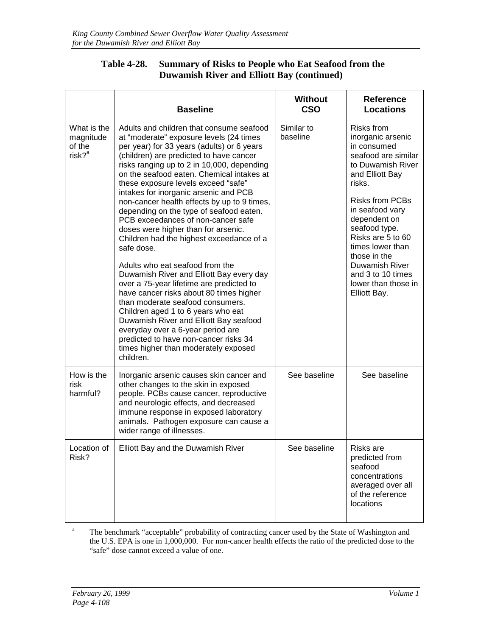#### **Table 4-28. Summary of Risks to People who Eat Seafood from the Duwamish River and Elliott Bay (continued)**

|                                                            | <b>Baseline</b>                                                                                                                                                                                                                                                                                                                                                                                                                                                                                                                                                                                                                                                                                                                                                                                                                                                                                                                                                                                                       | <b>Without</b><br><b>CSO</b> | <b>Reference</b><br><b>Locations</b>                                                                                                                                                                                                                                                                                                         |  |  |
|------------------------------------------------------------|-----------------------------------------------------------------------------------------------------------------------------------------------------------------------------------------------------------------------------------------------------------------------------------------------------------------------------------------------------------------------------------------------------------------------------------------------------------------------------------------------------------------------------------------------------------------------------------------------------------------------------------------------------------------------------------------------------------------------------------------------------------------------------------------------------------------------------------------------------------------------------------------------------------------------------------------------------------------------------------------------------------------------|------------------------------|----------------------------------------------------------------------------------------------------------------------------------------------------------------------------------------------------------------------------------------------------------------------------------------------------------------------------------------------|--|--|
| What is the<br>magnitude<br>of the<br>$risk?$ <sup>a</sup> | Adults and children that consume seafood<br>at "moderate" exposure levels (24 times<br>per year) for 33 years (adults) or 6 years<br>(children) are predicted to have cancer<br>risks ranging up to 2 in 10,000, depending<br>on the seafood eaten. Chemical intakes at<br>these exposure levels exceed "safe"<br>intakes for inorganic arsenic and PCB<br>non-cancer health effects by up to 9 times,<br>depending on the type of seafood eaten.<br>PCB exceedances of non-cancer safe<br>doses were higher than for arsenic.<br>Children had the highest exceedance of a<br>safe dose.<br>Adults who eat seafood from the<br>Duwamish River and Elliott Bay every day<br>over a 75-year lifetime are predicted to<br>have cancer risks about 80 times higher<br>than moderate seafood consumers.<br>Children aged 1 to 6 years who eat<br>Duwamish River and Elliott Bay seafood<br>everyday over a 6-year period are<br>predicted to have non-cancer risks 34<br>times higher than moderately exposed<br>children. | Similar to<br>baseline       | Risks from<br>inorganic arsenic<br>in consumed<br>seafood are similar<br>to Duwamish River<br>and Elliott Bay<br>risks.<br><b>Risks from PCBs</b><br>in seafood vary<br>dependent on<br>seafood type.<br>Risks are 5 to 60<br>times lower than<br>those in the<br>Duwamish River<br>and 3 to 10 times<br>lower than those in<br>Elliott Bay. |  |  |
| How is the<br>risk<br>harmful?                             | Inorganic arsenic causes skin cancer and<br>other changes to the skin in exposed<br>people. PCBs cause cancer, reproductive<br>and neurologic effects, and decreased<br>immune response in exposed laboratory<br>animals. Pathogen exposure can cause a<br>wider range of illnesses.                                                                                                                                                                                                                                                                                                                                                                                                                                                                                                                                                                                                                                                                                                                                  | See baseline                 | See baseline                                                                                                                                                                                                                                                                                                                                 |  |  |
| Location of $\vert$<br>Risk?                               | Elliott Bay and the Duwamish River                                                                                                                                                                                                                                                                                                                                                                                                                                                                                                                                                                                                                                                                                                                                                                                                                                                                                                                                                                                    | See baseline                 | Risks are<br>predicted from<br>seafood<br>concentrations<br>averaged over all<br>of the reference<br>locations                                                                                                                                                                                                                               |  |  |

<sup>a</sup> The benchmark "acceptable" probability of contracting cancer used by the State of Washington and the U.S. EPA is one in 1,000,000. For non-cancer health effects the ratio of the predicted dose to the "safe" dose cannot exceed a value of one.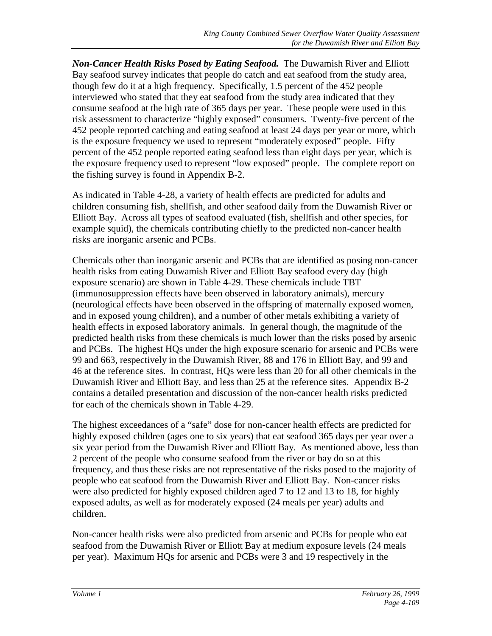*Non-Cancer Health Risks Posed by Eating Seafood.* The Duwamish River and Elliott Bay seafood survey indicates that people do catch and eat seafood from the study area, though few do it at a high frequency. Specifically, 1.5 percent of the 452 people interviewed who stated that they eat seafood from the study area indicated that they consume seafood at the high rate of 365 days per year. These people were used in this risk assessment to characterize "highly exposed" consumers. Twenty-five percent of the 452 people reported catching and eating seafood at least 24 days per year or more, which is the exposure frequency we used to represent "moderately exposed" people. Fifty percent of the 452 people reported eating seafood less than eight days per year, which is the exposure frequency used to represent "low exposed" people. The complete report on the fishing survey is found in Appendix B-2.

As indicated in Table 4-28, a variety of health effects are predicted for adults and children consuming fish, shellfish, and other seafood daily from the Duwamish River or Elliott Bay. Across all types of seafood evaluated (fish, shellfish and other species, for example squid), the chemicals contributing chiefly to the predicted non-cancer health risks are inorganic arsenic and PCBs.

Chemicals other than inorganic arsenic and PCBs that are identified as posing non-cancer health risks from eating Duwamish River and Elliott Bay seafood every day (high exposure scenario) are shown in Table 4-29. These chemicals include TBT (immunosuppression effects have been observed in laboratory animals), mercury (neurological effects have been observed in the offspring of maternally exposed women, and in exposed young children), and a number of other metals exhibiting a variety of health effects in exposed laboratory animals. In general though, the magnitude of the predicted health risks from these chemicals is much lower than the risks posed by arsenic and PCBs. The highest HQs under the high exposure scenario for arsenic and PCBs were 99 and 663, respectively in the Duwamish River, 88 and 176 in Elliott Bay, and 99 and 46 at the reference sites. In contrast, HQs were less than 20 for all other chemicals in the Duwamish River and Elliott Bay, and less than 25 at the reference sites. Appendix B-2 contains a detailed presentation and discussion of the non-cancer health risks predicted for each of the chemicals shown in Table 4-29.

The highest exceedances of a "safe" dose for non-cancer health effects are predicted for highly exposed children (ages one to six years) that eat seafood 365 days per year over a six year period from the Duwamish River and Elliott Bay. As mentioned above, less than 2 percent of the people who consume seafood from the river or bay do so at this frequency, and thus these risks are not representative of the risks posed to the majority of people who eat seafood from the Duwamish River and Elliott Bay. Non-cancer risks were also predicted for highly exposed children aged 7 to 12 and 13 to 18, for highly exposed adults, as well as for moderately exposed (24 meals per year) adults and children.

Non-cancer health risks were also predicted from arsenic and PCBs for people who eat seafood from the Duwamish River or Elliott Bay at medium exposure levels (24 meals per year). Maximum HQs for arsenic and PCBs were 3 and 19 respectively in the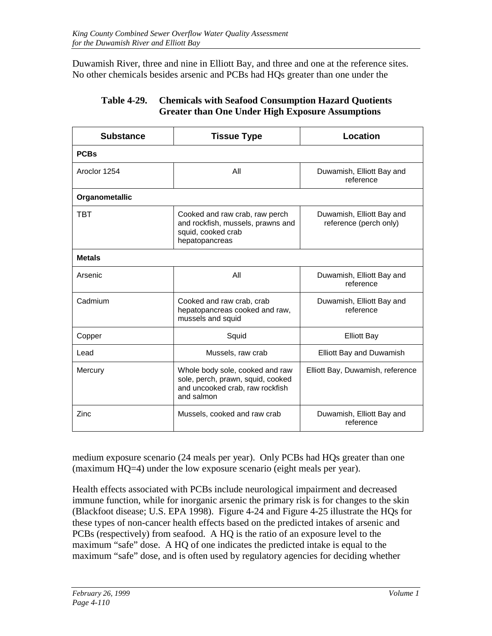Duwamish River, three and nine in Elliott Bay, and three and one at the reference sites. No other chemicals besides arsenic and PCBs had HQs greater than one under the

| <b>Substance</b> | <b>Tissue Type</b>                                                                                                    | Location                                            |  |  |  |  |
|------------------|-----------------------------------------------------------------------------------------------------------------------|-----------------------------------------------------|--|--|--|--|
| <b>PCBs</b>      |                                                                                                                       |                                                     |  |  |  |  |
| Aroclor 1254     | All                                                                                                                   | Duwamish, Elliott Bay and<br>reference              |  |  |  |  |
| Organometallic   |                                                                                                                       |                                                     |  |  |  |  |
| <b>TBT</b>       | Cooked and raw crab, raw perch<br>and rockfish, mussels, prawns and<br>squid, cooked crab<br>hepatopancreas           | Duwamish, Elliott Bay and<br>reference (perch only) |  |  |  |  |
| <b>Metals</b>    |                                                                                                                       |                                                     |  |  |  |  |
| Arsenic          | All                                                                                                                   | Duwamish, Elliott Bay and<br>reference              |  |  |  |  |
| Cadmium          | Cooked and raw crab, crab<br>hepatopancreas cooked and raw,<br>mussels and squid                                      | Duwamish, Elliott Bay and<br>reference              |  |  |  |  |
| Copper           | Squid                                                                                                                 | <b>Elliott Bay</b>                                  |  |  |  |  |
| Lead             | Mussels, raw crab                                                                                                     | <b>Elliott Bay and Duwamish</b>                     |  |  |  |  |
| Mercury          | Whole body sole, cooked and raw<br>sole, perch, prawn, squid, cooked<br>and uncooked crab, raw rockfish<br>and salmon | Elliott Bay, Duwamish, reference                    |  |  |  |  |
| Zinc             | Mussels, cooked and raw crab                                                                                          | Duwamish, Elliott Bay and<br>reference              |  |  |  |  |

#### **Table 4-29. Chemicals with Seafood Consumption Hazard Quotients Greater than One Under High Exposure Assumptions**

medium exposure scenario (24 meals per year). Only PCBs had HQs greater than one (maximum HQ=4) under the low exposure scenario (eight meals per year).

Health effects associated with PCBs include neurological impairment and decreased immune function, while for inorganic arsenic the primary risk is for changes to the skin (Blackfoot disease; U.S. EPA 1998). Figure 4-24 and Figure 4-25 illustrate the HQs for these types of non-cancer health effects based on the predicted intakes of arsenic and PCBs (respectively) from seafood. A HQ is the ratio of an exposure level to the maximum "safe" dose. A HQ of one indicates the predicted intake is equal to the maximum "safe" dose, and is often used by regulatory agencies for deciding whether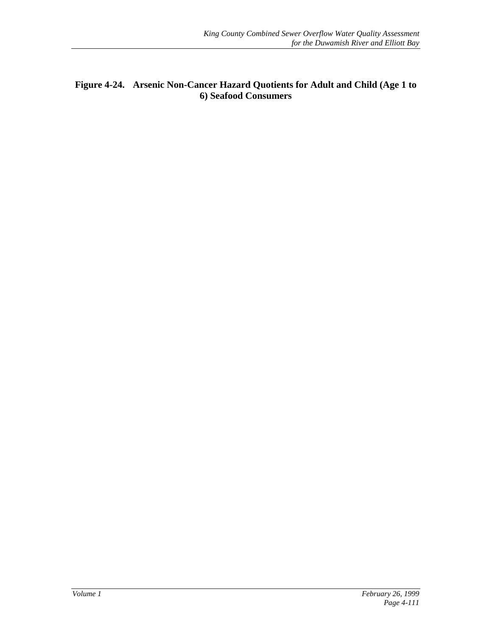#### **Figure 4-24. Arsenic Non-Cancer Hazard Quotients for Adult and Child (Age 1 to 6) Seafood Consumers**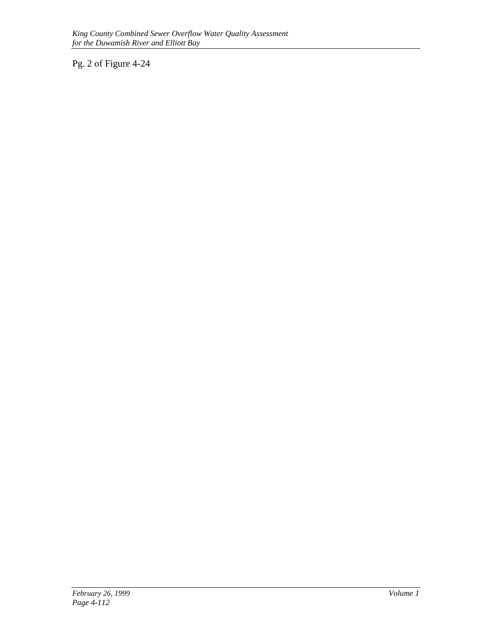Pg. 2 of Figure 4-24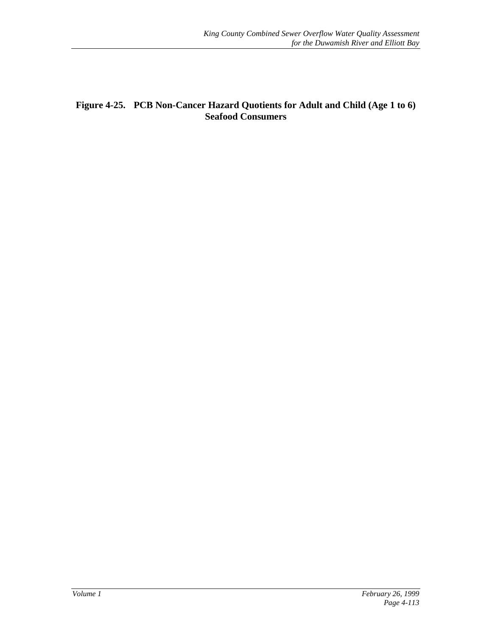#### **Figure 4-25. PCB Non-Cancer Hazard Quotients for Adult and Child (Age 1 to 6) Seafood Consumers**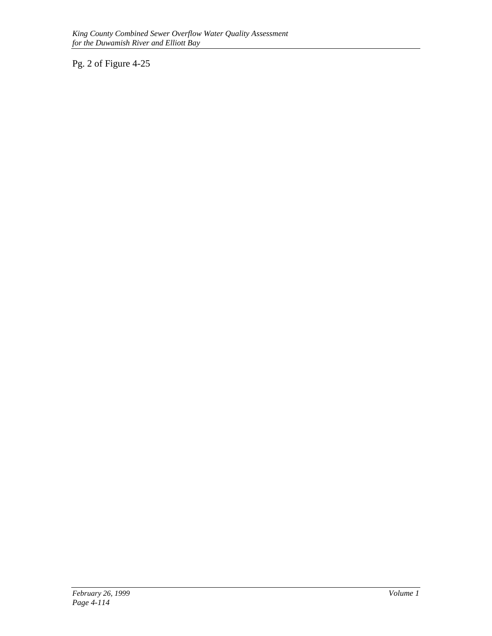Pg. 2 of Figure 4-25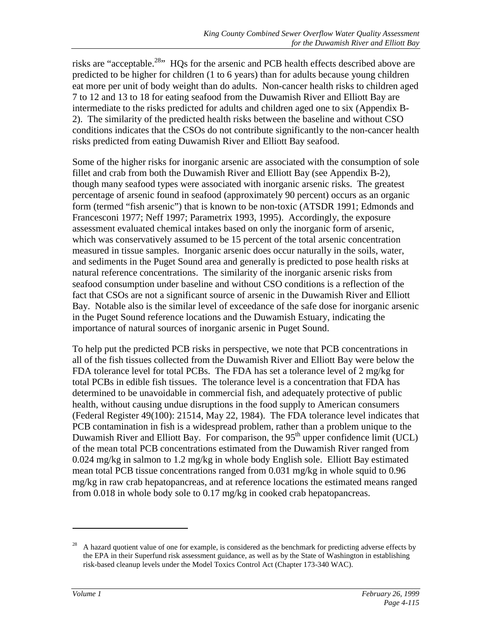risks are "acceptable.<sup>28</sup>" HQs for the arsenic and PCB health effects described above are predicted to be higher for children (1 to 6 years) than for adults because young children eat more per unit of body weight than do adults. Non-cancer health risks to children aged 7 to 12 and 13 to 18 for eating seafood from the Duwamish River and Elliott Bay are intermediate to the risks predicted for adults and children aged one to six (Appendix B-2). The similarity of the predicted health risks between the baseline and without CSO conditions indicates that the CSOs do not contribute significantly to the non-cancer health risks predicted from eating Duwamish River and Elliott Bay seafood.

Some of the higher risks for inorganic arsenic are associated with the consumption of sole fillet and crab from both the Duwamish River and Elliott Bay (see Appendix B-2), though many seafood types were associated with inorganic arsenic risks. The greatest percentage of arsenic found in seafood (approximately 90 percent) occurs as an organic form (termed "fish arsenic") that is known to be non-toxic (ATSDR 1991; Edmonds and Francesconi 1977; Neff 1997; Parametrix 1993, 1995). Accordingly, the exposure assessment evaluated chemical intakes based on only the inorganic form of arsenic, which was conservatively assumed to be 15 percent of the total arsenic concentration measured in tissue samples. Inorganic arsenic does occur naturally in the soils, water, and sediments in the Puget Sound area and generally is predicted to pose health risks at natural reference concentrations. The similarity of the inorganic arsenic risks from seafood consumption under baseline and without CSO conditions is a reflection of the fact that CSOs are not a significant source of arsenic in the Duwamish River and Elliott Bay. Notable also is the similar level of exceedance of the safe dose for inorganic arsenic in the Puget Sound reference locations and the Duwamish Estuary, indicating the importance of natural sources of inorganic arsenic in Puget Sound.

To help put the predicted PCB risks in perspective, we note that PCB concentrations in all of the fish tissues collected from the Duwamish River and Elliott Bay were below the FDA tolerance level for total PCBs. The FDA has set a tolerance level of 2 mg/kg for total PCBs in edible fish tissues. The tolerance level is a concentration that FDA has determined to be unavoidable in commercial fish, and adequately protective of public health, without causing undue disruptions in the food supply to American consumers (Federal Register 49(100): 21514, May 22, 1984). The FDA tolerance level indicates that PCB contamination in fish is a widespread problem, rather than a problem unique to the Duwamish River and Elliott Bay. For comparison, the  $95<sup>th</sup>$  upper confidence limit (UCL) of the mean total PCB concentrations estimated from the Duwamish River ranged from 0.024 mg/kg in salmon to 1.2 mg/kg in whole body English sole. Elliott Bay estimated mean total PCB tissue concentrations ranged from 0.031 mg/kg in whole squid to 0.96 mg/kg in raw crab hepatopancreas, and at reference locations the estimated means ranged from 0.018 in whole body sole to 0.17 mg/kg in cooked crab hepatopancreas.

 $\overline{a}$ 

<sup>28</sup> A hazard quotient value of one for example, is considered as the benchmark for predicting adverse effects by the EPA in their Superfund risk assessment guidance, as well as by the State of Washington in establishing risk-based cleanup levels under the Model Toxics Control Act (Chapter 173-340 WAC).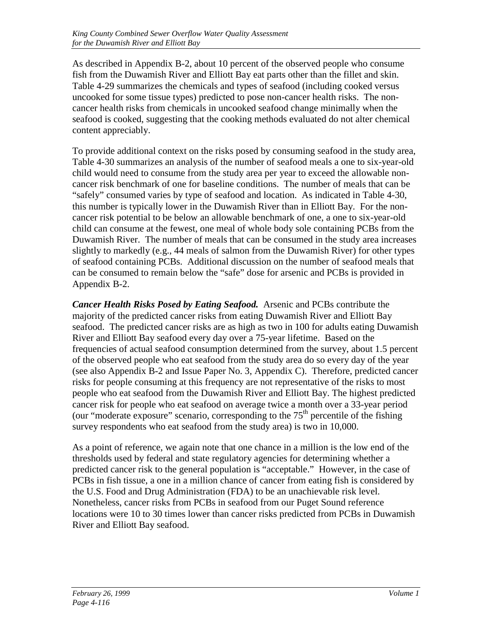As described in Appendix B-2, about 10 percent of the observed people who consume fish from the Duwamish River and Elliott Bay eat parts other than the fillet and skin. Table 4-29 summarizes the chemicals and types of seafood (including cooked versus uncooked for some tissue types) predicted to pose non-cancer health risks. The noncancer health risks from chemicals in uncooked seafood change minimally when the seafood is cooked, suggesting that the cooking methods evaluated do not alter chemical content appreciably.

To provide additional context on the risks posed by consuming seafood in the study area, Table 4-30 summarizes an analysis of the number of seafood meals a one to six-year-old child would need to consume from the study area per year to exceed the allowable noncancer risk benchmark of one for baseline conditions. The number of meals that can be "safely" consumed varies by type of seafood and location. As indicated in Table 4-30, this number is typically lower in the Duwamish River than in Elliott Bay. For the noncancer risk potential to be below an allowable benchmark of one, a one to six-year-old child can consume at the fewest, one meal of whole body sole containing PCBs from the Duwamish River. The number of meals that can be consumed in the study area increases slightly to markedly (e.g., 44 meals of salmon from the Duwamish River) for other types of seafood containing PCBs. Additional discussion on the number of seafood meals that can be consumed to remain below the "safe" dose for arsenic and PCBs is provided in Appendix B-2.

*Cancer Health Risks Posed by Eating Seafood.* Arsenic and PCBs contribute the majority of the predicted cancer risks from eating Duwamish River and Elliott Bay seafood. The predicted cancer risks are as high as two in 100 for adults eating Duwamish River and Elliott Bay seafood every day over a 75-year lifetime. Based on the frequencies of actual seafood consumption determined from the survey, about 1.5 percent of the observed people who eat seafood from the study area do so every day of the year (see also Appendix B-2 and Issue Paper No. 3, Appendix C). Therefore, predicted cancer risks for people consuming at this frequency are not representative of the risks to most people who eat seafood from the Duwamish River and Elliott Bay. The highest predicted cancer risk for people who eat seafood on average twice a month over a 33-year period (our "moderate exposure" scenario, corresponding to the  $75<sup>th</sup>$  percentile of the fishing survey respondents who eat seafood from the study area) is two in 10,000.

As a point of reference, we again note that one chance in a million is the low end of the thresholds used by federal and state regulatory agencies for determining whether a predicted cancer risk to the general population is "acceptable." However, in the case of PCBs in fish tissue, a one in a million chance of cancer from eating fish is considered by the U.S. Food and Drug Administration (FDA) to be an unachievable risk level. Nonetheless, cancer risks from PCBs in seafood from our Puget Sound reference locations were 10 to 30 times lower than cancer risks predicted from PCBs in Duwamish River and Elliott Bay seafood.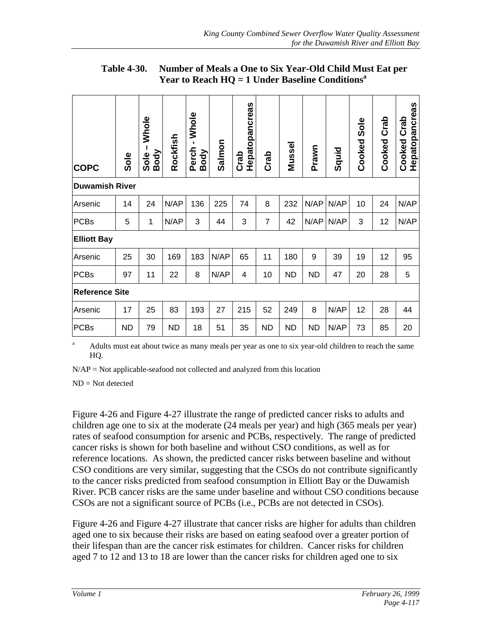| <b>COPC</b>           | Sole      | Whole<br>Body<br>Sole | Rockfish  | -Whole<br>Perch<br>Body | Salmon | Hepatopancreas<br>Crab | Crab           | Mussel    | Prawn     | Squid | Sole<br>Cooked | Crab<br>Cooked | Hepatopancreas<br>Crab<br>Cooked |
|-----------------------|-----------|-----------------------|-----------|-------------------------|--------|------------------------|----------------|-----------|-----------|-------|----------------|----------------|----------------------------------|
| <b>Duwamish River</b> |           |                       |           |                         |        |                        |                |           |           |       |                |                |                                  |
| Arsenic               | 14        | 24                    | N/AP      | 136                     | 225    | 74                     | 8              | 232       | N/AP      | N/AP  | 10             | 24             | N/AP                             |
| PCBs                  | 5         | 1                     | N/AP      | 3                       | 44     | 3                      | $\overline{7}$ | 42        | N/AP      | N/AP  | 3              | 12             | N/AP                             |
| <b>Elliott Bay</b>    |           |                       |           |                         |        |                        |                |           |           |       |                |                |                                  |
| Arsenic               | 25        | 30                    | 169       | 183                     | N/AP   | 65                     | 11             | 180       | 9         | 39    | 19             | 12             | 95                               |
| <b>PCBs</b>           | 97        | 11                    | 22        | 8                       | N/AP   | 4                      | 10             | <b>ND</b> | <b>ND</b> | 47    | 20             | 28             | 5                                |
| <b>Reference Site</b> |           |                       |           |                         |        |                        |                |           |           |       |                |                |                                  |
| Arsenic               | 17        | 25                    | 83        | 193                     | 27     | 215                    | 52             | 249       | 8         | N/AP  | 12             | 28             | 44                               |
| PCBs                  | <b>ND</b> | 79                    | <b>ND</b> | 18                      | 51     | 35                     | <b>ND</b>      | <b>ND</b> | <b>ND</b> | N/AP  | 73             | 85             | 20                               |

**Table 4-30. Number of Meals a One to Six Year-Old Child Must Eat per Year to Reach HQ = 1 Under Baseline Conditions<sup>a</sup>**

<sup>a</sup> Adults must eat about twice as many meals per year as one to six year-old children to reach the same HQ.

N/AP = Not applicable-seafood not collected and analyzed from this location

ND = Not detected

Figure 4-26 and Figure 4-27 illustrate the range of predicted cancer risks to adults and children age one to six at the moderate (24 meals per year) and high (365 meals per year) rates of seafood consumption for arsenic and PCBs, respectively. The range of predicted cancer risks is shown for both baseline and without CSO conditions, as well as for reference locations. As shown, the predicted cancer risks between baseline and without CSO conditions are very similar, suggesting that the CSOs do not contribute significantly to the cancer risks predicted from seafood consumption in Elliott Bay or the Duwamish River. PCB cancer risks are the same under baseline and without CSO conditions because CSOs are not a significant source of PCBs (i.e., PCBs are not detected in CSOs).

Figure 4-26 and Figure 4-27 illustrate that cancer risks are higher for adults than children aged one to six because their risks are based on eating seafood over a greater portion of their lifespan than are the cancer risk estimates for children. Cancer risks for children aged 7 to 12 and 13 to 18 are lower than the cancer risks for children aged one to six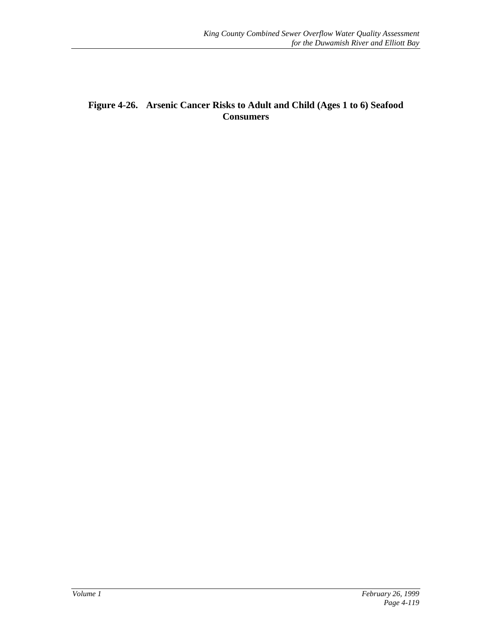### **Figure 4-26. Arsenic Cancer Risks to Adult and Child (Ages 1 to 6) Seafood Consumers**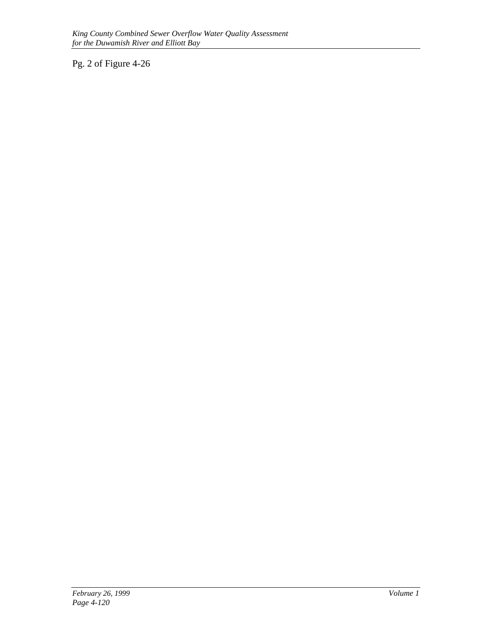Pg. 2 of Figure 4-26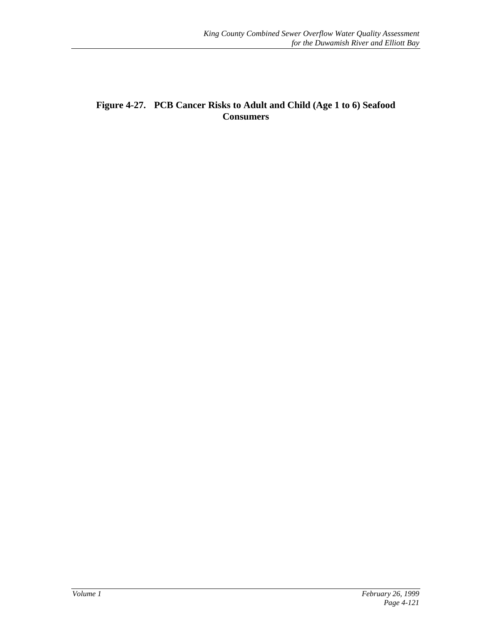#### **Figure 4-27. PCB Cancer Risks to Adult and Child (Age 1 to 6) Seafood Consumers**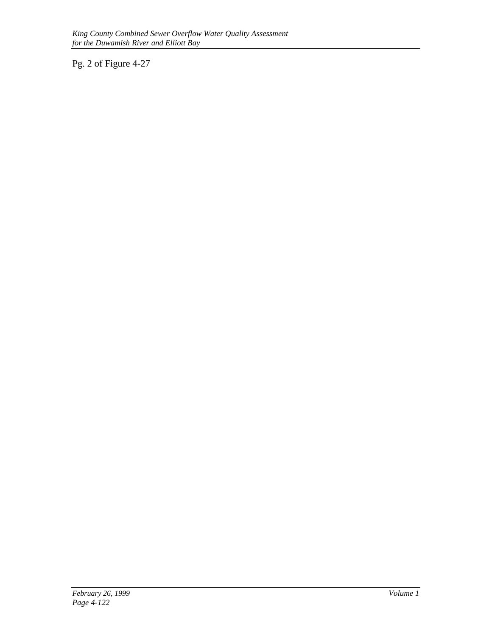Pg. 2 of Figure 4-27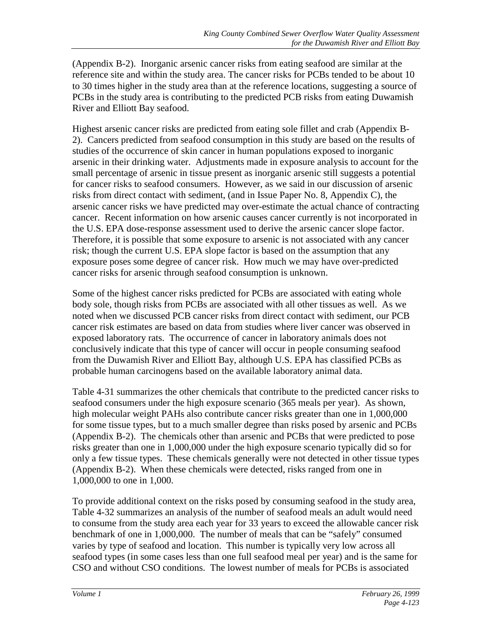(Appendix B-2). Inorganic arsenic cancer risks from eating seafood are similar at the reference site and within the study area. The cancer risks for PCBs tended to be about 10 to 30 times higher in the study area than at the reference locations, suggesting a source of PCBs in the study area is contributing to the predicted PCB risks from eating Duwamish River and Elliott Bay seafood.

Highest arsenic cancer risks are predicted from eating sole fillet and crab (Appendix B-2). Cancers predicted from seafood consumption in this study are based on the results of studies of the occurrence of skin cancer in human populations exposed to inorganic arsenic in their drinking water. Adjustments made in exposure analysis to account for the small percentage of arsenic in tissue present as inorganic arsenic still suggests a potential for cancer risks to seafood consumers. However, as we said in our discussion of arsenic risks from direct contact with sediment, (and in Issue Paper No. 8, Appendix C), the arsenic cancer risks we have predicted may over-estimate the actual chance of contracting cancer. Recent information on how arsenic causes cancer currently is not incorporated in the U.S. EPA dose-response assessment used to derive the arsenic cancer slope factor. Therefore, it is possible that some exposure to arsenic is not associated with any cancer risk; though the current U.S. EPA slope factor is based on the assumption that any exposure poses some degree of cancer risk. How much we may have over-predicted cancer risks for arsenic through seafood consumption is unknown.

Some of the highest cancer risks predicted for PCBs are associated with eating whole body sole, though risks from PCBs are associated with all other tissues as well. As we noted when we discussed PCB cancer risks from direct contact with sediment, our PCB cancer risk estimates are based on data from studies where liver cancer was observed in exposed laboratory rats. The occurrence of cancer in laboratory animals does not conclusively indicate that this type of cancer will occur in people consuming seafood from the Duwamish River and Elliott Bay, although U.S. EPA has classified PCBs as probable human carcinogens based on the available laboratory animal data.

Table 4-31 summarizes the other chemicals that contribute to the predicted cancer risks to seafood consumers under the high exposure scenario (365 meals per year). As shown, high molecular weight PAHs also contribute cancer risks greater than one in 1,000,000 for some tissue types, but to a much smaller degree than risks posed by arsenic and PCBs (Appendix B-2). The chemicals other than arsenic and PCBs that were predicted to pose risks greater than one in 1,000,000 under the high exposure scenario typically did so for only a few tissue types. These chemicals generally were not detected in other tissue types (Appendix B-2). When these chemicals were detected, risks ranged from one in 1,000,000 to one in 1,000.

To provide additional context on the risks posed by consuming seafood in the study area, Table 4-32 summarizes an analysis of the number of seafood meals an adult would need to consume from the study area each year for 33 years to exceed the allowable cancer risk benchmark of one in 1,000,000. The number of meals that can be "safely" consumed varies by type of seafood and location. This number is typically very low across all seafood types (in some cases less than one full seafood meal per year) and is the same for CSO and without CSO conditions. The lowest number of meals for PCBs is associated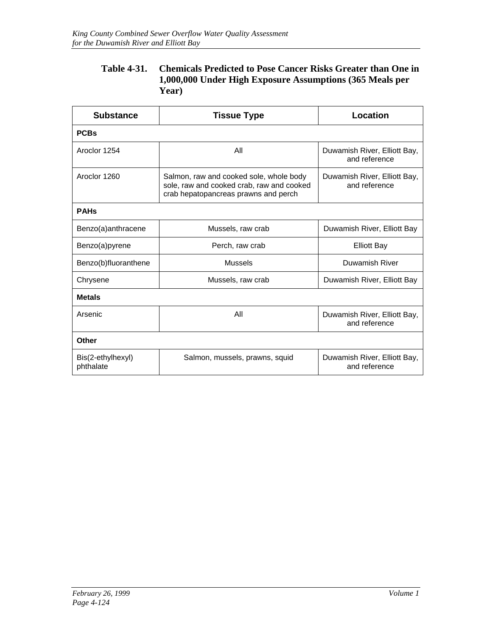#### **Table 4-31. Chemicals Predicted to Pose Cancer Risks Greater than One in 1,000,000 Under High Exposure Assumptions (365 Meals per Year)**

| <b>Substance</b>               | <b>Tissue Type</b>                                                                                                           | Location                                      |  |  |  |  |  |  |  |
|--------------------------------|------------------------------------------------------------------------------------------------------------------------------|-----------------------------------------------|--|--|--|--|--|--|--|
| <b>PCBs</b>                    |                                                                                                                              |                                               |  |  |  |  |  |  |  |
| Aroclor 1254                   | All                                                                                                                          | Duwamish River, Elliott Bay,<br>and reference |  |  |  |  |  |  |  |
| Aroclor 1260                   | Salmon, raw and cooked sole, whole body<br>sole, raw and cooked crab, raw and cooked<br>crab hepatopancreas prawns and perch | Duwamish River, Elliott Bay,<br>and reference |  |  |  |  |  |  |  |
| <b>PAHs</b>                    |                                                                                                                              |                                               |  |  |  |  |  |  |  |
| Benzo(a)anthracene             | Mussels, raw crab                                                                                                            | Duwamish River, Elliott Bay                   |  |  |  |  |  |  |  |
| Benzo(a)pyrene                 | Perch, raw crab                                                                                                              | <b>Elliott Bay</b>                            |  |  |  |  |  |  |  |
| Benzo(b)fluoranthene           | <b>Mussels</b>                                                                                                               | Duwamish River                                |  |  |  |  |  |  |  |
| Chrysene                       | Mussels, raw crab                                                                                                            | Duwamish River, Elliott Bay                   |  |  |  |  |  |  |  |
| <b>Metals</b>                  |                                                                                                                              |                                               |  |  |  |  |  |  |  |
| Arsenic                        | All                                                                                                                          | Duwamish River, Elliott Bay,<br>and reference |  |  |  |  |  |  |  |
| Other                          |                                                                                                                              |                                               |  |  |  |  |  |  |  |
| Bis(2-ethylhexyl)<br>phthalate | Salmon, mussels, prawns, squid                                                                                               | Duwamish River, Elliott Bay,<br>and reference |  |  |  |  |  |  |  |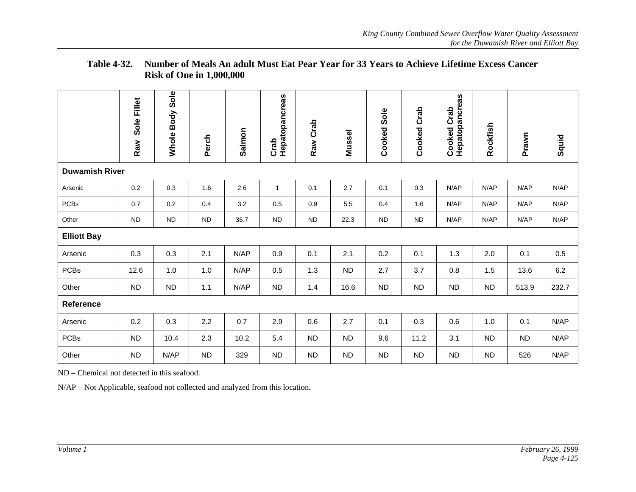|                       | Sole Fillet<br>Raw | <b>Whole Body Sole</b> | Perch      | Salmon | Hepatopancreas<br>Crab | Raw Crab   | Mussel    | Cooked Sole | <b>Cooked Crab</b> | Cooked Crab<br>Hepatopancreas | Rockfish  | Prawn     | Squid |
|-----------------------|--------------------|------------------------|------------|--------|------------------------|------------|-----------|-------------|--------------------|-------------------------------|-----------|-----------|-------|
| <b>Duwamish River</b> |                    |                        |            |        |                        |            |           |             |                    |                               |           |           |       |
| Arsenic               | 0.2                | 0.3                    | 1.6        | 2.6    | $\mathbf{1}$           | 0.1        | 2.7       | 0.1         | 0.3                | N/AP                          | N/AP      | N/AP      | N/AP  |
| <b>PCBs</b>           | 0.7                | 0.2                    | 0.4        | 3.2    | 0.5                    | 0.9        | 5.5       | 0.4         | 1.6                | N/AP                          | N/AP      | N/AP      | N/AP  |
| Other                 | <b>ND</b>          | ${\sf ND}$             | ${\sf ND}$ | 36.7   | ND                     | ${\sf ND}$ | 22.3      | <b>ND</b>   | ${\sf ND}$         | N/AP                          | N/AP      | N/AP      | N/AP  |
| <b>Elliott Bay</b>    |                    |                        |            |        |                        |            |           |             |                    |                               |           |           |       |
| Arsenic               | 0.3                | 0.3                    | 2.1        | N/AP   | 0.9                    | 0.1        | 2.1       | 0.2         | 0.1                | 1.3                           | 2.0       | 0.1       | 0.5   |
| <b>PCBs</b>           | 12.6               | 1.0                    | 1.0        | N/AP   | 0.5                    | 1.3        | <b>ND</b> | 2.7         | 3.7                | 0.8                           | 1.5       | 13.6      | 6.2   |
| Other                 | <b>ND</b>          | <b>ND</b>              | 1.1        | N/AP   | ND                     | 1.4        | 16.6      | <b>ND</b>   | <b>ND</b>          | <b>ND</b>                     | ND        | 513.9     | 232.7 |
| Reference             |                    |                        |            |        |                        |            |           |             |                    |                               |           |           |       |
| Arsenic               | 0.2                | 0.3                    | 2.2        | 0.7    | 2.9                    | 0.6        | 2.7       | 0.1         | 0.3                | 0.6                           | 1.0       | 0.1       | N/AP  |
| <b>PCBs</b>           | <b>ND</b>          | 10.4                   | 2.3        | 10.2   | 5.4                    | <b>ND</b>  | <b>ND</b> | 9.6         | 11.2               | 3.1                           | <b>ND</b> | <b>ND</b> | N/AP  |
| Other                 | <b>ND</b>          | N/AP                   | <b>ND</b>  | 329    | <b>ND</b>              | <b>ND</b>  | <b>ND</b> | <b>ND</b>   | <b>ND</b>          | <b>ND</b>                     | <b>ND</b> | 526       | N/AP  |

#### **Table 4-32. Number of Meals An adult Must Eat Pear Year for 33 Years to Achieve Lifetime Excess CancerRisk of One in 1,000,000**

ND – Chemical not detected in this seafood.

N/AP – Not Applicable, seafood not collected and analyzed from this location.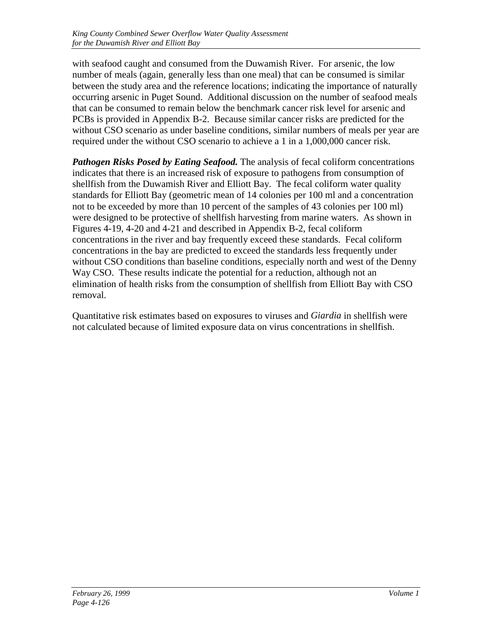with seafood caught and consumed from the Duwamish River. For arsenic, the low number of meals (again, generally less than one meal) that can be consumed is similar between the study area and the reference locations; indicating the importance of naturally occurring arsenic in Puget Sound. Additional discussion on the number of seafood meals that can be consumed to remain below the benchmark cancer risk level for arsenic and PCBs is provided in Appendix B-2. Because similar cancer risks are predicted for the without CSO scenario as under baseline conditions, similar numbers of meals per year are required under the without CSO scenario to achieve a 1 in a 1,000,000 cancer risk.

*Pathogen Risks Posed by Eating Seafood.* The analysis of fecal coliform concentrations indicates that there is an increased risk of exposure to pathogens from consumption of shellfish from the Duwamish River and Elliott Bay. The fecal coliform water quality standards for Elliott Bay (geometric mean of 14 colonies per 100 ml and a concentration not to be exceeded by more than 10 percent of the samples of 43 colonies per 100 ml) were designed to be protective of shellfish harvesting from marine waters. As shown in Figures 4-19, 4-20 and 4-21 and described in Appendix B-2, fecal coliform concentrations in the river and bay frequently exceed these standards. Fecal coliform concentrations in the bay are predicted to exceed the standards less frequently under without CSO conditions than baseline conditions, especially north and west of the Denny Way CSO. These results indicate the potential for a reduction, although not an elimination of health risks from the consumption of shellfish from Elliott Bay with CSO removal.

Quantitative risk estimates based on exposures to viruses and *Giardia* in shellfish were not calculated because of limited exposure data on virus concentrations in shellfish.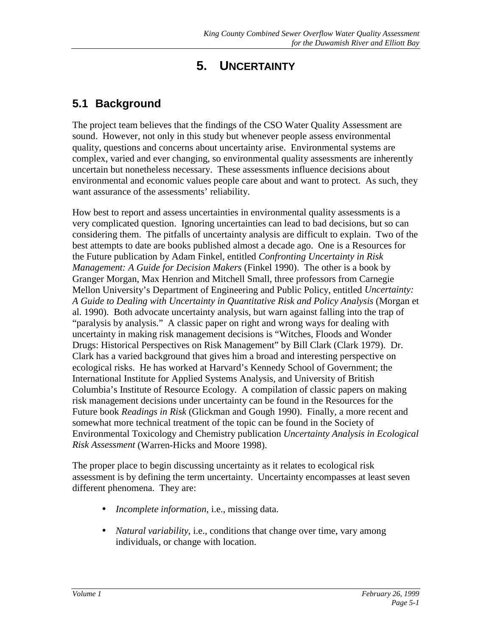# **5. UNCERTAINTY**

## **5.1 Background**

The project team believes that the findings of the CSO Water Quality Assessment are sound. However, not only in this study but whenever people assess environmental quality, questions and concerns about uncertainty arise. Environmental systems are complex, varied and ever changing, so environmental quality assessments are inherently uncertain but nonetheless necessary. These assessments influence decisions about environmental and economic values people care about and want to protect. As such, they want assurance of the assessments' reliability.

How best to report and assess uncertainties in environmental quality assessments is a very complicated question. Ignoring uncertainties can lead to bad decisions, but so can considering them. The pitfalls of uncertainty analysis are difficult to explain. Two of the best attempts to date are books published almost a decade ago. One is a Resources for the Future publication by Adam Finkel, entitled *Confronting Uncertainty in Risk Management: A Guide for Decision Makers* (Finkel 1990). The other is a book by Granger Morgan, Max Henrion and Mitchell Small, three professors from Carnegie Mellon University's Department of Engineering and Public Policy, entitled *Uncertainty: A Guide to Dealing with Uncertainty in Quantitative Risk and Policy Analysis* (Morgan et al. 1990). Both advocate uncertainty analysis, but warn against falling into the trap of "paralysis by analysis." A classic paper on right and wrong ways for dealing with uncertainty in making risk management decisions is "Witches, Floods and Wonder Drugs: Historical Perspectives on Risk Management" by Bill Clark (Clark 1979). Dr. Clark has a varied background that gives him a broad and interesting perspective on ecological risks. He has worked at Harvard's Kennedy School of Government; the International Institute for Applied Systems Analysis, and University of British Columbia's Institute of Resource Ecology. A compilation of classic papers on making risk management decisions under uncertainty can be found in the Resources for the Future book *Readings in Risk* (Glickman and Gough 1990). Finally, a more recent and somewhat more technical treatment of the topic can be found in the Society of Environmental Toxicology and Chemistry publication *Uncertainty Analysis in Ecological Risk Assessment* (Warren-Hicks and Moore 1998).

The proper place to begin discussing uncertainty as it relates to ecological risk assessment is by defining the term uncertainty. Uncertainty encompasses at least seven different phenomena. They are:

- *Incomplete information*, i.e., missing data.
- *Natural variability*, i.e., conditions that change over time, vary among individuals, or change with location.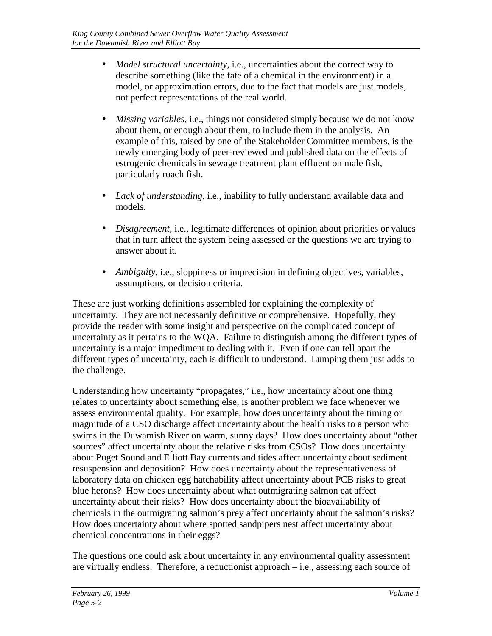- *Model structural uncertainty, i.e., uncertainties about the correct way to* describe something (like the fate of a chemical in the environment) in a model, or approximation errors, due to the fact that models are just models, not perfect representations of the real world.
- *Missing variables*, i.e., things not considered simply because we do not know about them, or enough about them, to include them in the analysis. An example of this, raised by one of the Stakeholder Committee members, is the newly emerging body of peer-reviewed and published data on the effects of estrogenic chemicals in sewage treatment plant effluent on male fish, particularly roach fish.
- *Lack of understanding*, i.e., inability to fully understand available data and models.
- *Disagreement*, i.e., legitimate differences of opinion about priorities or values that in turn affect the system being assessed or the questions we are trying to answer about it.
- *Ambiguity*, i.e., sloppiness or imprecision in defining objectives, variables, assumptions, or decision criteria.

These are just working definitions assembled for explaining the complexity of uncertainty. They are not necessarily definitive or comprehensive. Hopefully, they provide the reader with some insight and perspective on the complicated concept of uncertainty as it pertains to the WQA. Failure to distinguish among the different types of uncertainty is a major impediment to dealing with it. Even if one can tell apart the different types of uncertainty, each is difficult to understand. Lumping them just adds to the challenge.

Understanding how uncertainty "propagates," i.e., how uncertainty about one thing relates to uncertainty about something else, is another problem we face whenever we assess environmental quality. For example, how does uncertainty about the timing or magnitude of a CSO discharge affect uncertainty about the health risks to a person who swims in the Duwamish River on warm, sunny days? How does uncertainty about "other sources" affect uncertainty about the relative risks from CSOs? How does uncertainty about Puget Sound and Elliott Bay currents and tides affect uncertainty about sediment resuspension and deposition? How does uncertainty about the representativeness of laboratory data on chicken egg hatchability affect uncertainty about PCB risks to great blue herons? How does uncertainty about what outmigrating salmon eat affect uncertainty about their risks? How does uncertainty about the bioavailability of chemicals in the outmigrating salmon's prey affect uncertainty about the salmon's risks? How does uncertainty about where spotted sandpipers nest affect uncertainty about chemical concentrations in their eggs?

The questions one could ask about uncertainty in any environmental quality assessment are virtually endless. Therefore, a reductionist approach – i.e., assessing each source of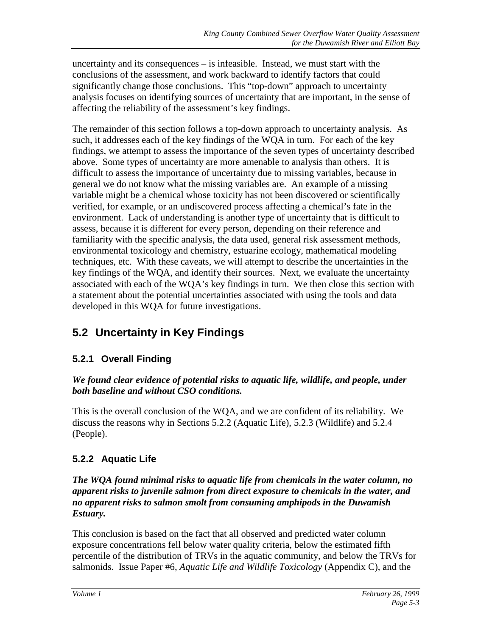uncertainty and its consequences – is infeasible. Instead, we must start with the conclusions of the assessment, and work backward to identify factors that could significantly change those conclusions. This "top-down" approach to uncertainty analysis focuses on identifying sources of uncertainty that are important, in the sense of affecting the reliability of the assessment's key findings.

The remainder of this section follows a top-down approach to uncertainty analysis. As such, it addresses each of the key findings of the WQA in turn. For each of the key findings, we attempt to assess the importance of the seven types of uncertainty described above. Some types of uncertainty are more amenable to analysis than others. It is difficult to assess the importance of uncertainty due to missing variables, because in general we do not know what the missing variables are. An example of a missing variable might be a chemical whose toxicity has not been discovered or scientifically verified, for example, or an undiscovered process affecting a chemical's fate in the environment. Lack of understanding is another type of uncertainty that is difficult to assess, because it is different for every person, depending on their reference and familiarity with the specific analysis, the data used, general risk assessment methods, environmental toxicology and chemistry, estuarine ecology, mathematical modeling techniques, etc. With these caveats, we will attempt to describe the uncertainties in the key findings of the WQA, and identify their sources. Next, we evaluate the uncertainty associated with each of the WQA's key findings in turn. We then close this section with a statement about the potential uncertainties associated with using the tools and data developed in this WQA for future investigations.

# **5.2 Uncertainty in Key Findings**

## **5.2.1 Overall Finding**

#### *We found clear evidence of potential risks to aquatic life, wildlife, and people, under both baseline and without CSO conditions.*

This is the overall conclusion of the WQA, and we are confident of its reliability. We discuss the reasons why in Sections 5.2.2 (Aquatic Life), 5.2.3 (Wildlife) and 5.2.4 (People).

## **5.2.2 Aquatic Life**

#### *The WQA found minimal risks to aquatic life from chemicals in the water column, no apparent risks to juvenile salmon from direct exposure to chemicals in the water, and no apparent risks to salmon smolt from consuming amphipods in the Duwamish Estuary.*

This conclusion is based on the fact that all observed and predicted water column exposure concentrations fell below water quality criteria, below the estimated fifth percentile of the distribution of TRVs in the aquatic community, and below the TRVs for salmonids. Issue Paper #6, *Aquatic Life and Wildlife Toxicology* (Appendix C), and the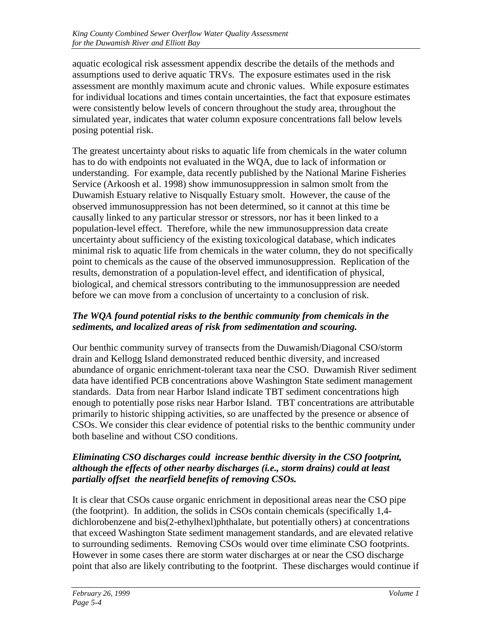aquatic ecological risk assessment appendix describe the details of the methods and assumptions used to derive aquatic TRVs. The exposure estimates used in the risk assessment are monthly maximum acute and chronic values. While exposure estimates for individual locations and times contain uncertainties, the fact that exposure estimates were consistently below levels of concern throughout the study area, throughout the simulated year, indicates that water column exposure concentrations fall below levels posing potential risk.

The greatest uncertainty about risks to aquatic life from chemicals in the water column has to do with endpoints not evaluated in the WQA, due to lack of information or understanding. For example, data recently published by the National Marine Fisheries Service (Arkoosh et al. 1998) show immunosuppression in salmon smolt from the Duwamish Estuary relative to Nisqually Estuary smolt. However, the cause of the observed immunosuppression has not been determined, so it cannot at this time be causally linked to any particular stressor or stressors, nor has it been linked to a population-level effect. Therefore, while the new immunosuppression data create uncertainty about sufficiency of the existing toxicological database, which indicates minimal risk to aquatic life from chemicals in the water column, they do not specifically point to chemicals as the cause of the observed immunosuppression. Replication of the results, demonstration of a population-level effect, and identification of physical, biological, and chemical stressors contributing to the immunosuppression are needed before we can move from a conclusion of uncertainty to a conclusion of risk.

#### *The WQA found potential risks to the benthic community from chemicals in the sediments, and localized areas of risk from sedimentation and scouring.*

Our benthic community survey of transects from the Duwamish/Diagonal CSO/storm drain and Kellogg Island demonstrated reduced benthic diversity, and increased abundance of organic enrichment-tolerant taxa near the CSO. Duwamish River sediment data have identified PCB concentrations above Washington State sediment management standards. Data from near Harbor Island indicate TBT sediment concentrations high enough to potentially pose risks near Harbor Island. TBT concentrations are attributable primarily to historic shipping activities, so are unaffected by the presence or absence of CSOs. We consider this clear evidence of potential risks to the benthic community under both baseline and without CSO conditions.

#### *Eliminating CSO discharges could increase benthic diversity in the CSO footprint, although the effects of other nearby discharges (i.e., storm drains) could at least partially offset the nearfield benefits of removing CSOs.*

It is clear that CSOs cause organic enrichment in depositional areas near the CSO pipe (the footprint). In addition, the solids in CSOs contain chemicals (specifically 1,4 dichlorobenzene and bis(2-ethylhexl)phthalate, but potentially others) at concentrations that exceed Washington State sediment management standards, and are elevated relative to surrounding sediments. Removing CSOs would over time eliminate CSO footprints. However in some cases there are storm water discharges at or near the CSO discharge point that also are likely contributing to the footprint. These discharges would continue if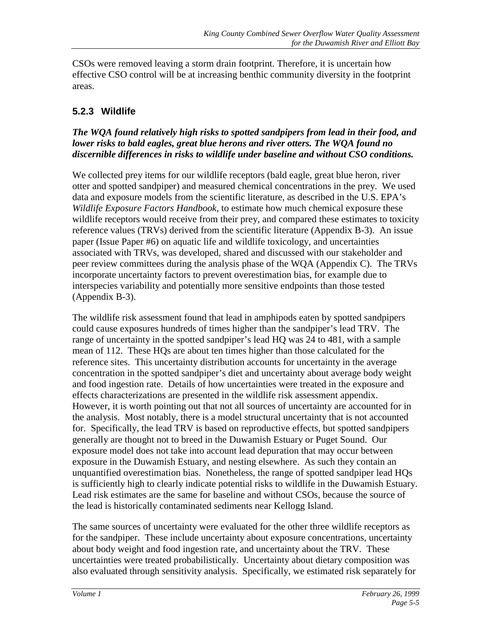CSOs were removed leaving a storm drain footprint. Therefore, it is uncertain how effective CSO control will be at increasing benthic community diversity in the footprint areas.

### **5.2.3 Wildlife**

#### *The WQA found relatively high risks to spotted sandpipers from lead in their food, and lower risks to bald eagles, great blue herons and river otters. The WQA found no discernible differences in risks to wildlife under baseline and without CSO conditions.*

We collected prey items for our wildlife receptors (bald eagle, great blue heron, river otter and spotted sandpiper) and measured chemical concentrations in the prey. We used data and exposure models from the scientific literature, as described in the U.S. EPA's *Wildlife Exposure Factors Handbook*, to estimate how much chemical exposure these wildlife receptors would receive from their prey, and compared these estimates to toxicity reference values (TRVs) derived from the scientific literature (Appendix B-3). An issue paper (Issue Paper #6) on aquatic life and wildlife toxicology, and uncertainties associated with TRVs, was developed, shared and discussed with our stakeholder and peer review committees during the analysis phase of the WQA (Appendix C). The TRVs incorporate uncertainty factors to prevent overestimation bias, for example due to interspecies variability and potentially more sensitive endpoints than those tested (Appendix B-3).

The wildlife risk assessment found that lead in amphipods eaten by spotted sandpipers could cause exposures hundreds of times higher than the sandpiper's lead TRV. The range of uncertainty in the spotted sandpiper's lead HQ was 24 to 481, with a sample mean of 112. These HQs are about ten times higher than those calculated for the reference sites. This uncertainty distribution accounts for uncertainty in the average concentration in the spotted sandpiper's diet and uncertainty about average body weight and food ingestion rate. Details of how uncertainties were treated in the exposure and effects characterizations are presented in the wildlife risk assessment appendix. However, it is worth pointing out that not all sources of uncertainty are accounted for in the analysis. Most notably, there is a model structural uncertainty that is not accounted for. Specifically, the lead TRV is based on reproductive effects, but spotted sandpipers generally are thought not to breed in the Duwamish Estuary or Puget Sound. Our exposure model does not take into account lead depuration that may occur between exposure in the Duwamish Estuary, and nesting elsewhere. As such they contain an unquantified overestimation bias. Nonetheless, the range of spotted sandpiper lead HQs is sufficiently high to clearly indicate potential risks to wildlife in the Duwamish Estuary. Lead risk estimates are the same for baseline and without CSOs, because the source of the lead is historically contaminated sediments near Kellogg Island.

The same sources of uncertainty were evaluated for the other three wildlife receptors as for the sandpiper. These include uncertainty about exposure concentrations, uncertainty about body weight and food ingestion rate, and uncertainty about the TRV. These uncertainties were treated probabilistically. Uncertainty about dietary composition was also evaluated through sensitivity analysis. Specifically, we estimated risk separately for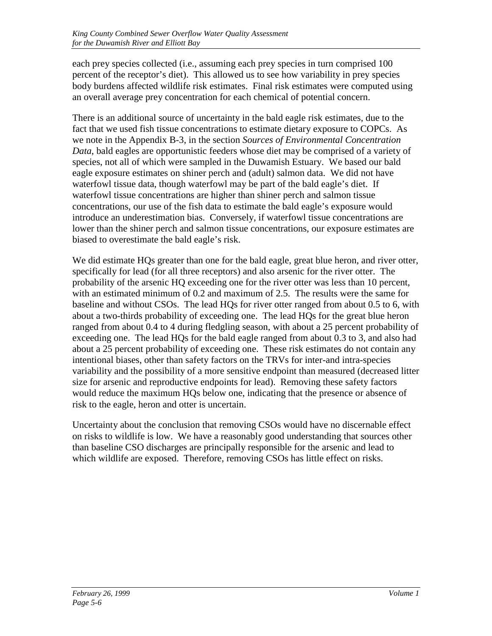each prey species collected (i.e., assuming each prey species in turn comprised 100 percent of the receptor's diet). This allowed us to see how variability in prey species body burdens affected wildlife risk estimates. Final risk estimates were computed using an overall average prey concentration for each chemical of potential concern.

There is an additional source of uncertainty in the bald eagle risk estimates, due to the fact that we used fish tissue concentrations to estimate dietary exposure to COPCs. As we note in the Appendix B-3, in the section *Sources of Environmental Concentration Data*, bald eagles are opportunistic feeders whose diet may be comprised of a variety of species, not all of which were sampled in the Duwamish Estuary. We based our bald eagle exposure estimates on shiner perch and (adult) salmon data. We did not have waterfowl tissue data, though waterfowl may be part of the bald eagle's diet. If waterfowl tissue concentrations are higher than shiner perch and salmon tissue concentrations, our use of the fish data to estimate the bald eagle's exposure would introduce an underestimation bias. Conversely, if waterfowl tissue concentrations are lower than the shiner perch and salmon tissue concentrations, our exposure estimates are biased to overestimate the bald eagle's risk.

We did estimate HQs greater than one for the bald eagle, great blue heron, and river otter, specifically for lead (for all three receptors) and also arsenic for the river otter. The probability of the arsenic HQ exceeding one for the river otter was less than 10 percent, with an estimated minimum of 0.2 and maximum of 2.5. The results were the same for baseline and without CSOs. The lead HQs for river otter ranged from about 0.5 to 6, with about a two-thirds probability of exceeding one. The lead HQs for the great blue heron ranged from about 0.4 to 4 during fledgling season, with about a 25 percent probability of exceeding one. The lead HQs for the bald eagle ranged from about 0.3 to 3, and also had about a 25 percent probability of exceeding one. These risk estimates do not contain any intentional biases, other than safety factors on the TRVs for inter-and intra-species variability and the possibility of a more sensitive endpoint than measured (decreased litter size for arsenic and reproductive endpoints for lead). Removing these safety factors would reduce the maximum HQs below one, indicating that the presence or absence of risk to the eagle, heron and otter is uncertain.

Uncertainty about the conclusion that removing CSOs would have no discernable effect on risks to wildlife is low. We have a reasonably good understanding that sources other than baseline CSO discharges are principally responsible for the arsenic and lead to which wildlife are exposed. Therefore, removing CSOs has little effect on risks.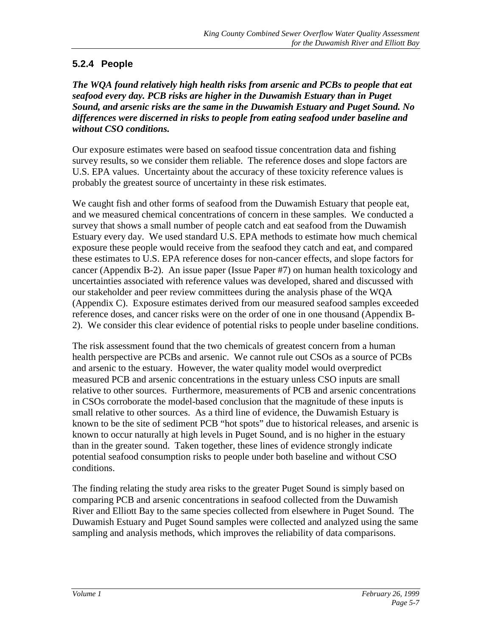### **5.2.4 People**

*The WQA found relatively high health risks from arsenic and PCBs to people that eat seafood every day. PCB risks are higher in the Duwamish Estuary than in Puget Sound, and arsenic risks are the same in the Duwamish Estuary and Puget Sound. No differences were discerned in risks to people from eating seafood under baseline and without CSO conditions.*

Our exposure estimates were based on seafood tissue concentration data and fishing survey results, so we consider them reliable. The reference doses and slope factors are U.S. EPA values. Uncertainty about the accuracy of these toxicity reference values is probably the greatest source of uncertainty in these risk estimates.

We caught fish and other forms of seafood from the Duwamish Estuary that people eat, and we measured chemical concentrations of concern in these samples. We conducted a survey that shows a small number of people catch and eat seafood from the Duwamish Estuary every day. We used standard U.S. EPA methods to estimate how much chemical exposure these people would receive from the seafood they catch and eat, and compared these estimates to U.S. EPA reference doses for non-cancer effects, and slope factors for cancer (Appendix B-2). An issue paper (Issue Paper #7) on human health toxicology and uncertainties associated with reference values was developed, shared and discussed with our stakeholder and peer review committees during the analysis phase of the WQA (Appendix C). Exposure estimates derived from our measured seafood samples exceeded reference doses, and cancer risks were on the order of one in one thousand (Appendix B-2). We consider this clear evidence of potential risks to people under baseline conditions.

The risk assessment found that the two chemicals of greatest concern from a human health perspective are PCBs and arsenic. We cannot rule out CSOs as a source of PCBs and arsenic to the estuary. However, the water quality model would overpredict measured PCB and arsenic concentrations in the estuary unless CSO inputs are small relative to other sources. Furthermore, measurements of PCB and arsenic concentrations in CSOs corroborate the model-based conclusion that the magnitude of these inputs is small relative to other sources. As a third line of evidence, the Duwamish Estuary is known to be the site of sediment PCB "hot spots" due to historical releases, and arsenic is known to occur naturally at high levels in Puget Sound, and is no higher in the estuary than in the greater sound. Taken together, these lines of evidence strongly indicate potential seafood consumption risks to people under both baseline and without CSO conditions.

The finding relating the study area risks to the greater Puget Sound is simply based on comparing PCB and arsenic concentrations in seafood collected from the Duwamish River and Elliott Bay to the same species collected from elsewhere in Puget Sound. The Duwamish Estuary and Puget Sound samples were collected and analyzed using the same sampling and analysis methods, which improves the reliability of data comparisons.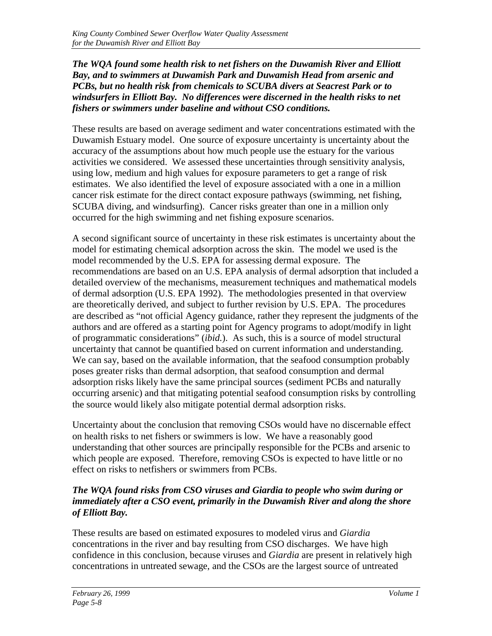*The WQA found some health risk to net fishers on the Duwamish River and Elliott Bay, and to swimmers at Duwamish Park and Duwamish Head from arsenic and PCBs, but no health risk from chemicals to SCUBA divers at Seacrest Park or to windsurfers in Elliott Bay. No differences were discerned in the health risks to net fishers or swimmers under baseline and without CSO conditions.*

These results are based on average sediment and water concentrations estimated with the Duwamish Estuary model. One source of exposure uncertainty is uncertainty about the accuracy of the assumptions about how much people use the estuary for the various activities we considered. We assessed these uncertainties through sensitivity analysis, using low, medium and high values for exposure parameters to get a range of risk estimates. We also identified the level of exposure associated with a one in a million cancer risk estimate for the direct contact exposure pathways (swimming, net fishing, SCUBA diving, and windsurfing). Cancer risks greater than one in a million only occurred for the high swimming and net fishing exposure scenarios.

A second significant source of uncertainty in these risk estimates is uncertainty about the model for estimating chemical adsorption across the skin. The model we used is the model recommended by the U.S. EPA for assessing dermal exposure. The recommendations are based on an U.S. EPA analysis of dermal adsorption that included a detailed overview of the mechanisms, measurement techniques and mathematical models of dermal adsorption (U.S. EPA 1992). The methodologies presented in that overview are theoretically derived, and subject to further revision by U.S. EPA. The procedures are described as "not official Agency guidance, rather they represent the judgments of the authors and are offered as a starting point for Agency programs to adopt/modify in light of programmatic considerations" (*ibid.*). As such, this is a source of model structural uncertainty that cannot be quantified based on current information and understanding. We can say, based on the available information, that the seafood consumption probably poses greater risks than dermal adsorption, that seafood consumption and dermal adsorption risks likely have the same principal sources (sediment PCBs and naturally occurring arsenic) and that mitigating potential seafood consumption risks by controlling the source would likely also mitigate potential dermal adsorption risks.

Uncertainty about the conclusion that removing CSOs would have no discernable effect on health risks to net fishers or swimmers is low. We have a reasonably good understanding that other sources are principally responsible for the PCBs and arsenic to which people are exposed. Therefore, removing CSOs is expected to have little or no effect on risks to netfishers or swimmers from PCBs.

#### *The WQA found risks from CSO viruses and Giardia to people who swim during or immediately after a CSO event, primarily in the Duwamish River and along the shore of Elliott Bay.*

These results are based on estimated exposures to modeled virus and *Giardia* concentrations in the river and bay resulting from CSO discharges. We have high confidence in this conclusion, because viruses and *Giardia* are present in relatively high concentrations in untreated sewage, and the CSOs are the largest source of untreated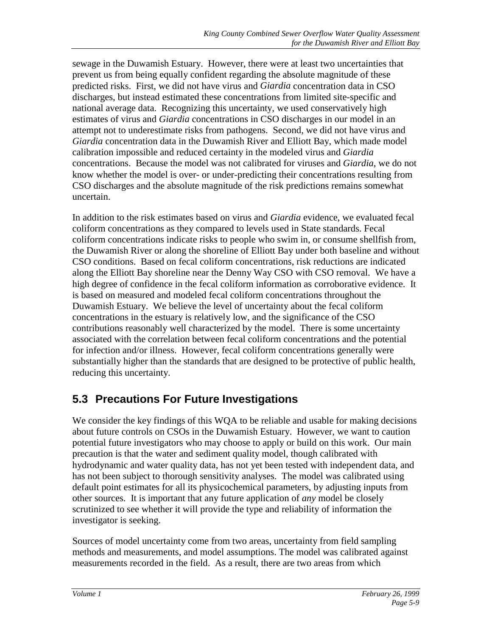sewage in the Duwamish Estuary. However, there were at least two uncertainties that prevent us from being equally confident regarding the absolute magnitude of these predicted risks. First, we did not have virus and *Giardia* concentration data in CSO discharges, but instead estimated these concentrations from limited site-specific and national average data. Recognizing this uncertainty, we used conservatively high estimates of virus and *Giardia* concentrations in CSO discharges in our model in an attempt not to underestimate risks from pathogens. Second, we did not have virus and *Giardia* concentration data in the Duwamish River and Elliott Bay, which made model calibration impossible and reduced certainty in the modeled virus and *Giardia* concentrations. Because the model was not calibrated for viruses and *Giardia*, we do not know whether the model is over- or under-predicting their concentrations resulting from CSO discharges and the absolute magnitude of the risk predictions remains somewhat uncertain.

In addition to the risk estimates based on virus and *Giardia* evidence, we evaluated fecal coliform concentrations as they compared to levels used in State standards. Fecal coliform concentrations indicate risks to people who swim in, or consume shellfish from, the Duwamish River or along the shoreline of Elliott Bay under both baseline and without CSO conditions. Based on fecal coliform concentrations, risk reductions are indicated along the Elliott Bay shoreline near the Denny Way CSO with CSO removal. We have a high degree of confidence in the fecal coliform information as corroborative evidence. It is based on measured and modeled fecal coliform concentrations throughout the Duwamish Estuary. We believe the level of uncertainty about the fecal coliform concentrations in the estuary is relatively low, and the significance of the CSO contributions reasonably well characterized by the model. There is some uncertainty associated with the correlation between fecal coliform concentrations and the potential for infection and/or illness. However, fecal coliform concentrations generally were substantially higher than the standards that are designed to be protective of public health, reducing this uncertainty.

# **5.3 Precautions For Future Investigations**

We consider the key findings of this WQA to be reliable and usable for making decisions about future controls on CSOs in the Duwamish Estuary. However, we want to caution potential future investigators who may choose to apply or build on this work. Our main precaution is that the water and sediment quality model, though calibrated with hydrodynamic and water quality data, has not yet been tested with independent data, and has not been subject to thorough sensitivity analyses. The model was calibrated using default point estimates for all its physicochemical parameters, by adjusting inputs from other sources. It is important that any future application of *any* model be closely scrutinized to see whether it will provide the type and reliability of information the investigator is seeking.

Sources of model uncertainty come from two areas, uncertainty from field sampling methods and measurements, and model assumptions. The model was calibrated against measurements recorded in the field. As a result, there are two areas from which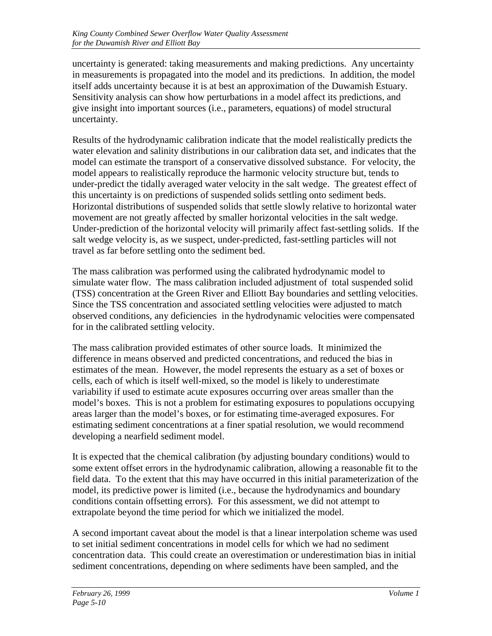uncertainty is generated: taking measurements and making predictions. Any uncertainty in measurements is propagated into the model and its predictions. In addition, the model itself adds uncertainty because it is at best an approximation of the Duwamish Estuary. Sensitivity analysis can show how perturbations in a model affect its predictions, and give insight into important sources (i.e., parameters, equations) of model structural uncertainty.

Results of the hydrodynamic calibration indicate that the model realistically predicts the water elevation and salinity distributions in our calibration data set, and indicates that the model can estimate the transport of a conservative dissolved substance. For velocity, the model appears to realistically reproduce the harmonic velocity structure but, tends to under-predict the tidally averaged water velocity in the salt wedge. The greatest effect of this uncertainty is on predictions of suspended solids settling onto sediment beds. Horizontal distributions of suspended solids that settle slowly relative to horizontal water movement are not greatly affected by smaller horizontal velocities in the salt wedge. Under-prediction of the horizontal velocity will primarily affect fast-settling solids. If the salt wedge velocity is, as we suspect, under-predicted, fast-settling particles will not travel as far before settling onto the sediment bed.

The mass calibration was performed using the calibrated hydrodynamic model to simulate water flow. The mass calibration included adjustment of total suspended solid (TSS) concentration at the Green River and Elliott Bay boundaries and settling velocities. Since the TSS concentration and associated settling velocities were adjusted to match observed conditions, any deficiencies in the hydrodynamic velocities were compensated for in the calibrated settling velocity.

The mass calibration provided estimates of other source loads. It minimized the difference in means observed and predicted concentrations, and reduced the bias in estimates of the mean. However, the model represents the estuary as a set of boxes or cells, each of which is itself well-mixed, so the model is likely to underestimate variability if used to estimate acute exposures occurring over areas smaller than the model's boxes. This is not a problem for estimating exposures to populations occupying areas larger than the model's boxes, or for estimating time-averaged exposures. For estimating sediment concentrations at a finer spatial resolution, we would recommend developing a nearfield sediment model.

It is expected that the chemical calibration (by adjusting boundary conditions) would to some extent offset errors in the hydrodynamic calibration, allowing a reasonable fit to the field data. To the extent that this may have occurred in this initial parameterization of the model, its predictive power is limited (i.e., because the hydrodynamics and boundary conditions contain offsetting errors). For this assessment, we did not attempt to extrapolate beyond the time period for which we initialized the model.

A second important caveat about the model is that a linear interpolation scheme was used to set initial sediment concentrations in model cells for which we had no sediment concentration data. This could create an overestimation or underestimation bias in initial sediment concentrations, depending on where sediments have been sampled, and the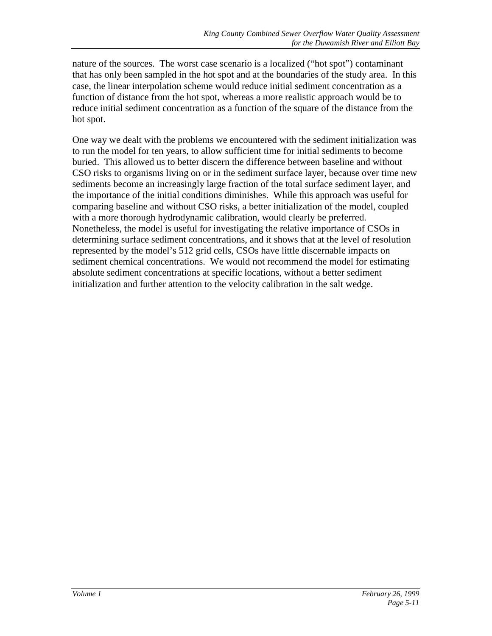nature of the sources. The worst case scenario is a localized ("hot spot") contaminant that has only been sampled in the hot spot and at the boundaries of the study area. In this case, the linear interpolation scheme would reduce initial sediment concentration as a function of distance from the hot spot, whereas a more realistic approach would be to reduce initial sediment concentration as a function of the square of the distance from the hot spot.

One way we dealt with the problems we encountered with the sediment initialization was to run the model for ten years, to allow sufficient time for initial sediments to become buried. This allowed us to better discern the difference between baseline and without CSO risks to organisms living on or in the sediment surface layer, because over time new sediments become an increasingly large fraction of the total surface sediment layer, and the importance of the initial conditions diminishes. While this approach was useful for comparing baseline and without CSO risks, a better initialization of the model, coupled with a more thorough hydrodynamic calibration, would clearly be preferred. Nonetheless, the model is useful for investigating the relative importance of CSOs in determining surface sediment concentrations, and it shows that at the level of resolution represented by the model's 512 grid cells, CSOs have little discernable impacts on sediment chemical concentrations. We would not recommend the model for estimating absolute sediment concentrations at specific locations, without a better sediment initialization and further attention to the velocity calibration in the salt wedge.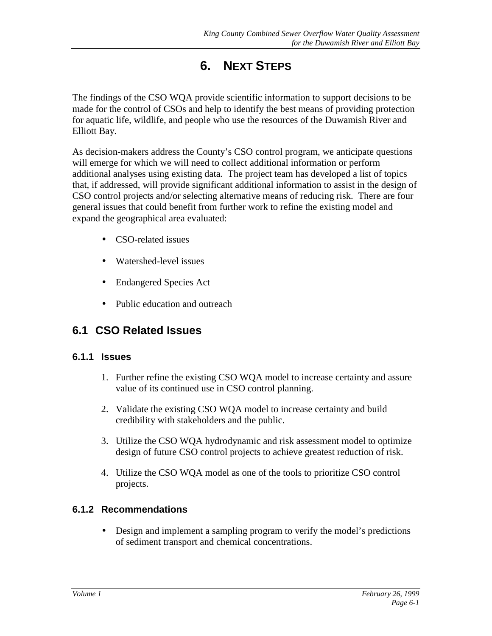# **6. NEXT STEPS**

The findings of the CSO WQA provide scientific information to support decisions to be made for the control of CSOs and help to identify the best means of providing protection for aquatic life, wildlife, and people who use the resources of the Duwamish River and Elliott Bay.

As decision-makers address the County's CSO control program, we anticipate questions will emerge for which we will need to collect additional information or perform additional analyses using existing data. The project team has developed a list of topics that, if addressed, will provide significant additional information to assist in the design of CSO control projects and/or selecting alternative means of reducing risk. There are four general issues that could benefit from further work to refine the existing model and expand the geographical area evaluated:

- CSO-related issues
- Watershed-level issues
- Endangered Species Act
- Public education and outreach

## **6.1 CSO Related Issues**

#### **6.1.1 Issues**

- 1. Further refine the existing CSO WQA model to increase certainty and assure value of its continued use in CSO control planning.
- 2. Validate the existing CSO WQA model to increase certainty and build credibility with stakeholders and the public.
- 3. Utilize the CSO WQA hydrodynamic and risk assessment model to optimize design of future CSO control projects to achieve greatest reduction of risk.
- 4. Utilize the CSO WQA model as one of the tools to prioritize CSO control projects.

### **6.1.2 Recommendations**

• Design and implement a sampling program to verify the model's predictions of sediment transport and chemical concentrations.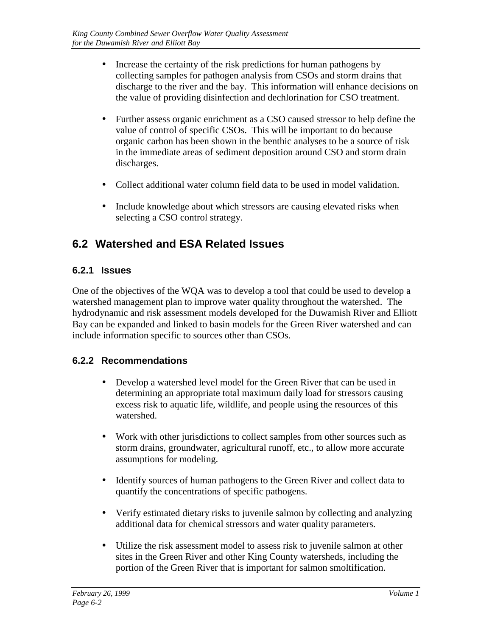- Increase the certainty of the risk predictions for human pathogens by collecting samples for pathogen analysis from CSOs and storm drains that discharge to the river and the bay. This information will enhance decisions on the value of providing disinfection and dechlorination for CSO treatment.
- Further assess organic enrichment as a CSO caused stressor to help define the value of control of specific CSOs. This will be important to do because organic carbon has been shown in the benthic analyses to be a source of risk in the immediate areas of sediment deposition around CSO and storm drain discharges.
- Collect additional water column field data to be used in model validation.
- Include knowledge about which stressors are causing elevated risks when selecting a CSO control strategy.

# **6.2 Watershed and ESA Related Issues**

### **6.2.1 Issues**

One of the objectives of the WQA was to develop a tool that could be used to develop a watershed management plan to improve water quality throughout the watershed. The hydrodynamic and risk assessment models developed for the Duwamish River and Elliott Bay can be expanded and linked to basin models for the Green River watershed and can include information specific to sources other than CSOs.

### **6.2.2 Recommendations**

- Develop a watershed level model for the Green River that can be used in determining an appropriate total maximum daily load for stressors causing excess risk to aquatic life, wildlife, and people using the resources of this watershed.
- Work with other jurisdictions to collect samples from other sources such as storm drains, groundwater, agricultural runoff, etc., to allow more accurate assumptions for modeling.
- Identify sources of human pathogens to the Green River and collect data to quantify the concentrations of specific pathogens.
- Verify estimated dietary risks to juvenile salmon by collecting and analyzing additional data for chemical stressors and water quality parameters.
- Utilize the risk assessment model to assess risk to juvenile salmon at other sites in the Green River and other King County watersheds, including the portion of the Green River that is important for salmon smoltification.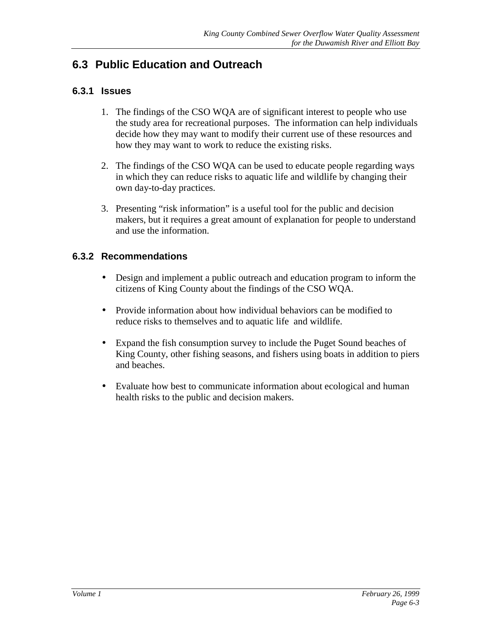## **6.3 Public Education and Outreach**

#### **6.3.1 Issues**

- 1. The findings of the CSO WQA are of significant interest to people who use the study area for recreational purposes. The information can help individuals decide how they may want to modify their current use of these resources and how they may want to work to reduce the existing risks.
- 2. The findings of the CSO WQA can be used to educate people regarding ways in which they can reduce risks to aquatic life and wildlife by changing their own day-to-day practices.
- 3. Presenting "risk information" is a useful tool for the public and decision makers, but it requires a great amount of explanation for people to understand and use the information.

#### **6.3.2 Recommendations**

- Design and implement a public outreach and education program to inform the citizens of King County about the findings of the CSO WQA.
- Provide information about how individual behaviors can be modified to reduce risks to themselves and to aquatic life and wildlife.
- Expand the fish consumption survey to include the Puget Sound beaches of King County, other fishing seasons, and fishers using boats in addition to piers and beaches.
- Evaluate how best to communicate information about ecological and human health risks to the public and decision makers.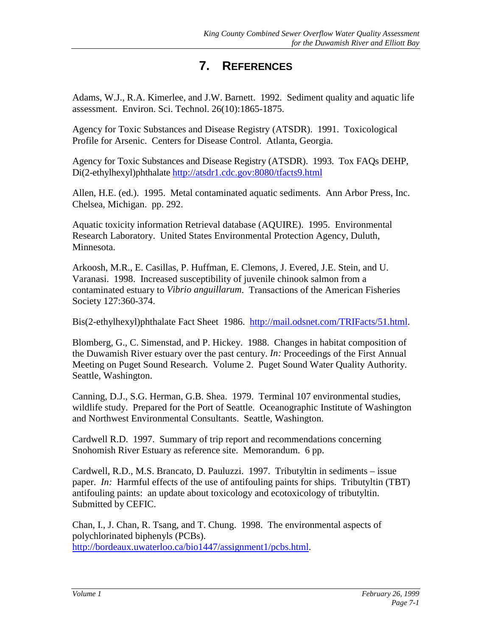# **7. REFERENCES**

Adams, W.J., R.A. Kimerlee, and J.W. Barnett. 1992. Sediment quality and aquatic life assessment. Environ. Sci. Technol. 26(10):1865-1875.

Agency for Toxic Substances and Disease Registry (ATSDR). 1991. Toxicological Profile for Arsenic. Centers for Disease Control. Atlanta, Georgia.

Agency for Toxic Substances and Disease Registry (ATSDR). 1993. Tox FAQs DEHP, Di(2-ethylhexyl)phthalate <http://atsdr1.cdc.gov:8080/tfacts9.html>

Allen, H.E. (ed.). 1995. Metal contaminated aquatic sediments. Ann Arbor Press, Inc. Chelsea, Michigan. pp. 292.

Aquatic toxicity information Retrieval database (AQUIRE). 1995. Environmental Research Laboratory. United States Environmental Protection Agency, Duluth, Minnesota.

Arkoosh, M.R., E. Casillas, P. Huffman, E. Clemons, J. Evered, J.E. Stein, and U. Varanasi. 1998. Increased susceptibility of juvenile chinook salmon from a contaminated estuary to *Vibrio anguillarum*.Transactions of the American Fisheries Society 127:360-374.

Bis(2-ethylhexyl)phthalate Fact Sheet 1986. [http://mail.odsnet.com/TRIFacts/51.html.](http://mail.odsnet.com/TRIFacts/51.html)

Blomberg, G., C. Simenstad, and P. Hickey. 1988. Changes in habitat composition of the Duwamish River estuary over the past century. *In:* Proceedings of the First Annual Meeting on Puget Sound Research. Volume 2. Puget Sound Water Quality Authority. Seattle, Washington.

Canning, D.J., S.G. Herman, G.B. Shea. 1979. Terminal 107 environmental studies, wildlife study. Prepared for the Port of Seattle. Oceanographic Institute of Washington and Northwest Environmental Consultants. Seattle, Washington.

Cardwell R.D. 1997. Summary of trip report and recommendations concerning Snohomish River Estuary as reference site. Memorandum. 6 pp.

Cardwell, R.D., M.S. Brancato, D. Pauluzzi. 1997. Tributyltin in sediments – issue paper. *In:* Harmful effects of the use of antifouling paints for ships. Tributyltin (TBT) antifouling paints: an update about toxicology and ecotoxicology of tributyltin. Submitted by CEFIC.

Chan, I., J. Chan, R. Tsang, and T. Chung. 1998. The environmental aspects of polychlorinated biphenyls (PCBs). [http://bordeaux.uwaterloo.ca/bio1447/assignment1/pcbs.html.](http://bordeaux.uwaterloo.ca/bio1447/assignment1/pcbs.html)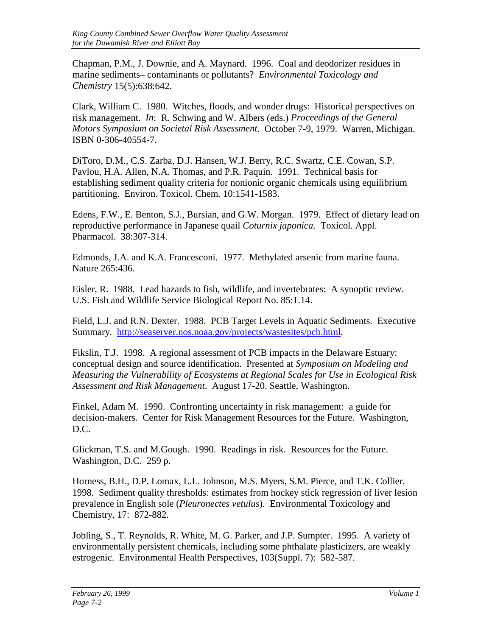Chapman, P.M., J. Downie, and A. Maynard. 1996. Coal and deodorizer residues in marine sediments– contaminants or pollutants? *Environmental Toxicology and Chemistry* 15(5):638:642.

Clark, William C. 1980. Witches, floods, and wonder drugs: Historical perspectives on risk management. *In*: R. Schwing and W. Albers (eds.) *Proceedings of the General Motors Symposium on Societal Risk Assessment*. October 7-9, 1979. Warren, Michigan. ISBN 0-306-40554-7.

DiToro, D.M., C.S. Zarba, D.J. Hansen, W.J. Berry, R.C. Swartz, C.E. Cowan, S.P. Pavlou, H.A. Allen, N.A. Thomas, and P.R. Paquin. 1991. Technical basis for establishing sediment quality criteria for nonionic organic chemicals using equilibrium partitioning. Environ. Toxicol. Chem*.* 10:1541-1583.

Edens, F.W., E. Benton, S.J., Bursian, and G.W. Morgan. 1979. Effect of dietary lead on reproductive performance in Japanese quail *Coturnix japonica*. Toxicol. Appl. Pharmacol. 38:307-314.

Edmonds, J.A. and K.A. Francesconi. 1977. Methylated arsenic from marine fauna. Nature 265:436.

Eisler, R. 1988. Lead hazards to fish, wildlife, and invertebrates: A synoptic review. U.S. Fish and Wildlife Service Biological Report No. 85:1.14.

Field, L.J. and R.N. Dexter. 1988. PCB Target Levels in Aquatic Sediments. Executive Summary. [http://seaserver.nos.noaa.gov/projects/wastesites/pcb.html.](http://seaserver.nos.noaa.gov/projects/wastesites/pcb.html)

Fikslin, T.J. 1998. A regional assessment of PCB impacts in the Delaware Estuary: conceptual design and source identification. Presented at *Symposium on Modeling and Measuring the Vulnerability of Ecosystems at Regional Scales for Use in Ecological Risk Assessment and Risk Management*. August 17-20. Seattle, Washington.

Finkel, Adam M. 1990. Confronting uncertainty in risk management: a guide for decision-makers. Center for Risk Management Resources for the Future. Washington, D.C.

Glickman, T.S. and M.Gough. 1990. Readings in risk. Resources for the Future. Washington, D.C. 259 p.

Horness, B.H., D.P. Lomax, L.L. Johnson, M.S. Myers, S.M. Pierce, and T.K. Collier. 1998. Sediment quality thresholds: estimates from hockey stick regression of liver lesion prevalence in English sole (*Pleuronectes vetulus*). Environmental Toxicology and Chemistry, 17: 872-882.

Jobling, S., T. Reynolds, R. White, M. G. Parker, and J.P. Sumpter. 1995. A variety of environmentally persistent chemicals, including some phthalate plasticizers, are weakly estrogenic. Environmental Health Perspectives, 103(Suppl. 7): 582-587.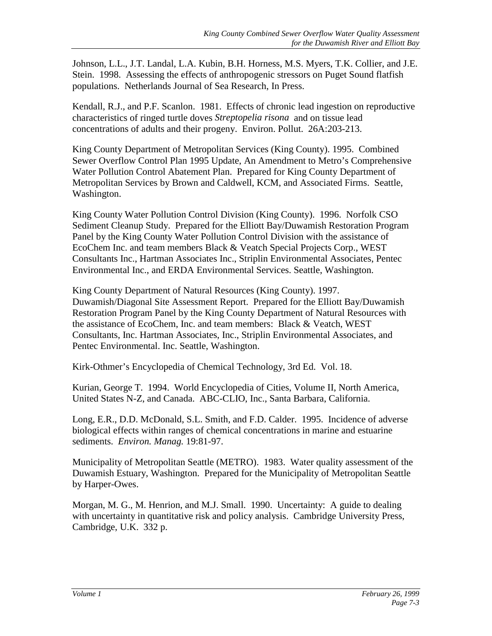Johnson, L.L., J.T. Landal, L.A. Kubin, B.H. Horness, M.S. Myers, T.K. Collier, and J.E. Stein. 1998. Assessing the effects of anthropogenic stressors on Puget Sound flatfish populations. Netherlands Journal of Sea Research, In Press.

Kendall, R.J., and P.F. Scanlon. 1981. Effects of chronic lead ingestion on reproductive characteristics of ringed turtle doves *Streptopelia risona* and on tissue lead concentrations of adults and their progeny. Environ. Pollut. 26A:203-213.

King County Department of Metropolitan Services (King County). 1995. Combined Sewer Overflow Control Plan 1995 Update, An Amendment to Metro's Comprehensive Water Pollution Control Abatement Plan. Prepared for King County Department of Metropolitan Services by Brown and Caldwell, KCM, and Associated Firms. Seattle, Washington.

King County Water Pollution Control Division (King County). 1996. Norfolk CSO Sediment Cleanup Study. Prepared for the Elliott Bay/Duwamish Restoration Program Panel by the King County Water Pollution Control Division with the assistance of EcoChem Inc. and team members Black & Veatch Special Projects Corp., WEST Consultants Inc., Hartman Associates Inc., Striplin Environmental Associates, Pentec Environmental Inc., and ERDA Environmental Services. Seattle, Washington.

King County Department of Natural Resources (King County). 1997. Duwamish/Diagonal Site Assessment Report. Prepared for the Elliott Bay/Duwamish Restoration Program Panel by the King County Department of Natural Resources with the assistance of EcoChem, Inc. and team members: Black & Veatch, WEST Consultants, Inc. Hartman Associates, Inc., Striplin Environmental Associates, and Pentec Environmental. Inc. Seattle, Washington.

Kirk-Othmer's Encyclopedia of Chemical Technology, 3rd Ed. Vol. 18.

Kurian, George T. 1994. World Encyclopedia of Cities, Volume II, North America, United States N-Z, and Canada. ABC-CLIO, Inc., Santa Barbara, California.

Long, E.R., D.D. McDonald, S.L. Smith, and F.D. Calder. 1995. Incidence of adverse biological effects within ranges of chemical concentrations in marine and estuarine sediments. *Environ. Manag.* 19:81-97.

Municipality of Metropolitan Seattle (METRO). 1983. Water quality assessment of the Duwamish Estuary, Washington. Prepared for the Municipality of Metropolitan Seattle by Harper-Owes.

Morgan, M. G., M. Henrion, and M.J. Small. 1990. Uncertainty: A guide to dealing with uncertainty in quantitative risk and policy analysis. Cambridge University Press, Cambridge, U.K. 332 p.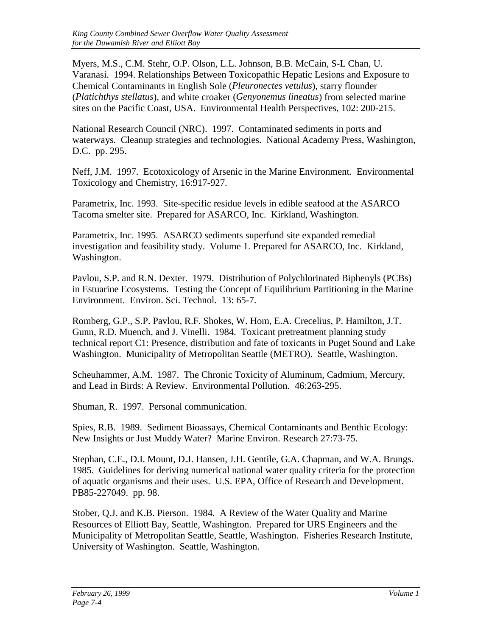Myers, M.S., C.M. Stehr, O.P. Olson, L.L. Johnson, B.B. McCain, S-L Chan, U. Varanasi. 1994. Relationships Between Toxicopathic Hepatic Lesions and Exposure to Chemical Contaminants in English Sole (*Pleuronectes vetulus*), starry flounder (*Platichthys stellatus*), and white croaker (*Genyonemus lineatus*) from selected marine sites on the Pacific Coast, USA. Environmental Health Perspectives, 102: 200-215.

National Research Council (NRC). 1997. Contaminated sediments in ports and waterways. Cleanup strategies and technologies. National Academy Press, Washington, D.C. pp. 295.

Neff, J.M. 1997. Ecotoxicology of Arsenic in the Marine Environment. Environmental Toxicology and Chemistry, 16:917-927.

Parametrix, Inc. 1993. Site-specific residue levels in edible seafood at the ASARCO Tacoma smelter site. Prepared for ASARCO, Inc. Kirkland, Washington.

Parametrix, Inc. 1995. ASARCO sediments superfund site expanded remedial investigation and feasibility study. Volume 1. Prepared for ASARCO, Inc. Kirkland, Washington.

Pavlou, S.P. and R.N. Dexter. 1979. Distribution of Polychlorinated Biphenyls (PCBs) in Estuarine Ecosystems. Testing the Concept of Equilibrium Partitioning in the Marine Environment. Environ. Sci. Technol*.* 13: 65-7.

Romberg, G.P., S.P. Pavlou, R.F. Shokes, W. Hom, E.A. Crecelius, P. Hamilton, J.T. Gunn, R.D. Muench, and J. Vinelli. 1984. Toxicant pretreatment planning study technical report C1: Presence, distribution and fate of toxicants in Puget Sound and Lake Washington. Municipality of Metropolitan Seattle (METRO). Seattle, Washington.

Scheuhammer, A.M. 1987. The Chronic Toxicity of Aluminum, Cadmium, Mercury, and Lead in Birds: A Review. Environmental Pollution. 46:263-295.

Shuman, R. 1997. Personal communication.

Spies, R.B. 1989. Sediment Bioassays, Chemical Contaminants and Benthic Ecology: New Insights or Just Muddy Water? Marine Environ. Research 27:73-75.

Stephan, C.E., D.I. Mount, D.J. Hansen, J.H. Gentile, G.A. Chapman, and W.A. Brungs. 1985. Guidelines for deriving numerical national water quality criteria for the protection of aquatic organisms and their uses. U.S. EPA, Office of Research and Development. PB85-227049. pp. 98.

Stober, Q.J. and K.B. Pierson. 1984. A Review of the Water Quality and Marine Resources of Elliott Bay, Seattle, Washington. Prepared for URS Engineers and the Municipality of Metropolitan Seattle, Seattle, Washington. Fisheries Research Institute, University of Washington. Seattle, Washington.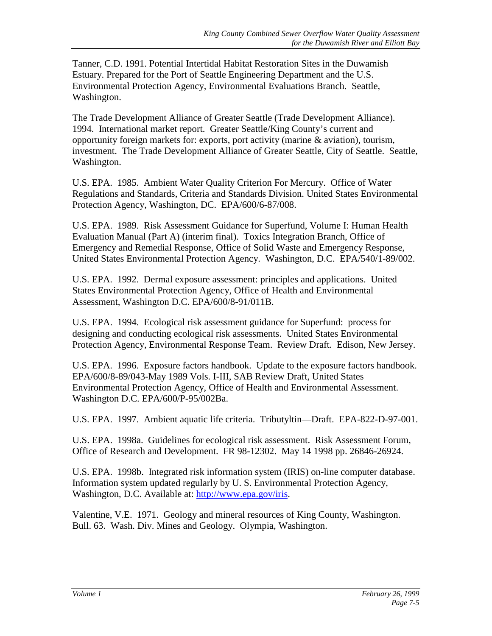Tanner, C.D. 1991. Potential Intertidal Habitat Restoration Sites in the Duwamish Estuary. Prepared for the Port of Seattle Engineering Department and the U.S. Environmental Protection Agency, Environmental Evaluations Branch. Seattle, Washington.

The Trade Development Alliance of Greater Seattle (Trade Development Alliance). 1994. International market report. Greater Seattle/King County's current and opportunity foreign markets for: exports, port activity (marine & aviation), tourism, investment. The Trade Development Alliance of Greater Seattle, City of Seattle. Seattle, Washington.

U.S. EPA. 1985. Ambient Water Quality Criterion For Mercury. Office of Water Regulations and Standards, Criteria and Standards Division. United States Environmental Protection Agency, Washington, DC. EPA/600/6-87/008.

U.S. EPA. 1989. Risk Assessment Guidance for Superfund, Volume I: Human Health Evaluation Manual (Part A) (interim final). Toxics Integration Branch, Office of Emergency and Remedial Response, Office of Solid Waste and Emergency Response, United States Environmental Protection Agency. Washington, D.C. EPA/540/1-89/002.

U.S. EPA. 1992. Dermal exposure assessment: principles and applications. United States Environmental Protection Agency, Office of Health and Environmental Assessment, Washington D.C. EPA/600/8-91/011B.

U.S. EPA. 1994. Ecological risk assessment guidance for Superfund: process for designing and conducting ecological risk assessments. United States Environmental Protection Agency, Environmental Response Team. Review Draft. Edison, New Jersey.

U.S. EPA. 1996. Exposure factors handbook. Update to the exposure factors handbook. EPA/600/8-89/043-May 1989 Vols. I-III, SAB Review Draft, United States Environmental Protection Agency, Office of Health and Environmental Assessment. Washington D.C. EPA/600/P-95/002Ba.

U.S. EPA. 1997. Ambient aquatic life criteria. Tributyltin—Draft. EPA-822-D-97-001.

U.S. EPA. 1998a. Guidelines for ecological risk assessment. Risk Assessment Forum, Office of Research and Development. FR 98-12302. May 14 1998 pp. 26846-26924.

U.S. EPA. 1998b. Integrated risk information system (IRIS) on-line computer database. Information system updated regularly by U. S. Environmental Protection Agency, Washington, D.C. Available at: [http://www.epa.gov/iris.](http://www.epa.gov/iris)

Valentine, V.E. 1971. Geology and mineral resources of King County, Washington. Bull. 63. Wash. Div. Mines and Geology. Olympia, Washington.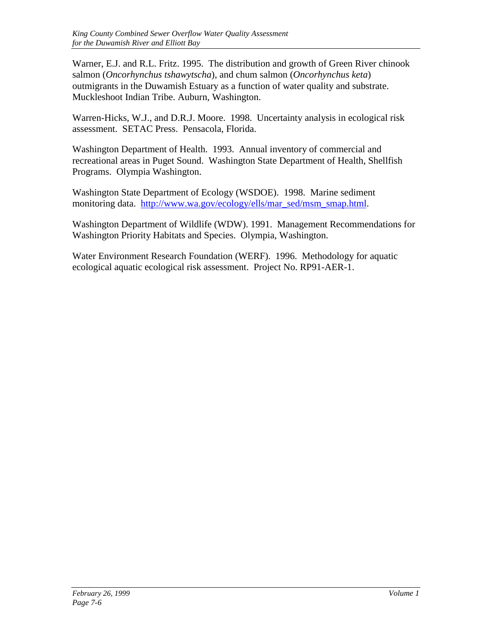Warner, E.J. and R.L. Fritz. 1995. The distribution and growth of Green River chinook salmon (*Oncorhynchus tshawytscha*), and chum salmon (*Oncorhynchus keta*) outmigrants in the Duwamish Estuary as a function of water quality and substrate. Muckleshoot Indian Tribe. Auburn, Washington.

Warren-Hicks, W.J., and D.R.J. Moore. 1998. Uncertainty analysis in ecological risk assessment. SETAC Press. Pensacola, Florida.

Washington Department of Health. 1993. Annual inventory of commercial and recreational areas in Puget Sound. Washington State Department of Health, Shellfish Programs. Olympia Washington.

Washington State Department of Ecology (WSDOE). 1998. Marine sediment monitoring data. [http://www.wa.gov/ecology/ells/mar\\_sed/msm\\_smap.html.](http://www.wa.gov/ecology/ells/mar_sed/msm_smap.html)

Washington Department of Wildlife (WDW). 1991. Management Recommendations for Washington Priority Habitats and Species. Olympia, Washington.

Water Environment Research Foundation (WERF). 1996. Methodology for aquatic ecological aquatic ecological risk assessment. Project No. RP91-AER-1.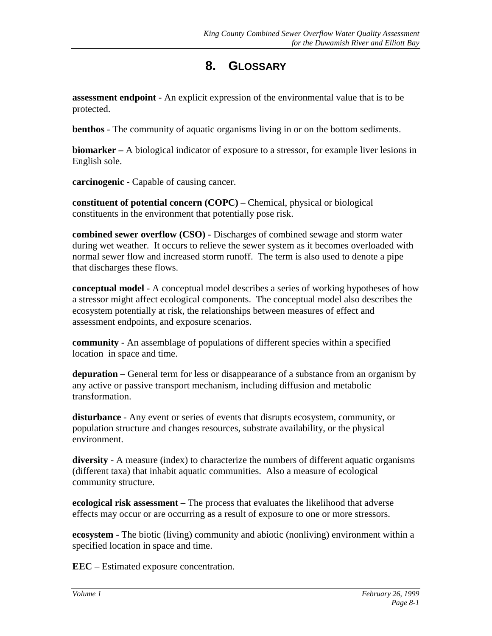## **8. GLOSSARY**

**assessment endpoint** - An explicit expression of the environmental value that is to be protected.

**benthos** - The community of aquatic organisms living in or on the bottom sediments.

**biomarker –** A biological indicator of exposure to a stressor, for example liver lesions in English sole.

**carcinogenic** - Capable of causing cancer.

**constituent of potential concern (COPC)** – Chemical, physical or biological constituents in the environment that potentially pose risk.

**combined sewer overflow (CSO)** - Discharges of combined sewage and storm water during wet weather. It occurs to relieve the sewer system as it becomes overloaded with normal sewer flow and increased storm runoff. The term is also used to denote a pipe that discharges these flows.

**conceptual model** - A conceptual model describes a series of working hypotheses of how a stressor might affect ecological components. The conceptual model also describes the ecosystem potentially at risk, the relationships between measures of effect and assessment endpoints, and exposure scenarios.

**community** - An assemblage of populations of different species within a specified location in space and time.

**depuration –** General term for less or disappearance of a substance from an organism by any active or passive transport mechanism, including diffusion and metabolic transformation.

**disturbance** - Any event or series of events that disrupts ecosystem, community, or population structure and changes resources, substrate availability, or the physical environment.

**diversity** - A measure (index) to characterize the numbers of different aquatic organisms (different taxa) that inhabit aquatic communities. Also a measure of ecological community structure.

**ecological risk assessment** – The process that evaluates the likelihood that adverse effects may occur or are occurring as a result of exposure to one or more stressors.

**ecosystem** - The biotic (living) community and abiotic (nonliving) environment within a specified location in space and time.

**EEC** – Estimated exposure concentration.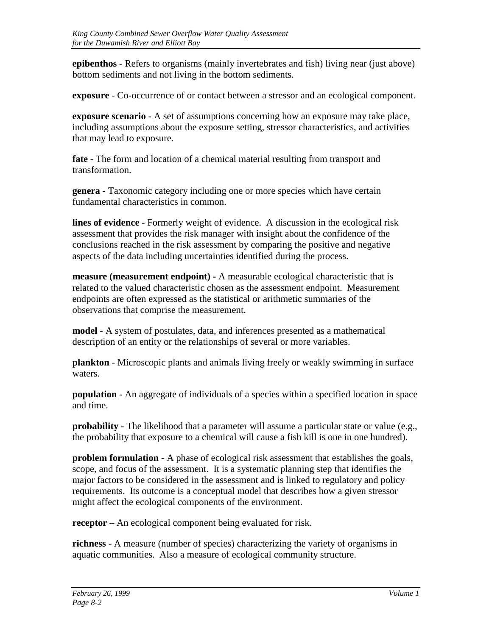**epibenthos** - Refers to organisms (mainly invertebrates and fish) living near (just above) bottom sediments and not living in the bottom sediments.

**exposure** - Co-occurrence of or contact between a stressor and an ecological component.

**exposure scenario** - A set of assumptions concerning how an exposure may take place, including assumptions about the exposure setting, stressor characteristics, and activities that may lead to exposure.

**fate** - The form and location of a chemical material resulting from transport and transformation.

**genera** - Taxonomic category including one or more species which have certain fundamental characteristics in common.

**lines of evidence** - Formerly weight of evidence. A discussion in the ecological risk assessment that provides the risk manager with insight about the confidence of the conclusions reached in the risk assessment by comparing the positive and negative aspects of the data including uncertainties identified during the process.

**measure (measurement endpoint) -** A measurable ecological characteristic that is related to the valued characteristic chosen as the assessment endpoint. Measurement endpoints are often expressed as the statistical or arithmetic summaries of the observations that comprise the measurement.

**model** - A system of postulates, data, and inferences presented as a mathematical description of an entity or the relationships of several or more variables.

**plankton** - Microscopic plants and animals living freely or weakly swimming in surface waters.

**population** - An aggregate of individuals of a species within a specified location in space and time.

**probability** - The likelihood that a parameter will assume a particular state or value (e.g., the probability that exposure to a chemical will cause a fish kill is one in one hundred).

**problem formulation** - A phase of ecological risk assessment that establishes the goals, scope, and focus of the assessment. It is a systematic planning step that identifies the major factors to be considered in the assessment and is linked to regulatory and policy requirements. Its outcome is a conceptual model that describes how a given stressor might affect the ecological components of the environment.

**receptor** – An ecological component being evaluated for risk.

**richness** - A measure (number of species) characterizing the variety of organisms in aquatic communities. Also a measure of ecological community structure.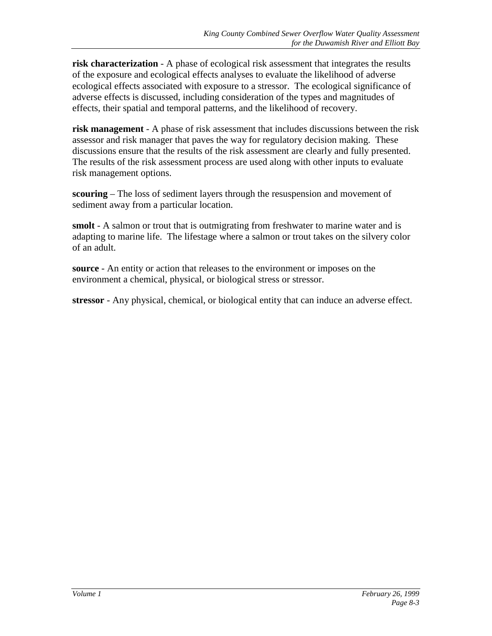**risk characterization** - A phase of ecological risk assessment that integrates the results of the exposure and ecological effects analyses to evaluate the likelihood of adverse ecological effects associated with exposure to a stressor. The ecological significance of adverse effects is discussed, including consideration of the types and magnitudes of effects, their spatial and temporal patterns, and the likelihood of recovery.

**risk management** - A phase of risk assessment that includes discussions between the risk assessor and risk manager that paves the way for regulatory decision making. These discussions ensure that the results of the risk assessment are clearly and fully presented. The results of the risk assessment process are used along with other inputs to evaluate risk management options.

**scouring** – The loss of sediment layers through the resuspension and movement of sediment away from a particular location.

**smolt** - A salmon or trout that is outmigrating from freshwater to marine water and is adapting to marine life. The lifestage where a salmon or trout takes on the silvery color of an adult.

**source** - An entity or action that releases to the environment or imposes on the environment a chemical, physical, or biological stress or stressor.

**stressor** - Any physical, chemical, or biological entity that can induce an adverse effect.